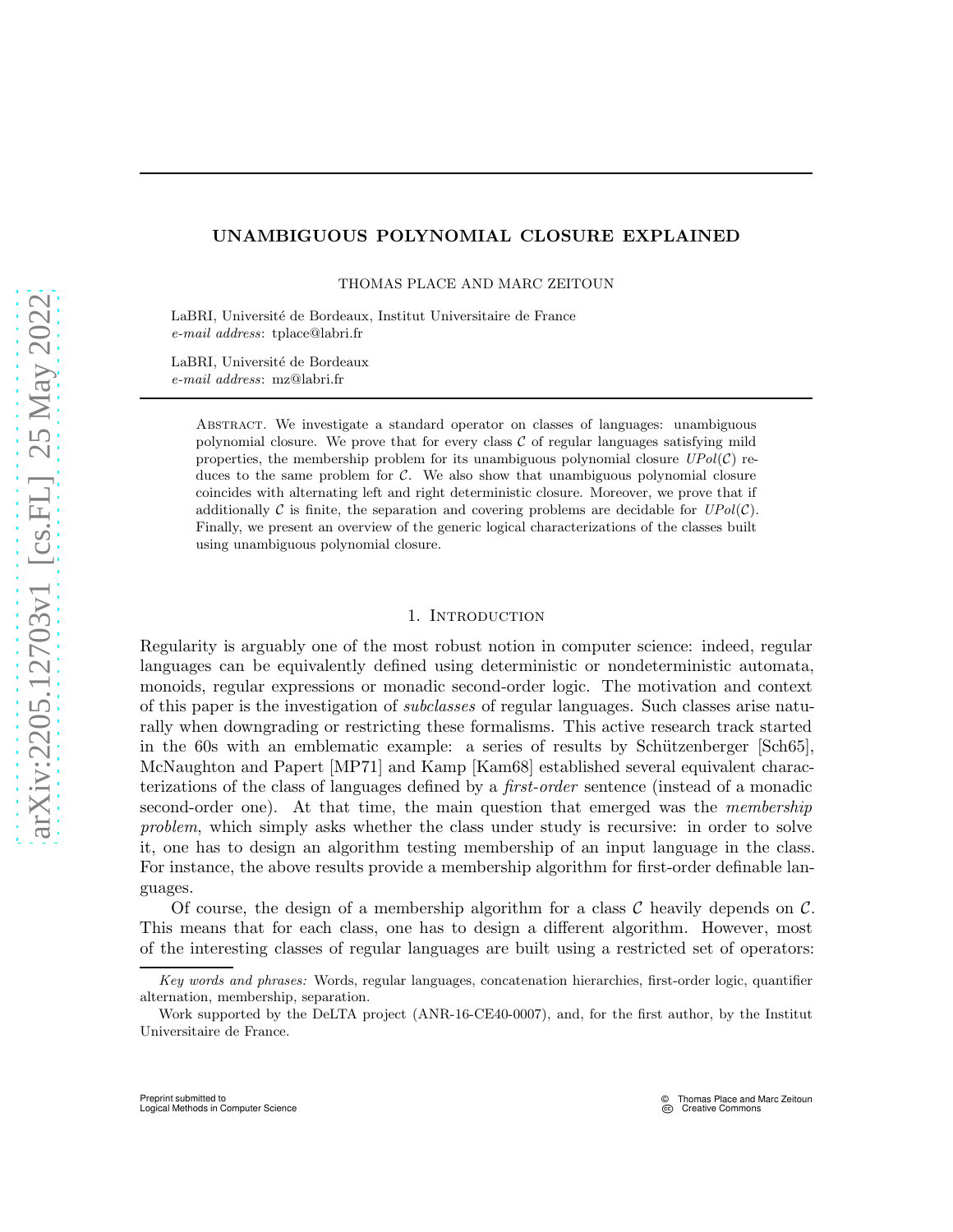# UNAMBIGUOUS POLYNOMIAL CLOSURE EXPLAINED

THOMAS PLACE AND MARC ZEITOUN

LaBRI, Université de Bordeaux, Institut Universitaire de France *e-mail address*: tplace@labri.fr

LaBRI, Université de Bordeaux *e-mail address*: mz@labri.fr

> Abstract. We investigate a standard operator on classes of languages: unambiguous polynomial closure. We prove that for every class  $\mathcal C$  of regular languages satisfying mild properties, the membership problem for its unambiguous polynomial closure  $UPol(\mathcal{C})$  reduces to the same problem for  $\mathcal{C}$ . We also show that unambiguous polynomial closure coincides with alternating left and right deterministic closure. Moreover, we prove that if additionally  $\mathcal C$  is finite, the separation and covering problems are decidable for  $UPol(\mathcal C)$ . Finally, we present an overview of the generic logical characterizations of the classes built using unambiguous polynomial closure.

# 1. INTRODUCTION

Regularity is arguably one of the most robust notion in computer science: indeed, regular languages can be equivalently defined using deterministic or nondeterministic automata, monoids, regular expressions or monadic second-order logic. The motivation and context of this paper is the investigation of subclasses of regular languages. Such classes arise naturally when downgrading or restricting these formalisms. This active research track started in the 60s with an emblematic example: a series of results by Schützenberger [\[Sch65\]](#page-60-0), McNaughton and Papert [\[MP71\]](#page-59-0) and Kamp [\[Kam68\]](#page-59-1) established several equivalent characterizations of the class of languages defined by a first-order sentence (instead of a monadic second-order one). At that time, the main question that emerged was the *membership* problem, which simply asks whether the class under study is recursive: in order to solve it, one has to design an algorithm testing membership of an input language in the class. For instance, the above results provide a membership algorithm for first-order definable languages.

Of course, the design of a membership algorithm for a class  $\mathcal C$  heavily depends on  $\mathcal C$ . This means that for each class, one has to design a different algorithm. However, most of the interesting classes of regular languages are built using a restricted set of operators:

*Key words and phrases:* Words, regular languages, concatenation hierarchies, first-order logic, quantifier alternation, membership, separation.

Work supported by the DeLTA project (ANR-16-CE40-0007), and, for the first author, by the Institut Universitaire de France.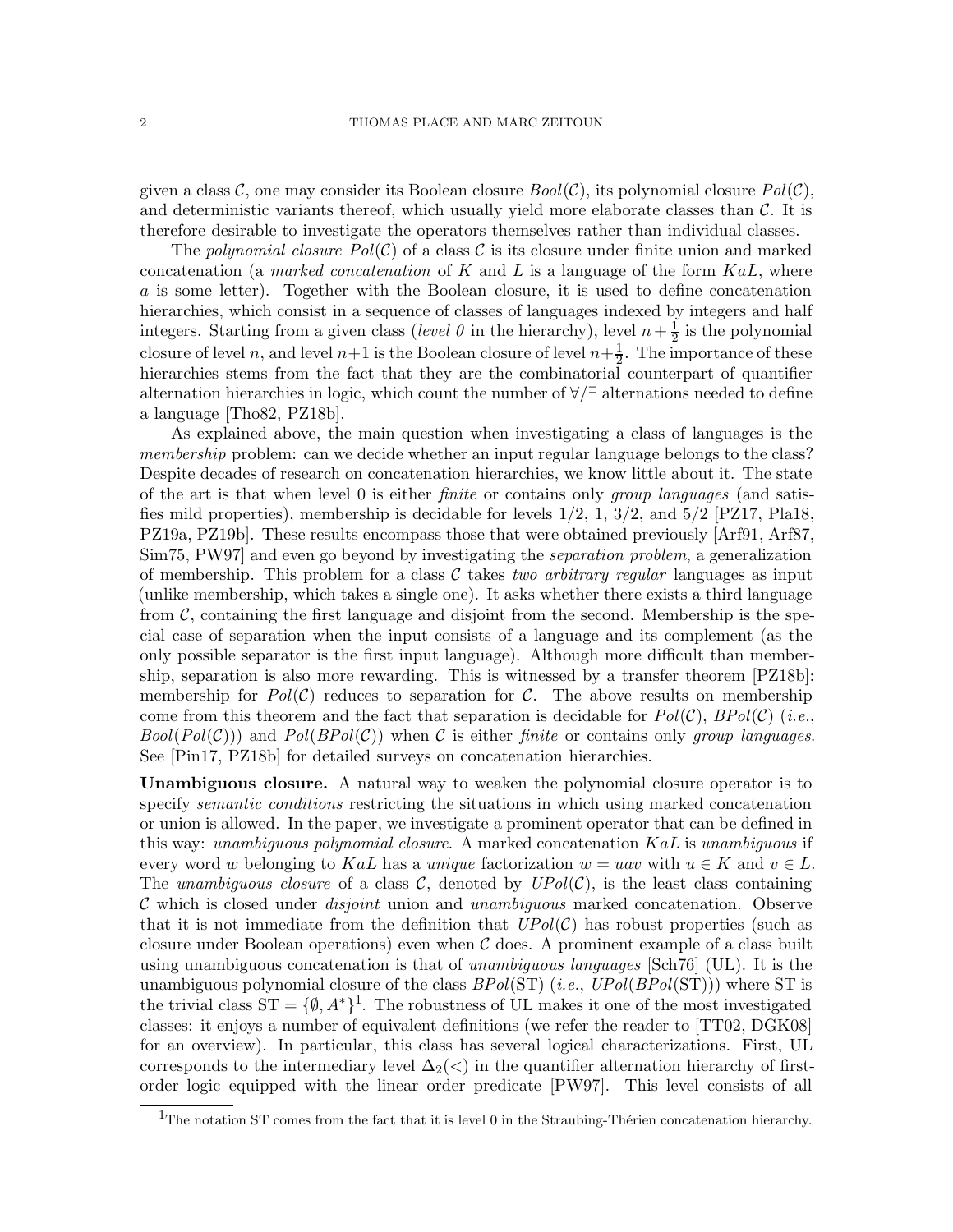given a class C, one may consider its Boolean closure  $Bool(C)$ , its polynomial closure  $Pol(C)$ , and deterministic variants thereof, which usually yield more elaborate classes than  $\mathcal{C}$ . It is therefore desirable to investigate the operators themselves rather than individual classes.

The polynomial closure  $Pol(\mathcal{C})$  of a class C is its closure under finite union and marked concatenation (a *marked concatenation* of K and L is a language of the form  $KaL$ , where a is some letter). Together with the Boolean closure, it is used to define concatenation hierarchies, which consist in a sequence of classes of languages indexed by integers and half integers. Starting from a given class (level 0 in the hierarchy), level  $n+\frac{1}{2}$  $\frac{1}{2}$  is the polynomial closure of level n, and level  $n+1$  is the Boolean closure of level  $n+\frac{1}{2}$ . The importance of these hierarchies stems from the fact that they are the combinatorial counterpart of quantifier alternation hierarchies in logic, which count the number of ∀/∃ alternations needed to define a language [\[Tho82,](#page-60-1) [PZ18b\]](#page-60-2).

As explained above, the main question when investigating a class of languages is the membership problem: can we decide whether an input regular language belongs to the class? Despite decades of research on concatenation hierarchies, we know little about it. The state of the art is that when level 0 is either finite or contains only group languages (and satisfies mild properties), membership is decidable for levels  $1/2$ ,  $1$ ,  $3/2$ , and  $5/2$  [\[PZ17,](#page-60-3) [Pla18,](#page-59-2) [PZ19a,](#page-60-4) [PZ19b\]](#page-60-5). These results encompass those that were obtained previously [\[Arf91,](#page-59-3) [Arf87,](#page-59-4) [Sim75,](#page-60-6) [PW97\]](#page-59-5) and even go beyond by investigating the separation problem, a generalization of membership. This problem for a class  $\mathcal C$  takes two arbitrary regular languages as input (unlike membership, which takes a single one). It asks whether there exists a third language from  $\mathcal{C}$ , containing the first language and disjoint from the second. Membership is the special case of separation when the input consists of a language and its complement (as the only possible separator is the first input language). Although more difficult than membership, separation is also more rewarding. This is witnessed by a transfer theorem [\[PZ18b\]](#page-60-2): membership for  $Pol(\mathcal{C})$  reduces to separation for  $\mathcal{C}$ . The above results on membership come from this theorem and the fact that separation is decidable for  $Pol(\mathcal{C})$ ,  $BPol(\mathcal{C})$  (i.e.,  $Bool(Pol(C))$  and  $Pol(BPol(C))$  when C is either finite or contains only group languages. See [\[Pin17,](#page-59-6) [PZ18b\]](#page-60-2) for detailed surveys on concatenation hierarchies.

Unambiguous closure. A natural way to weaken the polynomial closure operator is to specify *semantic conditions* restricting the situations in which using marked concatenation or union is allowed. In the paper, we investigate a prominent operator that can be defined in this way: unambiguous polynomial closure. A marked concatenation  $K a L$  is unambiguous if every word w belonging to KaL has a unique factorization  $w = u \text{av}$  with  $u \in K$  and  $v \in L$ . The unambiguous closure of a class C, denoted by  $UPol(\mathcal{C})$ , is the least class containing  $\mathcal C$  which is closed under *disjoint* union and *unambiguous* marked concatenation. Observe that it is not immediate from the definition that  $UPol(\mathcal{C})$  has robust properties (such as closure under Boolean operations) even when  $\mathcal C$  does. A prominent example of a class built using unambiguous concatenation is that of *unambiguous languages* [\[Sch76\]](#page-60-7) (UL). It is the unambiguous polynomial closure of the class  $BPol(ST)$  (*i.e.,*  $UPol(BPol(ST))$ ) where ST is the trivial class  $ST = \{\emptyset, A^*\}^1$  $ST = \{\emptyset, A^*\}^1$ . The robustness of UL makes it one of the most investigated classes: it enjoys a number of equivalent definitions (we refer the reader to [\[TT02,](#page-60-8) [DGK08\]](#page-59-7) for an overview). In particular, this class has several logical characterizations. First, UL corresponds to the intermediary level  $\Delta_2(\langle\ \rangle)$  in the quantifier alternation hierarchy of firstorder logic equipped with the linear order predicate [\[PW97\]](#page-59-5). This level consists of all

<span id="page-1-0"></span><sup>&</sup>lt;sup>1</sup>The notation ST comes from the fact that it is level 0 in the Straubing-Thérien concatenation hierarchy.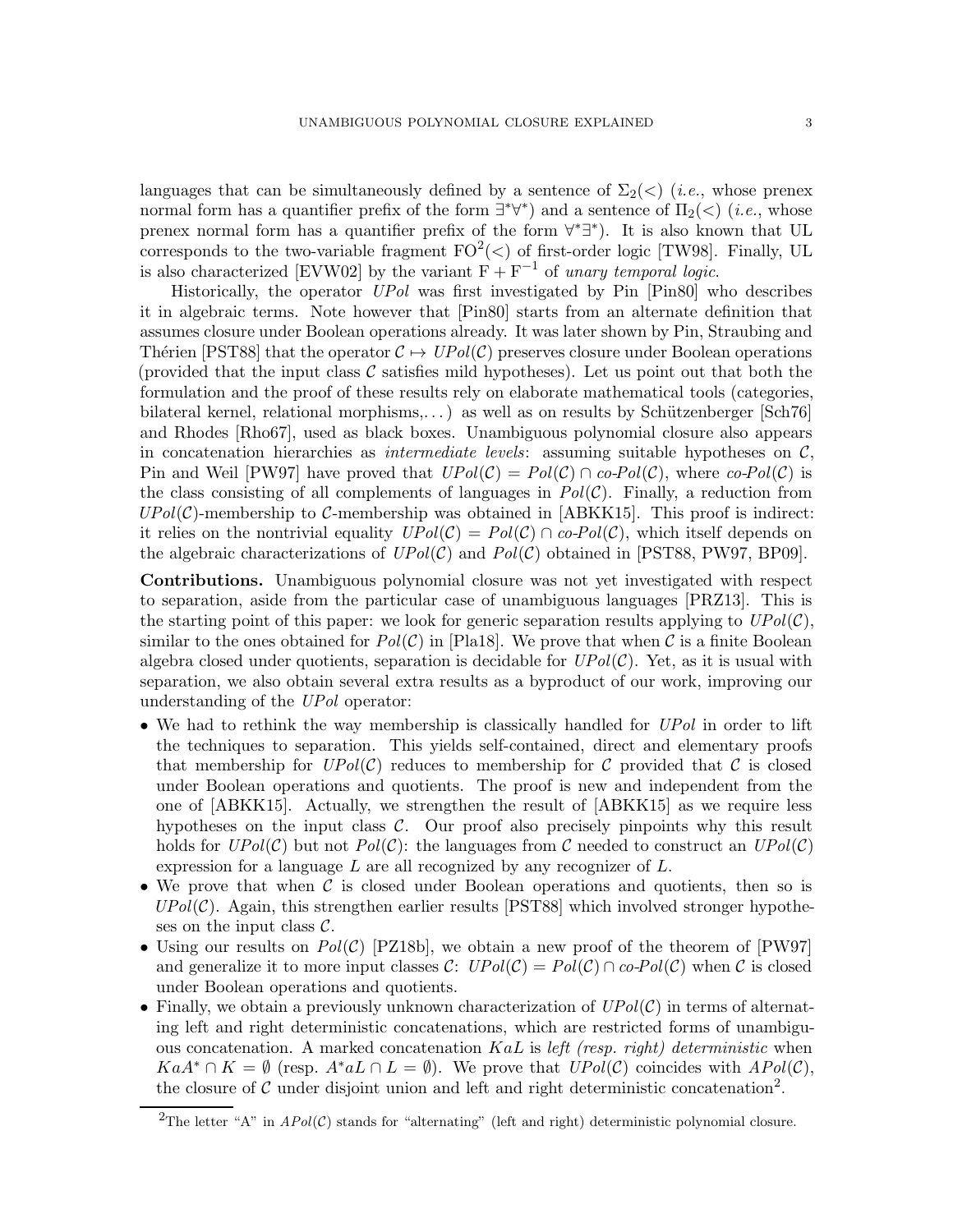languages that can be simultaneously defined by a sentence of  $\Sigma_2(\langle \rangle)$  (*i.e.*, whose prenex normal form has a quantifier prefix of the form  $\exists^*\forall^*$ ) and a sentence of  $\Pi_2(\langle)$  (*i.e.*, whose prenex normal form has a quantifier prefix of the form  $\forall^* \exists^*$ ). It is also known that UL corresponds to the two-variable fragment  $FO^2(\langle)$  of first-order logic [\[TW98\]](#page-60-9). Finally, UL is also characterized [\[EVW02\]](#page-59-8) by the variant  $F + F^{-1}$  of unary temporal logic.

Historically, the operator UPol was first investigated by Pin [\[Pin80\]](#page-59-9) who describes it in algebraic terms. Note however that [\[Pin80\]](#page-59-9) starts from an alternate definition that assumes closure under Boolean operations already. It was later shown by Pin, Straubing and Thérien [\[PST88\]](#page-59-10) that the operator  $C \mapsto UPol(\mathcal{C})$  preserves closure under Boolean operations (provided that the input class  $\mathcal C$  satisfies mild hypotheses). Let us point out that both the formulation and the proof of these results rely on elaborate mathematical tools (categories, bilateral kernel, relational morphisms,...) as well as on results by Schützenberger [\[Sch76\]](#page-60-7) and Rhodes [\[Rho67\]](#page-60-10), used as black boxes. Unambiguous polynomial closure also appears in concatenation hierarchies as *intermediate levels*: assuming suitable hypotheses on  $C$ , Pin and Weil [\[PW97\]](#page-59-5) have proved that  $UPol(\mathcal{C}) = Pol(\mathcal{C}) \cap co-Pol(\mathcal{C})$ , where  $co-Pol(\mathcal{C})$  is the class consisting of all complements of languages in  $Pol(\mathcal{C})$ . Finally, a reduction from  $UPol(\mathcal{C})$ -membership to  $\mathcal{C}$ -membership was obtained in [\[ABKK15\]](#page-58-0). This proof is indirect: it relies on the nontrivial equality  $UPol(\mathcal{C}) = Pol(\mathcal{C}) \cap co-Pol(\mathcal{C})$ , which itself depends on the algebraic characterizations of  $UPol(\mathcal{C})$  and  $Pol(\mathcal{C})$  obtained in [\[PST88,](#page-59-10) [PW97,](#page-59-5) [BP09\]](#page-59-11).

Contributions. Unambiguous polynomial closure was not yet investigated with respect to separation, aside from the particular case of unambiguous languages [\[PRZ13\]](#page-59-12). This is the starting point of this paper: we look for generic separation results applying to  $UPol(\mathcal{C}),$ similar to the ones obtained for  $Pol(\mathcal{C})$  in [\[Pla18\]](#page-59-2). We prove that when  $\mathcal C$  is a finite Boolean algebra closed under quotients, separation is decidable for  $UPol(\mathcal{C})$ . Yet, as it is usual with separation, we also obtain several extra results as a byproduct of our work, improving our understanding of the UPol operator:

- We had to rethink the way membership is classically handled for UPol in order to lift the techniques to separation. This yields self-contained, direct and elementary proofs that membership for  $UPol(\mathcal{C})$  reduces to membership for C provided that C is closed under Boolean operations and quotients. The proof is new and independent from the one of [\[ABKK15\]](#page-58-0). Actually, we strengthen the result of [\[ABKK15\]](#page-58-0) as we require less hypotheses on the input class  $C$ . Our proof also precisely pinpoints why this result holds for  $UPol(\mathcal{C})$  but not  $Pol(\mathcal{C})$ : the languages from C needed to construct an  $UPol(\mathcal{C})$ expression for a language  $L$  are all recognized by any recognizer of  $L$ .
- We prove that when  $\mathcal C$  is closed under Boolean operations and quotients, then so is  $UPol(\mathcal{C})$ . Again, this strengthen earlier results [\[PST88\]](#page-59-10) which involved stronger hypotheses on the input class  $\mathcal{C}$ .
- Using our results on  $Pol(\mathcal{C})$  [\[PZ18b\]](#page-60-2), we obtain a new proof of the theorem of [\[PW97\]](#page-59-5) and generalize it to more input classes C:  $UPol(\mathcal{C}) = Pol(\mathcal{C}) \cap co-Pol(\mathcal{C})$  when C is closed under Boolean operations and quotients.
- Finally, we obtain a previously unknown characterization of  $UPol(\mathcal{C})$  in terms of alternating left and right deterministic concatenations, which are restricted forms of unambiguous concatenation. A marked concatenation  $KaL$  is left (resp. right) deterministic when  $KaA^* \cap K = \emptyset$  (resp.  $A^*aL \cap L = \emptyset$ ). We prove that  $UPol(\mathcal{C})$  coincides with  $Apol(\mathcal{C})$ , the closure of  $\mathcal C$  under disjoint union and left and right deterministic concatenation<sup>[2](#page-2-0)</sup>.

<span id="page-2-0"></span><sup>&</sup>lt;sup>2</sup>The letter "A" in  $APol(\mathcal{C})$  stands for "alternating" (left and right) deterministic polynomial closure.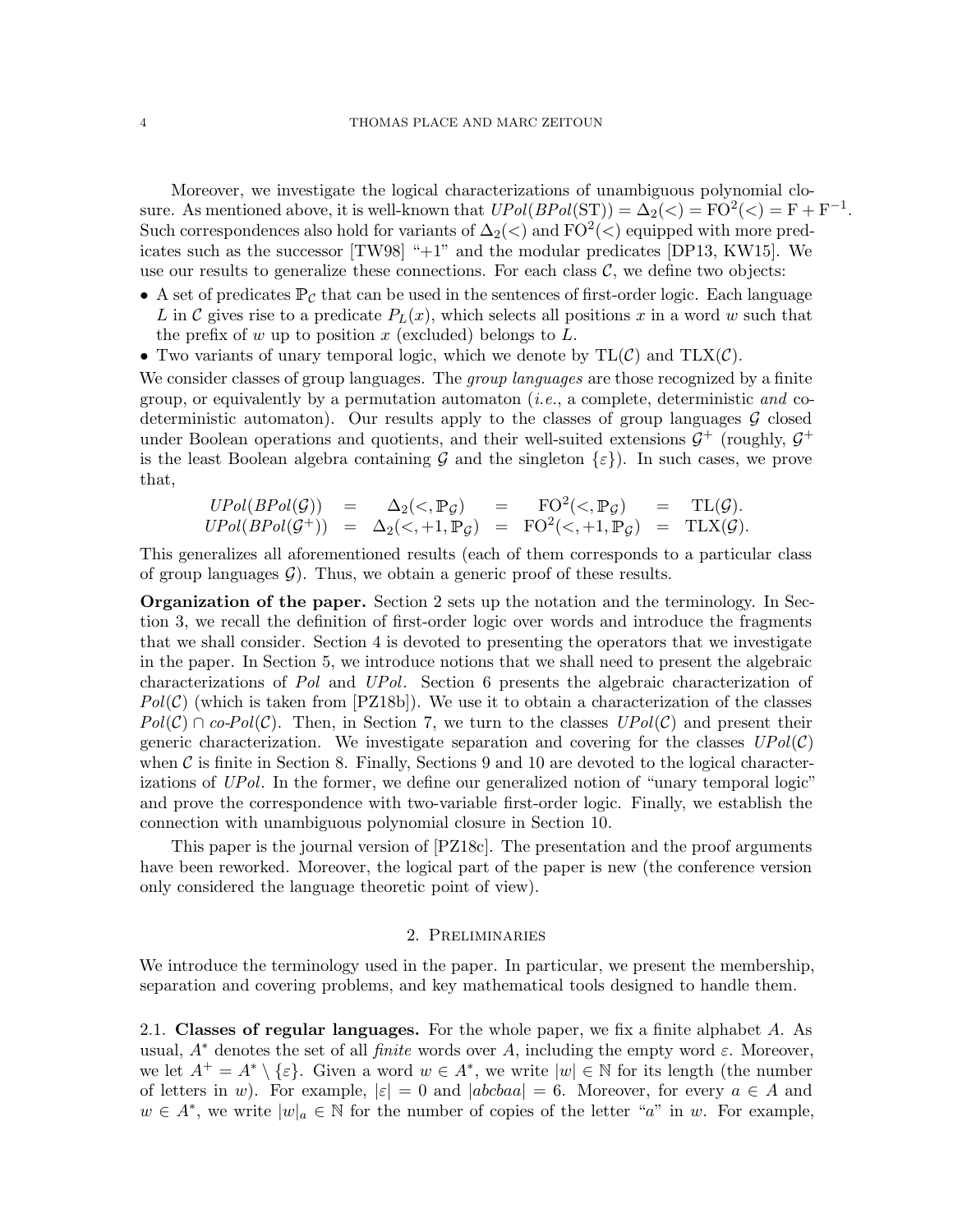Moreover, we investigate the logical characterizations of unambiguous polynomial closure. As mentioned above, it is well-known that  $UPol(BPol(ST)) = \Delta_2(\langle) = FO^2(\langle) = F + F^{-1}$ . Such correspondences also hold for variants of  $\Delta_2(\text{&})$  and  $\text{FO}^2(\text{&})$  equipped with more predicates such as the successor [\[TW98\]](#page-60-9) "+1" and the modular predicates [\[DP13,](#page-59-13) [KW15\]](#page-59-14). We use our results to generalize these connections. For each class  $\mathcal{C}$ , we define two objects:

- A set of predicates  $\mathbb{P}_{\mathcal{C}}$  that can be used in the sentences of first-order logic. Each language L in C gives rise to a predicate  $P_L(x)$ , which selects all positions x in a word w such that the prefix of w up to position x (excluded) belongs to  $L$ .
- Two variants of unary temporal logic, which we denote by  $TL(\mathcal{C})$  and  $TLX(\mathcal{C})$ .

We consider classes of group languages. The *group languages* are those recognized by a finite group, or equivalently by a permutation automaton (*i.e.*, a complete, deterministic and codeterministic automaton). Our results apply to the classes of group languages  $\mathcal G$  closed under Boolean operations and quotients, and their well-suited extensions  $\mathcal{G}^+$  (roughly,  $\mathcal{G}^+$ is the least Boolean algebra containing G and the singleton  $\{\varepsilon\}$ ). In such cases, we prove that,

$$
UPol(BPol(\mathcal{G})) = \Delta_2(\langle , \mathbb{P}_{\mathcal{G}} \rangle = \text{FO}^2(\langle , \mathbb{P}_{\mathcal{G}} \rangle = \text{TL}(\mathcal{G}).
$$
  

$$
UPol(BPol(\mathcal{G}^+)) = \Delta_2(\langle , +1, \mathbb{P}_{\mathcal{G}} \rangle = \text{FO}^2(\langle , +1, \mathbb{P}_{\mathcal{G}} \rangle = \text{TLX}(\mathcal{G}).
$$

This generalizes all aforementioned results (each of them corresponds to a particular class of group languages  $\mathcal{G}$ . Thus, we obtain a generic proof of these results.

Organization of the paper. Section [2](#page-3-0) sets up the notation and the terminology. In Section [3,](#page-10-0) we recall the definition of first-order logic over words and introduce the fragments that we shall consider. Section [4](#page-13-0) is devoted to presenting the operators that we investigate in the paper. In Section [5,](#page-20-0) we introduce notions that we shall need to present the algebraic characterizations of Pol and UPol. Section [6](#page-26-0) presents the algebraic characterization of  $Pol(\mathcal{C})$  (which is taken from [\[PZ18b\]](#page-60-2)). We use it to obtain a characterization of the classes  $Pol(\mathcal{C}) \cap co-Pol(\mathcal{C})$ . Then, in Section [7,](#page-30-0) we turn to the classes  $UPol(\mathcal{C})$  and present their generic characterization. We investigate separation and covering for the classes  $UPol(\mathcal{C})$ when  $\mathcal C$  is finite in Section [8.](#page-34-0) Finally, Sections [9](#page-43-0) and [10](#page-53-0) are devoted to the logical characterizations of UPol. In the former, we define our generalized notion of "unary temporal logic" and prove the correspondence with two-variable first-order logic. Finally, we establish the connection with unambiguous polynomial closure in Section [10.](#page-53-0)

This paper is the journal version of [\[PZ18c\]](#page-60-11). The presentation and the proof arguments have been reworked. Moreover, the logical part of the paper is new (the conference version only considered the language theoretic point of view).

#### 2. Preliminaries

<span id="page-3-0"></span>We introduce the terminology used in the paper. In particular, we present the membership, separation and covering problems, and key mathematical tools designed to handle them.

2.1. Classes of regular languages. For the whole paper, we fix a finite alphabet A. As usual,  $A^*$  denotes the set of all *finite* words over A, including the empty word  $\varepsilon$ . Moreover, we let  $A^+ = A^* \setminus \{\varepsilon\}.$  Given a word  $w \in A^*$ , we write  $|w| \in \mathbb{N}$  for its length (the number of letters in w). For example,  $|\varepsilon|=0$  and  $|abcbaa|=6$ . Moreover, for every  $a\in A$  and  $w \in A^*$ , we write  $|w|_a \in \mathbb{N}$  for the number of copies of the letter "a" in w. For example,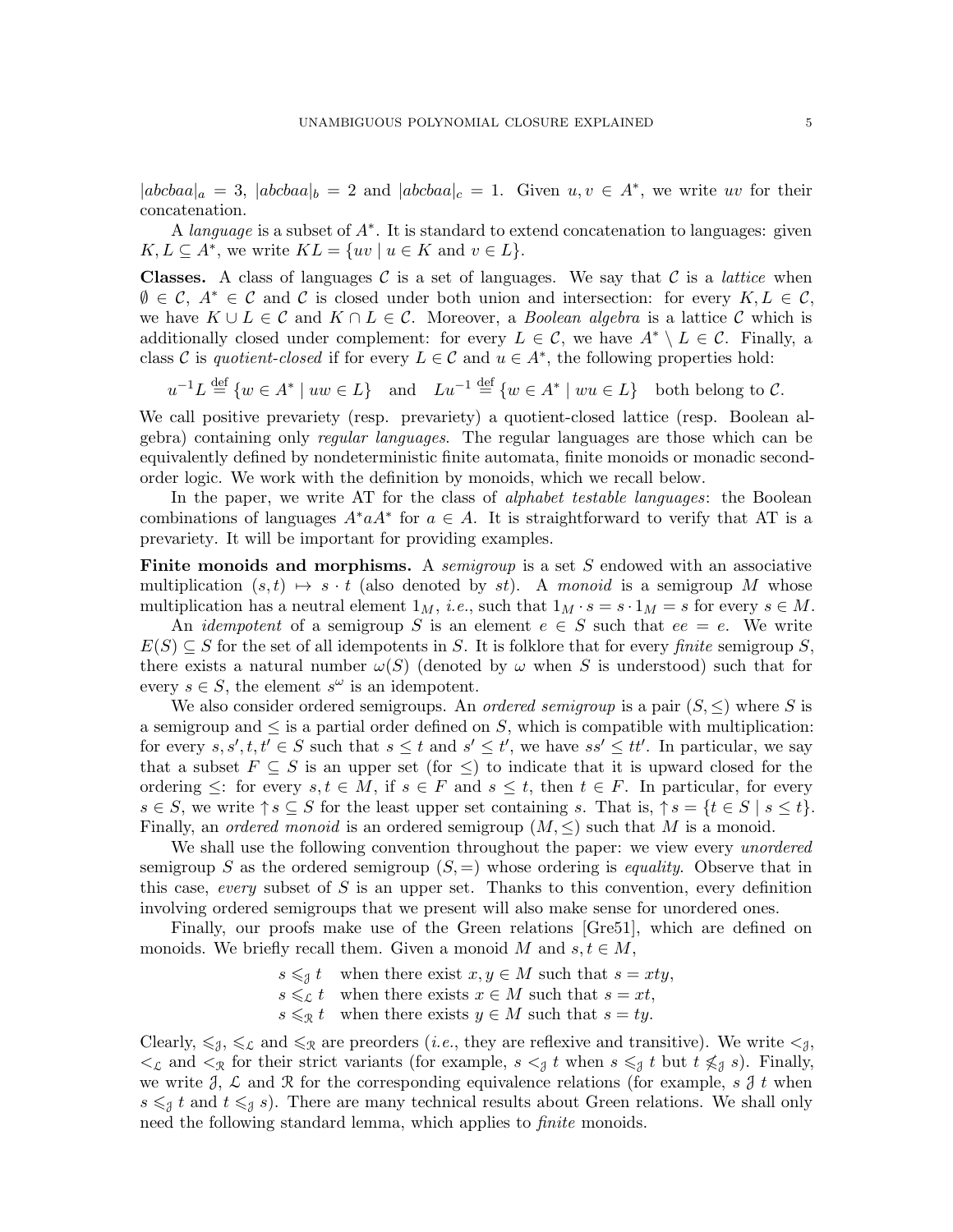$|abcbaa|_a = 3$ ,  $|abcbaa|_b = 2$  and  $|abcbaa|_c = 1$ . Given  $u, v \in A^*$ , we write uv for their concatenation.

A *language* is a subset of  $A^*$ . It is standard to extend concatenation to languages: given  $K, L \subseteq A^*$ , we write  $KL = \{uv \mid u \in K \text{ and } v \in L\}.$ 

**Classes.** A class of languages C is a set of languages. We say that C is a *lattice* when  $\emptyset \in \mathcal{C}, A^* \in \mathcal{C}$  and  $\mathcal{C}$  is closed under both union and intersection: for every  $K, L \in \mathcal{C}$ , we have  $K \cup L \in \mathcal{C}$  and  $K \cap L \in \mathcal{C}$ . Moreover, a *Boolean algebra* is a lattice  $\mathcal{C}$  which is additionally closed under complement: for every  $L \in \mathcal{C}$ , we have  $A^* \setminus L \in \mathcal{C}$ . Finally, a class C is quotient-closed if for every  $L \in \mathcal{C}$  and  $u \in A^*$ , the following properties hold:

 $u^{-1}L \stackrel{\text{def}}{=} \{w \in A^* \mid uw \in L\}$  and  $Lu^{-1} \stackrel{\text{def}}{=} \{w \in A^* \mid wu \in L\}$  both belong to C.

We call positive prevariety (resp. prevariety) a quotient-closed lattice (resp. Boolean algebra) containing only regular languages. The regular languages are those which can be equivalently defined by nondeterministic finite automata, finite monoids or monadic secondorder logic. We work with the definition by monoids, which we recall below.

In the paper, we write AT for the class of *alphabet testable languages*: the Boolean combinations of languages  $A^* a A^*$  for  $a \in A$ . It is straightforward to verify that AT is a prevariety. It will be important for providing examples.

**Finite monoids and morphisms.** A semigroup is a set S endowed with an associative multiplication  $(s, t) \mapsto s \cdot t$  (also denoted by st). A monoid is a semigroup M whose multiplication has a neutral element  $1_M$ , *i.e.*, such that  $1_M \cdot s = s \cdot 1_M = s$  for every  $s \in M$ .

An *idempotent* of a semigroup S is an element  $e \in S$  such that  $ee = e$ . We write  $E(S) \subseteq S$  for the set of all idempotents in S. It is folklore that for every *finite* semigroup S, there exists a natural number  $\omega(S)$  (denoted by  $\omega$  when S is understood) such that for every  $s \in S$ , the element  $s^{\omega}$  is an idempotent.

We also consider ordered semigroups. An *ordered semigroup* is a pair  $(S, \leq)$  where S is a semigroup and  $\leq$  is a partial order defined on S, which is compatible with multiplication: for every  $s, s', t, t' \in S$  such that  $s \leq t$  and  $s' \leq t'$ , we have  $ss' \leq tt'$ . In particular, we say that a subset  $F \subseteq S$  is an upper set (for  $\leq$ ) to indicate that it is upward closed for the ordering  $\leq$ : for every  $s, t \in M$ , if  $s \in F$  and  $s \leq t$ , then  $t \in F$ . In particular, for every  $s \in S$ , we write  $\uparrow s \subseteq S$  for the least upper set containing s. That is,  $\uparrow s = \{t \in S \mid s \le t\}.$ Finally, an *ordered monoid* is an ordered semigroup  $(M, \leq)$  such that M is a monoid.

We shall use the following convention throughout the paper: we view every *unordered* semigroup S as the ordered semigroup  $(S, =)$  whose ordering is *equality*. Observe that in this case, every subset of S is an upper set. Thanks to this convention, every definition involving ordered semigroups that we present will also make sense for unordered ones.

Finally, our proofs make use of the Green relations [\[Gre51\]](#page-59-15), which are defined on monoids. We briefly recall them. Given a monoid M and  $s, t \in M$ ,

> $s \leq \mathit{t}$  when there exist  $x, y \in M$  such that  $s = xty$ ,  $s \leqslant_{\mathcal{L}} t$  when there exists  $x \in M$  such that  $s = xt$ ,  $s \leqslant_{\mathcal{R}} t$  when there exists  $y \in M$  such that  $s = ty$ .

Clearly,  $\leq \xi$ ,  $\leq \xi$  and  $\leq \xi$  are preorders (*i.e.*, they are reflexive and transitive). We write  $\leq \xi$ ,  $\langle \xi \rangle$  and  $\langle \xi \rangle$  for their strict variants (for example,  $s \langle \xi \rangle$  t when  $s \langle \xi \rangle$  t but  $t \langle \xi \rangle$  s). Finally, we write  $\beta$ ,  $\mathcal L$  and  $\mathcal R$  for the corresponding equivalence relations (for example, s  $\mathcal J$  t when  $s \leq \{t \text{ and } t \leq \{t \text{ such that } t \leq \{t \text{ such that } t \leq \{t \text{ such that } t \leq \{t \text{ such that } t \leq \{t \text{ such that } t \leq \{t \text{ such that } t \leq \{t \text{ such that } t \leq \{t \text{ such that } t \leq \{t \text{ such that } t \leq \{t \text{ such that } t \leq \{t \text{ such that } t \leq \{t \text{ such that } t \leq \{t \text{ such that } t \leq \{t \text{ such that } t \leq \{t \text{ such that } t \leq \{t \text{ such that }$ need the following standard lemma, which applies to *finite* monoids.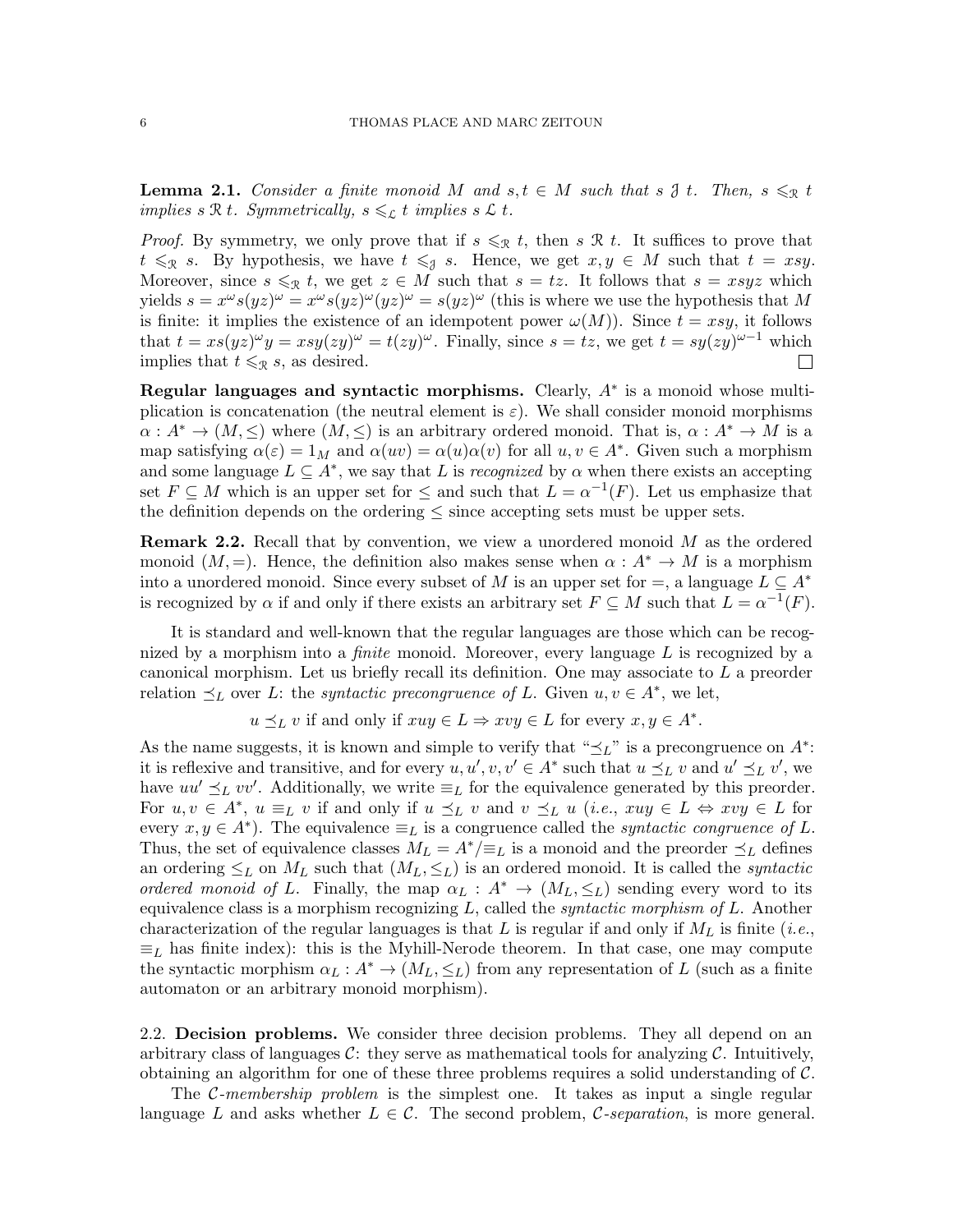<span id="page-5-0"></span>**Lemma 2.1.** Consider a finite monoid M and  $s, t \in M$  such that  $s \downarrow t$ . Then,  $s \leqslant_{\mathcal{R}} t$ implies s R t. Symmetrically,  $s \leqslant_{\mathcal{L}} t$  implies s L t.

*Proof.* By symmetry, we only prove that if  $s \leqslant_{\mathcal{R}} t$ , then  $s \mathcal{R} t$ . It suffices to prove that  $t \leqslant_{\mathcal{R}} s$ . By hypothesis, we have  $t \leqslant_{\mathcal{J}} s$ . Hence, we get  $x, y \in M$  such that  $t = xsy$ . Moreover, since  $s \leq_{\mathcal{R}} t$ , we get  $z \in M$  such that  $s = tz$ . It follows that  $s = xsyz$  which yields  $s = x^{\omega} s(yz)^{\omega} = x^{\omega} s(yz)^{\omega} (yz)^{\omega} = s(yz)^{\omega}$  (this is where we use the hypothesis that M is finite: it implies the existence of an idempotent power  $\omega(M)$ ). Since  $t = xsy$ , it follows that  $t = xs(yz)^{\omega}y = xsy(zy)^{\omega} = t(zy)^{\omega}$ . Finally, since  $s = tz$ , we get  $t = sy(zy)^{\omega-1}$  which implies that  $t \leqslant_{\mathcal{R}} s$ , as desired.  $\Box$ 

Regular languages and syntactic morphisms. Clearly,  $A^*$  is a monoid whose multiplication is concatenation (the neutral element is  $\varepsilon$ ). We shall consider monoid morphisms  $\alpha: A^* \to (M, \leq)$  where  $(M, \leq)$  is an arbitrary ordered monoid. That is,  $\alpha: A^* \to M$  is a map satisfying  $\alpha(\varepsilon) = 1_M$  and  $\alpha(uv) = \alpha(u)\alpha(v)$  for all  $u, v \in A^*$ . Given such a morphism and some language  $L \subseteq A^*$ , we say that L is *recognized* by  $\alpha$  when there exists an accepting set  $F \subseteq M$  which is an upper set for  $\leq$  and such that  $L = \alpha^{-1}(F)$ . Let us emphasize that the definition depends on the ordering  $\leq$  since accepting sets must be upper sets.

**Remark 2.2.** Recall that by convention, we view a unordered monoid  $M$  as the ordered monoid  $(M, =)$ . Hence, the definition also makes sense when  $\alpha : A^* \to M$  is a morphism into a unordered monoid. Since every subset of M is an upper set for  $=$ , a language  $L \subseteq A^*$ is recognized by  $\alpha$  if and only if there exists an arbitrary set  $F \subseteq M$  such that  $L = \alpha^{-1}(F)$ .

It is standard and well-known that the regular languages are those which can be recognized by a morphism into a *finite* monoid. Moreover, every language  $L$  is recognized by a canonical morphism. Let us briefly recall its definition. One may associate to L a preorder relation  $\preceq_L$  over L: the *syntactic precongruence of L*. Given  $u, v \in A^*$ , we let,

 $u \preceq_L v$  if and only if  $xuy \in L \Rightarrow xvy \in L$  for every  $x, y \in A^*$ .

As the name suggests, it is known and simple to verify that " $\preceq_L$ " is a precongruence on  $A^*$ : it is reflexive and transitive, and for every  $u, u', v, v' \in A^*$  such that  $u \preceq_L v$  and  $u' \preceq_L v'$ , we have  $uu' \preceq_L vv'$ . Additionally, we write  $\equiv_L$  for the equivalence generated by this preorder. For  $u, v \in A^*$ ,  $u \equiv_L v$  if and only if  $u \preceq_L v$  and  $v \preceq_L u$  (*i.e.*,  $xuy \in L \Leftrightarrow xvy \in L$  for every  $x, y \in A^*$ ). The equivalence  $\equiv_L$  is a congruence called the *syntactic congruence of L*. Thus, the set of equivalence classes  $M_L = A^*/\equiv_L$  is a monoid and the preorder  $\preceq_L$  defines an ordering  $\leq_L$  on  $M_L$  such that  $(M_L, \leq_L)$  is an ordered monoid. It is called the *syntactic* ordered monoid of L. Finally, the map  $\alpha_L : A^* \to (M_L, \leq_L)$  sending every word to its equivalence class is a morphism recognizing  $L$ , called the *syntactic morphism of*  $L$ . Another characterization of the regular languages is that L is regular if and only if  $M_L$  is finite (*i.e.*,  $\equiv_L$  has finite index): this is the Myhill-Nerode theorem. In that case, one may compute the syntactic morphism  $\alpha_L : A^* \to (M_L, \leq_L)$  from any representation of L (such as a finite automaton or an arbitrary monoid morphism).

2.2. Decision problems. We consider three decision problems. They all depend on an arbitrary class of languages C: they serve as mathematical tools for analyzing C. Intuitively, obtaining an algorithm for one of these three problems requires a solid understanding of C.

The C-membership problem is the simplest one. It takes as input a single regular language L and asks whether  $L \in \mathcal{C}$ . The second problem,  $\mathcal{C}\text{-}separation$ , is more general.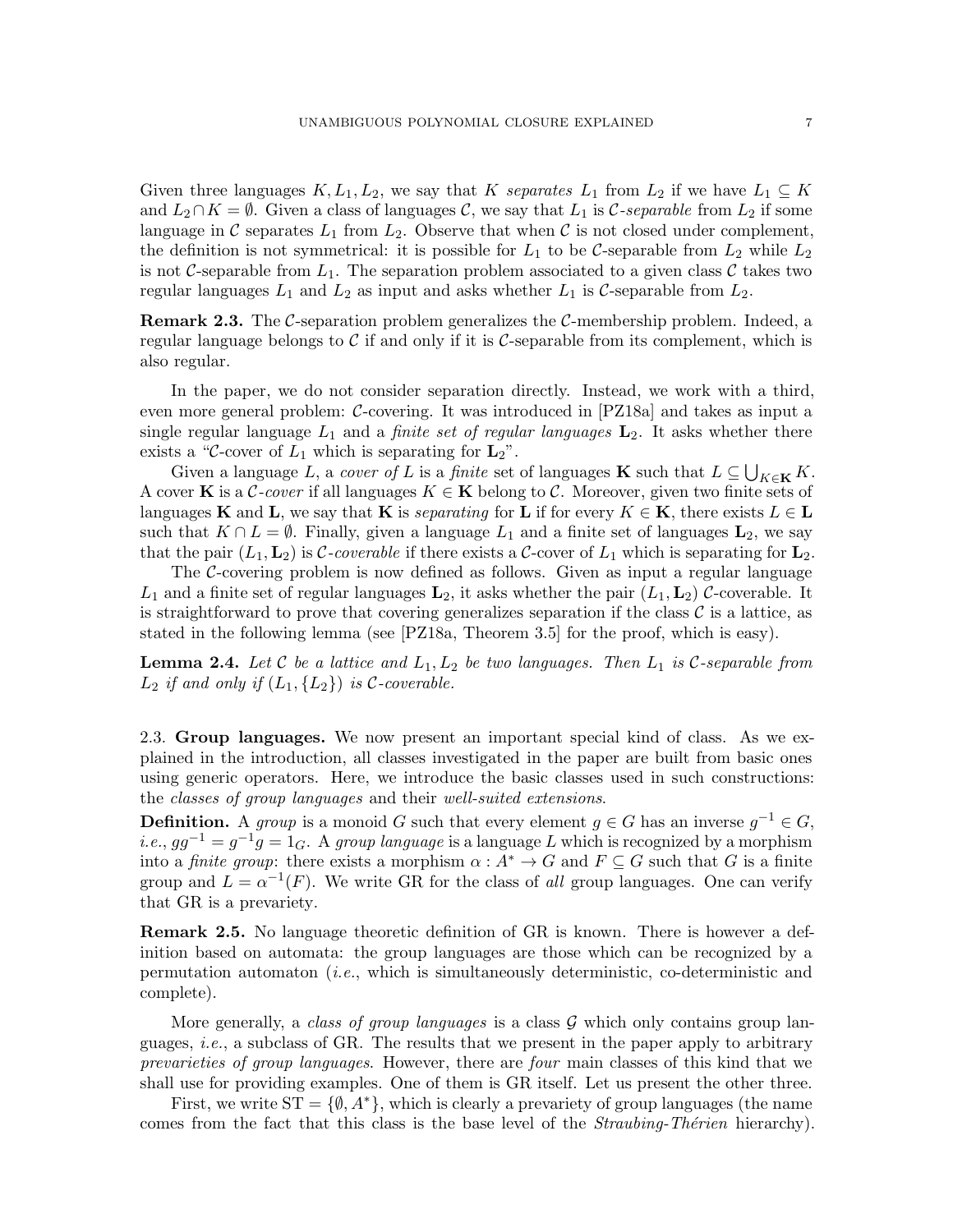Given three languages  $K, L_1, L_2$ , we say that K separates  $L_1$  from  $L_2$  if we have  $L_1 \subseteq K$ and  $L_2 \cap K = \emptyset$ . Given a class of languages C, we say that  $L_1$  is C-separable from  $L_2$  if some language in C separates  $L_1$  from  $L_2$ . Observe that when C is not closed under complement, the definition is not symmetrical: it is possible for  $L_1$  to be C-separable from  $L_2$  while  $L_2$ is not C-separable from  $L_1$ . The separation problem associated to a given class C takes two regular languages  $L_1$  and  $L_2$  as input and asks whether  $L_1$  is C-separable from  $L_2$ .

**Remark 2.3.** The C-separation problem generalizes the C-membership problem. Indeed, a regular language belongs to  $\mathcal C$  if and only if it is  $\mathcal C$ -separable from its complement, which is also regular.

In the paper, we do not consider separation directly. Instead, we work with a third, even more general problem: C-covering. It was introduced in [\[PZ18a\]](#page-60-12) and takes as input a single regular language  $L_1$  and a *finite set of regular languages*  $\mathbf{L}_2$ . It asks whether there exists a "C-cover of  $L_1$  which is separating for  $\mathbf{L}_2$ ".

Given a language L, a cover of L is a finite set of languages **K** such that  $L \subseteq \bigcup_{K \in \mathbf{K}} K$ . A cover K is a C-cover if all languages  $K \in \mathbf{K}$  belong to C. Moreover, given two finite sets of languages K and L, we say that K is *separating* for L if for every  $K \in \mathbf{K}$ , there exists  $L \in \mathbf{L}$ such that  $K \cap L = \emptyset$ . Finally, given a language  $L_1$  and a finite set of languages  $\mathbf{L}_2$ , we say that the pair  $(L_1, L_2)$  is C-coverable if there exists a C-cover of  $L_1$  which is separating for  $L_2$ .

The C-covering problem is now defined as follows. Given as input a regular language  $L_1$  and a finite set of regular languages  $\mathbf{L}_2$ , it asks whether the pair  $(L_1, L_2)$  C-coverable. It is straightforward to prove that covering generalizes separation if the class  $\mathcal C$  is a lattice, as stated in the following lemma (see [\[PZ18a,](#page-60-12) Theorem 3.5] for the proof, which is easy).

<span id="page-6-0"></span>**Lemma 2.4.** Let C be a lattice and  $L_1, L_2$  be two languages. Then  $L_1$  is C-separable from  $L_2$  if and only if  $(L_1, \{L_2\})$  is C-coverable.

2.3. Group languages. We now present an important special kind of class. As we explained in the introduction, all classes investigated in the paper are built from basic ones using generic operators. Here, we introduce the basic classes used in such constructions: the classes of group languages and their well-suited extensions.

**Definition.** A group is a monoid G such that every element  $g \in G$  has an inverse  $g^{-1} \in G$ , *i.e.*,  $gg^{-1} = g^{-1}g = 1_G$ . A group language is a language L which is recognized by a morphism into a *finite group*: there exists a morphism  $\alpha : A^* \to G$  and  $F \subseteq G$  such that G is a finite group and  $L = \alpha^{-1}(F)$ . We write GR for the class of all group languages. One can verify that GR is a prevariety.

Remark 2.5. No language theoretic definition of GR is known. There is however a definition based on automata: the group languages are those which can be recognized by a permutation automaton  $(i.e.,$  which is simultaneously deterministic, co-deterministic and complete).

More generally, a class of group languages is a class  $\mathcal G$  which only contains group languages, *i.e.*, a subclass of GR. The results that we present in the paper apply to arbitrary prevarieties of group languages. However, there are four main classes of this kind that we shall use for providing examples. One of them is GR itself. Let us present the other three.

First, we write  $ST = \{\emptyset, A^*\}$ , which is clearly a prevariety of group languages (the name comes from the fact that this class is the base level of the *Straubing-Thérien* hierarchy).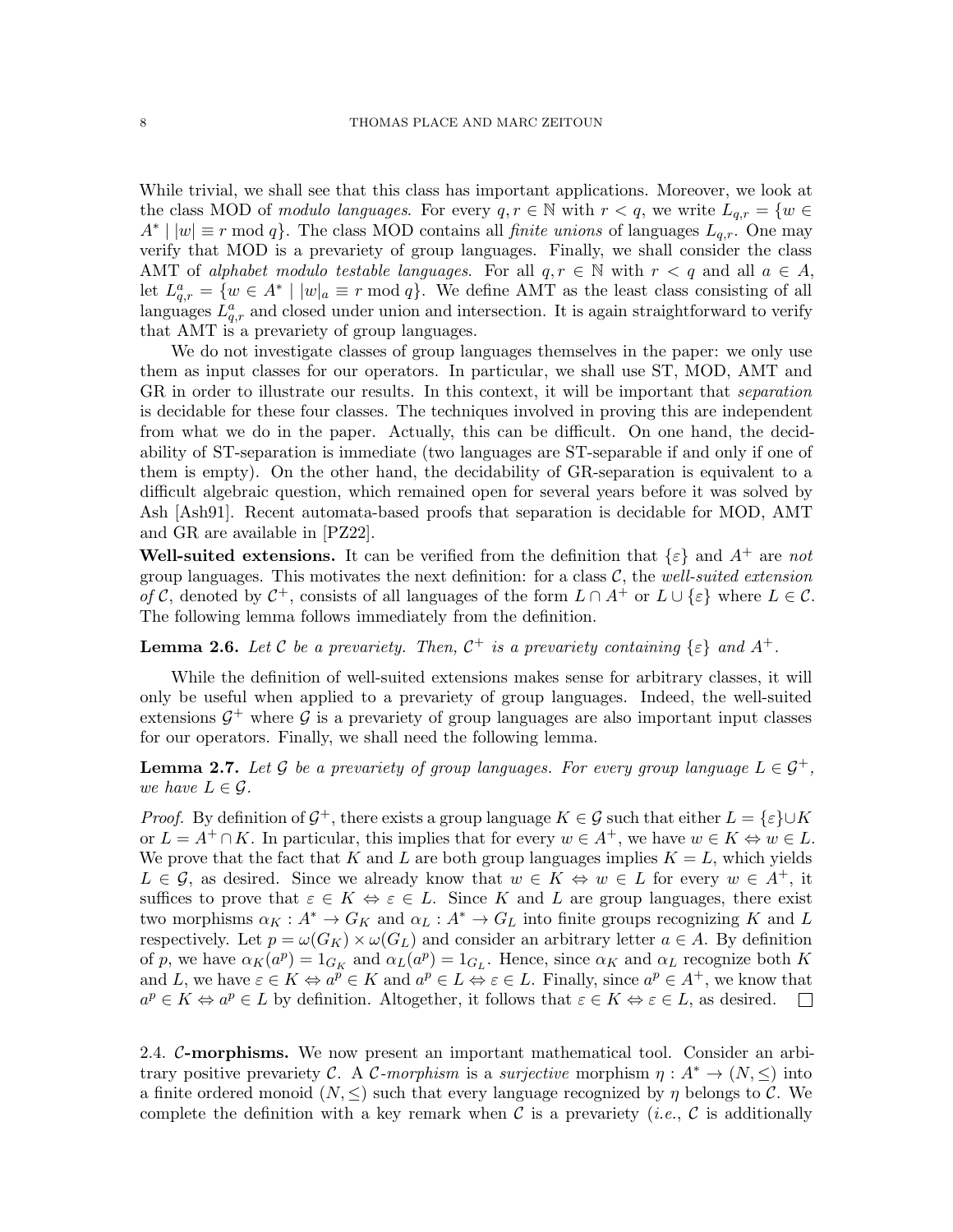While trivial, we shall see that this class has important applications. Moreover, we look at the class MOD of modulo languages. For every  $q, r \in \mathbb{N}$  with  $r < q$ , we write  $L_{q,r} = \{w \in$  $A^* \mid |w| \equiv r \mod q$ . The class MOD contains all *finite unions* of languages  $L_{q,r}$ . One may verify that MOD is a prevariety of group languages. Finally, we shall consider the class AMT of alphabet modulo testable languages. For all  $q, r \in \mathbb{N}$  with  $r < q$  and all  $a \in A$ , let  $L_{q,r}^a = \{w \in A^* \mid |w|_a \equiv r \mod q\}$ . We define AMT as the least class consisting of all languages  $L_{q,r}^a$  and closed under union and intersection. It is again straightforward to verify that AMT is a prevariety of group languages.

We do not investigate classes of group languages themselves in the paper: we only use them as input classes for our operators. In particular, we shall use ST, MOD, AMT and GR in order to illustrate our results. In this context, it will be important that *separation* is decidable for these four classes. The techniques involved in proving this are independent from what we do in the paper. Actually, this can be difficult. On one hand, the decidability of ST-separation is immediate (two languages are ST-separable if and only if one of them is empty). On the other hand, the decidability of GR-separation is equivalent to a difficult algebraic question, which remained open for several years before it was solved by Ash [\[Ash91\]](#page-59-16). Recent automata-based proofs that separation is decidable for MOD, AMT and GR are available in [\[PZ22\]](#page-60-13).

Well-suited extensions. It can be verified from the definition that  $\{\varepsilon\}$  and  $A^+$  are not group languages. This motivates the next definition: for a class  $\mathcal{C}$ , the well-suited extension of C, denoted by  $\mathcal{C}^+$ , consists of all languages of the form  $L \cap A^+$  or  $L \cup \{\varepsilon\}$  where  $L \in \mathcal{C}$ . The following lemma follows immediately from the definition.

**Lemma 2.6.** Let C be a prevariety. Then,  $C^+$  is a prevariety containing  $\{\varepsilon\}$  and  $A^+$ .

While the definition of well-suited extensions makes sense for arbitrary classes, it will only be useful when applied to a prevariety of group languages. Indeed, the well-suited extensions  $\mathcal{G}^+$  where  $\mathcal G$  is a prevariety of group languages are also important input classes for our operators. Finally, we shall need the following lemma.

<span id="page-7-0"></span>**Lemma 2.7.** Let G be a prevariety of group languages. For every group language  $L \in \mathcal{G}^+$ , we have  $L \in \mathcal{G}$ .

*Proof.* By definition of  $\mathcal{G}^+$ , there exists a group language  $K \in \mathcal{G}$  such that either  $L = \{\varepsilon\} \cup K$ or  $L = A^+ \cap K$ . In particular, this implies that for every  $w \in A^+$ , we have  $w \in K \Leftrightarrow w \in L$ . We prove that the fact that K and L are both group languages implies  $K = L$ , which yields  $L \in \mathcal{G}$ , as desired. Since we already know that  $w \in K \Leftrightarrow w \in L$  for every  $w \in A^+$ , it suffices to prove that  $\varepsilon \in K \Leftrightarrow \varepsilon \in L$ . Since K and L are group languages, there exist two morphisms  $\alpha_K : A^* \to G_K$  and  $\alpha_L : A^* \to G_L$  into finite groups recognizing K and L respectively. Let  $p = \omega(G_K) \times \omega(G_L)$  and consider an arbitrary letter  $a \in A$ . By definition of p, we have  $\alpha_K(a^p) = 1_{G_K}$  and  $\alpha_L(a^p) = 1_{G_L}$ . Hence, since  $\alpha_K$  and  $\alpha_L$  recognize both K and L, we have  $\varepsilon \in K \Leftrightarrow a^{\overline{p}} \in K$  and  $a^{\overline{p}} \in L \Leftrightarrow \varepsilon \in L$ . Finally, since  $a^{\overline{p}} \in A^+$ , we know that  $a^p \in K \Leftrightarrow a^p \in L$  by definition. Altogether, it follows that  $\varepsilon \in K \Leftrightarrow \varepsilon \in L$ , as desired.  $\Box$ 

2.4. C-morphisms. We now present an important mathematical tool. Consider an arbitrary positive prevariety C. A C-morphism is a surjective morphism  $\eta: A^* \to (N, \leq)$  into a finite ordered monoid  $(N, \leq)$  such that every language recognized by  $\eta$  belongs to C. We complete the definition with a key remark when  $\mathcal C$  is a prevariety (*i.e.*,  $\mathcal C$  is additionally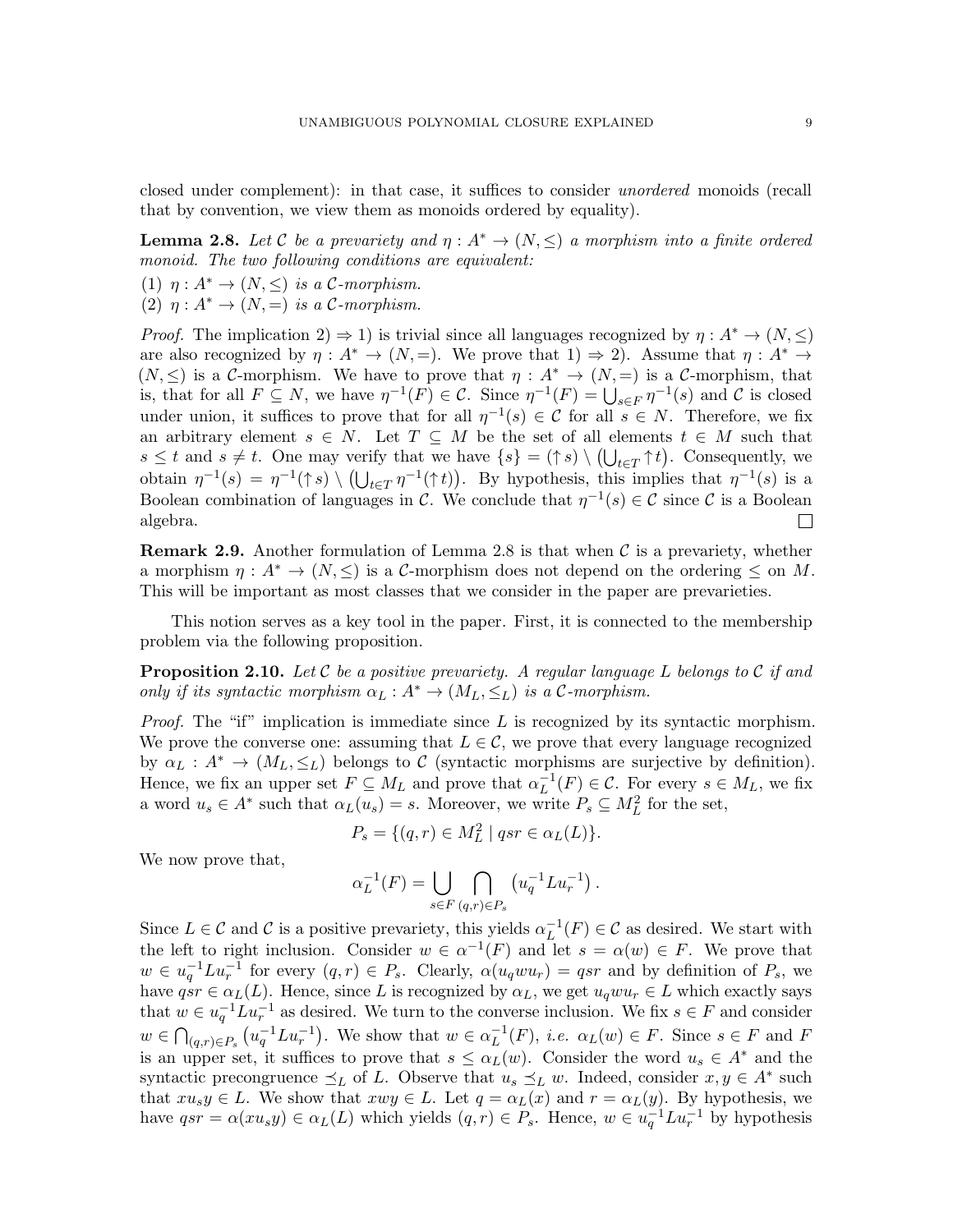closed under complement): in that case, it suffices to consider unordered monoids (recall that by convention, we view them as monoids ordered by equality).

<span id="page-8-0"></span>**Lemma 2.8.** Let C be a prevariety and  $\eta: A^* \to (N, \leq)$  a morphism into a finite ordered monoid. The two following conditions are equivalent:

(1)  $\eta: A^* \to (N, \leq)$  is a C-morphism.

(2)  $\eta: A^* \to (N, =)$  is a C-morphism.

*Proof.* The implication  $2 \rightarrow 1$ ) is trivial since all languages recognized by  $\eta : A^* \rightarrow (N, \leq)$ are also recognized by  $\eta: A^* \to (N, =)$ . We prove that  $1) \Rightarrow 2$ . Assume that  $\eta: A^* \to$  $(N, \leq)$  is a C-morphism. We have to prove that  $\eta : A^* \to (N, =)$  is a C-morphism, that is, that for all  $F \subseteq N$ , we have  $\eta^{-1}(F) \in \mathcal{C}$ . Since  $\eta^{-1}(F) = \bigcup_{s \in F} \eta^{-1}(s)$  and  $\mathcal{C}$  is closed under union, it suffices to prove that for all  $\eta^{-1}(s) \in \mathcal{C}$  for all  $s \in N$ . Therefore, we fix an arbitrary element  $s \in N$ . Let  $T \subseteq M$  be the set of all elements  $t \in M$  such that  $s \leq t$  and  $s \neq t$ . One may verify that we have  $\{s\} = (\uparrow s) \setminus (\bigcup_{t \in T} \uparrow t)$ . Consequently, we obtain  $\eta^{-1}(s) = \eta^{-1}(\uparrow s) \setminus (\bigcup_{t \in T} \eta^{-1}(\uparrow t))$ . By hypothesis, this implies that  $\eta^{-1}(s)$  is a Boolean combination of languages in C. We conclude that  $\eta^{-1}(s) \in \mathcal{C}$  since C is a Boolean algebra.  $\Box$ 

<span id="page-8-2"></span>**Remark 2.9.** Another formulation of Lemma [2.8](#page-8-0) is that when  $\mathcal{C}$  is a prevariety, whether a morphism  $\eta: A^* \to (N, \leq)$  is a C-morphism does not depend on the ordering  $\leq$  on M. This will be important as most classes that we consider in the paper are prevarieties.

This notion serves as a key tool in the paper. First, it is connected to the membership problem via the following proposition.

<span id="page-8-1"></span>**Proposition 2.10.** Let C be a positive prevariety. A regular language L belongs to C if and only if its syntactic morphism  $\alpha_L : A^* \to (M_L, \leq_L)$  is a C-morphism.

*Proof.* The "if" implication is immediate since L is recognized by its syntactic morphism. We prove the converse one: assuming that  $L \in \mathcal{C}$ , we prove that every language recognized by  $\alpha_L : A^* \to (M_L, \leq_L)$  belongs to C (syntactic morphisms are surjective by definition). Hence, we fix an upper set  $F \subseteq M_L$  and prove that  $\alpha_L^{-1}(F) \in \mathcal{C}$ . For every  $s \in M_L$ , we fix a word  $u_s \in A^*$  such that  $\alpha_L(u_s) = s$ . Moreover, we write  $P_s \subseteq M_L^2$  for the set,

$$
P_s = \{(q, r) \in M_L^2 \mid qsr \in \alpha_L(L)\}.
$$

We now prove that,

$$
\alpha_L^{-1}(F) = \bigcup_{s \in F} \bigcap_{(q,r) \in P_s} \left( u_q^{-1} L u_r^{-1} \right).
$$

Since  $L \in \mathcal{C}$  and  $\mathcal{C}$  is a positive prevariety, this yields  $\alpha_L^{-1}(F) \in \mathcal{C}$  as desired. We start with the left to right inclusion. Consider  $w \in \alpha^{-1}(F)$  and let  $s = \alpha(w) \in F$ . We prove that  $w \in u_q^{-1}Lu_r^{-1}$  for every  $(q,r) \in P_s$ . Clearly,  $\alpha(u_qwu_r) = qsr$  and by definition of  $P_s$ , we have  $qsr \in \alpha_L(L)$ . Hence, since L is recognized by  $\alpha_L$ , we get  $u_qwu_r \in L$  which exactly says that  $w \in u_q^{-1} L u_r^{-1}$  as desired. We turn to the converse inclusion. We fix  $s \in F$  and consider  $w \in \bigcap_{(q,r)\in P_s} (u_q^{-1}Lu_r^{-1})$ . We show that  $w \in \alpha_L^{-1}(F)$ , *i.e.*  $\alpha_L(w) \in F$ . Since  $s \in F$  and F is an upper set, it suffices to prove that  $s \leq \alpha_L(w)$ . Consider the word  $u_s \in A^*$  and the syntactic precongruence  $\preceq_L$  of L. Observe that  $u_s \preceq_L w$ . Indeed, consider  $x, y \in A^*$  such that  $xu_s y \in L$ . We show that  $xwy \in L$ . Let  $q = \alpha_L(x)$  and  $r = \alpha_L(y)$ . By hypothesis, we have  $qsr = \alpha(xu_s y) \in \alpha_L(L)$  which yields  $(q, r) \in P_s$ . Hence,  $w \in u_q^{-1} L u_r^{-1}$  by hypothesis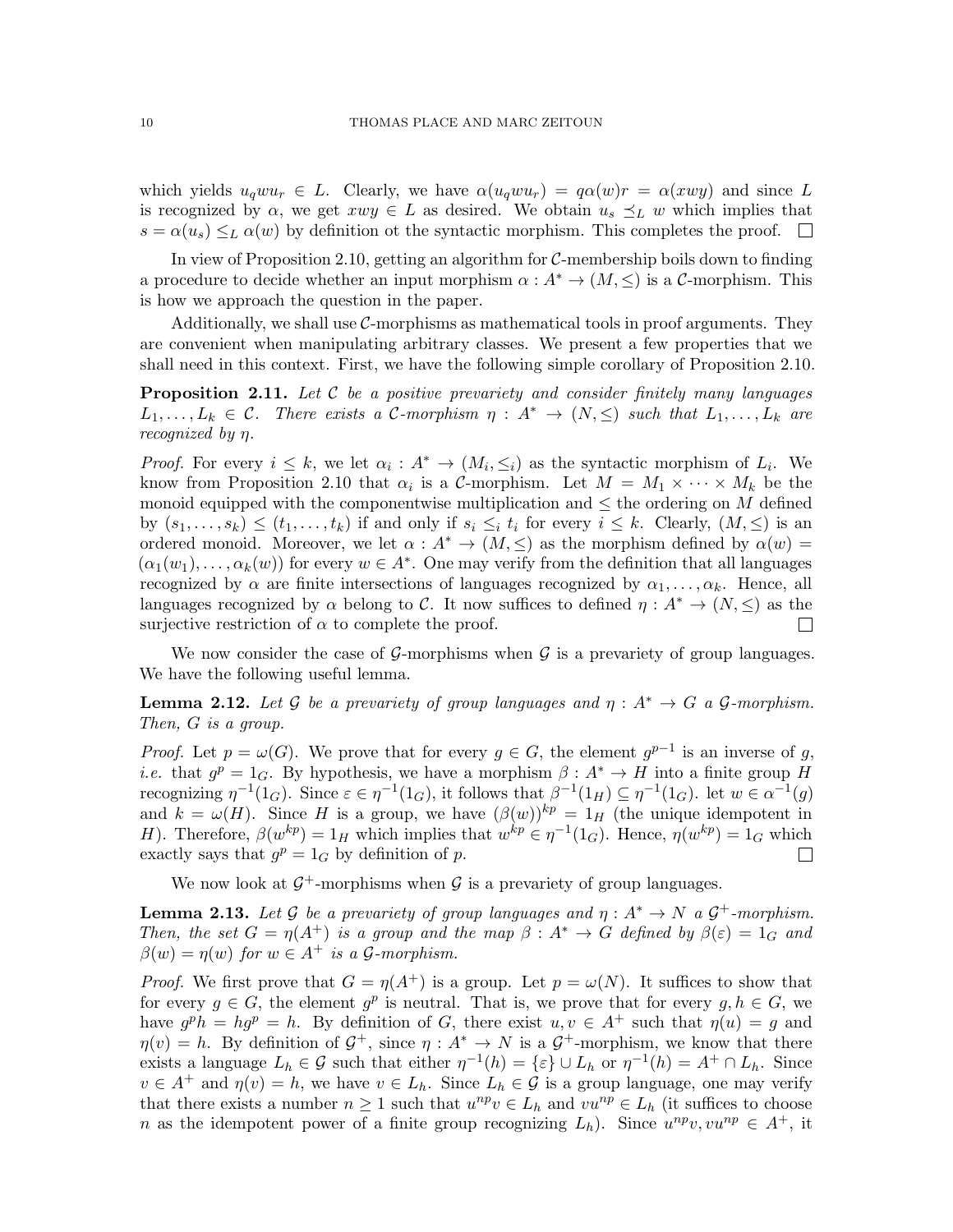which yields  $u_q w u_r \in L$ . Clearly, we have  $\alpha(u_q w u_r) = q \alpha(w) r = \alpha(xw y)$  and since L is recognized by  $\alpha$ , we get  $xwy \in L$  as desired. We obtain  $u_s \preceq_L w$  which implies that  $s = \alpha(u_s) \leq_L \alpha(w)$  by definition ot the syntactic morphism. This completes the proof.  $\square$ 

In view of Proposition [2.10,](#page-8-1) getting an algorithm for C-membership boils down to finding a procedure to decide whether an input morphism  $\alpha : A^* \to (M, \leq)$  is a C-morphism. This is how we approach the question in the paper.

Additionally, we shall use  $C$ -morphisms as mathematical tools in proof arguments. They are convenient when manipulating arbitrary classes. We present a few properties that we shall need in this context. First, we have the following simple corollary of Proposition [2.10.](#page-8-1)

<span id="page-9-0"></span>**Proposition 2.11.** Let  $C$  be a positive prevariety and consider finitely many languages  $L_1, \ldots, L_k \in \mathcal{C}$ . There exists a C-morphism  $\eta : A^* \to (N, \leq)$  such that  $L_1, \ldots, L_k$  are recognized by η.

*Proof.* For every  $i \leq k$ , we let  $\alpha_i : A^* \to (M_i, \leq_i)$  as the syntactic morphism of  $L_i$ . We know from Proposition [2.10](#page-8-1) that  $\alpha_i$  is a C-morphism. Let  $M = M_1 \times \cdots \times M_k$  be the monoid equipped with the componentwise multiplication and  $\leq$  the ordering on M defined by  $(s_1, \ldots, s_k) \leq (t_1, \ldots, t_k)$  if and only if  $s_i \leq_i t_i$  for every  $i \leq k$ . Clearly,  $(M, \leq)$  is an ordered monoid. Moreover, we let  $\alpha : A^* \to (M, \leq)$  as the morphism defined by  $\alpha(w)$  $(\alpha_1(w_1), \ldots, \alpha_k(w))$  for every  $w \in A^*$ . One may verify from the definition that all languages recognized by  $\alpha$  are finite intersections of languages recognized by  $\alpha_1, \ldots, \alpha_k$ . Hence, all languages recognized by  $\alpha$  belong to C. It now suffices to defined  $\eta: A^* \to (N, \leq)$  as the surjective restriction of  $\alpha$  to complete the proof.  $\Box$ 

We now consider the case of  $\mathcal{G}$ -morphisms when  $\mathcal{G}$  is a prevariety of group languages. We have the following useful lemma.

<span id="page-9-1"></span>**Lemma 2.12.** Let G be a prevariety of group languages and  $\eta : A^* \to G$  a G-morphism. Then, G is a group.

*Proof.* Let  $p = \omega(G)$ . We prove that for every  $g \in G$ , the element  $g^{p-1}$  is an inverse of g, *i.e.* that  $g^p = 1_G$ . By hypothesis, we have a morphism  $\beta : A^* \to H$  into a finite group H recognizing  $\eta^{-1}(1_G)$ . Since  $\varepsilon \in \eta^{-1}(1_G)$ , it follows that  $\beta^{-1}(1_H) \subseteq \eta^{-1}(1_G)$ . let  $w \in \alpha^{-1}(g)$ and  $k = \omega(H)$ . Since H is a group, we have  $(\beta(w))^{kp} = 1_H$  (the unique idempotent in H). Therefore,  $\beta(w^{kp}) = 1_H$  which implies that  $w^{kp} \in \eta^{-1}(1_G)$ . Hence,  $\eta(w^{kp}) = 1_G$  which exactly says that  $g^p = 1_G$  by definition of p.  $\Box$ 

We now look at  $\mathcal{G}^+$ -morphisms when  $\mathcal{G}$  is a prevariety of group languages.

<span id="page-9-2"></span>**Lemma 2.13.** Let G be a prevariety of group languages and  $\eta : A^* \to N$  a  $G^+$ -morphism. Then, the set  $G = \eta(A^+)$  is a group and the map  $\beta : A^* \to G$  defined by  $\beta(\varepsilon) = 1_G$  and  $\beta(w) = \eta(w)$  for  $w \in A^+$  is a  $\mathcal{G}\text{-}morphism.$ 

*Proof.* We first prove that  $G = \eta(A^+)$  is a group. Let  $p = \omega(N)$ . It suffices to show that for every  $g \in G$ , the element  $g^p$  is neutral. That is, we prove that for every  $g, h \in G$ , we have  $g^p h = h g^p = h$ . By definition of G, there exist  $u, v \in A^+$  such that  $\eta(u) = g$  and  $\eta(v) = h$ . By definition of  $\mathcal{G}^+$ , since  $\eta: A^* \to N$  is a  $\mathcal{G}^+$ -morphism, we know that there exists a language  $L_h \in \mathcal{G}$  such that either  $\eta^{-1}(h) = \{\varepsilon\} \cup L_h$  or  $\eta^{-1}(h) = A^+ \cap L_h$ . Since  $v \in A^+$  and  $\eta(v) = h$ , we have  $v \in L_h$ . Since  $L_h \in \mathcal{G}$  is a group language, one may verify that there exists a number  $n \geq 1$  such that  $u^{np}v \in L_h$  and  $vu^{np} \in L_h$  (it suffices to choose n as the idempotent power of a finite group recognizing  $L_h$ ). Since  $u^{np}v, vu^{np} \in A^+$ , it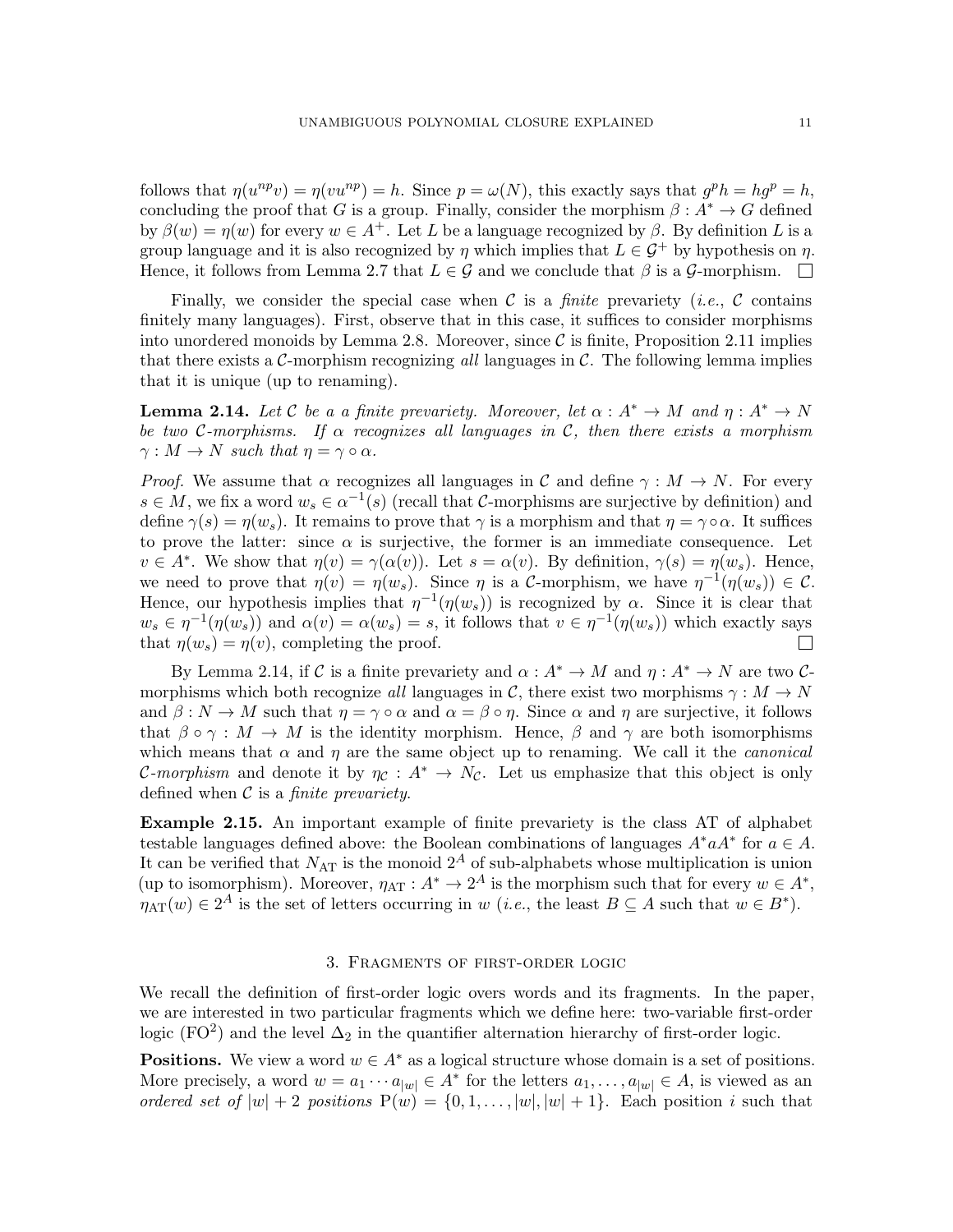follows that  $\eta(u^{np}v) = \eta(vu^{np}) = h$ . Since  $p = \omega(N)$ , this exactly says that  $g^ph = hg^p = h$ , concluding the proof that G is a group. Finally, consider the morphism  $\beta: A^* \to G$  defined by  $\beta(w) = \eta(w)$  for every  $w \in A^+$ . Let L be a language recognized by  $\beta$ . By definition L is a group language and it is also recognized by  $\eta$  which implies that  $L \in \mathcal{G}^+$  by hypothesis on  $\eta$ . Hence, it follows from Lemma [2.7](#page-7-0) that  $L \in \mathcal{G}$  and we conclude that  $\beta$  is a  $\mathcal{G}$ -morphism.

Finally, we consider the special case when  $\mathcal C$  is a *finite* prevariety *(i.e., C* contains finitely many languages). First, observe that in this case, it suffices to consider morphisms into unordered monoids by Lemma [2.8.](#page-8-0) Moreover, since  $\mathcal C$  is finite, Proposition [2.11](#page-9-0) implies that there exists a C-morphism recognizing all languages in  $\mathcal{C}$ . The following lemma implies that it is unique (up to renaming).

<span id="page-10-1"></span>**Lemma 2.14.** Let C be a a finite prevariety. Moreover, let  $\alpha: A^* \to M$  and  $\eta: A^* \to N$ be two C-morphisms. If  $\alpha$  recognizes all languages in C, then there exists a morphism  $\gamma: M \to N$  such that  $\eta = \gamma \circ \alpha$ .

*Proof.* We assume that  $\alpha$  recognizes all languages in C and define  $\gamma : M \to N$ . For every  $s \in M$ , we fix a word  $w_s \in \alpha^{-1}(s)$  (recall that C-morphisms are surjective by definition) and define  $\gamma(s) = \eta(w_s)$ . It remains to prove that  $\gamma$  is a morphism and that  $\eta = \gamma \circ \alpha$ . It suffices to prove the latter: since  $\alpha$  is surjective, the former is an immediate consequence. Let  $v \in A^*$ . We show that  $\eta(v) = \gamma(\alpha(v))$ . Let  $s = \alpha(v)$ . By definition,  $\gamma(s) = \eta(w_s)$ . Hence, we need to prove that  $\eta(v) = \eta(w_s)$ . Since  $\eta$  is a C-morphism, we have  $\eta^{-1}(\eta(w_s)) \in \mathcal{C}$ . Hence, our hypothesis implies that  $\eta^{-1}(\eta(w_s))$  is recognized by  $\alpha$ . Since it is clear that  $w_s \in \eta^{-1}(\eta(w_s))$  and  $\alpha(v) = \alpha(w_s) = s$ , it follows that  $v \in \eta^{-1}(\eta(w_s))$  which exactly says that  $\eta(w_s) = \eta(v)$ , completing the proof.  $\mathbf{L}$ 

By Lemma [2.14,](#page-10-1) if C is a finite prevariety and  $\alpha : A^* \to M$  and  $\eta : A^* \to N$  are two Cmorphisms which both recognize all languages in C, there exist two morphisms  $\gamma : M \to N$ and  $\beta : N \to M$  such that  $\eta = \gamma \circ \alpha$  and  $\alpha = \beta \circ \eta$ . Since  $\alpha$  and  $\eta$  are surjective, it follows that  $\beta \circ \gamma : M \to M$  is the identity morphism. Hence,  $\beta$  and  $\gamma$  are both isomorphisms which means that  $\alpha$  and  $\eta$  are the same object up to renaming. We call it the *canonical* C-morphism and denote it by  $\eta_c : A^* \to N_c$ . Let us emphasize that this object is only defined when  $\mathcal C$  is a *finite prevariety*.

Example 2.15. An important example of finite prevariety is the class AT of alphabet testable languages defined above: the Boolean combinations of languages  $A^* a A^*$  for  $a \in A$ . It can be verified that  $N_{\text{AT}}$  is the monoid  $2^A$  of sub-alphabets whose multiplication is union (up to isomorphism). Moreover,  $\eta_{AT}: A^* \to 2^A$  is the morphism such that for every  $w \in A^*$ ,  $\eta_{\text{AT}}(w) \in 2^A$  is the set of letters occurring in w (*i.e.*, the least  $B \subseteq A$  such that  $w \in B^*$ ).

## 3. Fragments of first-order logic

<span id="page-10-0"></span>We recall the definition of first-order logic overs words and its fragments. In the paper, we are interested in two particular fragments which we define here: two-variable first-order logic (FO<sup>2</sup>) and the level  $\Delta_2$  in the quantifier alternation hierarchy of first-order logic.

**Positions.** We view a word  $w \in A^*$  as a logical structure whose domain is a set of positions. More precisely, a word  $w = a_1 \cdots a_{|w|} \in A^*$  for the letters  $a_1, \ldots, a_{|w|} \in A$ , is viewed as an ordered set of  $|w| + 2$  positions  $P(w) = \{0, 1, \ldots, |w|, |w| + 1\}$ . Each position i such that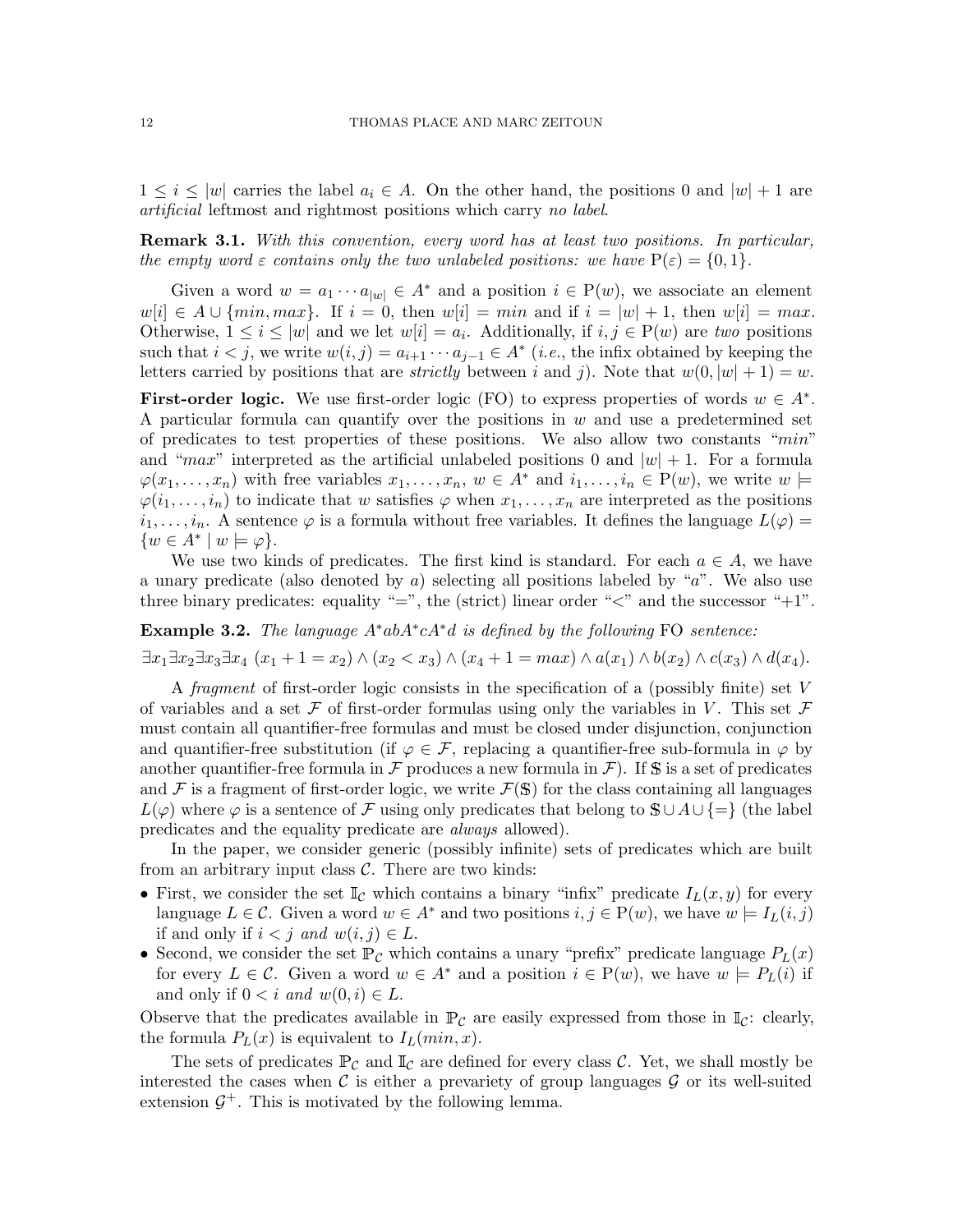$1 \leq i \leq |w|$  carries the label  $a_i \in A$ . On the other hand, the positions 0 and  $|w| + 1$  are artificial leftmost and rightmost positions which carry no label.

**Remark 3.1.** With this convention, every word has at least two positions. In particular, the empty word  $\varepsilon$  contains only the two unlabeled positions: we have  $P(\varepsilon) = \{0, 1\}$ .

Given a word  $w = a_1 \cdots a_{|w|} \in A^*$  and a position  $i \in P(w)$ , we associate an element  $w[i] \in A \cup \{min, max\}.$  If  $i = 0$ , then  $w[i] = min$  and if  $i = |w| + 1$ , then  $w[i] = max$ . Otherwise,  $1 \leq i \leq |w|$  and we let  $w[i] = a_i$ . Additionally, if  $i, j \in P(w)$  are two positions such that  $i < j$ , we write  $w(i, j) = a_{i+1} \cdots a_{j-1} \in A^*$  (*i.e.*, the infix obtained by keeping the letters carried by positions that are *strictly* between i and j). Note that  $w(0, |w| + 1) = w$ .

First-order logic. We use first-order logic (FO) to express properties of words  $w \in A^*$ . A particular formula can quantify over the positions in  $w$  and use a predetermined set of predicates to test properties of these positions. We also allow two constants "min" and "max" interpreted as the artificial unlabeled positions 0 and  $|w| + 1$ . For a formula  $\varphi(x_1,\ldots,x_n)$  with free variables  $x_1,\ldots,x_n, w \in A^*$  and  $i_1,\ldots,i_n \in P(w)$ , we write  $w \models$  $\varphi(i_1,\ldots,i_n)$  to indicate that w satisfies  $\varphi$  when  $x_1,\ldots,x_n$  are interpreted as the positions  $i_1, \ldots, i_n$ . A sentence  $\varphi$  is a formula without free variables. It defines the language  $L(\varphi)$  =  $\{w \in A^* \mid w \models \varphi\}.$ 

We use two kinds of predicates. The first kind is standard. For each  $a \in A$ , we have a unary predicate (also denoted by  $\alpha$ ) selecting all positions labeled by " $\alpha$ ". We also use three binary predicates: equality "=", the (strict) linear order " $\lt$ " and the successor "+1".

Example 3.2. The language  $A^*abA^*cA^*d$  is defined by the following FO sentence:

 $\exists x_1 \exists x_2 \exists x_3 \exists x_4 \ (x_1 + 1 = x_2) \land (x_2 < x_3) \land (x_4 + 1 = \max) \land a(x_1) \land b(x_2) \land c(x_3) \land d(x_4).$ 

A fragment of first-order logic consists in the specification of a (possibly finite) set  $V$ of variables and a set F of first-order formulas using only the variables in V. This set F must contain all quantifier-free formulas and must be closed under disjunction, conjunction and quantifier-free substitution (if  $\varphi \in \mathcal{F}$ , replacing a quantifier-free sub-formula in  $\varphi$  by another quantifier-free formula in  $\mathcal F$  produces a new formula in  $\mathcal F$ ). If S is a set of predicates and  $\mathcal F$  is a fragment of first-order logic, we write  $\mathcal F(\mathbb S)$  for the class containing all languages  $L(\varphi)$  where  $\varphi$  is a sentence of F using only predicates that belong to  $\mathcal{S} \cup A \cup \{=\}$  (the label predicates and the equality predicate are always allowed).

In the paper, we consider generic (possibly infinite) sets of predicates which are built from an arbitrary input class  $C$ . There are two kinds:

- First, we consider the set  $\mathbb{I}_{\mathcal{C}}$  which contains a binary "infix" predicate  $I_L(x, y)$  for every language  $L \in \mathcal{C}$ . Given a word  $w \in A^*$  and two positions  $i, j \in P(w)$ , we have  $w \models I_L(i, j)$ if and only if  $i < j$  and  $w(i, j) \in L$ .
- Second, we consider the set  $\mathbb{P}_{\mathcal{C}}$  which contains a unary "prefix" predicate language  $P_L(x)$ for every  $L \in \mathcal{C}$ . Given a word  $w \in A^*$  and a position  $i \in P(w)$ , we have  $w \models P_L(i)$  if and only if  $0 < i$  and  $w(0, i) \in L$ .

Observe that the predicates available in  $\mathbb{P}_{\mathcal{C}}$  are easily expressed from those in  $\mathbb{I}_{\mathcal{C}}$ : clearly, the formula  $P_L(x)$  is equivalent to  $I_L(min, x)$ .

The sets of predicates  $\mathbb{P}_{\mathcal{C}}$  and  $\mathbb{I}_{\mathcal{C}}$  are defined for every class  $\mathcal{C}$ . Yet, we shall mostly be interested the cases when  $\mathcal C$  is either a prevariety of group languages  $\mathcal G$  or its well-suited extension  $\mathcal{G}^+$ . This is motivated by the following lemma.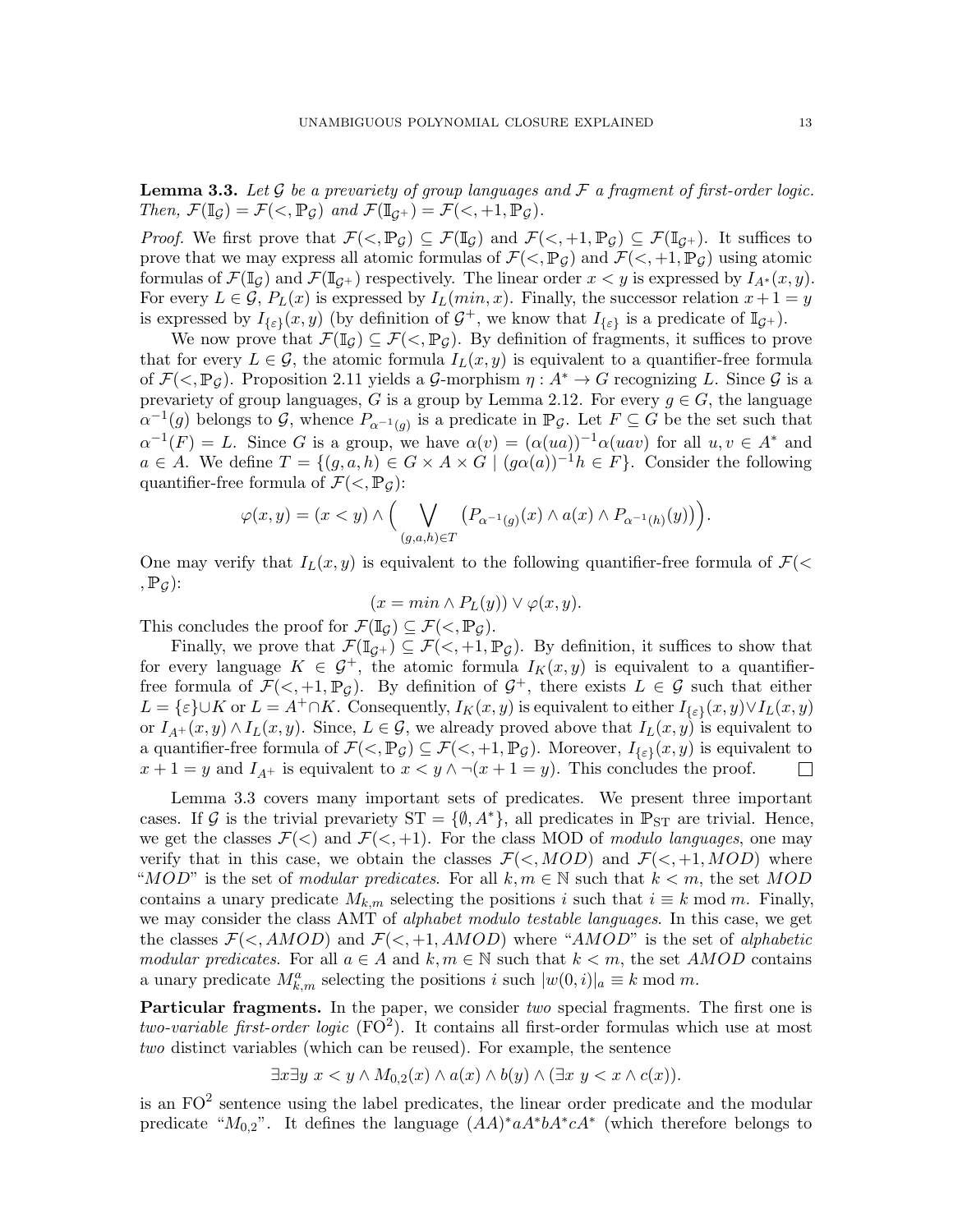<span id="page-12-0"></span>**Lemma 3.3.** Let G be a prevariety of group languages and  $\mathcal F$  a fragment of first-order logic. Then,  $\mathcal{F}(\mathbb{I}_{\mathcal{G}}) = \mathcal{F}(\langle \mathbb{I}_{\mathcal{G}})$  and  $\mathcal{F}(\mathbb{I}_{\mathcal{G}^+}) = \mathcal{F}(\langle \mathbb{I}_{\mathcal{G}}^+, \mathbb{I}, \mathbb{P}_{\mathcal{G}})$ .

*Proof.* We first prove that  $\mathcal{F}(\langle, \mathbb{P}_{\mathcal{G}}) \subseteq \mathcal{F}(\mathbb{I}_{\mathcal{G}})$  and  $\mathcal{F}(\langle, +1, \mathbb{P}_{\mathcal{G}}) \subseteq \mathcal{F}(\mathbb{I}_{\mathcal{G}})$ . It suffices to prove that we may express all atomic formulas of  $\mathcal{F}(\langle,\mathbb{P}_{\mathcal{G}})$  and  $\mathcal{F}(\langle,\mathbb{P}_{\mathcal{G}})$  using atomic formulas of  $\mathcal{F}(\mathbb{I}_G)$  and  $\mathcal{F}(\mathbb{I}_{G+})$  respectively. The linear order  $x < y$  is expressed by  $I_{A^*}(x, y)$ . For every  $L \in \mathcal{G}$ ,  $P_L(x)$  is expressed by  $I_L(min, x)$ . Finally, the successor relation  $x + 1 = y$ is expressed by  $I_{\{\varepsilon\}}(x,y)$  (by definition of  $\mathcal{G}^+$ , we know that  $I_{\{\varepsilon\}}$  is a predicate of  $\mathbb{I}_{\mathcal{G}^+}$ ).

We now prove that  $\mathcal{F}(\mathbb{I}_G) \subseteq \mathcal{F}(. By definition of fragments, it suffices to prove$ that for every  $L \in \mathcal{G}$ , the atomic formula  $I_L(x, y)$  is equivalent to a quantifier-free formula of  $\mathcal{F}(\leq, \mathbb{P}_G)$ . Proposition [2.11](#page-9-0) yields a G-morphism  $\eta : A^* \to G$  recognizing L. Since G is a prevariety of group languages, G is a group by Lemma [2.12.](#page-9-1) For every  $g \in G$ , the language  $\alpha^{-1}(g)$  belongs to G, whence  $P_{\alpha^{-1}(g)}$  is a predicate in  $\mathbb{P}_{\mathcal{G}}$ . Let  $F \subseteq G$  be the set such that  $\alpha^{-1}(F) = L$ . Since G is a group, we have  $\alpha(v) = (\alpha(ua))^{-1}\alpha(uav)$  for all  $u, v \in A^*$  and  $a \in A$ . We define  $T = \{(q, a, h) \in G \times A \times G \mid (q\alpha(a))^{-1}h \in F\}$ . Consider the following quantifier-free formula of  $\mathcal{F}(<, \mathbb{P}_{G})$ :

$$
\varphi(x,y) = (x < y) \land \Big( \bigvee_{(g,a,h) \in T} \big( P_{\alpha^{-1}(g)}(x) \land a(x) \land P_{\alpha^{-1}(h)}(y) \big) \Big)
$$

One may verify that  $I_L(x, y)$  is equivalent to the following quantifier-free formula of  $\mathcal{F}(\leq$  $, \mathbb{P}_G$ :

$$
(x = min \land P_L(y)) \lor \varphi(x, y).
$$

This concludes the proof for  $\mathcal{F}(\mathbb{I}_G) \subseteq \mathcal{F}(<, \mathbb{P}_G)$ .

Finally, we prove that  $\mathcal{F}(\mathbb{I}_{\mathcal{G}^+}) \subseteq \mathcal{F}(<, +1, \mathbb{P}_{\mathcal{G}})$ . By definition, it suffices to show that for every language  $K \in \mathcal{G}^+$ , the atomic formula  $I_K(x, y)$  is equivalent to a quantifierfree formula of  $\mathcal{F}(\leq, +1, \mathbb{P}_{\mathcal{G}})$ . By definition of  $\mathcal{G}^+$ , there exists  $L \in \mathcal{G}$  such that either  $L = \{\varepsilon\} \cup K$  or  $L = A^+ \cap K$ . Consequently,  $I_K(x, y)$  is equivalent to either  $I_{\{\varepsilon\}}(x, y) \vee I_L(x, y)$ or  $I_{A^+}(x, y) \wedge I_L(x, y)$ . Since,  $L \in \mathcal{G}$ , we already proved above that  $I_L(x, y)$  is equivalent to a quantifier-free formula of  $\mathcal{F}( $,\mathbb{P}_{\mathcal{G}}) \subseteq \mathcal{F}( $,+1,\mathbb{P}_{\mathcal{G}})$ . Moreover,  $I_{\{\varepsilon\}}(x,y)$  is equivalent to$$  $x + 1 = y$  and  $I_{A^+}$  is equivalent to  $x < y \land \neg(x + 1 = y)$ . This concludes the proof.  $\Box$ 

Lemma [3.3](#page-12-0) covers many important sets of predicates. We present three important cases. If G is the trivial prevariety  $ST = \{\emptyset, A^*\}$ , all predicates in  $\mathbb{P}_{ST}$  are trivial. Hence, we get the classes  $\mathcal{F}(<)$  and  $\mathcal{F}(<, +1)$ . For the class MOD of modulo languages, one may verify that in this case, we obtain the classes  $\mathcal{F}(<, MOD)$  and  $\mathcal{F}(<, +1, MOD)$  where "MOD" is the set of modular predicates. For all  $k, m \in \mathbb{N}$  such that  $k < m$ , the set MOD contains a unary predicate  $M_{k,m}$  selecting the positions i such that  $i \equiv k \mod m$ . Finally, we may consider the class AMT of *alphabet modulo testable languages*. In this case, we get the classes  $\mathcal{F}(\leq, AMOD)$  and  $\mathcal{F}(\leq, +1, AMOD)$  where "AMOD" is the set of alphabetic modular predicates. For all  $a \in A$  and  $k, m \in \mathbb{N}$  such that  $k < m$ , the set AMOD contains a unary predicate  $M_{k,m}^a$  selecting the positions i such  $|w(0,i)|_a \equiv k \mod m$ .

**Particular fragments.** In the paper, we consider two special fragments. The first one is two-variable first-order logic  $(FO^2)$ . It contains all first-order formulas which use at most two distinct variables (which can be reused). For example, the sentence

 $\exists x \exists y \ x \leq y \land M_{0,2}(x) \land a(x) \land b(y) \land (\exists x \ y \leq x \land c(x)).$ 

is an  $FO<sup>2</sup>$  sentence using the label predicates, the linear order predicate and the modular predicate " $M_{0,2}$ ". It defines the language  $(AA)^* a A^* b A^* c A^*$  (which therefore belongs to

.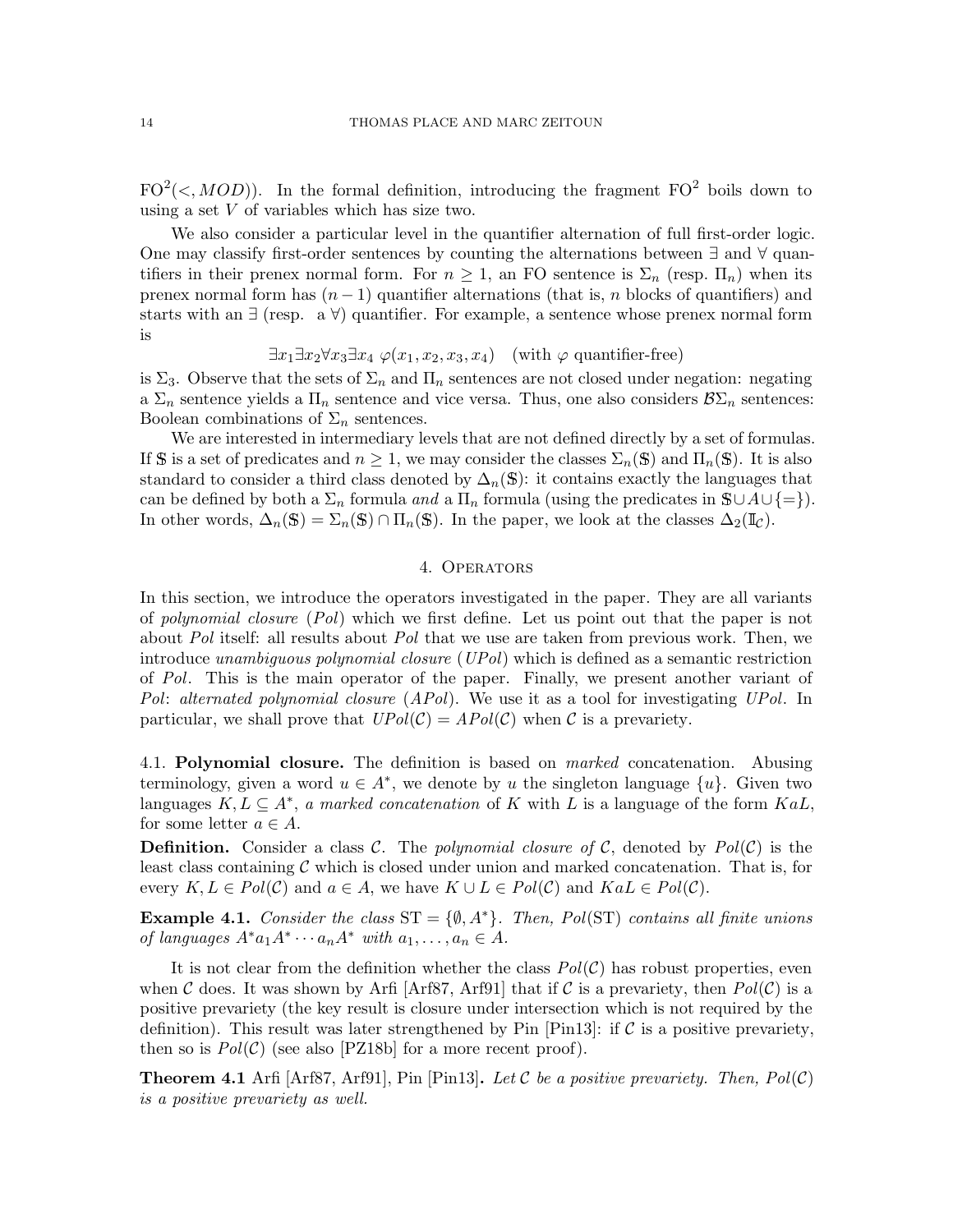$FO^2(\langle, MOD)$ ). In the formal definition, introducing the fragment  $FO^2$  boils down to using a set V of variables which has size two.

We also consider a particular level in the quantifier alternation of full first-order logic. One may classify first-order sentences by counting the alternations between ∃ and ∀ quantifiers in their prenex normal form. For  $n \geq 1$ , an FO sentence is  $\Sigma_n$  (resp.  $\Pi_n$ ) when its prenex normal form has  $(n-1)$  quantifier alternations (that is, n blocks of quantifiers) and starts with an ∃ (resp. a ∀) quantifier. For example, a sentence whose prenex normal form is

 $\exists x_1 \exists x_2 \forall x_3 \exists x_4 \varphi(x_1, x_2, x_3, x_4)$  (with  $\varphi$  quantifier-free)

is  $\Sigma_3$ . Observe that the sets of  $\Sigma_n$  and  $\Pi_n$  sentences are not closed under negation: negating a  $\Sigma_n$  sentence yields a  $\Pi_n$  sentence and vice versa. Thus, one also considers  $\mathcal{B}\Sigma_n$  sentences: Boolean combinations of  $\Sigma_n$  sentences.

We are interested in intermediary levels that are not defined directly by a set of formulas. If S is a set of predicates and  $n \geq 1$ , we may consider the classes  $\Sigma_n(\mathbb{S})$  and  $\Pi_n(\mathbb{S})$ . It is also standard to consider a third class denoted by  $\Delta_n(\mathbb{S})$ : it contains exactly the languages that can be defined by both a  $\Sigma_n$  formula and a  $\Pi_n$  formula (using the predicates in  $\mathbb{S}\cup A\cup\{=\}\$ ). In other words,  $\Delta_n(\mathbb{S}) = \Sigma_n(\mathbb{S}) \cap \Pi_n(\mathbb{S})$ . In the paper, we look at the classes  $\Delta_2(\mathbb{I}_\mathcal{C})$ .

# 4. Operators

<span id="page-13-0"></span>In this section, we introduce the operators investigated in the paper. They are all variants of polynomial closure (Pol) which we first define. Let us point out that the paper is not about Pol itself: all results about Pol that we use are taken from previous work. Then, we introduce unambiguous polynomial closure  $(UPol)$  which is defined as a semantic restriction of Pol. This is the main operator of the paper. Finally, we present another variant of Pol: alternated polynomial closure  $(APol)$ . We use it as a tool for investigating UPol. In particular, we shall prove that  $UPol(\mathcal{C}) = APol(\mathcal{C})$  when  $\mathcal C$  is a prevariety.

4.1. Polynomial closure. The definition is based on *marked* concatenation. Abusing terminology, given a word  $u \in A^*$ , we denote by u the singleton language  $\{u\}$ . Given two languages  $K, L \subseteq A^*$ , a marked concatenation of K with L is a language of the form  $KaL$ , for some letter  $a \in A$ .

**Definition.** Consider a class C. The polynomial closure of C, denoted by  $Pol(C)$  is the least class containing  $\mathcal C$  which is closed under union and marked concatenation. That is, for every  $K, L \in Pol(C)$  and  $a \in A$ , we have  $K \cup L \in Pol(C)$  and  $K aL \in Pol(C)$ .

<span id="page-13-1"></span>Example 4.1. Consider the class  $ST = \{\emptyset, A^*\}$ . Then, Pol(ST) contains all finite unions of languages  $A^*a_1A^* \cdots a_nA^*$  with  $a_1, \ldots, a_n \in A$ .

It is not clear from the definition whether the class  $Pol(\mathcal{C})$  has robust properties, even when C does. It was shown by Arfi [\[Arf87,](#page-59-4) [Arf91\]](#page-59-3) that if C is a prevariety, then  $Pol(\mathcal{C})$  is a positive prevariety (the key result is closure under intersection which is not required by the definition). This result was later strengthened by Pin [\[Pin13\]](#page-59-17): if  $\mathcal C$  is a positive prevariety, then so is  $Pol(\mathcal{C})$  (see also [\[PZ18b\]](#page-60-2) for a more recent proof).

<span id="page-13-2"></span>**Theorem 4.1** Arfi [\[Arf87,](#page-59-4) [Arf91\]](#page-59-3), Pin [\[Pin13\]](#page-59-17). Let C be a positive prevariety. Then,  $Pol(\mathcal{C})$ is a positive prevariety as well.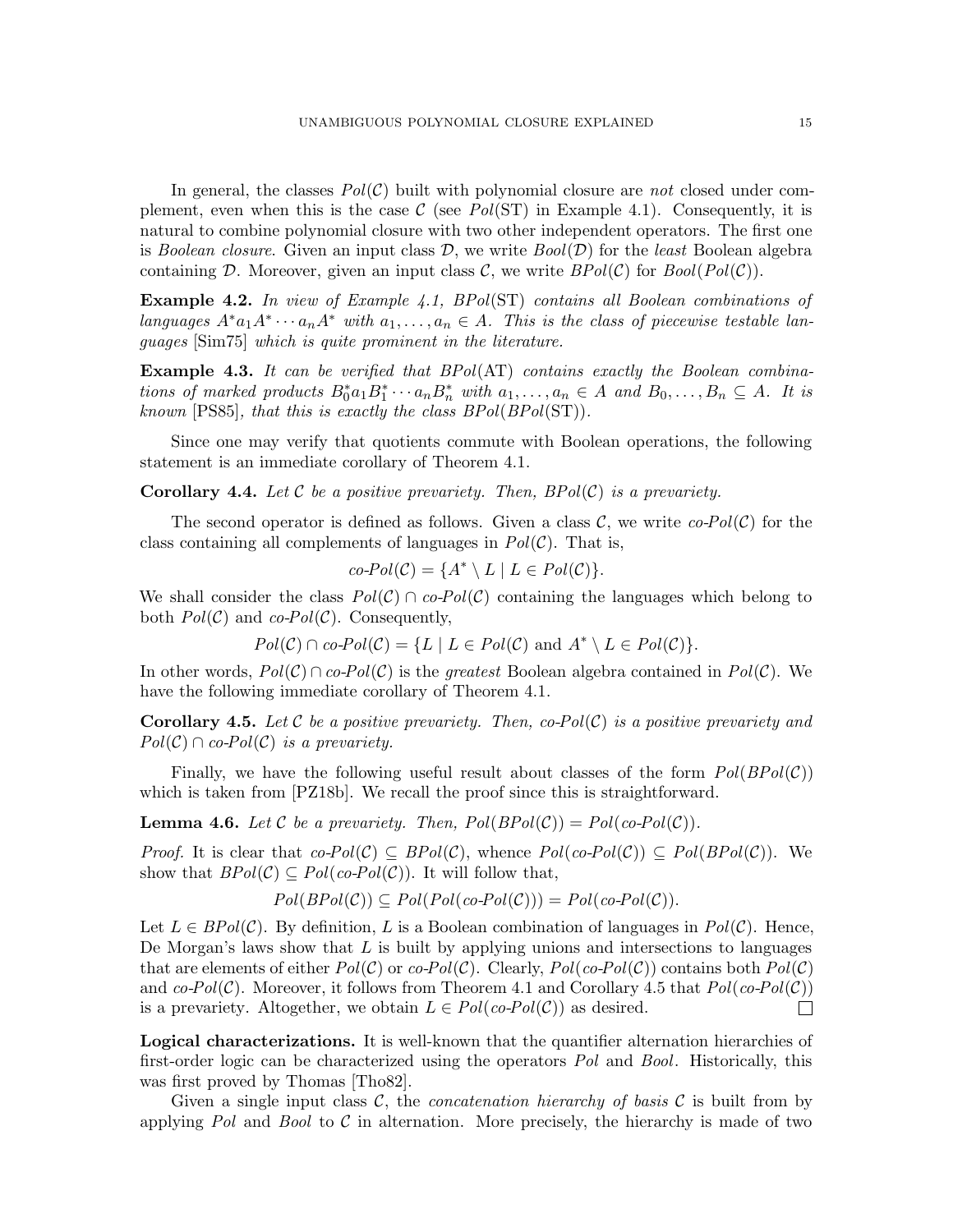In general, the classes  $Pol(\mathcal{C})$  built with polynomial closure are not closed under complement, even when this is the case  $\mathcal{C}$  (see Pol(ST) in Example [4.1\)](#page-13-1). Consequently, it is natural to combine polynomial closure with two other independent operators. The first one is Boolean closure. Given an input class  $\mathcal{D}$ , we write  $Bool(\mathcal{D})$  for the least Boolean algebra containing D. Moreover, given an input class C, we write  $BPol(\mathcal{C})$  for  $Bool(Pol(\mathcal{C}))$ .

Example 4.2. In view of Example [4.1,](#page-13-1) BPol(ST) contains all Boolean combinations of languages  $A^*a_1A^*\cdots a_nA^*$  with  $a_1,\ldots,a_n\in A$ . This is the class of piecewise testable languages [\[Sim75\]](#page-60-6) which is quite prominent in the literature.

**Example 4.3.** It can be verified that  $BPol(AT)$  contains exactly the Boolean combinations of marked products  $B_0^*a_1B_1^*\cdots a_nB_n^*$  with  $a_1,\ldots,a_n\in A$  and  $B_0,\ldots,B_n\subseteq A$ . It is known [\[PS85\]](#page-59-18), that this is exactly the class  $BPol(BPol(ST))$ .

Since one may verify that quotients commute with Boolean operations, the following statement is an immediate corollary of Theorem [4.1.](#page-13-2)

<span id="page-14-2"></span>**Corollary 4.4.** Let C be a positive prevariety. Then,  $BPol(\mathcal{C})$  is a prevariety.

The second operator is defined as follows. Given a class  $\mathcal{C}$ , we write  $co-Pol(\mathcal{C})$  for the class containing all complements of languages in  $Pol(\mathcal{C})$ . That is,

$$
co\text{-}Pol(\mathcal{C}) = \{A^* \setminus L \mid L \in Pol(\mathcal{C})\}.
$$

We shall consider the class  $Pol(\mathcal{C}) \cap co-Pol(\mathcal{C})$  containing the languages which belong to both  $Pol(\mathcal{C})$  and co- $Pol(\mathcal{C})$ . Consequently,

$$
Pol(\mathcal{C}) \cap co\text{-}Pol(\mathcal{C}) = \{L \mid L \in Pol(\mathcal{C}) \text{ and } A^* \setminus L \in Pol(\mathcal{C})\}.
$$

In other words,  $Pol(\mathcal{C}) \cap co-Pol(\mathcal{C})$  is the greatest Boolean algebra contained in  $Pol(\mathcal{C})$ . We have the following immediate corollary of Theorem [4.1.](#page-13-2)

<span id="page-14-0"></span>**Corollary 4.5.** Let C be a positive prevariety. Then, co-Pol(C) is a positive prevariety and  $Pol(\mathcal{C}) \cap co-Pol(\mathcal{C})$  is a prevariety.

Finally, we have the following useful result about classes of the form  $Pol(BPol(\mathcal{C}))$ which is taken from [\[PZ18b\]](#page-60-2). We recall the proof since this is straightforward.

<span id="page-14-1"></span>**Lemma 4.6.** Let C be a prevariety. Then,  $Pol(BPol(\mathcal{C})) = Pol(\mathcal{co}Pol(\mathcal{C}))$ .

*Proof.* It is clear that  $co-Pol(\mathcal{C}) \subseteq BPol(\mathcal{C})$ , whence  $Pol(co-Pol(\mathcal{C})) \subseteq Pol(BPol(\mathcal{C}))$ . We show that  $BPol(\mathcal{C}) \subseteq Pol(co-Pol(\mathcal{C}))$ . It will follow that,

$$
Pol(BPol(C)) \subseteq Pol(Pol(co-Pol(C))) = Pol(co-Pol(C)).
$$

Let  $L \in BPol(\mathcal{C})$ . By definition, L is a Boolean combination of languages in  $Pol(\mathcal{C})$ . Hence, De Morgan's laws show that  $L$  is built by applying unions and intersections to languages that are elements of either  $Pol(\mathcal{C})$  or  $co-Pol(\mathcal{C})$ . Clearly,  $Pol(co-Pol(\mathcal{C}))$  contains both  $Pol(\mathcal{C})$ and  $co-Pol(\mathcal{C})$ . Moreover, it follows from Theorem [4.1](#page-13-2) and Corollary [4.5](#page-14-0) that  $Pol(\mathcal{C})$ is a prevariety. Altogether, we obtain  $L \in Pol(co-Pol(\mathcal{C}))$  as desired.  $\Box$ 

Logical characterizations. It is well-known that the quantifier alternation hierarchies of first-order logic can be characterized using the operators Pol and Bool. Historically, this was first proved by Thomas [\[Tho82\]](#page-60-1).

Given a single input class  $\mathcal{C}$ , the *concatenation hierarchy of basis*  $\mathcal{C}$  is built from by applying Pol and Bool to C in alternation. More precisely, the hierarchy is made of two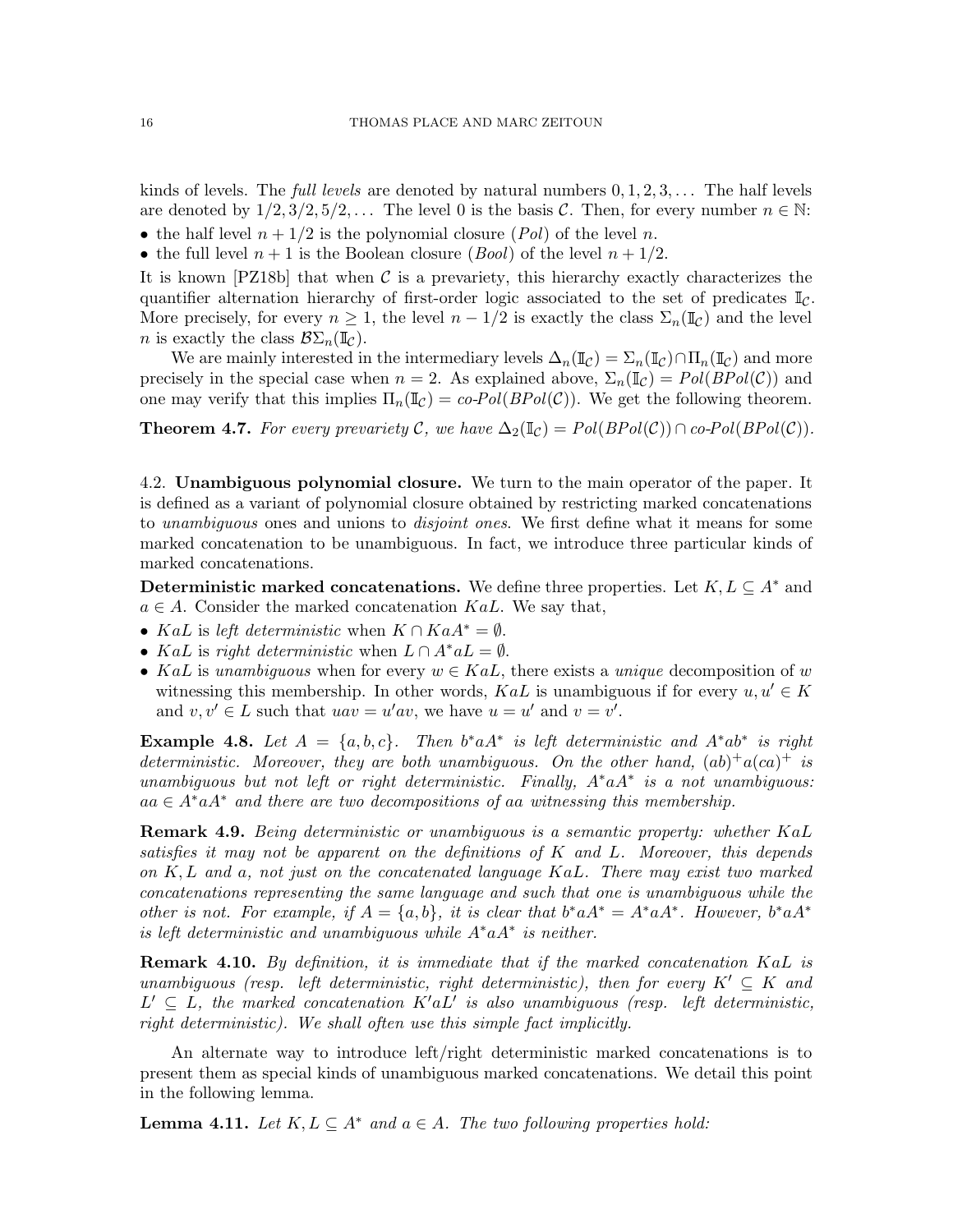kinds of levels. The *full levels* are denoted by natural numbers  $0, 1, 2, 3, \ldots$  The half levels are denoted by  $1/2, 3/2, 5/2, \ldots$  The level 0 is the basis C. Then, for every number  $n \in \mathbb{N}$ : • the half level  $n + 1/2$  is the polynomial closure  $(Pol)$  of the level n.

• the full level  $n + 1$  is the Boolean closure (*Bool*) of the level  $n + 1/2$ .

It is known [\[PZ18b\]](#page-60-2) that when  $\mathcal C$  is a prevariety, this hierarchy exactly characterizes the quantifier alternation hierarchy of first-order logic associated to the set of predicates  $\mathbb{I}_{\mathcal{C}}$ . More precisely, for every  $n \geq 1$ , the level  $n - 1/2$  is exactly the class  $\Sigma_n(\mathbb{I}_\mathcal{C})$  and the level *n* is exactly the class  $\mathcal{B}\Sigma_n(\mathbb{I}_{\mathcal{C}})$ .

We are mainly interested in the intermediary levels  $\Delta_n(\mathbb{I}_{\mathcal{C}}) = \Sigma_n(\mathbb{I}_{\mathcal{C}}) \cap \Pi_n(\mathbb{I}_{\mathcal{C}})$  and more precisely in the special case when  $n = 2$ . As explained above,  $\Sigma_n(\mathbb{I}_C) = Pol(BPol(\mathcal{C}))$  and one may verify that this implies  $\Pi_n(\mathbb{I}_{\mathcal{C}}) = co\text{-}Pol(BPol(\mathcal{C}))$ . We get the following theorem.

<span id="page-15-0"></span>**Theorem 4.7.** For every prevariety C, we have  $\Delta_2(\mathbb{I}_{\mathcal{C}}) = Pol(BPol(\mathcal{C})) \cap co-Pol(BPol(\mathcal{C}))$ .

4.2. Unambiguous polynomial closure. We turn to the main operator of the paper. It is defined as a variant of polynomial closure obtained by restricting marked concatenations to *unambiguous* ones and unions to *disjoint ones*. We first define what it means for some marked concatenation to be unambiguous. In fact, we introduce three particular kinds of marked concatenations.

Deterministic marked concatenations. We define three properties. Let  $K, L \subseteq A^*$  and  $a \in A$ . Consider the marked concatenation KaL. We say that,

- KaL is left deterministic when  $K \cap K a A^* = \emptyset$ .
- KaL is right deterministic when  $L \cap A^* aL = \emptyset$ .
- KaL is unambiguous when for every  $w \in KaL$ , there exists a unique decomposition of w witnessing this membership. In other words, KaL is unambiguous if for every  $u, u' \in K$ and  $v, v' \in L$  such that  $u \circ u = u' \circ u$ , we have  $u = u'$  and  $v = v'$ .

**Example 4.8.** Let  $A = \{a, b, c\}$ . Then  $b^* a A^*$  is left deterministic and  $A^* a b^*$  is right deterministic. Moreover, they are both unambiguous. On the other hand,  $(ab)^{+}a(ca)^{+}$  is unambiguous but not left or right deterministic. Finally,  $A^* a A^*$  is a not unambiguous:  $aa \in A^* a A^*$  and there are two decompositions of aa witnessing this membership.

**Remark 4.9.** Being deterministic or unambiguous is a semantic property: whether  $KaL$ satisfies it may not be apparent on the definitions of K and L. Moreover, this depends on  $K, L$  and a, not just on the concatenated language  $K a L$ . There may exist two marked concatenations representing the same language and such that one is unambiguous while the other is not. For example, if  $A = \{a, b\}$ , it is clear that  $b^* a A^* = A^* a A^*$ . However,  $b^* a A^*$ is left deterministic and unambiguous while A∗aA<sup>∗</sup> is neither.

**Remark 4.10.** By definition, it is immediate that if the marked concatenation KaL is unambiguous (resp. left deterministic, right deterministic), then for every  $K' \subseteq K$  and  $L' \subseteq L$ , the marked concatenation  $K' a L'$  is also unambiguous (resp. left deterministic, right deterministic). We shall often use this simple fact implicitly.

An alternate way to introduce left/right deterministic marked concatenations is to present them as special kinds of unambiguous marked concatenations. We detail this point in the following lemma.

<span id="page-15-1"></span>**Lemma 4.11.** Let  $K, L \subseteq A^*$  and  $a \in A$ . The two following properties hold: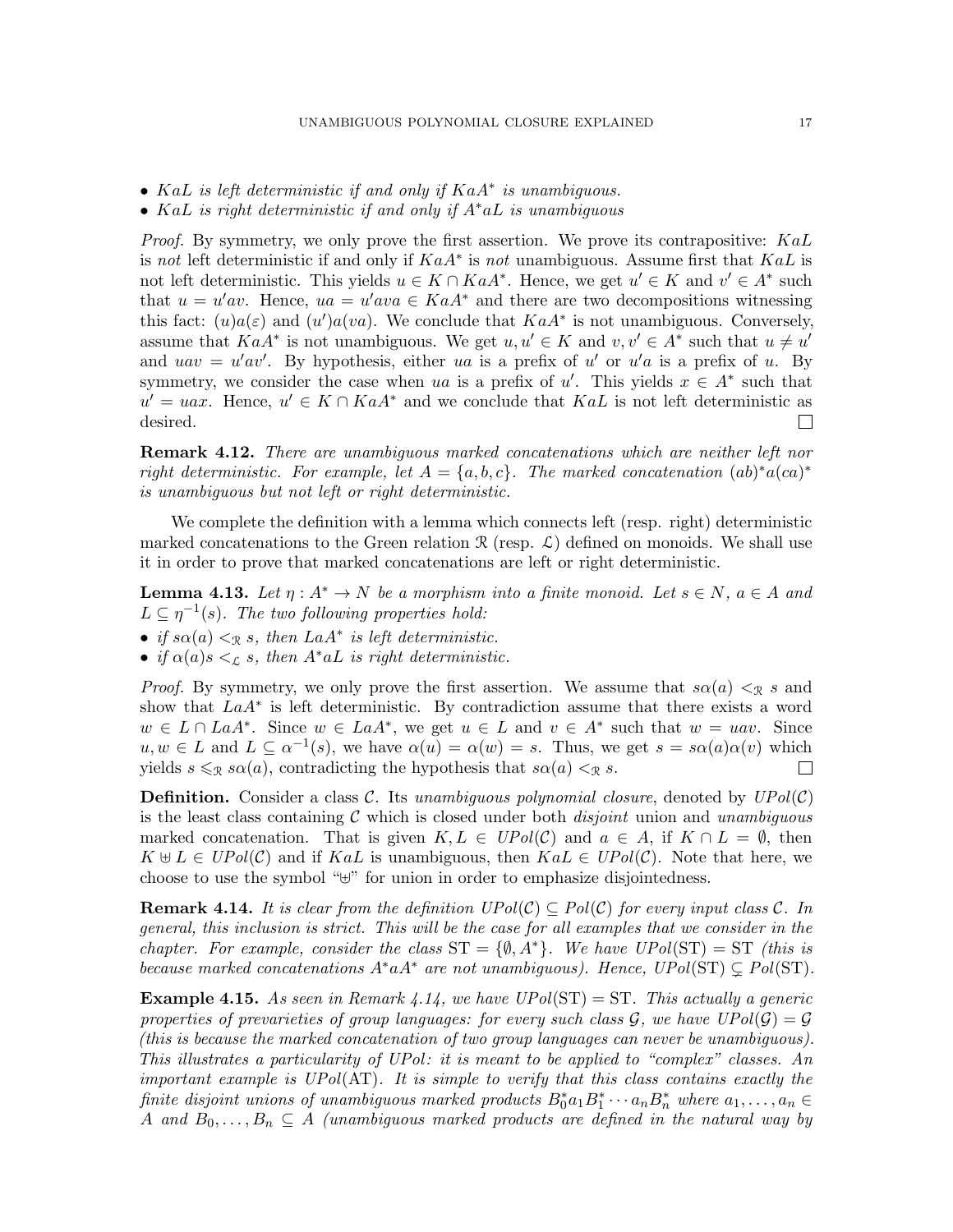- KaL is left deterministic if and only if KaA<sup>∗</sup> is unambiguous.
- KaL is right deterministic if and only if  $A^*aL$  is unambiguous

*Proof.* By symmetry, we only prove the first assertion. We prove its contrapositive:  $KaL$ is not left deterministic if and only if  $KaA^*$  is not unambiguous. Assume first that  $KaL$  is not left deterministic. This yields  $u \in K \cap KaA^*$ . Hence, we get  $u' \in K$  and  $v' \in A^*$  such that  $u = u'av$ . Hence,  $ua = u'ava \in KaA^*$  and there are two decompositions witnessing this fact:  $(u)a(\varepsilon)$  and  $(u')a(va)$ . We conclude that  $KaA^*$  is not unambiguous. Conversely, assume that  $KaA^*$  is not unambiguous. We get  $u, u' \in K$  and  $v, v' \in A^*$  such that  $u \neq u'$ and  $uav = u'av'$ . By hypothesis, either ua is a prefix of u' or u'a is a prefix of u. By symmetry, we consider the case when ua is a prefix of u'. This yields  $x \in A^*$  such that  $u' = uax$ . Hence,  $u' \in K \cap KaA^*$  and we conclude that  $KaL$  is not left deterministic as desired.  $\Box$ 

**Remark 4.12.** There are unambiguous marked concatenations which are neither left nor right deterministic. For example, let  $A = \{a, b, c\}$ . The marked concatenation  $(ab)^*a(ca)^*$ is unambiguous but not left or right deterministic.

We complete the definition with a lemma which connects left (resp. right) deterministic marked concatenations to the Green relation  $\mathcal R$  (resp.  $\mathcal L$ ) defined on monoids. We shall use it in order to prove that marked concatenations are left or right deterministic.

<span id="page-16-2"></span>**Lemma 4.13.** Let  $\eta: A^* \to N$  be a morphism into a finite monoid. Let  $s \in N$ ,  $a \in A$  and  $L \subseteq \eta^{-1}(s)$ . The two following properties hold:

- if  $s\alpha(a) <_{\mathcal{R}} s$ , then  $LaA^*$  is left deterministic.
- if  $\alpha(a)s <_{\mathcal{L}} s$ , then  $A^*aL$  is right deterministic.

*Proof.* By symmetry, we only prove the first assertion. We assume that  $s\alpha(a) <sub>R</sub> s$  and show that  $LaA^*$  is left deterministic. By contradiction assume that there exists a word  $w \in L \cap LaA^*$ . Since  $w \in LaA^*$ , we get  $u \in L$  and  $v \in A^*$  such that  $w = uav$ . Since  $u, w \in L$  and  $L \subseteq \alpha^{-1}(s)$ , we have  $\alpha(u) = \alpha(w) = s$ . Thus, we get  $s = s\alpha(a)\alpha(v)$  which yields  $s \leq_R s\alpha(a)$ , contradicting the hypothesis that  $s\alpha(a) <sub>R</sub> s$ .  $\Box$ 

**Definition.** Consider a class C. Its unambiguous polynomial closure, denoted by  $UPol(\mathcal{C})$ is the least class containing  $\mathcal C$  which is closed under both *disjoint* union and unambiguous marked concatenation. That is given  $K, L \in UPol(\mathcal{C})$  and  $a \in A$ , if  $K \cap L = \emptyset$ , then  $K \oplus L \in UPol(\mathcal{C})$  and if KaL is unambiguous, then  $K aL \in UPol(\mathcal{C})$ . Note that here, we choose to use the symbol "⊎" for union in order to emphasize disjointedness.

<span id="page-16-0"></span>**Remark 4.14.** It is clear from the definition  $UPol(\mathcal{C}) \subseteq Pol(\mathcal{C})$  for every input class  $\mathcal{C}$ . In general, this inclusion is strict. This will be the case for all examples that we consider in the chapter. For example, consider the class  $ST = \{\emptyset, A^*\}$ . We have  $UPol(ST) = ST$  (this is because marked concatenations  $A^*aA^*$  are not unambiguous). Hence,  $UPo l(ST) \subsetneq Pol(ST)$ .

<span id="page-16-1"></span>**Example 4.15.** As seen in Remark [4.14,](#page-16-0) we have  $UPol(ST) = ST$ . This actually a generic properties of prevarieties of group languages: for every such class G, we have  $UPol(\mathcal{G}) = \mathcal{G}$ (this is because the marked concatenation of two group languages can never be unambiguous). This illustrates a particularity of UPol: it is meant to be applied to "complex" classes. An important example is  $UPol(AT)$ . It is simple to verify that this class contains exactly the finite disjoint unions of unambiguous marked products  $B_0^* a_1 B_1^* \cdots a_n B_n^*$  where  $a_1, \ldots, a_n \in$ A and  $B_0, \ldots, B_n \subseteq A$  (unambiguous marked products are defined in the natural way by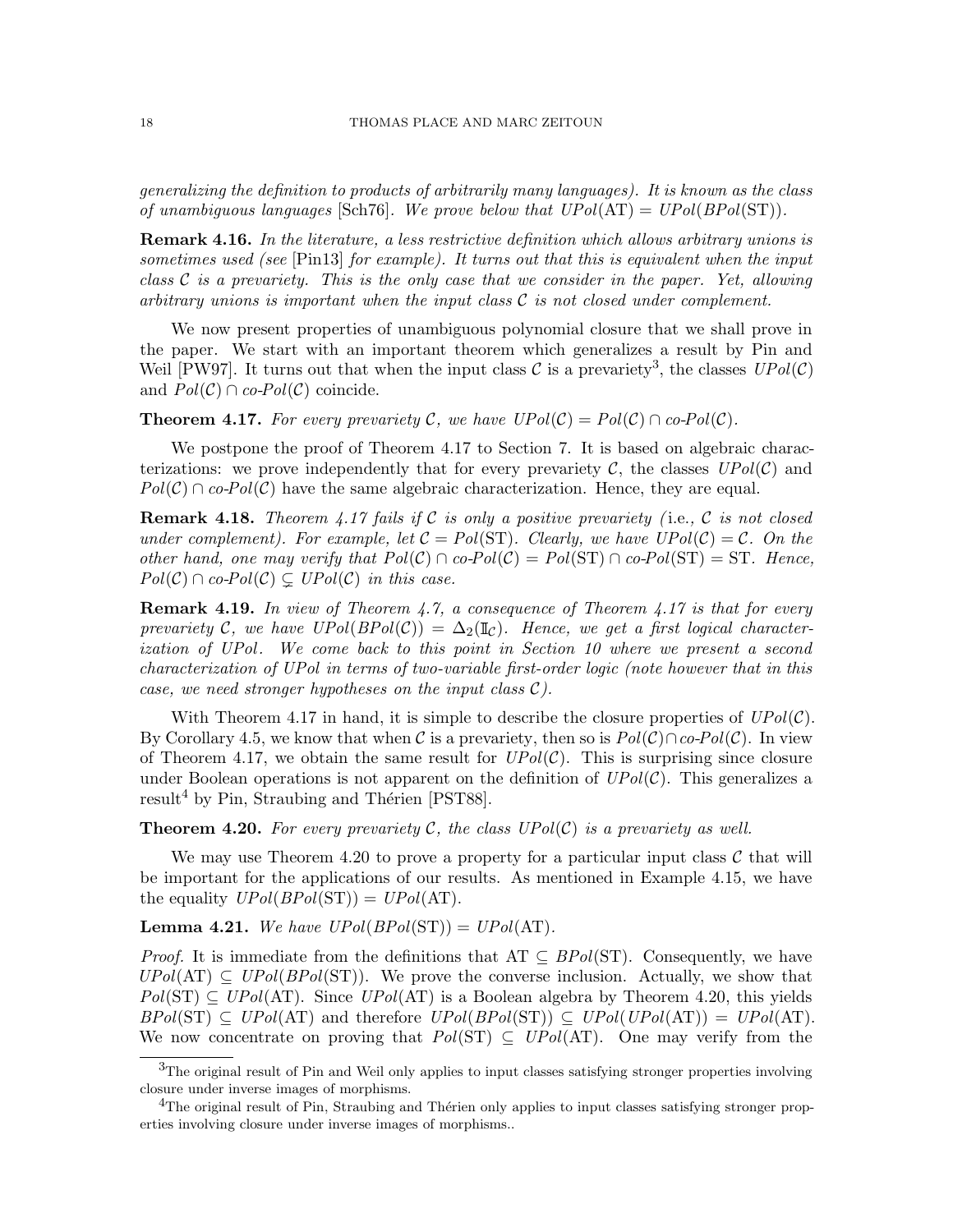generalizing the definition to products of arbitrarily many languages). It is known as the class of unambiguous languages [\[Sch76\]](#page-60-7). We prove below that  $UPol(\text{AT}) = UPol(BPol(\text{ST}))$ .

Remark 4.16. In the literature, a less restrictive definition which allows arbitrary unions is sometimes used (see [\[Pin13\]](#page-59-17) for example). It turns out that this is equivalent when the input class  $\mathcal C$  is a prevariety. This is the only case that we consider in the paper. Yet, allowing arbitrary unions is important when the input class  $\mathcal C$  is not closed under complement.

We now present properties of unambiguous polynomial closure that we shall prove in the paper. We start with an important theorem which generalizes a result by Pin and Weil [\[PW97\]](#page-59-5). It turns out that when the input class C is a prevariety<sup>[3](#page-17-0)</sup>, the classes  $UPol(\mathcal{C})$ and  $Pol(\mathcal{C}) \cap co-Pol(\mathcal{C})$  coincide.

<span id="page-17-1"></span>**Theorem 4.17.** For every prevariety C, we have  $UPol(\mathcal{C}) = Pol(\mathcal{C}) \cap co-Pol(\mathcal{C})$ .

We postpone the proof of Theorem [4.17](#page-17-1) to Section [7.](#page-30-0) It is based on algebraic characterizations: we prove independently that for every prevariety  $\mathcal{C}$ , the classes  $UPol(\mathcal{C})$  and  $Pol(\mathcal{C}) \cap co-Pol(\mathcal{C})$  have the same algebraic characterization. Hence, they are equal.

<span id="page-17-4"></span>**Remark 4.18.** Theorem [4.17](#page-17-1) fails if C is only a positive prevariety (i.e., C is not closed under complement). For example, let  $C = Pol(ST)$ . Clearly, we have  $UPol(C) = C$ . On the other hand, one may verify that  $Pol(\mathcal{C}) \cap co-Pol(\mathcal{C}) = Pol(ST) \cap co-Pol(ST) = ST$ . Hence,  $Pol(\mathcal{C}) \cap co-Pol(\mathcal{C}) \subset \mathcal{U}Pol(\mathcal{C})$  in this case.

**Remark 4.19.** In view of Theorem [4.7,](#page-15-0) a consequence of Theorem [4.17](#page-17-1) is that for every prevariety C, we have  $UPol(BPol(\mathcal{C})) = \Delta_2(\mathbb{I}_{\mathcal{C}})$ . Hence, we get a first logical character-ization of UPol. We come back to this point in Section [10](#page-53-0) where we present a second characterization of UPol in terms of two-variable first-order logic (note however that in this case, we need stronger hypotheses on the input class  $\mathcal{C}$ ).

With Theorem [4.17](#page-17-1) in hand, it is simple to describe the closure properties of  $UPol(\mathcal{C})$ . By Corollary [4.5,](#page-14-0) we know that when C is a prevariety, then so is  $Pol(\mathcal{C}) \cap co-Pol(\mathcal{C})$ . In view of Theorem [4.17,](#page-17-1) we obtain the same result for  $UPol(\mathcal{C})$ . This is surprising since closure under Boolean operations is not apparent on the definition of  $UPol(\mathcal{C})$ . This generalizes a result<sup>[4](#page-17-2)</sup> by Pin, Straubing and Thérien [\[PST88\]](#page-59-10).

<span id="page-17-3"></span>**Theorem 4.20.** For every prevariety C, the class  $UPol(\mathcal{C})$  is a prevariety as well.

We may use Theorem [4.20](#page-17-3) to prove a property for a particular input class  $\mathcal C$  that will be important for the applications of our results. As mentioned in Example [4.15,](#page-16-1) we have the equality  $UPol(BPol(ST)) = UPol(AT)$ .

<span id="page-17-5"></span>**Lemma 4.21.** We have  $UPol(BPol(ST)) = UPol(AT)$ .

*Proof.* It is immediate from the definitions that AT  $\subseteq BPol(ST)$ . Consequently, we have  $UPol(\text{AT}) \subseteq UPol(BPol(\text{ST}))$ . We prove the converse inclusion. Actually, we show that  $Pol(ST) \subseteq UPol(AT)$ . Since  $UPol(AT)$  is a Boolean algebra by Theorem [4.20,](#page-17-3) this yields  $BPol(ST) \subseteq UPol(AT)$  and therefore  $UPol(BPol(ST)) \subseteq UPol(UPol(AT)) = UPol(AT)$ . We now concentrate on proving that  $Pol(ST) \subseteq UPolAT$ . One may verify from the

<span id="page-17-0"></span><sup>&</sup>lt;sup>3</sup>The original result of Pin and Weil only applies to input classes satisfying stronger properties involving closure under inverse images of morphisms.

<span id="page-17-2"></span> ${}^{4}$ The original result of Pin, Straubing and Thérien only applies to input classes satisfying stronger properties involving closure under inverse images of morphisms..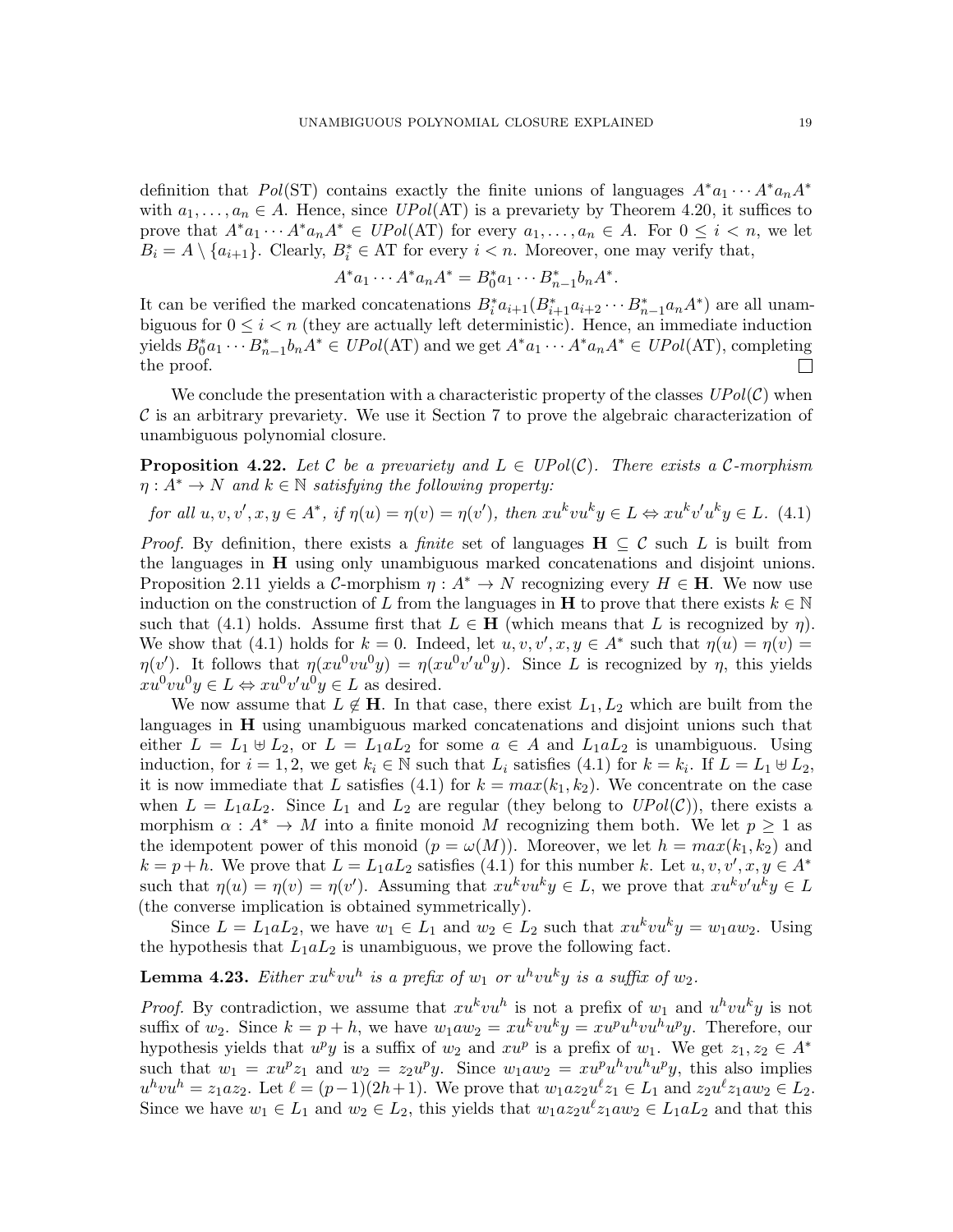definition that Pol(ST) contains exactly the finite unions of languages  $A^*a_1 \cdots A^*a_n A^*$ with  $a_1, \ldots, a_n \in A$ . Hence, since  $UPol(AT)$  is a prevariety by Theorem [4.20,](#page-17-3) it suffices to prove that  $A^*a_1 \cdots A^*a_n A^* \in UPol(\mathrm{AT})$  for every  $a_1, \ldots, a_n \in A$ . For  $0 \leq i \leq n$ , we let  $B_i = A \setminus \{a_{i+1}\}.$  Clearly,  $B_i^* \in AT$  for every  $i < n$ . Moreover, one may verify that,

$$
A^* a_1 \cdots A^* a_n A^* = B_0^* a_1 \cdots B_{n-1}^* b_n A^*.
$$

It can be verified the marked concatenations  $B_i^* a_{i+1}(B_{i+1}^* a_{i+2} \cdots B_{n-1}^* a_n A^*)$  are all unambiguous for  $0 \leq i < n$  (they are actually left deterministic). Hence, an immediate induction yields  $B_0^* a_1 \cdots B_{n-1}^* b_n A^* \in UPol(\mathbf{AT})$  and we get  $A^* a_1 \cdots A^* a_n A^* \in UPol(\mathbf{AT})$ , completing the proof.  $\Box$ 

We conclude the presentation with a characteristic property of the classes  $UPol(\mathcal{C})$  when  $\mathcal C$  is an arbitrary prevariety. We use it Section [7](#page-30-0) to prove the algebraic characterization of unambiguous polynomial closure.

<span id="page-18-2"></span>**Proposition 4.22.** Let C be a prevariety and  $L \in UPol(\mathcal{C})$ . There exists a C-morphism  $\eta: A^* \to N$  and  $k \in \mathbb{N}$  satisfying the following property:

<span id="page-18-0"></span>for all 
$$
u, v, v', x, y \in A^*
$$
, if  $\eta(u) = \eta(v) = \eta(v')$ , then  $xu^k vu^k y \in L \Leftrightarrow xu^k v'u^k y \in L$ . (4.1)

*Proof.* By definition, there exists a *finite* set of languages  $H \subseteq C$  such L is built from the languages in H using only unambiguous marked concatenations and disjoint unions. Proposition [2.11](#page-9-0) yields a C-morphism  $\eta : A^* \to N$  recognizing every  $H \in \mathbf{H}$ . We now use induction on the construction of L from the languages in **H** to prove that there exists  $k \in \mathbb{N}$ such that [\(4.1\)](#page-18-0) holds. Assume first that  $L \in \mathbf{H}$  (which means that L is recognized by  $\eta$ ). We show that [\(4.1\)](#page-18-0) holds for  $k = 0$ . Indeed, let  $u, v, v', x, y \in A^*$  such that  $\eta(u) = \eta(v)$  $\eta(v')$ . It follows that  $\eta(xu^0vu^0y) = \eta(xu^0v'u^0y)$ . Since L is recognized by  $\eta$ , this yields  $xu^0vu^0y \in L \Leftrightarrow xu^0v'u^0y \in L$  as desired.

We now assume that  $L \notin \mathbf{H}$ . In that case, there exist  $L_1, L_2$  which are built from the languages in H using unambiguous marked concatenations and disjoint unions such that either  $L = L_1 \oplus L_2$ , or  $L = L_1 a L_2$  for some  $a \in A$  and  $L_1 a L_2$  is unambiguous. Using induction, for  $i = 1, 2$ , we get  $k_i \in \mathbb{N}$  such that  $L_i$  satisfies [\(4.1\)](#page-18-0) for  $k = k_i$ . If  $L = L_1 \oplus L_2$ , it is now immediate that L satisfies [\(4.1\)](#page-18-0) for  $k = max(k_1, k_2)$ . We concentrate on the case when  $L = L_1 a L_2$ . Since  $L_1$  and  $L_2$  are regular (they belong to  $UPol(\mathcal{C})$ ), there exists a morphism  $\alpha : A^* \to M$  into a finite monoid M recognizing them both. We let  $p \geq 1$  as the idempotent power of this monoid  $(p = \omega(M))$ . Moreover, we let  $h = max(k_1, k_2)$  and  $k = p + h$ . We prove that  $L = L_1 a L_2$  satisfies [\(4.1\)](#page-18-0) for this number k. Let  $u, v, v', x, y \in A^*$ such that  $\eta(u) = \eta(v) = \eta(v')$ . Assuming that  $xu^kvu^ky \in L$ , we prove that  $xu^kv'u^ky \in L$ (the converse implication is obtained symmetrically).

Since  $L = L_1 a L_2$ , we have  $w_1 \in L_1$  and  $w_2 \in L_2$  such that  $x u^k v u^k y = w_1 a w_2$ . Using the hypothesis that  $L_1 a L_2$  is unambiguous, we prove the following fact.

# <span id="page-18-1"></span>**Lemma 4.23.** Either  $xu^kvu^h$  is a prefix of  $w_1$  or  $u^hvu^ky$  is a suffix of  $w_2$ .

*Proof.* By contradiction, we assume that  $xu^kvu^h$  is not a prefix of  $w_1$  and  $u^hv^ky$  is not suffix of  $w_2$ . Since  $k = p + h$ , we have  $w_1 a w_2 = x u^k v u^k y = x u^p u^h v u^h u^p y$ . Therefore, our hypothesis yields that  $u^p y$  is a suffix of  $w_2$  and  $x u^p$  is a prefix of  $w_1$ . We get  $z_1, z_2 \in A^*$ such that  $w_1 = xu^p z_1$  and  $w_2 = z_2 u^p y$ . Since  $w_1 a w_2 = xu^p u^h v u^h u^p y$ , this also implies  $u^h v u^h = z_1 a z_2$ . Let  $\ell = (p-1)(2h+1)$ . We prove that  $w_1 a z_2 u^{\ell} z_1 \in L_1$  and  $z_2 u^{\ell} z_1 a w_2 \in L_2$ . Since we have  $w_1 \in L_1$  and  $w_2 \in L_2$ , this yields that  $w_1 a z_2 u^{\ell} z_1 a w_2 \in L_1 a L_2$  and that this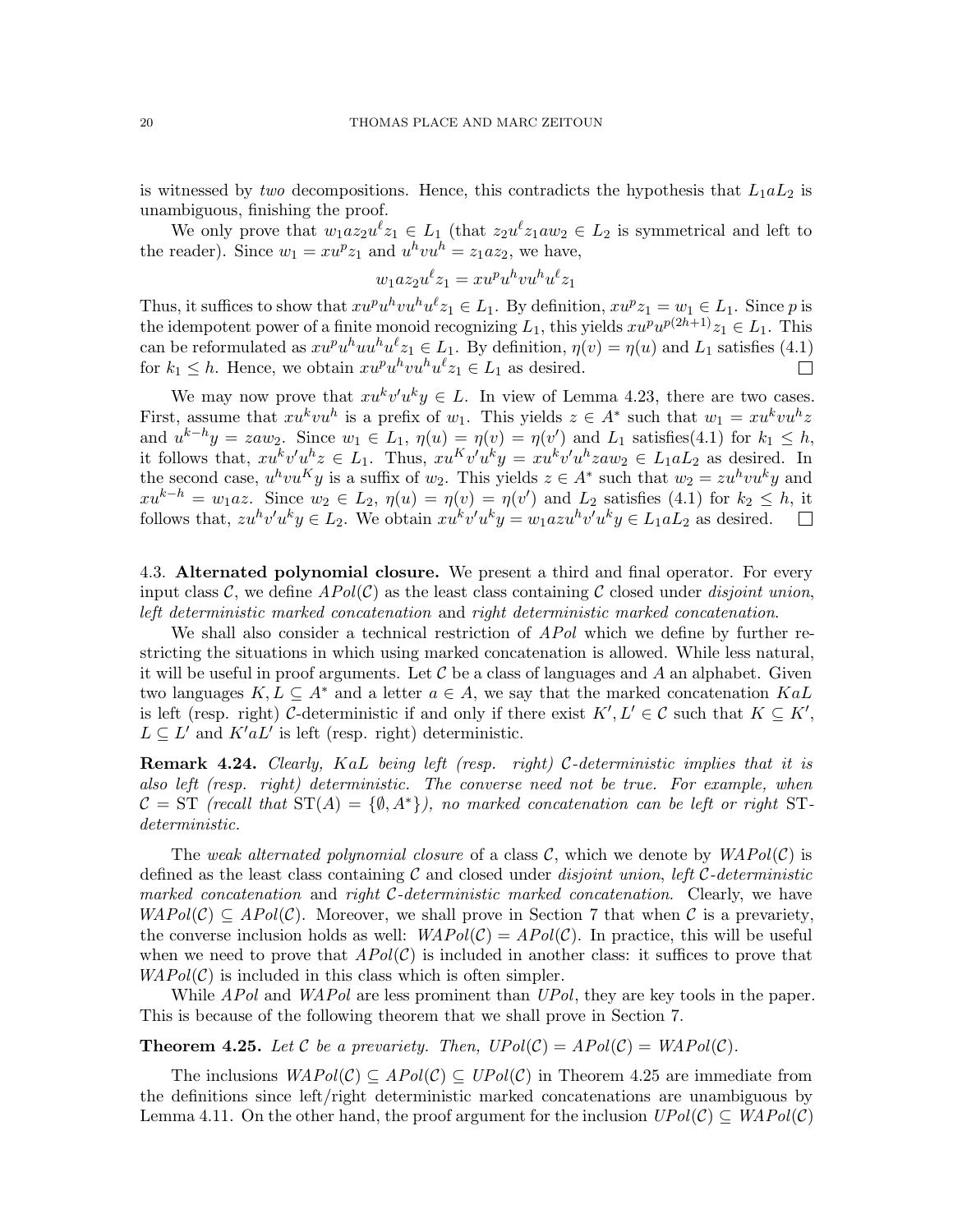is witnessed by two decompositions. Hence, this contradicts the hypothesis that  $L_1 a L_2$  is unambiguous, finishing the proof.

We only prove that  $w_1 a z_2 u^{\ell} z_1 \in L_1$  (that  $z_2 u^{\ell} z_1 a w_2 \in L_2$  is symmetrical and left to the reader). Since  $w_1 = xu^p z_1$  and  $u^h vu^h = z_1 a z_2$ , we have,

$$
w_1 a z_2 u^{\ell} z_1 = x u^p u^h v u^h u^{\ell} z_1
$$

Thus, it suffices to show that  $xu^pu^hv^u^lz_1 \in L_1$ . By definition,  $xu^pz_1 = w_1 \in L_1$ . Since p is the idempotent power of a finite monoid recognizing  $L_1$ , this yields  $x u^p u^{p(2h+1)} z_1 \in L_1$ . This can be reformulated as  $xu^pu^h u^v z_1 \in L_1$ . By definition,  $\eta(v) = \eta(u)$  and  $L_1$  satisfies [\(4.1\)](#page-18-0) for  $k_1 \leq h$ . Hence, we obtain  $xu^pu^hv^{\ell}z_1 \in L_1$  as desired.  $\Box$ 

We may now prove that  $xu^k v'u^k y \in L$ . In view of Lemma [4.23,](#page-18-1) there are two cases. First, assume that  $xu^kvu^h$  is a prefix of  $w_1$ . This yields  $z \in A^*$  such that  $w_1 = xu^kvu^hz$ and  $u^{k-h}y = zaw_2$ . Since  $w_1 \in L_1$ ,  $\eta(u) = \eta(v) = \eta(v')$  and  $L_1$  satisfies[\(4.1\)](#page-18-0) for  $k_1 \leq h$ , it follows that,  $xu^kv'u^hz \in L_1$ . Thus,  $xu^Kv'u^ky = xu^kv'u^hzaw_2 \in L_1aL_2$  as desired. In the second case,  $u^h v u^K y$  is a suffix of  $w_2$ . This yields  $z \in A^*$  such that  $w_2 = z u^h v u^k y$  and  $xu^{k-h} = w_1az$ . Since  $w_2 \in L_2$ ,  $\eta(u) = \eta(v) = \eta(v')$  and  $L_2$  satisfies [\(4.1\)](#page-18-0) for  $k_2 \leq h$ , it follows that,  $zu^hv'u^ky \in L_2$ . We obtain  $xu^kv'u^ky = w_1azu^hv'u^ky \in L_1aL_2$  as desired.

4.3. Alternated polynomial closure. We present a third and final operator. For every input class C, we define  $APol(\mathcal{C})$  as the least class containing C closed under *disjoint union*, left deterministic marked concatenation and right deterministic marked concatenation.

We shall also consider a technical restriction of *APol* which we define by further restricting the situations in which using marked concatenation is allowed. While less natural, it will be useful in proof arguments. Let  $\mathcal C$  be a class of languages and A an alphabet. Given two languages  $K, L \subseteq A^*$  and a letter  $a \in A$ , we say that the marked concatenation  $KaL$ is left (resp. right) C-deterministic if and only if there exist  $K', L' \in \mathcal{C}$  such that  $K \subseteq K'$ ,  $L \subseteq L'$  and  $K'aL'$  is left (resp. right) deterministic.

**Remark 4.24.** Clearly, KaL being left (resp. right) C-deterministic implies that it is also left (resp. right) deterministic. The converse need not be true. For example, when  $\mathcal{C} = \text{ST}$  (recall that  $\text{ST}(A) = \{ \emptyset, A^* \}$ ), no marked concatenation can be left or right STdeterministic.

The weak alternated polynomial closure of a class C, which we denote by  $WAPol(\mathcal{C})$  is defined as the least class containing  $\mathcal C$  and closed under *disjoint union, left C-deterministic* marked concatenation and right  $C$ -deterministic marked concatenation. Clearly, we have  $WAPol(\mathcal{C}) \subseteq APol(\mathcal{C})$ . Moreover, we shall prove in Section [7](#page-30-0) that when C is a prevariety, the converse inclusion holds as well:  $WAPol(\mathcal{C}) = APol(\mathcal{C})$ . In practice, this will be useful when we need to prove that  $APol(\mathcal{C})$  is included in another class: it suffices to prove that  $WAPol(\mathcal{C})$  is included in this class which is often simpler.

While *APol* and *WAPol* are less prominent than *UPol*, they are key tools in the paper. This is because of the following theorem that we shall prove in Section [7.](#page-30-0)

<span id="page-19-0"></span>**Theorem 4.25.** Let C be a prevariety. Then,  $UPol(C) = APol(C) = WAPol(C)$ .

The inclusions  $WAPol(\mathcal{C}) \subseteq APol(\mathcal{C}) \subseteq UPol(\mathcal{C})$  in Theorem [4.25](#page-19-0) are immediate from the definitions since left/right deterministic marked concatenations are unambiguous by Lemma [4.11.](#page-15-1) On the other hand, the proof argument for the inclusion  $UPol(\mathcal{C}) \subseteq WAPol(\mathcal{C})$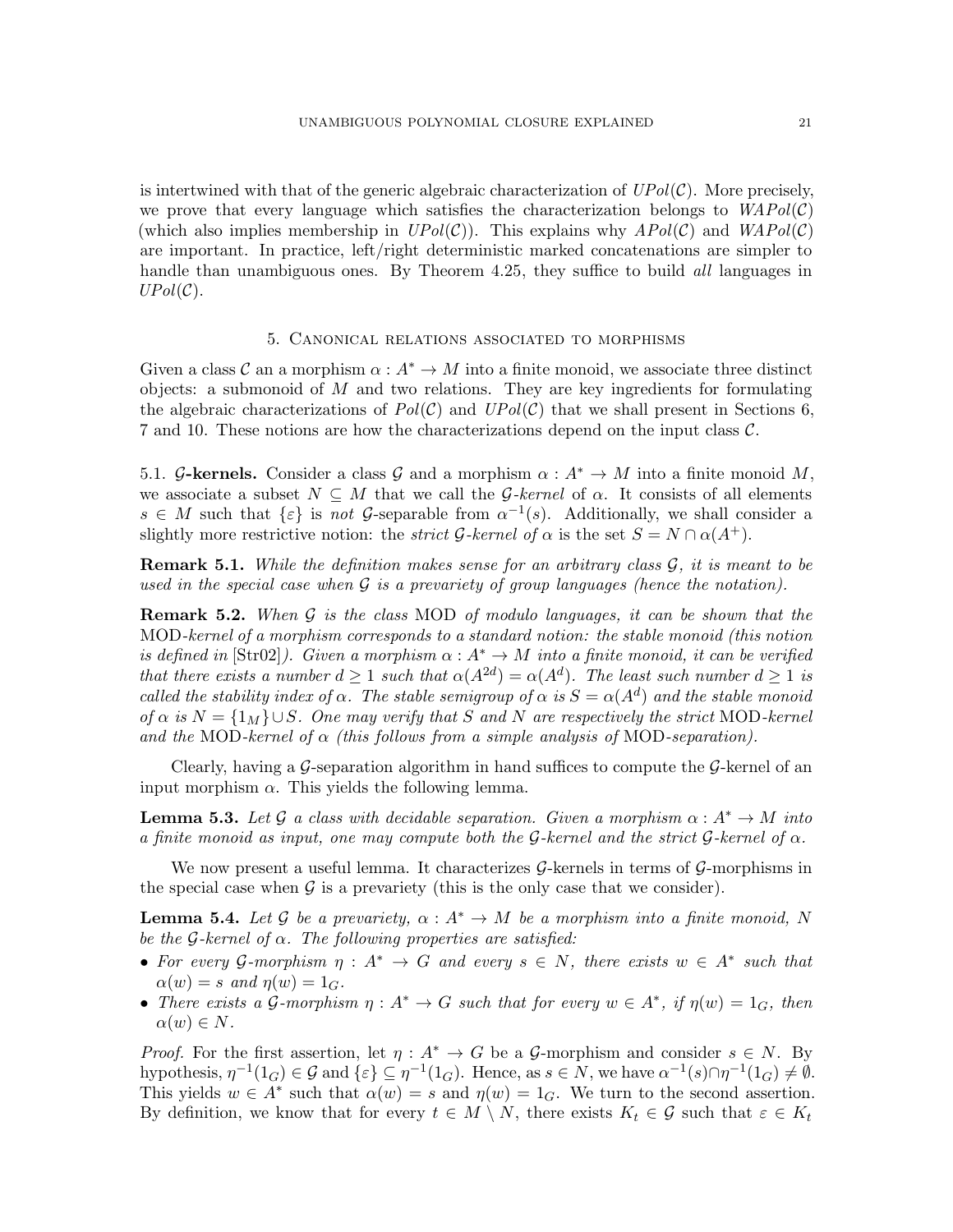is intertwined with that of the generic algebraic characterization of  $UPol(\mathcal{C})$ . More precisely, we prove that every language which satisfies the characterization belongs to  $WAPol(\mathcal{C})$ (which also implies membership in  $UPol(\mathcal{C})$ ). This explains why  $APol(\mathcal{C})$  and  $WAPol(\mathcal{C})$ are important. In practice, left/right deterministic marked concatenations are simpler to handle than unambiguous ones. By Theorem [4.25,](#page-19-0) they suffice to build *all* languages in  $UPol(\mathcal{C})$ .

# 5. Canonical relations associated to morphisms

<span id="page-20-0"></span>Given a class C an a morphism  $\alpha: A^* \to M$  into a finite monoid, we associate three distinct objects: a submonoid of  $M$  and two relations. They are key ingredients for formulating the algebraic characterizations of  $Pol(C)$  and  $UPol(C)$  that we shall present in Sections [6,](#page-26-0) [7](#page-30-0) and [10.](#page-53-0) These notions are how the characterizations depend on the input class C.

5.1. G-kernels. Consider a class G and a morphism  $\alpha : A^* \to M$  into a finite monoid M, we associate a subset  $N \subseteq M$  that we call the G-kernel of  $\alpha$ . It consists of all elements  $s \in M$  such that  $\{\varepsilon\}$  is not G-separable from  $\alpha^{-1}(s)$ . Additionally, we shall consider a slightly more restrictive notion: the *strict* G-kernel of  $\alpha$  is the set  $S = N \cap \alpha(A^+)$ .

**Remark 5.1.** While the definition makes sense for an arbitrary class  $\mathcal{G}$ , it is meant to be used in the special case when  $\mathcal G$  is a prevariety of group languages (hence the notation).

**Remark 5.2.** When  $\mathcal G$  is the class MOD of modulo languages, it can be shown that the MOD-kernel of a morphism corresponds to a standard notion: the stable monoid (this notion is defined in [\[Str02\]](#page-60-14)). Given a morphism  $\alpha : A^* \to M$  into a finite monoid, it can be verified that there exists a number  $d \geq 1$  such that  $\alpha(A^{2d}) = \alpha(A^d)$ . The least such number  $d \geq 1$  is called the stability index of  $\alpha$ . The stable semigroup of  $\alpha$  is  $S = \alpha(A^d)$  and the stable monoid of  $\alpha$  is  $N = \{1_M\} \cup S$ . One may verify that S and N are respectively the strict MOD-kernel and the MOD-kernel of  $\alpha$  (this follows from a simple analysis of MOD-separation).

Clearly, having a  $\mathcal G$ -separation algorithm in hand suffices to compute the  $\mathcal G$ -kernel of an input morphism  $\alpha$ . This yields the following lemma.

<span id="page-20-2"></span>**Lemma 5.3.** Let G a class with decidable separation. Given a morphism  $\alpha: A^* \to M$  into a finite monoid as input, one may compute both the G-kernel and the strict G-kernel of  $\alpha$ .

We now present a useful lemma. It characterizes  $G$ -kernels in terms of  $G$ -morphisms in the special case when  $\mathcal G$  is a prevariety (this is the only case that we consider).

<span id="page-20-1"></span>**Lemma 5.4.** Let G be a prevariety,  $\alpha : A^* \to M$  be a morphism into a finite monoid, N be the  $G$ -kernel of  $\alpha$ . The following properties are satisfied:

- For every G-morphism  $\eta : A^* \to G$  and every  $s \in N$ , there exists  $w \in A^*$  such that  $\alpha(w) = s$  and  $\eta(w) = 1_G$ .
- There exists a G-morphism  $\eta: A^* \to G$  such that for every  $w \in A^*$ , if  $\eta(w) = 1_G$ , then  $\alpha(w) \in N$ .

*Proof.* For the first assertion, let  $\eta: A^* \to G$  be a G-morphism and consider  $s \in N$ . By hypothesis,  $\eta^{-1}(1_G) \in \mathcal{G}$  and  $\{\varepsilon\} \subseteq \eta^{-1}(1_G)$ . Hence, as  $s \in N$ , we have  $\alpha^{-1}(s) \cap \eta^{-1}(1_G) \neq \emptyset$ . This yields  $w \in A^*$  such that  $\alpha(w) = s$  and  $\eta(w) = 1_G$ . We turn to the second assertion. By definition, we know that for every  $t \in M \setminus N$ , there exists  $K_t \in \mathcal{G}$  such that  $\varepsilon \in K_t$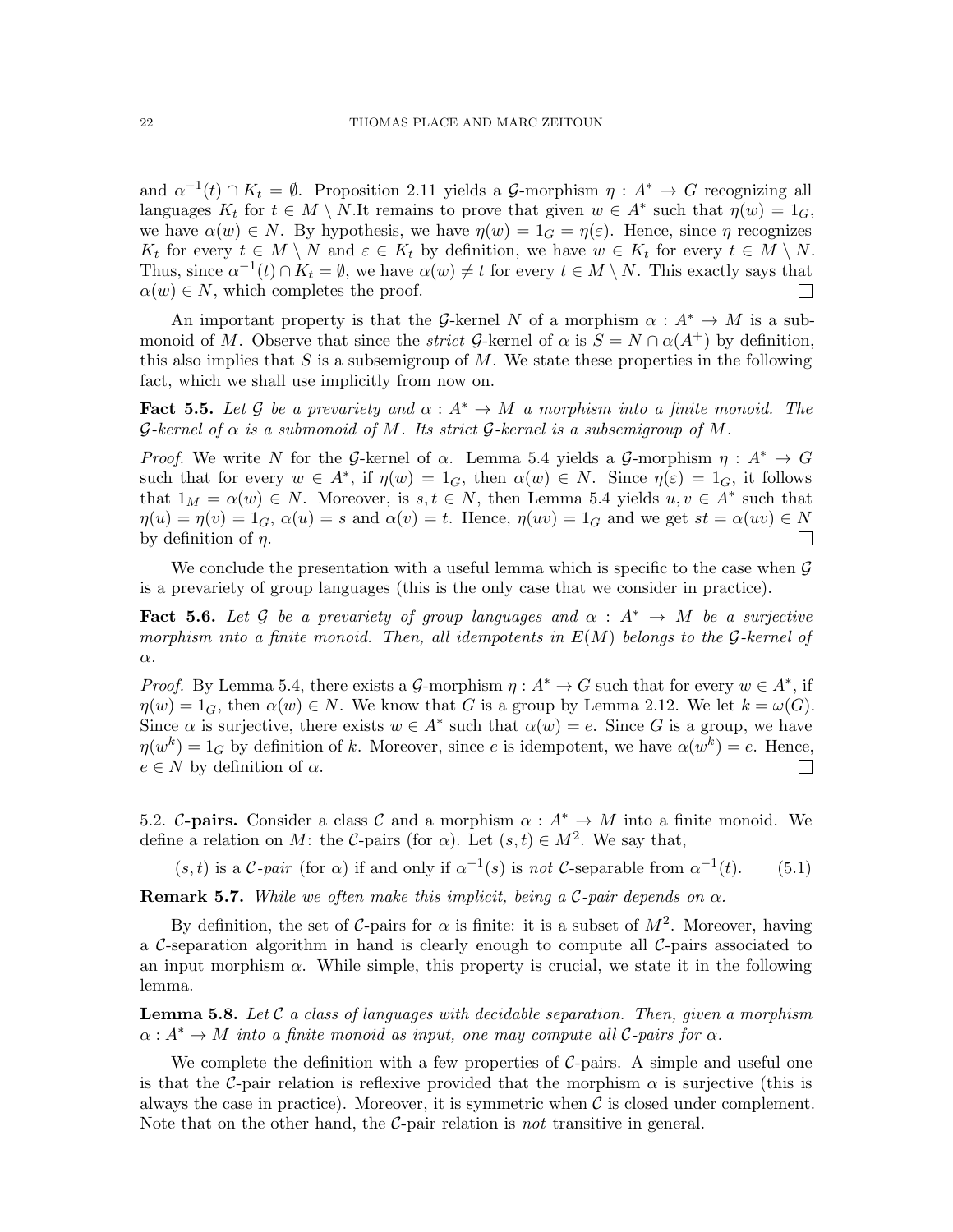and  $\alpha^{-1}(t) \cap K_t = \emptyset$ . Proposition [2.11](#page-9-0) yields a G-morphism  $\eta : A^* \to G$  recognizing all languages  $K_t$  for  $t \in M \setminus N$ . It remains to prove that given  $w \in A^*$  such that  $\eta(w) = 1_G$ , we have  $\alpha(w) \in N$ . By hypothesis, we have  $\eta(w) = 1_G = \eta(\varepsilon)$ . Hence, since  $\eta$  recognizes  $K_t$  for every  $t \in M \setminus N$  and  $\varepsilon \in K_t$  by definition, we have  $w \in K_t$  for every  $t \in M \setminus N$ . Thus, since  $\alpha^{-1}(t) \cap K_t = \emptyset$ , we have  $\alpha(w) \neq t$  for every  $t \in M \setminus N$ . This exactly says that  $\alpha(w) \in N$ , which completes the proof.  $\Box$ 

An important property is that the G-kernel N of a morphism  $\alpha : A^* \to M$  is a submonoid of M. Observe that since the *strict* G-kernel of  $\alpha$  is  $S = N \cap \alpha(A^+)$  by definition, this also implies that S is a subsemigroup of M. We state these properties in the following fact, which we shall use implicitly from now on.

**Fact 5.5.** Let G be a prevariety and  $\alpha : A^* \to M$  a morphism into a finite monoid. The G-kernel of  $\alpha$  is a submonoid of M. Its strict G-kernel is a subsemigroup of M.

*Proof.* We write N for the G-kernel of  $\alpha$ . Lemma [5.4](#page-20-1) yields a G-morphism  $\eta : A^* \to G$ such that for every  $w \in A^*$ , if  $\eta(w) = 1_G$ , then  $\alpha(w) \in N$ . Since  $\eta(\varepsilon) = 1_G$ , it follows that  $1_M = \alpha(w) \in N$ . Moreover, is  $s, t \in N$ , then Lemma [5.4](#page-20-1) yields  $u, v \in A^*$  such that  $\eta(u) = \eta(v) = 1_G$ ,  $\alpha(u) = s$  and  $\alpha(v) = t$ . Hence,  $\eta(uv) = 1_G$  and we get  $st = \alpha(uv) \in N$ by definition of  $\eta$ .  $\Box$ 

We conclude the presentation with a useful lemma which is specific to the case when  $\mathcal G$ is a prevariety of group languages (this is the only case that we consider in practice).

<span id="page-21-1"></span>**Fact 5.6.** Let G be a prevariety of group languages and  $\alpha : A^* \rightarrow M$  be a surjective morphism into a finite monoid. Then, all idempotents in  $E(M)$  belongs to the G-kernel of α.

*Proof.* By Lemma [5.4,](#page-20-1) there exists a G-morphism  $\eta : A^* \to G$  such that for every  $w \in A^*$ , if  $\eta(w) = 1_G$ , then  $\alpha(w) \in N$ . We know that G is a group by Lemma [2.12.](#page-9-1) We let  $k = \omega(G)$ . Since  $\alpha$  is surjective, there exists  $w \in A^*$  such that  $\alpha(w) = e$ . Since G is a group, we have  $\eta(w^k) = 1_G$  by definition of k. Moreover, since e is idempotent, we have  $\alpha(w^k) = e$ . Hence,  $e \in N$  by definition of  $\alpha$ .  $\Box$ 

5.2. C-pairs. Consider a class C and a morphism  $\alpha : A^* \to M$  into a finite monoid. We define a relation on M: the C-pairs (for  $\alpha$ ). Let  $(s, t) \in M^2$ . We say that,

 $(s, t)$  is a C-pair (for  $\alpha$ ) if and only if  $\alpha^{-1}(s)$  is not C-separable from  $\alpha^{-1}$  $(5.1)$ 

**Remark 5.7.** While we often make this implicit, being a C-pair depends on  $\alpha$ .

By definition, the set of C-pairs for  $\alpha$  is finite: it is a subset of  $M^2$ . Moreover, having a C-separation algorithm in hand is clearly enough to compute all  $C$ -pairs associated to an input morphism  $\alpha$ . While simple, this property is crucial, we state it in the following lemma.

<span id="page-21-0"></span>**Lemma 5.8.** Let C a class of languages with decidable separation. Then, given a morphism  $\alpha: A^* \to M$  into a finite monoid as input, one may compute all C-pairs for  $\alpha$ .

We complete the definition with a few properties of  $C$ -pairs. A simple and useful one is that the C-pair relation is reflexive provided that the morphism  $\alpha$  is surjective (this is always the case in practice). Moreover, it is symmetric when  $\mathcal C$  is closed under complement. Note that on the other hand, the  $\mathcal{C}\text{-pair}$  relation is not transitive in general.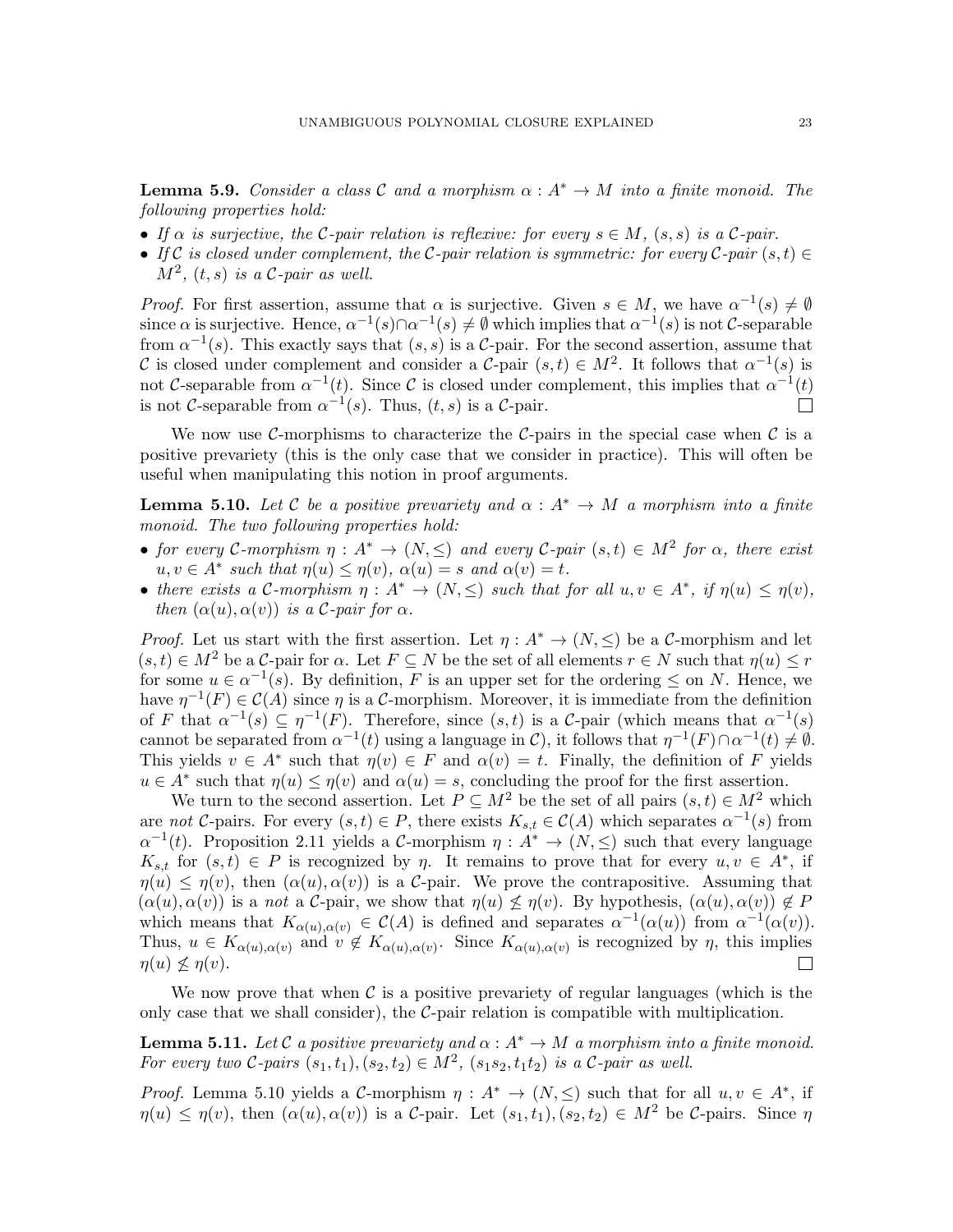**Lemma 5.9.** Consider a class C and a morphism  $\alpha : A^* \to M$  into a finite monoid. The following properties hold:

- If  $\alpha$  is surjective, the C-pair relation is reflexive: for every  $s \in M$ ,  $(s, s)$  is a C-pair.
- If C is closed under complement, the C-pair relation is symmetric: for every C-pair  $(s,t) \in$  $M^2$ ,  $(t, s)$  is a C-pair as well.

*Proof.* For first assertion, assume that  $\alpha$  is surjective. Given  $s \in M$ , we have  $\alpha^{-1}(s) \neq \emptyset$ since  $\alpha$  is surjective. Hence,  $\alpha^{-1}(s) \cap \alpha^{-1}(s) \neq \emptyset$  which implies that  $\alpha^{-1}(s)$  is not C-separable from  $\alpha^{-1}(s)$ . This exactly says that  $(s, s)$  is a C-pair. For the second assertion, assume that C is closed under complement and consider a C-pair  $(s,t) \in M^2$ . It follows that  $\alpha^{-1}(s)$  is not C-separable from  $\alpha^{-1}(t)$ . Since C is closed under complement, this implies that  $\alpha^{-1}(t)$ is not C-separable from  $\alpha^{-1}(s)$ . Thus,  $(t, s)$  is a C-pair.

We now use C-morphisms to characterize the C-pairs in the special case when  $\mathcal C$  is a positive prevariety (this is the only case that we consider in practice). This will often be useful when manipulating this notion in proof arguments.

<span id="page-22-0"></span>**Lemma 5.10.** Let C be a positive prevariety and  $\alpha : A^* \to M$  a morphism into a finite monoid. The two following properties hold:

- for every C-morphism  $\eta: A^* \to (N, \leq)$  and every C-pair  $(s,t) \in M^2$  for  $\alpha$ , there exist  $u, v \in A^*$  such that  $\eta(u) \leq \eta(v)$ ,  $\alpha(u) = s$  and  $\alpha(v) = t$ .
- there exists a C-morphism  $\eta: A^* \to (N, \leq)$  such that for all  $u, v \in A^*$ , if  $\eta(u) \leq \eta(v)$ , then  $(\alpha(u), \alpha(v))$  is a C-pair for  $\alpha$ .

*Proof.* Let us start with the first assertion. Let  $\eta : A^* \to (N, \leq)$  be a C-morphism and let  $(s, t) \in M^2$  be a C-pair for  $\alpha$ . Let  $F \subset N$  be the set of all elements  $r \in N$  such that  $\eta(u) \leq r$ for some  $u \in \alpha^{-1}(s)$ . By definition, F is an upper set for the ordering  $\leq$  on N. Hence, we have  $\eta^{-1}(F) \in \mathcal{C}(A)$  since  $\eta$  is a C-morphism. Moreover, it is immediate from the definition of F that  $\alpha^{-1}(s) \subseteq \eta^{-1}(F)$ . Therefore, since  $(s, t)$  is a C-pair (which means that  $\alpha^{-1}(s)$ cannot be separated from  $\alpha^{-1}(t)$  using a language in C, it follows that  $\eta^{-1}(F) \cap \alpha^{-1}(t) \neq \emptyset$ . This yields  $v \in A^*$  such that  $\eta(v) \in F$  and  $\alpha(v) = t$ . Finally, the definition of F yields  $u \in A^*$  such that  $\eta(u) \leq \eta(v)$  and  $\alpha(u) = s$ , concluding the proof for the first assertion.

We turn to the second assertion. Let  $P \subseteq M^2$  be the set of all pairs  $(s, t) \in M^2$  which are not C-pairs. For every  $(s,t) \in P$ , there exists  $K_{s,t} \in C(A)$  which separates  $\alpha^{-1}(s)$  from  $\alpha^{-1}(t)$ . Proposition [2.11](#page-9-0) yields a C-morphism  $\eta: A^* \to (N, \leq)$  such that every language  $K_{s,t}$  for  $(s,t) \in P$  is recognized by  $\eta$ . It remains to prove that for every  $u, v \in A^*$ , if  $\eta(u) \leq \eta(v)$ , then  $(\alpha(u), \alpha(v))$  is a C-pair. We prove the contrapositive. Assuming that  $(\alpha(u), \alpha(v))$  is a not a C-pair, we show that  $\eta(u) \nleq \eta(v)$ . By hypothesis,  $(\alpha(u), \alpha(v)) \notin P$ which means that  $K_{\alpha(u),\alpha(v)} \in \mathcal{C}(A)$  is defined and separates  $\alpha^{-1}(\alpha(u))$  from  $\alpha^{-1}(\alpha(v))$ . Thus,  $u \in K_{\alpha(u),\alpha(v)}$  and  $v \notin K_{\alpha(u),\alpha(v)}$ . Since  $K_{\alpha(u),\alpha(v)}$  is recognized by  $\eta$ , this implies  $\eta(u) \nless \eta(v)$ .  $\Box$ 

We now prove that when  $\mathcal C$  is a positive prevariety of regular languages (which is the only case that we shall consider), the  $\mathcal{C}\text{-pair}$  relation is compatible with multiplication.

<span id="page-22-1"></span>**Lemma 5.11.** Let C a positive prevariety and  $\alpha : A^* \to M$  a morphism into a finite monoid. For every two C-pairs  $(s_1,t_1), (s_2,t_2) \in M^2$ ,  $(s_1s_2,t_1t_2)$  is a C-pair as well.

*Proof.* Lemma [5.10](#page-22-0) yields a C-morphism  $\eta : A^* \to (N, \leq)$  such that for all  $u, v \in A^*$ , if  $\eta(u) \leq \eta(v)$ , then  $(\alpha(u), \alpha(v))$  is a C-pair. Let  $(s_1, t_1), (s_2, t_2) \in M^2$  be C-pairs. Since  $\eta$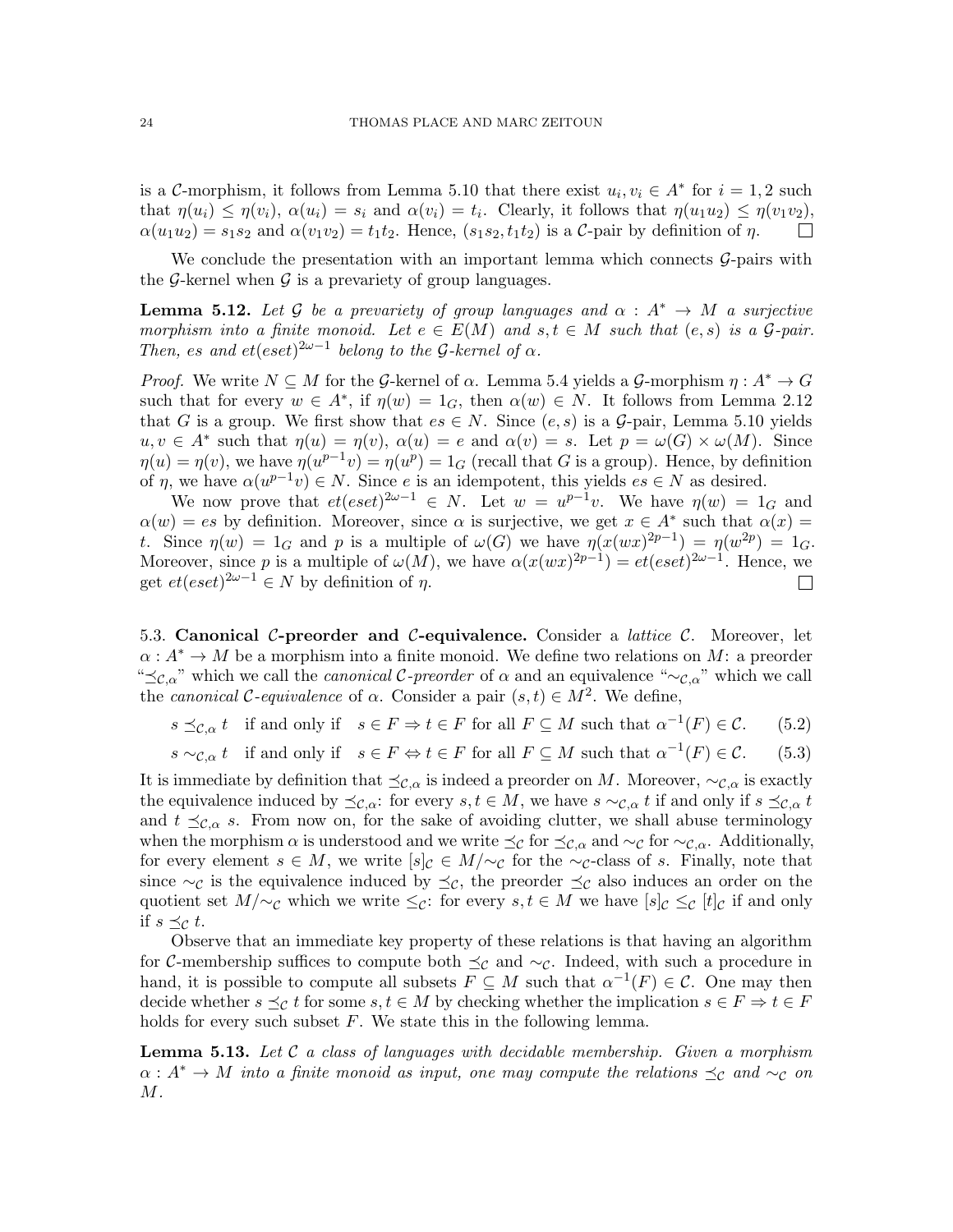is a C-morphism, it follows from Lemma [5.10](#page-22-0) that there exist  $u_i, v_i \in A^*$  for  $i = 1, 2$  such that  $\eta(u_i) \leq \eta(v_i)$ ,  $\alpha(u_i) = s_i$  and  $\alpha(v_i) = t_i$ . Clearly, it follows that  $\eta(u_1u_2) \leq \eta(v_1v_2)$ ,  $\alpha(u_1u_2) = s_1s_2$  and  $\alpha(v_1v_2) = t_1t_2$ . Hence,  $(s_1s_2, t_1t_2)$  is a C-pair by definition of  $\eta$ .  $\Box$ 

We conclude the presentation with an important lemma which connects  $\mathcal{G}$ -pairs with the G-kernel when  $\mathcal G$  is a prevariety of group languages.

<span id="page-23-1"></span>**Lemma 5.12.** Let G be a prevariety of group languages and  $\alpha : A^* \to M$  a surjective morphism into a finite monoid. Let  $e \in E(M)$  and  $s,t \in M$  such that  $(e,s)$  is a  $\mathcal{G}$ -pair. Then, es and  $et(eset)^{2\omega-1}$  belong to the G-kernel of  $\alpha$ .

*Proof.* We write  $N \subseteq M$  for the G-kernel of  $\alpha$ . Lemma [5.4](#page-20-1) yields a G-morphism  $\eta : A^* \to G$ such that for every  $w \in A^*$ , if  $\eta(w) = 1_G$ , then  $\alpha(w) \in N$ . It follows from Lemma [2.12](#page-9-1) that G is a group. We first show that  $es \in N$ . Since  $(e, s)$  is a  $\mathcal{G}$ -pair, Lemma [5.10](#page-22-0) yields  $u, v \in A^*$  such that  $\eta(u) = \eta(v)$ ,  $\alpha(u) = e$  and  $\alpha(v) = s$ . Let  $p = \omega(G) \times \omega(M)$ . Since  $\eta(u) = \eta(v)$ , we have  $\eta(u^{p-1}v) = \eta(u^p) = 1_G$  (recall that G is a group). Hence, by definition of  $\eta$ , we have  $\alpha(u^{p-1}v) \in N$ . Since e is an idempotent, this yields  $es \in N$  as desired.

We now prove that  $et(eset)^{2\omega-1} \in N$ . Let  $w = u^{p-1}v$ . We have  $\eta(w) = 1_G$  and  $\alpha(w) = es$  by definition. Moreover, since  $\alpha$  is surjective, we get  $x \in A^*$  such that  $\alpha(x) =$ t. Since  $\eta(w) = 1_G$  and p is a multiple of  $\omega(G)$  we have  $\eta(x(wx)^{2p-1}) = \eta(w^{2p}) = 1_G$ . Moreover, since p is a multiple of  $\omega(M)$ , we have  $\alpha(x(wx)^{2p-1}) = et(eset)^{2\omega-1}$ . Hence, we get  $et(eset)^{2\omega-1} \in N$  by definition of  $\eta$ .  $\Box$ 

5.3. Canonical C-preorder and C-equivalence. Consider a *lattice C*. Moreover, let  $\alpha: A^* \to M$  be a morphism into a finite monoid. We define two relations on M: a preorder " $\preceq_{\mathcal{C},\alpha}$ " which we call the *canonical* C-preorder of  $\alpha$  and an equivalence "∼ $_{\mathcal{C},\alpha}$ " which we call the canonical C-equivalence of  $\alpha$ . Consider a pair  $(s, t) \in M^2$ . We define,

 $s \preceq_{\mathcal{C}, \alpha} t$  if and only if  $s \in F \Rightarrow t \in F$  for all  $F \subseteq M$  such that  $\alpha^{-1}(F) \in \mathcal{C}$ . (5.2)

 $s \sim_{\mathcal{C}, \alpha} t$  if and only if  $s \in F \Leftrightarrow t \in F$  for all  $F \subseteq M$  such that  $\alpha^{-1}(F) \in \mathcal{C}$ . (5.3)

It is immediate by definition that  $\preceq_{\mathcal{C},\alpha}$  is indeed a preorder on M. Moreover,  $\sim_{\mathcal{C},\alpha}$  is exactly the equivalence induced by  $\preceq_{\mathcal{C},\alpha}$ : for every  $s,t \in M$ , we have  $s \sim_{\mathcal{C},\alpha} t$  if and only if  $s \preceq_{\mathcal{C},\alpha} t$ and  $t \preceq_{\mathcal{C},\alpha} s$ . From now on, for the sake of avoiding clutter, we shall abuse terminology when the morphism  $\alpha$  is understood and we write  $\preceq_{\mathcal{C}}$  for  $\preceq_{\mathcal{C},\alpha}$  and  $\sim_{\mathcal{C}}$  for  $\sim_{\mathcal{C},\alpha}$ . Additionally, for every element  $s \in M$ , we write  $[s]_C \in M/\sim_C$  for the  $\sim_C$ -class of s. Finally, note that since  $\sim_{\mathcal{C}}$  is the equivalence induced by  $\preceq_{\mathcal{C}}$ , the preorder  $\preceq_{\mathcal{C}}$  also induces an order on the quotient set  $M/\sim_{\mathcal{C}}$  which we write  $\leq_{\mathcal{C}}$ : for every  $s, t \in M$  we have  $[s]_{\mathcal{C}} \leq_{\mathcal{C}} [t]_{\mathcal{C}}$  if and only if  $s \preceq_{\mathcal{C}} t$ .

Observe that an immediate key property of these relations is that having an algorithm for C-membership suffices to compute both  $\preceq_{\mathcal{C}}$  and  $\sim_{\mathcal{C}}$ . Indeed, with such a procedure in hand, it is possible to compute all subsets  $F \subseteq M$  such that  $\alpha^{-1}(F) \in \mathcal{C}$ . One may then decide whether  $s \preceq_{\mathcal{C}} t$  for some  $s, t \in M$  by checking whether the implication  $s \in F \Rightarrow t \in F$ holds for every such subset  $F$ . We state this in the following lemma.

<span id="page-23-0"></span>**Lemma 5.13.** Let  $\mathcal{C}$  a class of languages with decidable membership. Given a morphism  $\alpha: A^* \to M$  into a finite monoid as input, one may compute the relations  $\preceq_{\mathcal{C}}$  and  $\sim_{\mathcal{C}}$  on  $M$  .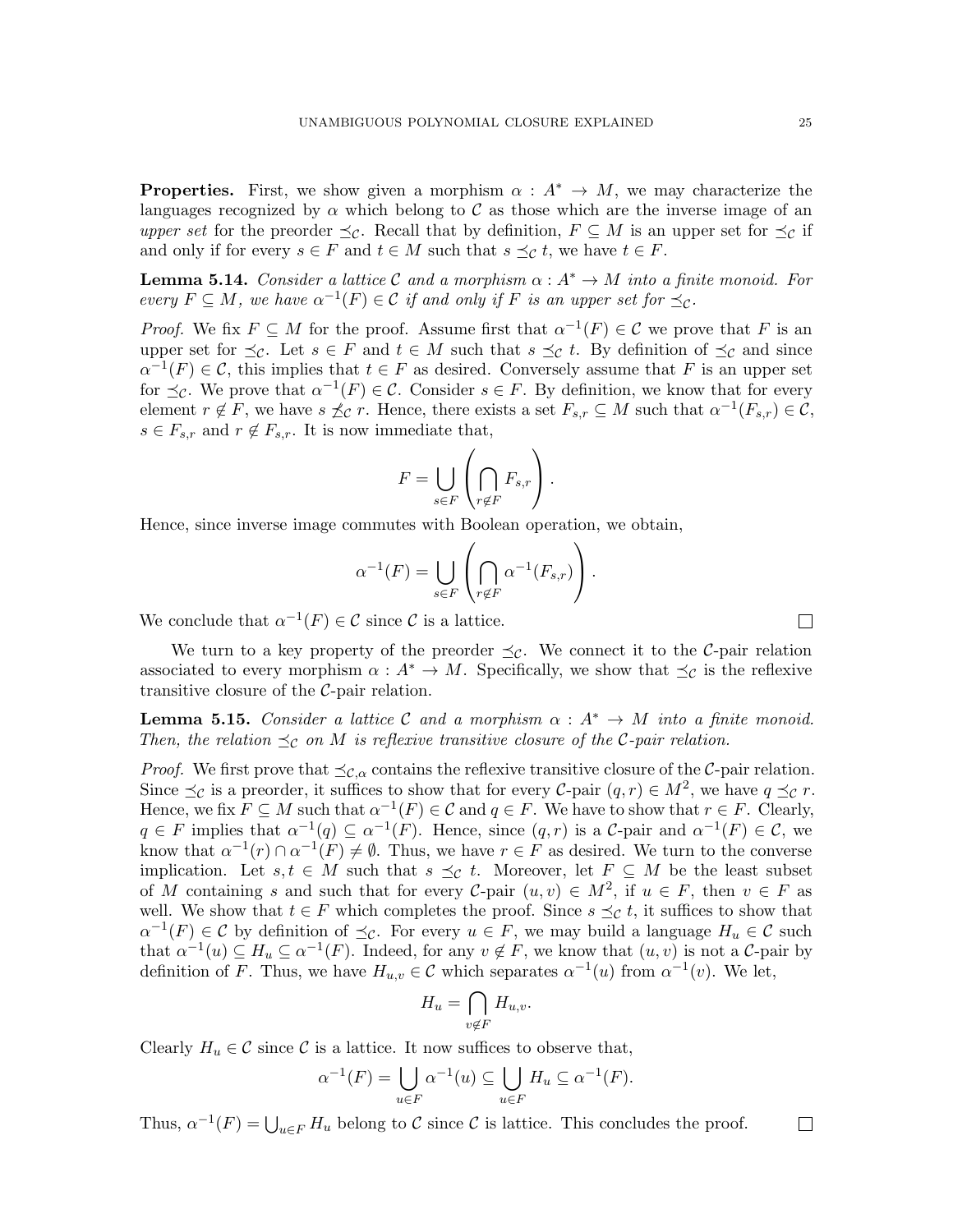**Properties.** First, we show given a morphism  $\alpha : A^* \to M$ , we may characterize the languages recognized by  $\alpha$  which belong to C as those which are the inverse image of an upper set for the preorder  $\preceq_{\mathcal{C}}$ . Recall that by definition,  $F \subseteq M$  is an upper set for  $\preceq_{\mathcal{C}}$  if and only if for every  $s \in F$  and  $t \in M$  such that  $s \preceq_{\mathcal{C}} t$ , we have  $t \in F$ .

<span id="page-24-0"></span>**Lemma 5.14.** Consider a lattice C and a morphism  $\alpha : A^* \to M$  into a finite monoid. For every  $F \subseteq M$ , we have  $\alpha^{-1}(F) \in \mathcal{C}$  if and only if F is an upper set for  $\preceq_{\mathcal{C}}$ .

*Proof.* We fix  $F \subseteq M$  for the proof. Assume first that  $\alpha^{-1}(F) \in \mathcal{C}$  we prove that F is an upper set for  $\preceq_{\mathcal{C}}$ . Let  $s \in F$  and  $t \in M$  such that  $s \preceq_{\mathcal{C}} t$ . By definition of  $\preceq_{\mathcal{C}}$  and since  $\alpha^{-1}(F) \in \mathcal{C}$ , this implies that  $t \in F$  as desired. Conversely assume that F is an upper set for  $\preceq_{\mathcal{C}}$ . We prove that  $\alpha^{-1}(F) \in \mathcal{C}$ . Consider  $s \in F$ . By definition, we know that for every element  $r \notin F$ , we have  $s \npreceq_{\mathcal{C}} r$ . Hence, there exists a set  $F_{s,r} \subseteq M$  such that  $\alpha^{-1}(F_{s,r}) \in \mathcal{C}$ ,  $s \in F_{s,r}$  and  $r \notin F_{s,r}$ . It is now immediate that,

$$
F = \bigcup_{s \in F} \left( \bigcap_{r \notin F} F_{s,r} \right).
$$

Hence, since inverse image commutes with Boolean operation, we obtain,

$$
\alpha^{-1}(F) = \bigcup_{s \in F} \left( \bigcap_{r \notin F} \alpha^{-1}(F_{s,r}) \right).
$$

We conclude that  $\alpha^{-1}(F) \in \mathcal{C}$  since  $\mathcal{C}$  is a lattice.

We turn to a key property of the preorder  $\preceq_{\mathcal{C}}$ . We connect it to the C-pair relation associated to every morphism  $\alpha : A^* \to M$ . Specifically, we show that  $\preceq_{\mathcal{C}}$  is the reflexive transitive closure of the  $C$ -pair relation.

<span id="page-24-1"></span>**Lemma 5.15.** Consider a lattice C and a morphism  $\alpha : A^* \to M$  into a finite monoid. Then, the relation  $\preceq_{\mathcal{C}}$  on M is reflexive transitive closure of the C-pair relation.

*Proof.* We first prove that  $\preceq_{\mathcal{C},\alpha}$  contains the reflexive transitive closure of the C-pair relation. Since  $\preceq_{\mathcal{C}}$  is a preorder, it suffices to show that for every  $\mathcal{C}\text{-pair } (q,r) \in M^2$ , we have  $q \preceq_{\mathcal{C}} r$ . Hence, we fix  $F \subseteq M$  such that  $\alpha^{-1}(F) \in \mathcal{C}$  and  $q \in F$ . We have to show that  $r \in F$ . Clearly,  $q \in F$  implies that  $\alpha^{-1}(q) \subseteq \alpha^{-1}(F)$ . Hence, since  $(q, r)$  is a C-pair and  $\alpha^{-1}(F) \in \mathcal{C}$ , we know that  $\alpha^{-1}(r) \cap \alpha^{-1}(F) \neq \emptyset$ . Thus, we have  $r \in F$  as desired. We turn to the converse implication. Let  $s, t \in M$  such that  $s \preceq_{\mathcal{C}} t$ . Moreover, let  $F \subseteq M$  be the least subset of M containing s and such that for every C-pair  $(u, v) \in M^2$ , if  $u \in F$ , then  $v \in F$  as well. We show that  $t \in F$  which completes the proof. Since  $s \preceq_{\mathcal{C}} t$ , it suffices to show that  $\alpha^{-1}(F) \in \mathcal{C}$  by definition of  $\preceq_{\mathcal{C}}$ . For every  $u \in F$ , we may build a language  $H_u \in \mathcal{C}$  such that  $\alpha^{-1}(u) \subseteq H_u \subseteq \alpha^{-1}(F)$ . Indeed, for any  $v \notin F$ , we know that  $(u, v)$  is not a C-pair by definition of F. Thus, we have  $H_{u,v} \in \mathcal{C}$  which separates  $\alpha^{-1}(u)$  from  $\alpha^{-1}(v)$ . We let,

$$
H_u = \bigcap_{v \notin F} H_{u,v}.
$$

Clearly  $H_u \in \mathcal{C}$  since  $\mathcal{C}$  is a lattice. It now suffices to observe that,

$$
\alpha^{-1}(F) = \bigcup_{u \in F} \alpha^{-1}(u) \subseteq \bigcup_{u \in F} H_u \subseteq \alpha^{-1}(F).
$$

Thus,  $\alpha^{-1}(F) = \bigcup_{u \in F} H_u$  belong to C since C is lattice. This concludes the proof.

 $\Box$ 

 $\Box$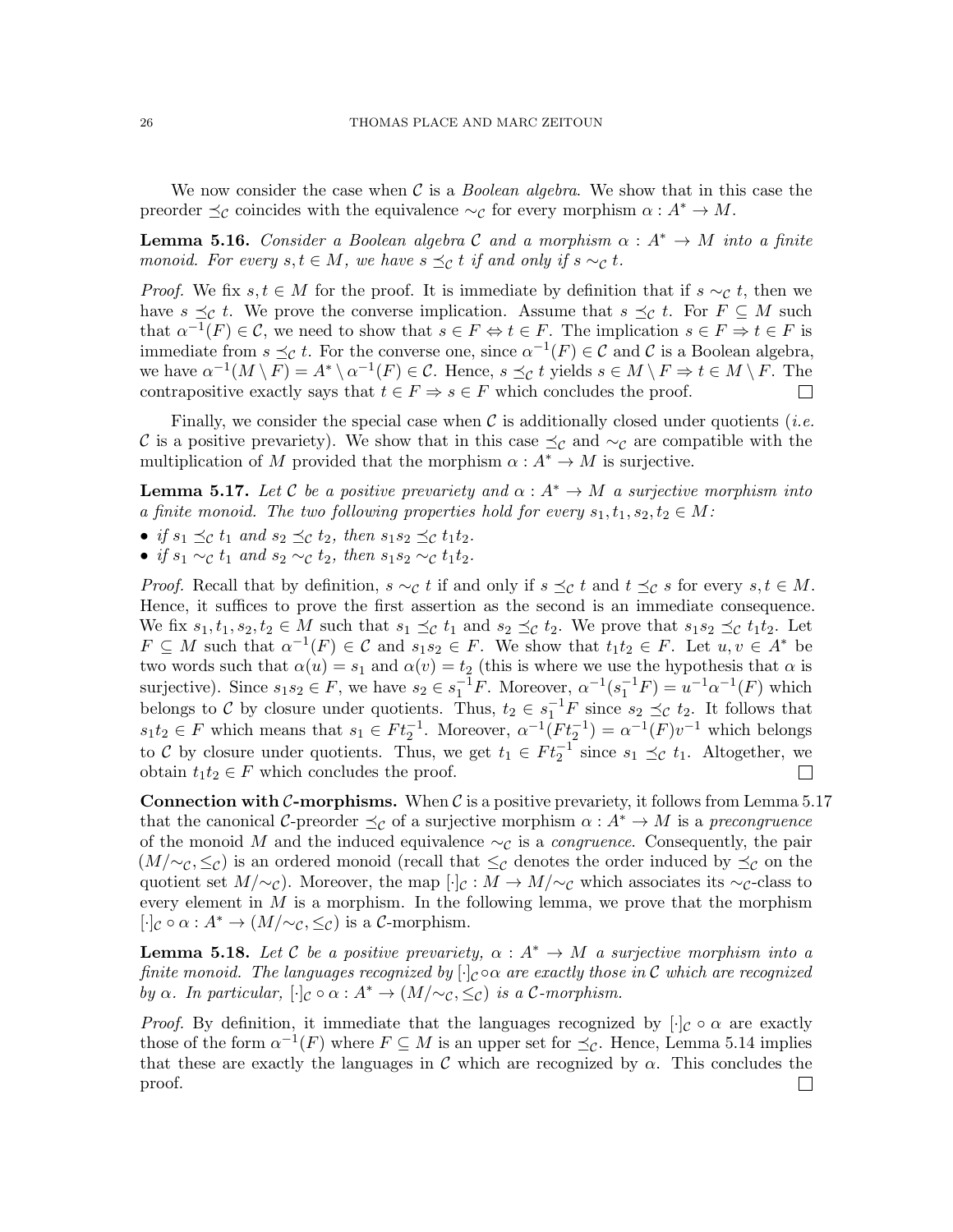We now consider the case when  $\mathcal C$  is a *Boolean algebra*. We show that in this case the preorder  $\preceq_{\mathcal{C}}$  coincides with the equivalence  $\sim_{\mathcal{C}}$  for every morphism  $\alpha : A^* \to M$ .

<span id="page-25-2"></span>**Lemma 5.16.** Consider a Boolean algebra C and a morphism  $\alpha : A^* \to M$  into a finite monoid. For every  $s, t \in M$ , we have  $s \preceq_{\mathcal{C}} t$  if and only if  $s \sim_{\mathcal{C}} t$ .

*Proof.* We fix  $s, t \in M$  for the proof. It is immediate by definition that if  $s \sim_{\mathcal{C}} t$ , then we have  $s \preceq_{\mathcal{C}} t$ . We prove the converse implication. Assume that  $s \preceq_{\mathcal{C}} t$ . For  $F \subseteq M$  such that  $\alpha^{-1}(F) \in \mathcal{C}$ , we need to show that  $s \in F \Leftrightarrow t \in F$ . The implication  $s \in F \Rightarrow t \in F$  is immediate from  $s \preceq_{\mathcal{C}} t$ . For the converse one, since  $\alpha^{-1}(F) \in \mathcal{C}$  and  $\mathcal{C}$  is a Boolean algebra, we have  $\alpha^{-1}(M \setminus F) = A^* \setminus \alpha^{-1}(F) \in \mathcal{C}$ . Hence,  $s \preceq_{\mathcal{C}} t$  yields  $s \in M \setminus F \Rightarrow t \in M \setminus F$ . The contrapositive exactly says that  $t \in F \Rightarrow s \in F$  which concludes the proof.  $\Box$ 

Finally, we consider the special case when  $\mathcal C$  is additionally closed under quotients (*i.e.* C is a positive prevariety). We show that in this case  $\preceq_{\mathcal{C}}$  and  $\sim_{\mathcal{C}}$  are compatible with the multiplication of M provided that the morphism  $\alpha : A^* \to M$  is surjective.

<span id="page-25-0"></span>**Lemma 5.17.** Let C be a positive prevariety and  $\alpha : A^* \to M$  a surjective morphism into a finite monoid. The two following properties hold for every  $s_1, t_1, s_2, t_2 \in M$ :

- if  $s_1 \preceq_{\mathcal{C}} t_1$  and  $s_2 \preceq_{\mathcal{C}} t_2$ , then  $s_1 s_2 \preceq_{\mathcal{C}} t_1 t_2$ .
- if  $s_1 \sim_c t_1$  and  $s_2 \sim_c t_2$ , then  $s_1 s_2 \sim_c t_1 t_2$ .

*Proof.* Recall that by definition,  $s \sim_{\mathcal{C}} t$  if and only if  $s \preceq_{\mathcal{C}} t$  and  $t \preceq_{\mathcal{C}} s$  for every  $s, t \in M$ . Hence, it suffices to prove the first assertion as the second is an immediate consequence. We fix  $s_1, t_1, s_2, t_2 \in M$  such that  $s_1 \preceq_{\mathcal{C}} t_1$  and  $s_2 \preceq_{\mathcal{C}} t_2$ . We prove that  $s_1s_2 \preceq_{\mathcal{C}} t_1t_2$ . Let  $F \subseteq M$  such that  $\alpha^{-1}(F) \in \mathcal{C}$  and  $s_1 s_2 \in F$ . We show that  $t_1 t_2 \in F$ . Let  $u, v \in A^*$  be two words such that  $\alpha(u) = s_1$  and  $\alpha(v) = t_2$  (this is where we use the hypothesis that  $\alpha$  is surjective). Since  $s_1 s_2 \in F$ , we have  $s_2 \in s_1^{-1}F$ . Moreover,  $\alpha^{-1}(s_1^{-1}F) = u^{-1}\alpha^{-1}(F)$  which belongs to C by closure under quotients. Thus,  $t_2 \in s_1^{-1}F$  since  $s_2 \preceq_c t_2$ . It follows that  $s_1t_2 \in F$  which means that  $s_1 \in F t_2^{-1}$ . Moreover,  $\alpha^{-1}(F t_2^{-1}) = \alpha^{-1}(F)v^{-1}$  which belongs to C by closure under quotients. Thus, we get  $t_1 \in F t_2^{-1}$  since  $s_1 \preceq_{\mathcal{C}} t_1$ . Altogether, we obtain  $t_1t_2 \in F$  which concludes the proof.  $\mathbf{L}$ 

**Connection with C-morphisms.** When C is a positive prevariety, it follows from Lemma [5.17](#page-25-0) that the canonical C-preorder  $\preceq_{\mathcal{C}}$  of a surjective morphism  $\alpha: A^* \to M$  is a precongruence of the monoid M and the induced equivalence  $\sim_{\mathcal{C}}$  is a *congruence*. Consequently, the pair  $(M/\sim_{\mathcal{C}}, \leq_{\mathcal{C}})$  is an ordered monoid (recall that  $\leq_{\mathcal{C}}$  denotes the order induced by  $\preceq_{\mathcal{C}}$  on the quotient set  $M/\sim_{\mathcal{C}}$ ). Moreover, the map  $[\cdot]_{\mathcal{C}} : M \to M/\sim_{\mathcal{C}}$  which associates its ∼c-class to every element in  $M$  is a morphism. In the following lemma, we prove that the morphism  $[\cdot]_{\mathcal{C}} \circ \alpha : A^* \to (M/\sim_{\mathcal{C}}, \leq_{\mathcal{C}})$  is a  $\mathcal{C}$ -morphism.

<span id="page-25-1"></span>**Lemma 5.18.** Let C be a positive prevariety,  $\alpha : A^* \to M$  a surjective morphism into a finite monoid. The languages recognized by  $[\cdot]_C \circ \alpha$  are exactly those in C which are recognized by  $\alpha$ . In particular,  $[\cdot]_{\mathcal{C}} \circ \alpha : A^* \to (M/\sim_{\mathcal{C}}, \leq_{\mathcal{C}})$  is a C-morphism.

*Proof.* By definition, it immediate that the languages recognized by  $[\cdot]_C \circ \alpha$  are exactly those of the form  $\alpha^{-1}(F)$  where  $F \subseteq M$  is an upper set for  $\preceq_{\mathcal{C}}$ . Hence, Lemma [5.14](#page-24-0) implies that these are exactly the languages in C which are recognized by  $\alpha$ . This concludes the proof. $\Box$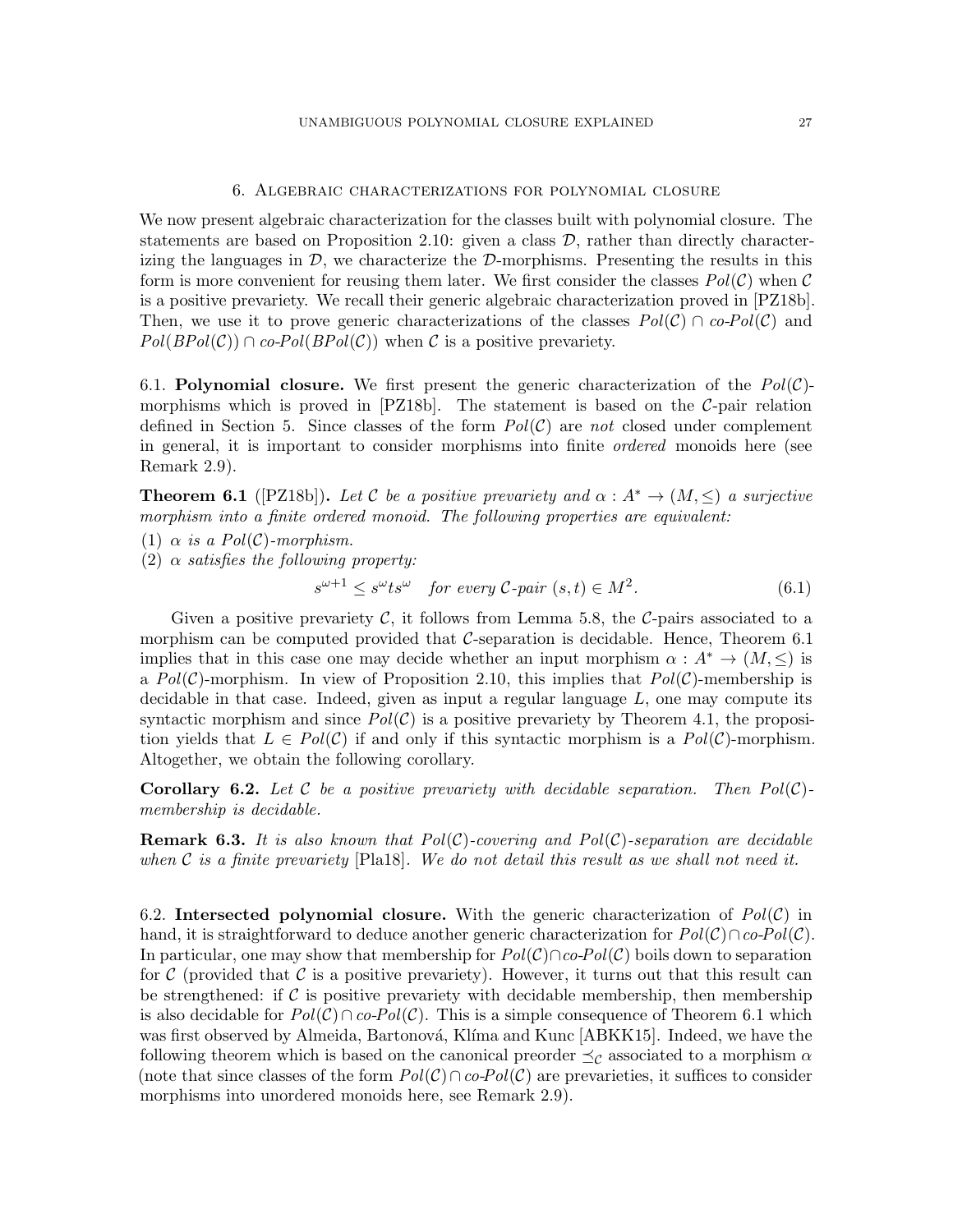## 6. Algebraic characterizations for polynomial closure

<span id="page-26-0"></span>We now present algebraic characterization for the classes built with polynomial closure. The statements are based on Proposition [2.10:](#page-8-1) given a class  $\mathcal{D}$ , rather than directly characterizing the languages in  $\mathcal{D}$ , we characterize the  $\mathcal{D}$ -morphisms. Presenting the results in this form is more convenient for reusing them later. We first consider the classes  $Pol(\mathcal{C})$  when  $\mathcal{C}$ is a positive prevariety. We recall their generic algebraic characterization proved in [\[PZ18b\]](#page-60-2). Then, we use it to prove generic characterizations of the classes  $Pol(C) \cap co-Pol(C)$  and  $Pol(BPol(\mathcal{C})) \cap co-Pol(BPol(\mathcal{C}))$  when C is a positive prevariety.

6.1. Polynomial closure. We first present the generic characterization of the  $Pol(\mathcal{C})$ morphisms which is proved in  $[PZ18b]$ . The statement is based on the C-pair relation defined in Section [5.](#page-20-0) Since classes of the form  $Pol(\mathcal{C})$  are not closed under complement in general, it is important to consider morphisms into finite ordered monoids here (see Remark [2.9\)](#page-8-2).

<span id="page-26-1"></span>**Theorem 6.1** ([\[PZ18b\]](#page-60-2)). Let C be a positive prevariety and  $\alpha : A^* \to (M, \leq)$  a surjective morphism into a finite ordered monoid. The following properties are equivalent:

- (1)  $\alpha$  is a Pol(C)-morphism.
- (2)  $\alpha$  satisfies the following property:

$$
s^{\omega+1} \le s^{\omega} t s^{\omega} \quad \text{for every } \mathcal{C} \text{-pair } (s, t) \in M^2. \tag{6.1}
$$

Given a positive prevariety  $\mathcal C$ , it follows from Lemma [5.8,](#page-21-0) the  $\mathcal C$ -pairs associated to a morphism can be computed provided that  $\mathcal{C}$ -separation is decidable. Hence, Theorem [6.1](#page-26-1) implies that in this case one may decide whether an input morphism  $\alpha : A^* \to (M, \leq)$  is a  $Pol(\mathcal{C})$ -morphism. In view of Proposition [2.10,](#page-8-1) this implies that  $Pol(\mathcal{C})$ -membership is decidable in that case. Indeed, given as input a regular language  $L$ , one may compute its syntactic morphism and since  $Pol(\mathcal{C})$  is a positive prevariety by Theorem [4.1,](#page-13-2) the proposition yields that  $L \in Pol(C)$  if and only if this syntactic morphism is a  $Pol(C)$ -morphism. Altogether, we obtain the following corollary.

<span id="page-26-2"></span>**Corollary 6.2.** Let C be a positive prevariety with decidable separation. Then  $Pol(C)$ membership is decidable.

**Remark 6.3.** It is also known that  $Pol(\mathcal{C})$ -covering and  $Pol(\mathcal{C})$ -separation are decidable when C is a finite prevariety  $[Pla18]$ . We do not detail this result as we shall not need it.

6.2. Intersected polynomial closure. With the generic characterization of  $Pol(\mathcal{C})$  in hand, it is straightforward to deduce another generic characterization for  $Pol(\mathcal{C}) \cap co-Pol(\mathcal{C})$ . In particular, one may show that membership for  $Pol(\mathcal{C}) \cap co-Pol(\mathcal{C})$  boils down to separation for C (provided that C is a positive prevariety). However, it turns out that this result can be strengthened: if  $\mathcal C$  is positive prevariety with decidable membership, then membership is also decidable for  $Pol(\mathcal{C}) \cap co-Pol(\mathcal{C})$ . This is a simple consequence of Theorem [6.1](#page-26-1) which was first observed by Almeida, Bartonová, Klíma and Kunc [\[ABKK15\]](#page-58-0). Indeed, we have the following theorem which is based on the canonical preorder  $\preceq_{\mathcal{C}}$  associated to a morphism  $\alpha$ (note that since classes of the form  $Pol(\mathcal{C}) \cap co-Pol(\mathcal{C})$  are prevarieties, it suffices to consider morphisms into unordered monoids here, see Remark [2.9\)](#page-8-2).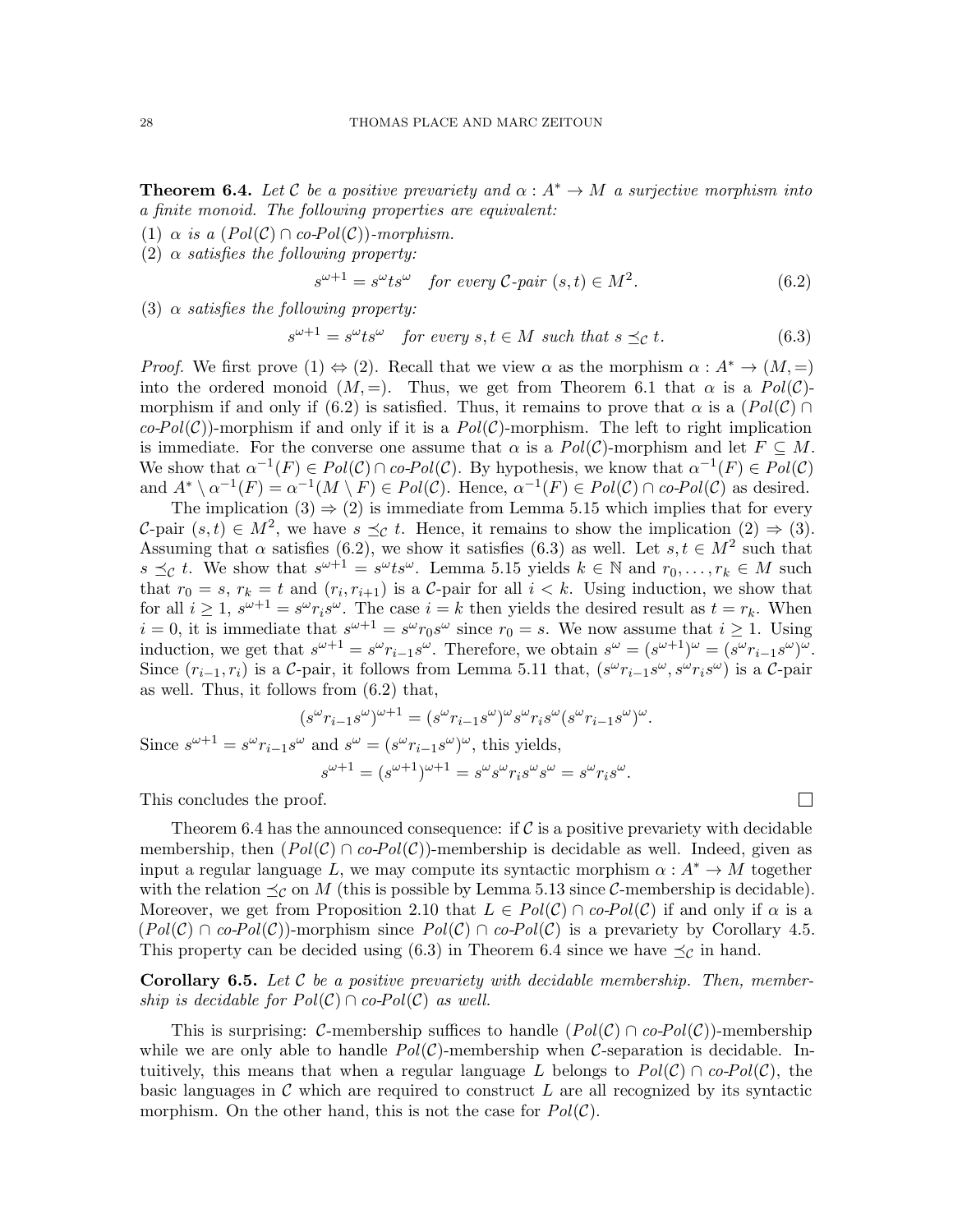<span id="page-27-2"></span>**Theorem 6.4.** Let C be a positive prevariety and  $\alpha: A^* \to M$  a surjective morphism into a finite monoid. The following properties are equivalent:

- (1)  $\alpha$  is a (Pol(C)  $\cap$  co-Pol(C))-morphism.
- (2)  $\alpha$  satisfies the following property:

<span id="page-27-0"></span>
$$
s^{\omega+1} = s^{\omega} t s^{\omega} \quad \text{for every } \mathcal{C} \text{-pair } (s, t) \in M^2. \tag{6.2}
$$

(3)  $\alpha$  satisfies the following property:

<span id="page-27-1"></span>
$$
s^{\omega+1} = s^{\omega} t s^{\omega} \quad \text{for every } s, t \in M \text{ such that } s \preceq_{\mathcal{C}} t. \tag{6.3}
$$

*Proof.* We first prove (1)  $\Leftrightarrow$  (2). Recall that we view  $\alpha$  as the morphism  $\alpha : A^* \to (M, =)$ into the ordered monoid  $(M, =)$ . Thus, we get from Theorem [6.1](#page-26-1) that  $\alpha$  is a  $Pol(\mathcal{C})$ -morphism if and only if [\(6.2\)](#page-27-0) is satisfied. Thus, it remains to prove that  $\alpha$  is a  $(Pol(\mathcal{C}) \cap$  $co\text{-}Pol(\mathcal{C})$ -morphism if and only if it is a  $Pol(\mathcal{C})$ -morphism. The left to right implication is immediate. For the converse one assume that  $\alpha$  is a  $Pol(\mathcal{C})$ -morphism and let  $F \subseteq M$ . We show that  $\alpha^{-1}(F) \in Pol(C) \cap co-Pol(C)$ . By hypothesis, we know that  $\alpha^{-1}(F) \in Pol(C)$ and  $A^* \setminus \alpha^{-1}(F) = \alpha^{-1}(M \setminus F) \in Pol(\mathcal{C})$ . Hence,  $\alpha^{-1}(F) \in Pol(\mathcal{C}) \cap co-Pol(\mathcal{C})$  as desired.

The implication  $(3) \Rightarrow (2)$  is immediate from Lemma [5.15](#page-24-1) which implies that for every C-pair  $(s,t) \in M^2$ , we have  $s \preceq_{\mathcal{C}} t$ . Hence, it remains to show the implication  $(2) \Rightarrow (3)$ . Assuming that  $\alpha$  satisfies [\(6.2\)](#page-27-0), we show it satisfies [\(6.3\)](#page-27-1) as well. Let  $s, t \in M^2$  such that  $s \preceq_{\mathcal{C}} t$ . We show that  $s^{\omega+1} = s^{\omega} t s^{\omega}$ . Lemma [5.15](#page-24-1) yields  $k \in \mathbb{N}$  and  $r_0, \ldots, r_k \in M$  such that  $r_0 = s$ ,  $r_k = t$  and  $(r_i, r_{i+1})$  is a C-pair for all  $i < k$ . Using induction, we show that for all  $i \geq 1$ ,  $s^{\omega+1} = s^{\omega} r_i s^{\omega}$ . The case  $i = k$  then yields the desired result as  $t = r_k$ . When  $i = 0$ , it is immediate that  $s^{\omega+1} = s^{\omega} r_0 s^{\omega}$  since  $r_0 = s$ . We now assume that  $i \ge 1$ . Using induction, we get that  $s^{\omega+1} = s^{\omega} r_{i-1} s^{\omega}$ . Therefore, we obtain  $s^{\omega} = (s^{\omega+1})^{\omega} = (s^{\omega} r_{i-1} s^{\omega})^{\omega}$ . Since  $(r_{i-1}, r_i)$  is a C-pair, it follows from Lemma [5.11](#page-22-1) that,  $(s^{\omega}r_{i-1}s^{\omega}, s^{\omega}r_is^{\omega})$  is a C-pair as well. Thus, it follows from [\(6.2\)](#page-27-0) that,

$$
(s^{\omega}r_{i-1}s^{\omega})^{\omega+1} = (s^{\omega}r_{i-1}s^{\omega})^{\omega}s^{\omega}r_{i}s^{\omega}(s^{\omega}r_{i-1}s^{\omega})^{\omega}.
$$
  
Since  $s^{\omega+1} = s^{\omega}r_{i-1}s^{\omega}$  and  $s^{\omega} = (s^{\omega}r_{i-1}s^{\omega})^{\omega}$ , this yields,  

$$
s^{\omega+1} = (s^{\omega+1})^{\omega+1} = s^{\omega}s^{\omega}r_{i}s^{\omega}s^{\omega} = s^{\omega}r_{i}s^{\omega}.
$$

This concludes the proof.

Theorem [6.4](#page-27-2) has the announced consequence: if  $\mathcal C$  is a positive prevariety with decidable membership, then  $(Pol(C) \cap co-Pol(C))$ -membership is decidable as well. Indeed, given as input a regular language L, we may compute its syntactic morphism  $\alpha : A^* \to M$  together with the relation  $\preceq_{\mathcal{C}}$  on M (this is possible by Lemma [5.13](#page-23-0) since C-membership is decidable). Moreover, we get from Proposition [2.10](#page-8-1) that  $L \in Pol(C) \cap co-Pol(C)$  if and only if  $\alpha$  is a  $(Pol(\mathcal{C}) \cap co-Pol(\mathcal{C}))$ -morphism since  $Pol(\mathcal{C}) \cap co-Pol(\mathcal{C})$  is a prevariety by Corollary [4.5.](#page-14-0) This property can be decided using [\(6.3\)](#page-27-1) in Theorem [6.4](#page-27-2) since we have  $\preceq_{\mathcal{C}}$  in hand.

<span id="page-27-3"></span>**Corollary 6.5.** Let  $\mathcal{C}$  be a positive prevariety with decidable membership. Then, membership is decidable for  $Pol(\mathcal{C}) \cap co-Pol(\mathcal{C})$  as well.

This is surprising: C-membership suffices to handle  $(Pol(C) \cap co-Pol(C))$ -membership while we are only able to handle  $Pol(\mathcal{C})$ -membership when C-separation is decidable. Intuitively, this means that when a regular language L belongs to  $Pol(\mathcal{C}) \cap co-Pol(\mathcal{C})$ , the basic languages in  $\mathcal C$  which are required to construct  $L$  are all recognized by its syntactic morphism. On the other hand, this is not the case for  $Pol(\mathcal{C})$ .

 $\Box$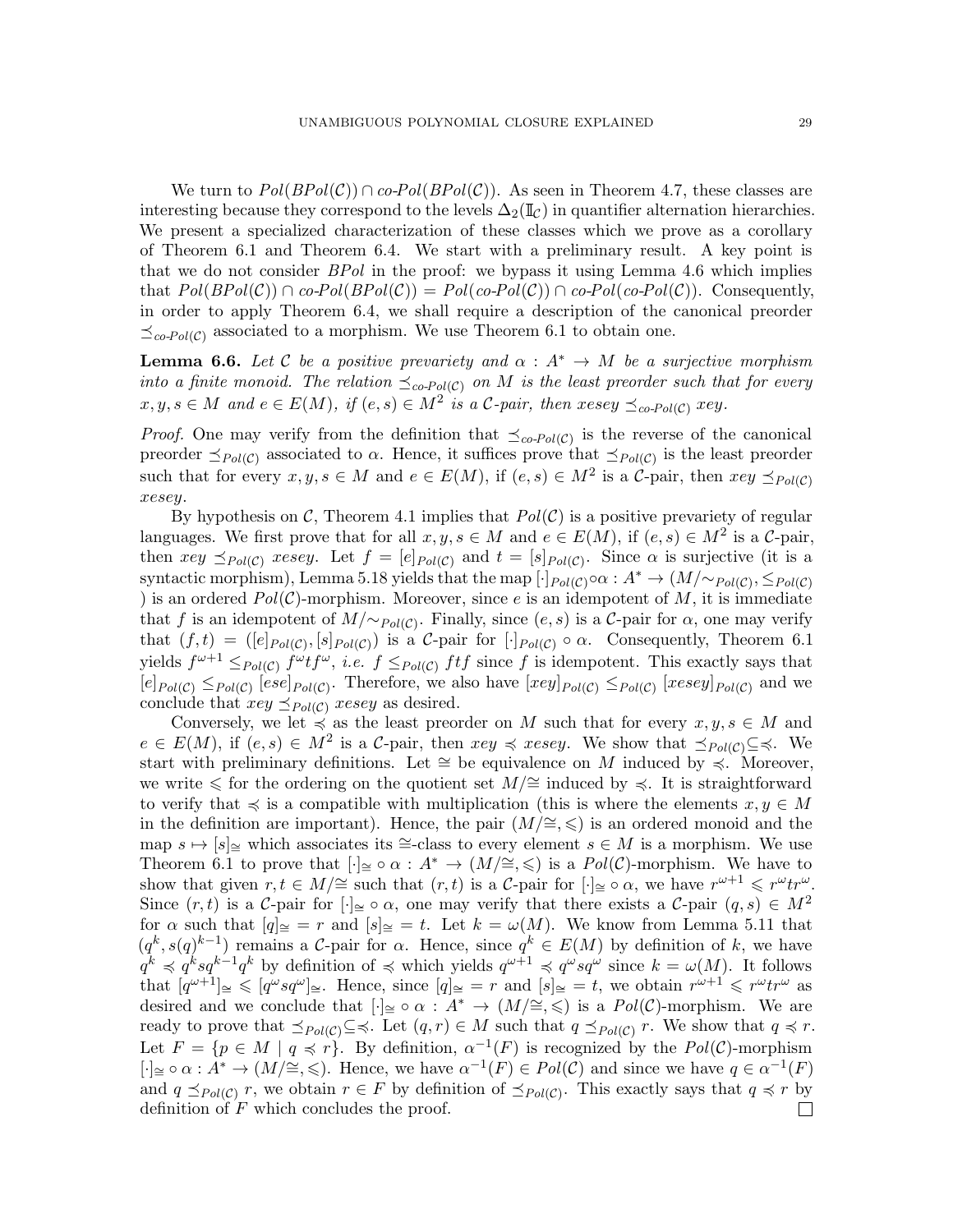We turn to  $Pol(BPol(\mathcal{C})) \cap co-Pol(BPol(\mathcal{C}))$ . As seen in Theorem [4.7,](#page-15-0) these classes are interesting because they correspond to the levels  $\Delta_2(\mathbb{I}_\mathcal{C})$  in quantifier alternation hierarchies. We present a specialized characterization of these classes which we prove as a corollary of Theorem [6.1](#page-26-1) and Theorem [6.4.](#page-27-2) We start with a preliminary result. A key point is that we do not consider  $BPol$  in the proof: we bypass it using Lemma [4.6](#page-14-1) which implies that  $Pol(BPol(\mathcal{C})) \cap co-Pol(BPol(\mathcal{C})) = Pol(co-Pol(\mathcal{C})) \cap co-Pol(co-Pol(\mathcal{C}))$ . Consequently, in order to apply Theorem [6.4,](#page-27-2) we shall require a description of the canonical preorder  $\preceq_{co\text{-}Pol(C)}$  associated to a morphism. We use Theorem [6.1](#page-26-1) to obtain one.

<span id="page-28-0"></span>**Lemma 6.6.** Let C be a positive prevariety and  $\alpha : A^* \to M$  be a surjective morphism into a finite monoid. The relation  $\preceq_{co-Pol(\mathcal{C})}$  on M is the least preorder such that for every  $x, y, s \in M$  and  $e \in E(M)$ , if  $(e, s) \in M^2$  is a C-pair, then  $xesey \preceq_{co-Pol(C)} xey$ .

*Proof.* One may verify from the definition that  $\preceq_{co-Pol(C)}$  is the reverse of the canonical preorder  $\leq_{Pol(C)}$  associated to  $\alpha$ . Hence, it suffices prove that  $\leq_{Pol(C)}$  is the least preorder such that for every  $x, y, s \in M$  and  $e \in E(M)$ , if  $(e, s) \in M^2$  is a C-pair, then  $xey \preceq_{Pol(C)}$ xesey.

By hypothesis on C, Theorem [4.1](#page-13-2) implies that  $Pol(\mathcal{C})$  is a positive prevariety of regular languages. We first prove that for all  $x, y, s \in M$  and  $e \in E(M)$ , if  $(e, s) \in M^2$  is a C-pair, then  $xey \preceq_{Pol(C)} xesey$ . Let  $f = [e]_{Pol(C)}$  and  $t = [s]_{Pol(C)}$ . Since  $\alpha$  is surjective (it is a syntactic morphism), Lemma [5.18](#page-25-1) yields that the map  $[\cdot]_{Pol(C)} \circ \alpha : A^* \to (M/\sim_{Pol(C)}, \leq_{Pol(C)})$ ) is an ordered  $Pol(\mathcal{C})$ -morphism. Moreover, since e is an idempotent of M, it is immediate that f is an idempotent of  $M/\sim_{Pol(C)}$ . Finally, since  $(e, s)$  is a C-pair for  $\alpha$ , one may verify that  $(f, t) = ([e]_{Pol(C)}, [s]_{Pol(C)})$  is a C-pair for  $[\cdot]_{Pol(C)} \circ \alpha$ . Consequently, Theorem [6.1](#page-26-1) yields  $f^{\omega+1} \leq_{Pol(C)} f^{\omega} t f^{\omega}$ , *i.e.*  $f \leq_{Pol(C)} f t f$  since f is idempotent. This exactly says that  $[e]_{Pol(C)} \leq_{Pol(C)} [ese]_{Pol(C)}$ . Therefore, we also have  $[xey]_{Pol(C)} \leq_{Pol(C)} [xesey]_{Pol(C)}$  and we conclude that  $xey \preceq_{Pol(C)} xesey$  as desired.

Conversely, we let  $\preccurlyeq$  as the least preorder on M such that for every  $x, y, s \in M$  and  $e \in E(M)$ , if  $(e, s) \in M^2$  is a C-pair, then  $xey \preccurlyeq xesey$ . We show that  $\preceq_{Pol(\mathcal{C})} \subseteq \preccurlyeq$ . We start with preliminary definitions. Let  $\cong$  be equivalence on M induced by  $\preccurlyeq$ . Moreover, we write  $\leq$  for the ordering on the quotient set  $M/\cong$  induced by  $\preceq$ . It is straightforward to verify that  $\preccurlyeq$  is a compatible with multiplication (this is where the elements  $x, y \in M$ in the definition are important). Hence, the pair  $(M/\cong, \leqslant)$  is an ordered monoid and the map  $s \mapsto [s]_{\cong}$  which associates its ≃-class to every element  $s \in M$  is a morphism. We use Theorem [6.1](#page-26-1) to prove that  $\lceil \cdot \rceil \leq \circ \alpha : A^* \to (M/\cong, \leq \circ)$  is a  $Pol(\mathcal{C})$ -morphism. We have to show that given  $r, t \in M/\cong$  such that  $(r, t)$  is a C-pair for  $[\cdot]_{\cong} \circ \alpha$ , we have  $r^{\omega+1} \leqslant r^{\omega} t r^{\omega}$ . Since  $(r, t)$  is a C-pair for  $\lceil \cdot \rceil \leq \circ \alpha$ , one may verify that there exists a C-pair  $(q, s) \in M^2$ for  $\alpha$  such that  $[q]_{{\cong}} = r$  and  $[s]_{{\cong}} = t$ . Let  $k = \omega(M)$ . We know from Lemma [5.11](#page-22-1) that  $(q^k, s(q)^{k-1})$  remains a C-pair for  $\alpha$ . Hence, since  $q^k \in E(M)$  by definition of k, we have  $q^k \preccurlyeq q^k s q^{k-1} q^k$  by definition of  $\preccurlyeq$  which yields  $q^{\omega+1} \preccurlyeq q^{\omega} s q^{\omega}$  since  $k = \omega(M)$ . It follows that  $[q^{\omega+1}] \leq \leq [q^{\omega} s q^{\omega}] \leq Y$ . Hence, since  $[q] \leq Y$  and  $[s] \leq Y$  are obtain  $r^{\omega+1} \leq r^{\omega} t r^{\omega}$  as desired and we conclude that  $\lceil \cdot \rceil \leq \circ \alpha : A^* \to (M/\cong, \leq \circ)$  is a  $Pol(\mathcal{C})$ -morphism. We are ready to prove that  $\preceq_{Pol(C)} \subseteq \preceq$ . Let  $(q, r) \in M$  such that  $q \preceq_{Pol(C)} r$ . We show that  $q \preceq r$ . Let  $F = \{p \in M \mid q \preccurlyeq r\}$ . By definition,  $\alpha^{-1}(F)$  is recognized by the  $Pol(\mathcal{C})$ -morphism  $[\cdot] \cong \circ \alpha : A^* \to (M/\cong, \leqslant)$ . Hence, we have  $\alpha^{-1}(F) \in Pol(\mathcal{C})$  and since we have  $q \in \alpha^{-1}(F)$ and  $q \leq_{Pol(C)} r$ , we obtain  $r \in F$  by definition of  $\leq_{Pol(C)}$ . This exactly says that  $q \preccurlyeq r$  by definition of F which concludes the proof. $\Box$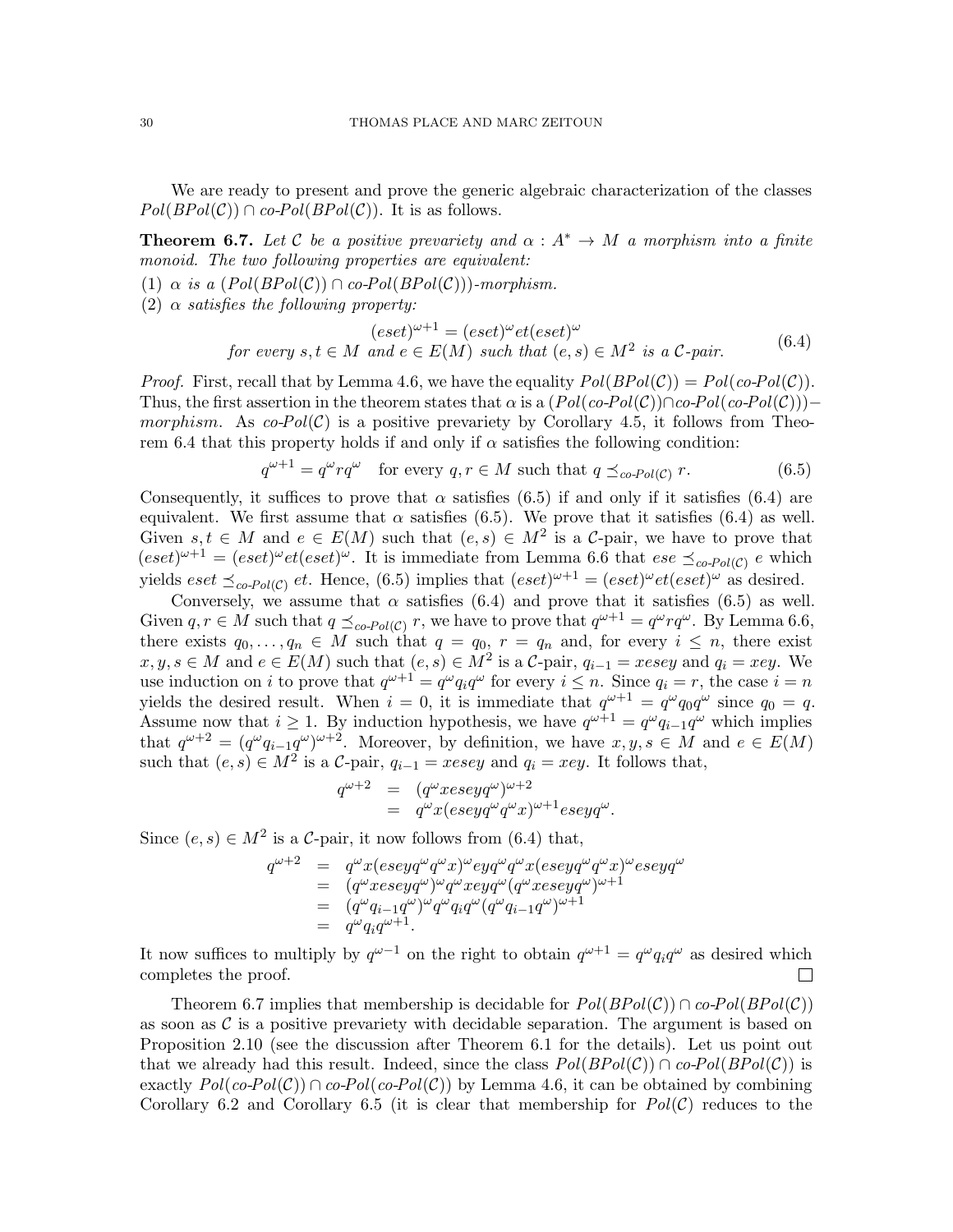We are ready to present and prove the generic algebraic characterization of the classes  $Pol(BPol(\mathcal{C})) \cap co-Pol(BPol(\mathcal{C}))$ . It is as follows.

<span id="page-29-2"></span>**Theorem 6.7.** Let C be a positive prevariety and  $\alpha : A^* \to M$  a morphism into a finite monoid. The two following properties are equivalent:

- (1)  $\alpha$  is a (Pol(BPol(C))  $\cap$  co-Pol(BPol(C)))-morphism.
- (2)  $\alpha$  satisfies the following property:

<span id="page-29-1"></span>
$$
(eset)^{\omega+1} = (eset)^{\omega}et(eset)^{\omega}
$$
  
for every  $s, t \in M$  and  $e \in E(M)$  such that  $(e, s) \in M^2$  is a C-pair. (6.4)

*Proof.* First, recall that by Lemma [4.6,](#page-14-1) we have the equality  $Pol(BDol(\mathcal{C})) = Pol(co-Pol(\mathcal{C}))$ . Thus, the first assertion in the theorem states that  $\alpha$  is a  $(Pol(co-Pol(\mathcal{C}))\cap co-Pol(co-Pol(\mathcal{C})))-$ morphism. As co-Pol(C) is a positive prevariety by Corollary [4.5,](#page-14-0) it follows from Theo-rem [6.4](#page-27-2) that this property holds if and only if  $\alpha$  satisfies the following condition:

<span id="page-29-0"></span>
$$
q^{\omega+1} = q^{\omega} r q^{\omega} \quad \text{for every } q, r \in M \text{ such that } q \preceq_{co\text{-}Pol(\mathcal{C})} r. \tag{6.5}
$$

Consequently, it suffices to prove that  $\alpha$  satisfies [\(6.5\)](#page-29-0) if and only if it satisfies [\(6.4\)](#page-29-1) are equivalent. We first assume that  $\alpha$  satisfies [\(6.5\)](#page-29-0). We prove that it satisfies [\(6.4\)](#page-29-1) as well. Given  $s, t \in M$  and  $e \in E(M)$  such that  $(e, s) \in M^2$  is a C-pair, we have to prove that  $(eset)^{\omega+1} = (eset)^{\omega}et (eset)^{\omega}$ . It is immediate from Lemma [6.6](#page-28-0) that  $ese \preceq_{co-Pol(C)} e$  which yields  $\text{eset } \preceq_{\text{co-Pol}(\mathcal{C})} \text{et. Hence, (6.5) implies that } (\text{eset})^{\omega+1} = (\text{eset})^{\omega} \text{et}(\text{eset})^{\omega}$  $\text{eset } \preceq_{\text{co-Pol}(\mathcal{C})} \text{et. Hence, (6.5) implies that } (\text{eset})^{\omega+1} = (\text{eset})^{\omega} \text{et}(\text{eset})^{\omega}$  $\text{eset } \preceq_{\text{co-Pol}(\mathcal{C})} \text{et. Hence, (6.5) implies that } (\text{eset})^{\omega+1} = (\text{eset})^{\omega} \text{et}(\text{eset})^{\omega}$  as desired.

Conversely, we assume that  $\alpha$  satisfies [\(6.4\)](#page-29-1) and prove that it satisfies [\(6.5\)](#page-29-0) as well. Given  $q, r \in M$  such that  $q \preceq_{co-Pol(C)} r$ , we have to prove that  $q^{\omega+1} = q^{\omega} r q^{\omega}$ . By Lemma [6.6,](#page-28-0) there exists  $q_0, \ldots, q_n \in M$  such that  $q = q_0, r = q_n$  and, for every  $i \leq n$ , there exist  $x, y, s \in M$  and  $e \in E(M)$  such that  $(e, s) \in M^2$  is a C-pair,  $q_{i-1} = xesey$  and  $q_i = xey$ . We use induction on i to prove that  $q^{\omega+1} = q^{\omega} q_i q^{\omega}$  for every  $i \leq n$ . Since  $q_i = r$ , the case  $i = n$ yields the desired result. When  $i = 0$ , it is immediate that  $q^{\omega+1} = q^{\omega} q_0 q^{\omega}$  since  $q_0 = q$ . Assume now that  $i \geq 1$ . By induction hypothesis, we have  $q^{\omega+1} = q^{\omega} q_{i-1} q^{\omega}$  which implies that  $q^{\omega+2} = (q^{\omega}q_{i-1}q^{\omega})^{\omega+2}$ . Moreover, by definition, we have  $x, y, s \in M$  and  $e \in E(M)$ such that  $(e, s) \in M^2$  is a C-pair,  $q_{i-1} = xesey$  and  $q_i = xey$ . It follows that,

$$
\begin{array}{rcl} q^{\omega+2} & = & (q^{\omega}xeseyq^{\omega})^{\omega+2} \\ & = & q^{\omega}x(eseyq^{\omega}q^{\omega}x)^{\omega+1}eseyq^{\omega}. \end{array}
$$

Since  $(e, s) \in M^2$  is a C-pair, it now follows from  $(6.4)$  that,

$$
\begin{array}{rcl} q^{\omega+2} & = & q^\omega x (eseyq^\omega q^\omega x)^\omega eyq^\omega q^\omega x (eseyq^\omega q^\omega x)^\omega eseyq^\omega \\ & = & (q^\omega x eseyq^\omega)^\omega q^\omega x eyq^\omega (q^\omega x eseyq^\omega)^{\omega+1} \\ & = & (q^\omega q_{i-1}q^\omega)^\omega q^\omega q_{i}q^\omega (q^\omega q_{i-1}q^\omega)^{\omega+1} \\ & = & q^\omega q_{i}q^{\omega+1}. \end{array}
$$

It now suffices to multiply by  $q^{\omega-1}$  on the right to obtain  $q^{\omega+1} = q^{\omega} q_i q^{\omega}$  as desired which completes the proof.  $\Box$ 

Theorem [6.7](#page-29-2) implies that membership is decidable for  $Pol(BPol(\mathcal{C})) \cap co-Pol(BPol(\mathcal{C}))$ as soon as  $\mathcal C$  is a positive prevariety with decidable separation. The argument is based on Proposition [2.10](#page-8-1) (see the discussion after Theorem [6.1](#page-26-1) for the details). Let us point out that we already had this result. Indeed, since the class  $Pol(BPol(\mathcal{C})) \cap co-Pol(BPol(\mathcal{C}))$  is exactly  $Pol(co-Pol(C)) \cap co-Pol(co-Pol(C))$  by Lemma [4.6,](#page-14-1) it can be obtained by combining Corollary [6.2](#page-26-2) and Corollary [6.5](#page-27-3) (it is clear that membership for  $Pol(\mathcal{C})$  reduces to the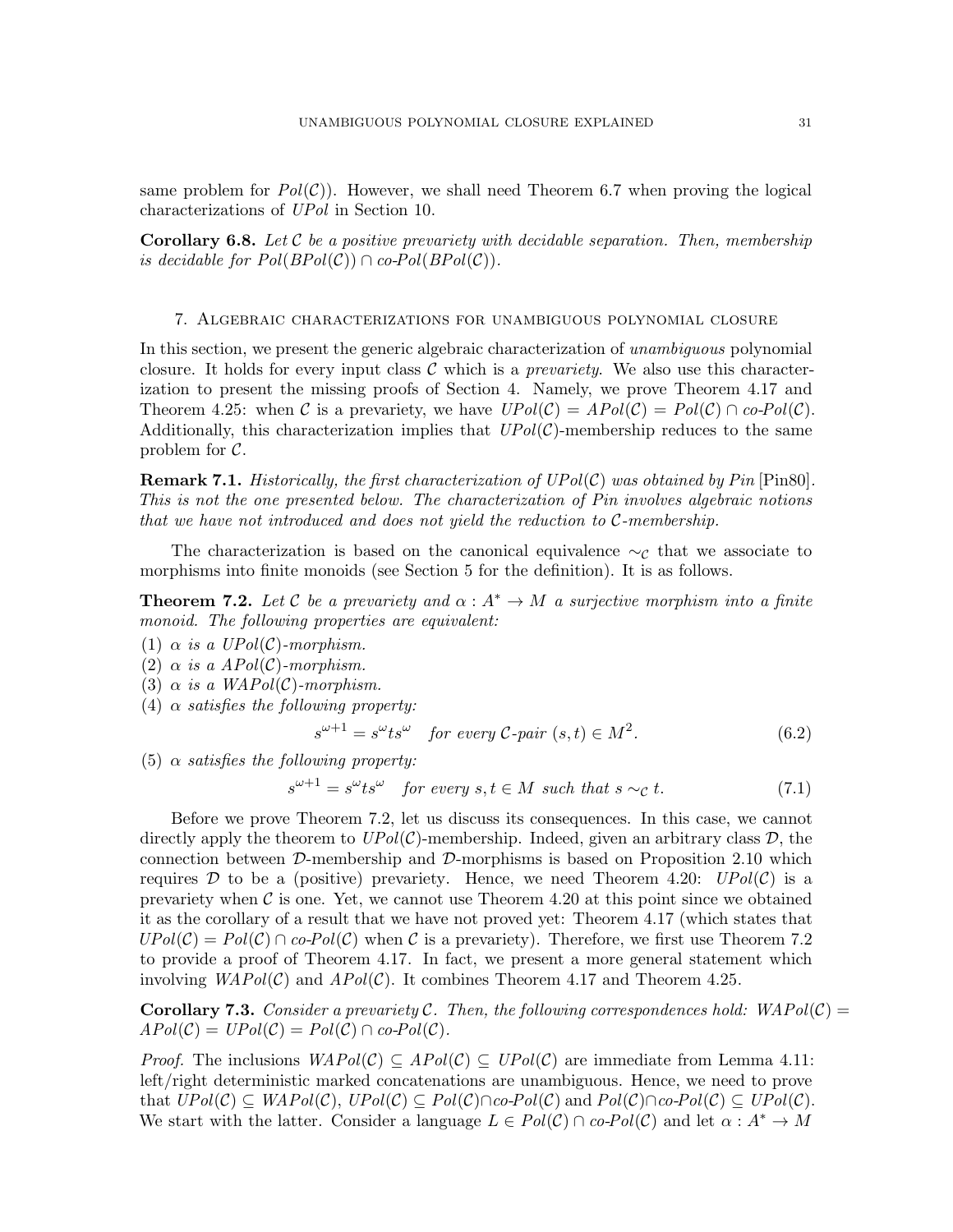same problem for  $Pol(\mathcal{C})$ ). However, we shall need Theorem [6.7](#page-29-2) when proving the logical characterizations of UPol in Section [10.](#page-53-0)

**Corollary 6.8.** Let C be a positive prevariety with decidable separation. Then, membership is decidable for  $Pol(BPol(\mathcal{C})) \cap co-Pol(BPol(\mathcal{C}))$ .

<span id="page-30-0"></span>7. Algebraic characterizations for unambiguous polynomial closure

In this section, we present the generic algebraic characterization of unambiguous polynomial closure. It holds for every input class  $\mathcal C$  which is a *prevariety*. We also use this characterization to present the missing proofs of Section [4.](#page-13-0) Namely, we prove Theorem [4.17](#page-17-1) and Theorem [4.25:](#page-19-0) when C is a prevariety, we have  $UPol(\mathcal{C}) = Apol(\mathcal{C}) = Pol(\mathcal{C}) \cap co-Pol(\mathcal{C})$ . Additionally, this characterization implies that  $UPol(\mathcal{C})$ -membership reduces to the same problem for  $\mathcal{C}$ .

**Remark 7.1.** Historically, the first characterization of  $UPol(\mathcal{C})$  was obtained by Pin [\[Pin80\]](#page-59-9). This is not the one presented below. The characterization of Pin involves algebraic notions that we have not introduced and does not yield the reduction to C-membership.

The characterization is based on the canonical equivalence  $\sim_c$  that we associate to morphisms into finite monoids (see Section [5](#page-20-0) for the definition). It is as follows.

<span id="page-30-1"></span>**Theorem 7.2.** Let C be a prevariety and  $\alpha : A^* \to M$  a surjective morphism into a finite monoid. The following properties are equivalent:

(1)  $\alpha$  is a UPol(C)-morphism.

(2)  $\alpha$  is a APol(C)-morphism.

(3)  $\alpha$  is a WAPol(C)-morphism.

(4)  $\alpha$  satisfies the following property:

$$
s^{\omega+1} = s^{\omega} t s^{\omega} \quad \text{for every } \mathcal{C} \text{-pair } (s, t) \in M^2. \tag{6.2}
$$

(5)  $\alpha$  satisfies the following property:

<span id="page-30-3"></span>
$$
s^{\omega+1} = s^{\omega} t s^{\omega} \quad \text{for every } s, t \in M \text{ such that } s \sim_{\mathcal{C}} t. \tag{7.1}
$$

Before we prove Theorem [7.2,](#page-30-1) let us discuss its consequences. In this case, we cannot directly apply the theorem to  $UPol(\mathcal{C})$ -membership. Indeed, given an arbitrary class  $\mathcal{D}$ , the connection between  $\mathcal{D}$ -membership and  $\mathcal{D}$ -morphisms is based on Proposition [2.10](#page-8-1) which requires D to be a (positive) prevariety. Hence, we need Theorem [4.20:](#page-17-3)  $UPol(\mathcal{C})$  is a prevariety when  $\mathcal C$  is one. Yet, we cannot use Theorem [4.20](#page-17-3) at this point since we obtained it as the corollary of a result that we have not proved yet: Theorem [4.17](#page-17-1) (which states that  $UPol(\mathcal{C}) = Pol(\mathcal{C}) \cap co-Pol(\mathcal{C})$  when C is a prevariety). Therefore, we first use Theorem [7.2](#page-30-1) to provide a proof of Theorem [4.17.](#page-17-1) In fact, we present a more general statement which involving  $WAPol(\mathcal{C})$  and  $APol(\mathcal{C})$ . It combines Theorem [4.17](#page-17-1) and Theorem [4.25.](#page-19-0)

<span id="page-30-2"></span>**Corollary 7.3.** Consider a prevariety C. Then, the following correspondences hold:  $WAPol(\mathcal{C}) =$  $APol(\mathcal{C}) = UPol(\mathcal{C}) = Pol(\mathcal{C}) \cap co-Pol(\mathcal{C}).$ 

*Proof.* The inclusions  $WAPol(\mathcal{C}) \subseteq APol(\mathcal{C}) \subseteq UPol(\mathcal{C})$  are immediate from Lemma [4.11:](#page-15-1) left/right deterministic marked concatenations are unambiguous. Hence, we need to prove that  $UPol(\mathcal{C}) \subseteq WAPol(\mathcal{C}), UPol(\mathcal{C}) \subseteq Pol(\mathcal{C}) \cap co-Pol(\mathcal{C})$  and  $Pol(\mathcal{C}) \cap co-Pol(\mathcal{C}) \subseteq UPol(\mathcal{C}).$ We start with the latter. Consider a language  $L \in Pol(C) \cap co-Pol(C)$  and let  $\alpha: A^* \to M$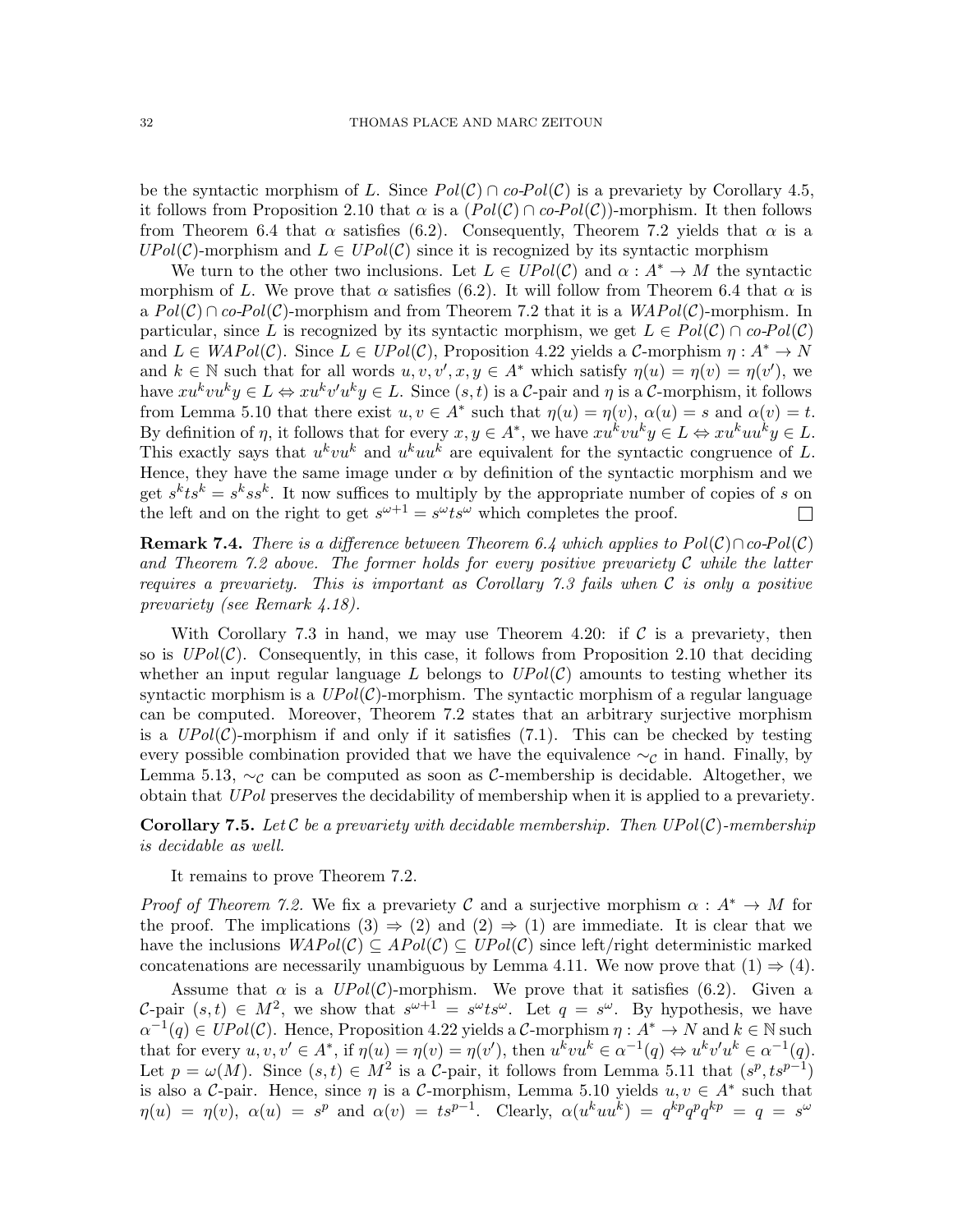be the syntactic morphism of L. Since  $Pol(\mathcal{C}) \cap co-Pol(\mathcal{C})$  is a prevariety by Corollary [4.5,](#page-14-0) it follows from Proposition [2.10](#page-8-1) that  $\alpha$  is a  $(Pol(\mathcal{C}) \cap co-Pol(\mathcal{C}))$ -morphism. It then follows from Theorem [6.4](#page-27-2) that  $\alpha$  satisfies [\(6.2\)](#page-27-0). Consequently, Theorem [7.2](#page-30-1) yields that  $\alpha$  is a  $UPol(\mathcal{C})$ -morphism and  $L \in UPol(\mathcal{C})$  since it is recognized by its syntactic morphism

We turn to the other two inclusions. Let  $L \in UPol(\mathcal{C})$  and  $\alpha: A^* \to M$  the syntactic morphism of L. We prove that  $\alpha$  satisfies [\(6.2\)](#page-27-0). It will follow from Theorem [6.4](#page-27-2) that  $\alpha$  is a  $Pol(\mathcal{C}) \cap co-Pol(\mathcal{C})$ -morphism and from Theorem [7.2](#page-30-1) that it is a  $WAPol(\mathcal{C})$ -morphism. In particular, since L is recognized by its syntactic morphism, we get  $L \in Pol(C) \cap co-Pol(C)$ and  $L \in WAPol(\mathcal{C})$ . Since  $L \in UPol(\mathcal{C})$ , Proposition [4.22](#page-18-2) yields a  $\mathcal{C}$ -morphism  $\eta: A^* \to N$ and  $k \in \mathbb{N}$  such that for all words  $u, v, v', x, y \in A^*$  which satisfy  $\eta(u) = \eta(v) = \eta(v')$ , we have  $xu^kvu^ky \in L \Leftrightarrow xu^kv'u^ky \in L$ . Since  $(s,t)$  is a C-pair and  $\eta$  is a C-morphism, it follows from Lemma [5.10](#page-22-0) that there exist  $u, v \in A^*$  such that  $\eta(u) = \eta(v)$ ,  $\alpha(u) = s$  and  $\alpha(v) = t$ . By definition of  $\eta$ , it follows that for every  $x, y \in A^*$ , we have  $xu^k vu^ky \in L \Leftrightarrow xu^kuu^ky \in L$ . This exactly says that  $u^k vu^k$  and  $u^kuu^k$  are equivalent for the syntactic congruence of L. Hence, they have the same image under  $\alpha$  by definition of the syntactic morphism and we get  $s^k t s^k = s^k s s^k$ . It now suffices to multiply by the appropriate number of copies of s on the left and on the right to get  $s^{\omega+1} = s^{\omega} t s^{\omega}$  which completes the proof.  $\Box$ 

**Remark 7.4.** There is a difference between Theorem [6.4](#page-27-2) which applies to  $Pol(\mathcal{C}) \cap co-Pol(\mathcal{C})$ and Theorem [7.2](#page-30-1) above. The former holds for every positive prevariety  $\mathcal C$  while the latter requires a prevariety. This is important as Corollary [7.3](#page-30-2) fails when  $\mathcal C$  is only a positive prevariety (see Remark [4.18\)](#page-17-4).

With Corollary [7.3](#page-30-2) in hand, we may use Theorem [4.20:](#page-17-3) if  $\mathcal C$  is a prevariety, then so is  $UPol(\mathcal{C})$ . Consequently, in this case, it follows from Proposition [2.10](#page-8-1) that deciding whether an input regular language L belongs to  $UPol(\mathcal{C})$  amounts to testing whether its syntactic morphism is a  $UPol(\mathcal{C})$ -morphism. The syntactic morphism of a regular language can be computed. Moreover, Theorem [7.2](#page-30-1) states that an arbitrary surjective morphism is a  $UPol(\mathcal{C})$ -morphism if and only if it satisfies [\(7.1\)](#page-30-3). This can be checked by testing every possible combination provided that we have the equivalence  $\sim_{\mathcal{C}}$  in hand. Finally, by Lemma [5.13,](#page-23-0)  $\sim_c$  can be computed as soon as C-membership is decidable. Altogether, we obtain that UPol preserves the decidability of membership when it is applied to a prevariety.

**Corollary 7.5.** Let C be a prevariety with decidable membership. Then  $UPol(\mathcal{C})$ -membership is decidable as well.

It remains to prove Theorem [7.2.](#page-30-1)

*Proof of Theorem [7.2.](#page-30-1)* We fix a prevariety C and a surjective morphism  $\alpha : A^* \to M$  for the proof. The implications  $(3) \Rightarrow (2)$  and  $(2) \Rightarrow (1)$  are immediate. It is clear that we have the inclusions  $WAPol(\mathcal{C}) \subseteq APol(\mathcal{C}) \subseteq UPol(\mathcal{C})$  since left/right deterministic marked concatenations are necessarily unambiguous by Lemma [4.11.](#page-15-1) We now prove that  $(1) \Rightarrow (4)$ .

Assume that  $\alpha$  is a  $UPol(\mathcal{C})$ -morphism. We prove that it satisfies [\(6.2\)](#page-27-0). Given a C-pair  $(s,t) \in M^2$ , we show that  $s^{\omega+1} = s^{\omega} t s^{\omega}$ . Let  $q = s^{\omega}$ . By hypothesis, we have  $\alpha^{-1}(q) \in UPol(\mathcal{C})$ . Hence, Proposition [4.22](#page-18-2) yields a C-morphism  $\eta: A^* \to N$  and  $k \in \mathbb{N}$  such that for every  $u, v, v' \in A^*$ , if  $\eta(u) = \eta(v) = \eta(v')$ , then  $u^k vu^k \in \alpha^{-1}(q) \Leftrightarrow u^k v' u^k \in \alpha^{-1}(q)$ . Let  $p = \omega(M)$ . Since  $(s, t) \in M^2$  is a C-pair, it follows from Lemma [5.11](#page-22-1) that  $(s^p, ts^{p-1})$ is also a C-pair. Hence, since  $\eta$  is a C-morphism, Lemma [5.10](#page-22-0) yields  $u, v \in A^*$  such that  $\eta(u) = \eta(v)$ ,  $\alpha(u) = s^p$  and  $\alpha(v) = ts^{p-1}$ . Clearly,  $\alpha(u^k uu^k) = q^{kp} q^p q^{kp} = q = s^{\omega}$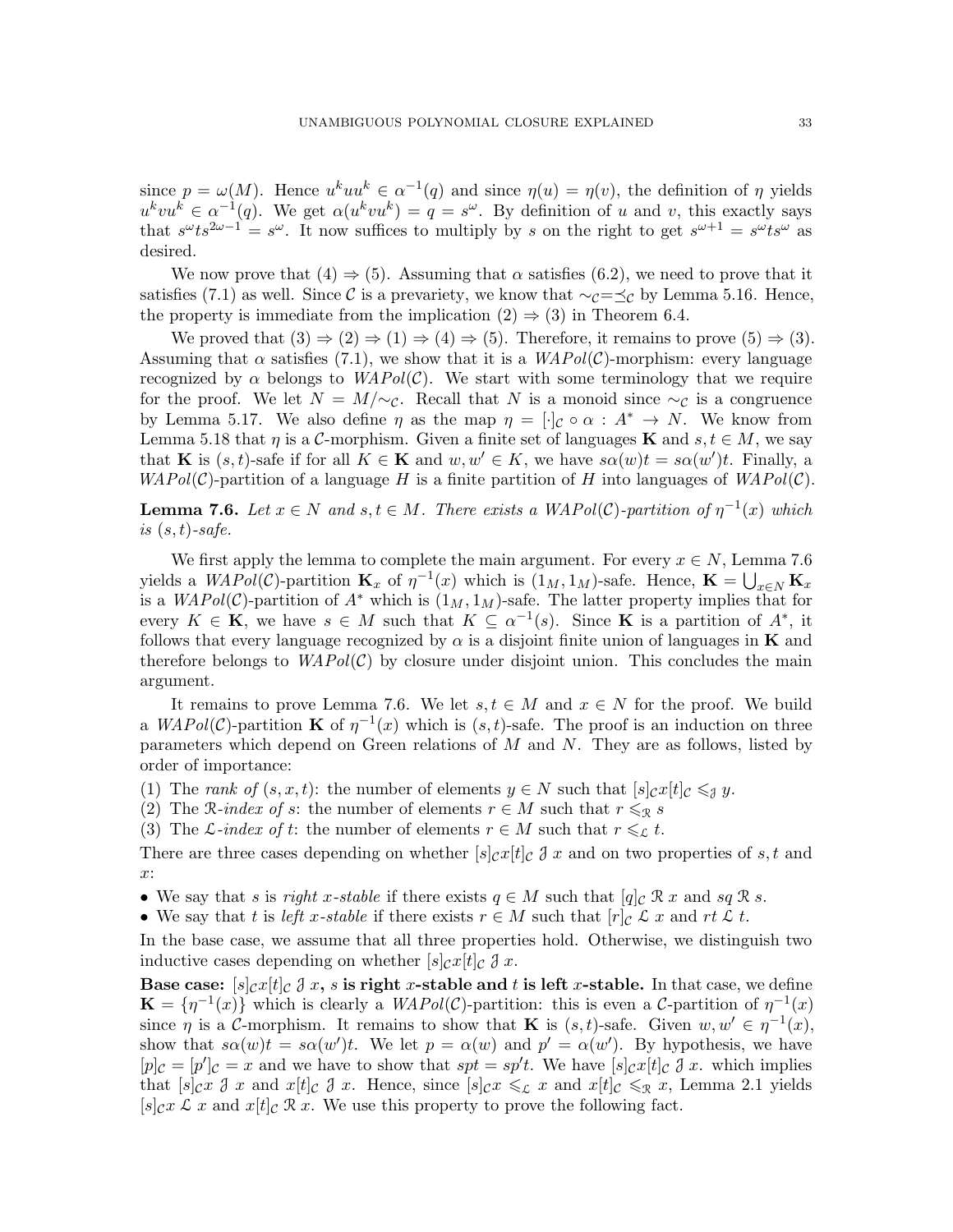since  $p = \omega(M)$ . Hence  $u^k u u^k \in \alpha^{-1}(q)$  and since  $\eta(u) = \eta(v)$ , the definition of  $\eta$  yields  $u^kvu^k \in \alpha^{-1}(q)$ . We get  $\alpha(u^kvu^k) = q = s^{\omega}$ . By definition of u and v, this exactly says that  $s^{\omega}ts^{2\omega-1} = s^{\omega}$ . It now suffices to multiply by s on the right to get  $s^{\omega+1} = s^{\omega}ts^{\omega}$  as desired.

We now prove that  $(4) \Rightarrow (5)$ . Assuming that  $\alpha$  satisfies  $(6.2)$ , we need to prove that it satisfies [\(7.1\)](#page-30-3) as well. Since C is a prevariety, we know that  $\sim_C = \preceq_C$  by Lemma [5.16.](#page-25-2) Hence, the property is immediate from the implication  $(2) \Rightarrow (3)$  in Theorem [6.4.](#page-27-2)

We proved that  $(3) \Rightarrow (2) \Rightarrow (1) \Rightarrow (4) \Rightarrow (5)$ . Therefore, it remains to prove  $(5) \Rightarrow (3)$ . Assuming that  $\alpha$  satisfies [\(7.1\)](#page-30-3), we show that it is a  $WAPol(\mathcal{C})$ -morphism: every language recognized by  $\alpha$  belongs to  $WAPol(\mathcal{C})$ . We start with some terminology that we require for the proof. We let  $N = M/\sim_{\mathcal{C}}$ . Recall that N is a monoid since  $\sim_{\mathcal{C}}$  is a congruence by Lemma [5.17.](#page-25-0) We also define  $\eta$  as the map  $\eta = [\cdot]_C \circ \alpha : A^* \to N$ . We know from Lemma [5.18](#page-25-1) that  $\eta$  is a C-morphism. Given a finite set of languages **K** and  $s, t \in M$ , we say that **K** is  $(s, t)$ -safe if for all  $K \in \mathbf{K}$  and  $w, w' \in K$ , we have  $s\alpha(w)t = s\alpha(w')t$ . Finally, a  $WAPol(\mathcal{C})$ -partition of a language H is a finite partition of H into languages of  $WAPol(\mathcal{C})$ .

<span id="page-32-0"></span>**Lemma 7.6.** Let  $x \in N$  and  $s, t \in M$ . There exists a WAPol(C)-partition of  $\eta^{-1}(x)$  which is  $(s, t)$ -safe.

We first apply the lemma to complete the main argument. For every  $x \in N$ , Lemma [7.6](#page-32-0) yields a  $WAPol(\mathcal{C})$ -partition  $\mathbf{K}_x$  of  $\eta^{-1}(x)$  which is  $(1_M, 1_M)$ -safe. Hence,  $\mathbf{K} = \bigcup_{x \in N} \mathbf{K}_x$ is a  $WAPol(\mathcal{C})$ -partition of  $A^*$  which is  $(1_M, 1_M)$ -safe. The latter property implies that for every  $K \in \mathbf{K}$ , we have  $s \in M$  such that  $K \subseteq \alpha^{-1}(s)$ . Since **K** is a partition of  $A^*$ , it follows that every language recognized by  $\alpha$  is a disjoint finite union of languages in **K** and therefore belongs to  $WAPol(\mathcal{C})$  by closure under disjoint union. This concludes the main argument.

It remains to prove Lemma [7.6.](#page-32-0) We let  $s, t \in M$  and  $x \in N$  for the proof. We build a  $WAPol(\mathcal{C})$ -partition **K** of  $\eta^{-1}(x)$  which is  $(s, t)$ -safe. The proof is an induction on three parameters which depend on Green relations of  $M$  and  $N$ . They are as follows, listed by order of importance:

(1) The rank of  $(s, x, t)$ : the number of elements  $y \in N$  such that  $[s]_{\mathcal{C}} \mathcal{L}[t]_{\mathcal{C}} \leqslant_{\mathcal{J}} y$ .

(2) The R-index of s: the number of elements  $r \in M$  such that  $r \leq_R s$ 

(3) The L-index of t: the number of elements  $r \in M$  such that  $r \leq_{\mathcal{L}} t$ .

There are three cases depending on whether  $[s]_C x[t]_C \mathcal{J} x$  and on two properties of s, t and x:

• We say that s is right x-stable if there exists  $q \in M$  such that  $[q]_C \mathcal{R} x$  and sq  $\mathcal{R} s$ .

• We say that t is left x-stable if there exists  $r \in M$  such that  $[r]_C \mathcal{L} x$  and  $rt \mathcal{L} t$ .

In the base case, we assume that all three properties hold. Otherwise, we distinguish two inductive cases depending on whether  $[s]_{\mathcal{C}}x[t]_{\mathcal{C}} \mathcal{J} x$ .

Base case:  $[s]_{\mathcal{C}}x[t]_{\mathcal{C}}\mathcal{J}x$ , s is right x-stable and t is left x-stable. In that case, we define  $\mathbf{K} = \{\eta^{-1}(x)\}\$  which is clearly a  $WAPol(\mathcal{C})$ -partition: this is even a  $\mathcal{C}$ -partition of  $\eta^{-1}(x)$ since  $\eta$  is a C-morphism. It remains to show that **K** is  $(s,t)$ -safe. Given  $w, w' \in \eta^{-1}(x)$ , show that  $s\alpha(w)t = s\alpha(w')t$ . We let  $p = \alpha(w)$  and  $p' = \alpha(w')$ . By hypothesis, we have  $[p]_C = [p']_C = x$  and we have to show that  $spt = sp't$ . We have  $[s]_C x[t]_C \mathcal{J} x$ . which implies that  $[s]_{\mathcal{C}} x \mathcal{J} x$  and  $x[t]_{\mathcal{C}} \mathcal{J} x$ . Hence, since  $[s]_{\mathcal{C}} x \leqslant_{\mathcal{L}} x$  and  $x[t]_{\mathcal{C}} \leqslant_{\mathcal{R}} x$ , Lemma [2.1](#page-5-0) yields  $[s]_{\mathcal{C}}x \mathcal{L} x$  and  $x[t]_{\mathcal{C}} \mathcal{R} x$ . We use this property to prove the following fact.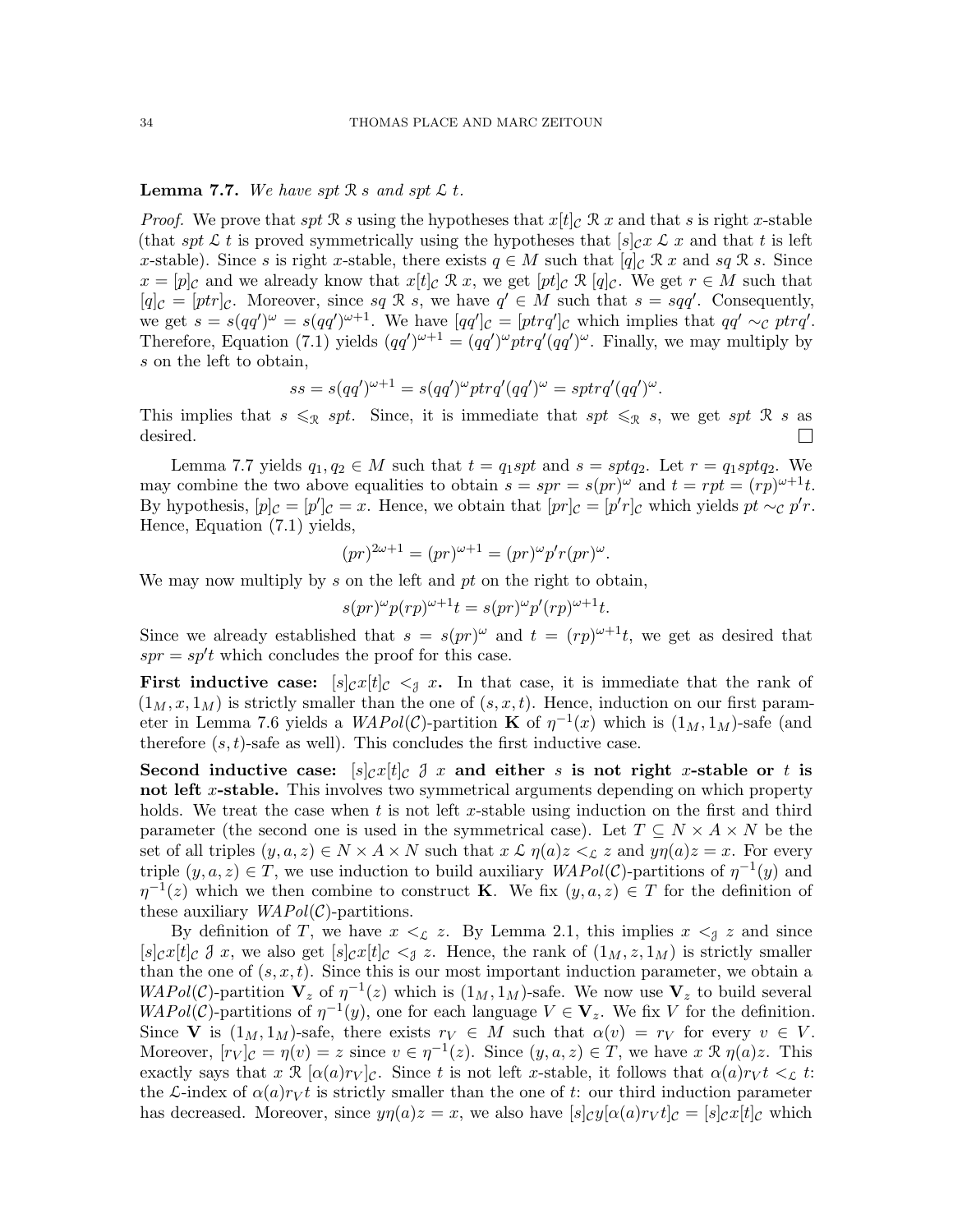# <span id="page-33-0"></span>**Lemma 7.7.** We have spt  $\mathcal{R}$  s and spt  $\mathcal{L}$  t.

*Proof.* We prove that spt R s using the hypotheses that  $x[t]_C$  R x and that s is right x-stable (that spt L t is proved symmetrically using the hypotheses that  $[s]_{\mathcal{C}} x \mathcal{L} x$  and that t is left x-stable). Since s is right x-stable, there exists  $q \in M$  such that  $[q]_C \mathcal{R} x$  and sq  $\mathcal{R} s$ . Since  $x = [p]_C$  and we already know that  $x[t]_C \mathcal{R} x$ , we get  $[pt]_C \mathcal{R} [q]_C$ . We get  $r \in M$  such that  $[q]_{\mathcal{C}} = [ptr]_{\mathcal{C}}$ . Moreover, since sq R s, we have  $q' \in M$  such that  $s = sqq'$ . Consequently, we get  $s = s(qq')^{\omega} = s(qq')^{\omega+1}$ . We have  $[qq']_{\mathcal{C}} = [ptrq']_{\mathcal{C}}$  which implies that  $qq' \sim_{\mathcal{C}} ptrq'$ . Therefore, Equation [\(7.1\)](#page-30-3) yields  $(qq')^{\omega+1} = (qq')^{\omega} ptrq'(qq')^{\omega}$ . Finally, we may multiply by s on the left to obtain,

$$
ss = s(qq')^{\omega+1} = s(qq')^{\omega}ptrq'(qq')^{\omega} = sprrq'(qq')^{\omega}.
$$

This implies that  $s \leq_{\mathcal{R}} spt$ . Since, it is immediate that  $spt \leq_{\mathcal{R}} s$ , we get  $spt \mathcal{R} s$  as desired.  $\Box$ 

Lemma [7.7](#page-33-0) yields  $q_1, q_2 \in M$  such that  $t = q_1 spt$  and  $s = sptq_2$ . Let  $r = q_1 sptq_2$ . We may combine the two above equalities to obtain  $s = spr = s(pr)^{\omega}$  and  $t = rpt = (rp)^{\omega+1}t$ . By hypothesis,  $[p]_C = [p']_C = x$ . Hence, we obtain that  $[pr]_C = [p'r]_C$  which yields  $pt \sim_C p'r$ . Hence, Equation [\(7.1\)](#page-30-3) yields,

$$
(pr)^{2\omega+1} = (pr)^{\omega+1} = (pr)^{\omega} p' r (pr)^{\omega}.
$$

We may now multiply by s on the left and  $pt$  on the right to obtain,

$$
s(pr)^{\omega}p(rp)^{\omega+1}t = s(pr)^{\omega}p'(rp)^{\omega+1}t.
$$

Since we already established that  $s = s(pr)^{\omega}$  and  $t = (rp)^{\omega+1}t$ , we get as desired that  $spr = sp't$  which concludes the proof for this case.

**First inductive case:**  $[s]_{\mathcal{C}}x[t]_{\mathcal{C}} \leq s$  x. In that case, it is immediate that the rank of  $(1_M, x, 1_M)$  is strictly smaller than the one of  $(s, x, t)$ . Hence, induction on our first param-eter in Lemma [7.6](#page-32-0) yields a  $WAPol(\mathcal{C})$ -partition **K** of  $\eta^{-1}(x)$  which is  $(1_M, 1_M)$ -safe (and therefore  $(s, t)$ -safe as well). This concludes the first inductive case.

Second inductive case:  $[s]_{\mathcal{C}}x[t]_{\mathcal{C}} \mathcal{J} x$  and either s is not right x-stable or t is not left x-stable. This involves two symmetrical arguments depending on which property holds. We treat the case when  $t$  is not left x-stable using induction on the first and third parameter (the second one is used in the symmetrical case). Let  $T \subseteq N \times A \times N$  be the set of all triples  $(y, a, z) \in N \times A \times N$  such that  $x \mathcal{L} \eta(a) z \leq_{\mathcal{L}} z$  and  $y\eta(a) z = x$ . For every triple  $(y, a, z) \in T$ , we use induction to build auxiliary  $WAPol(\mathcal{C})$ -partitions of  $\eta^{-1}(y)$  and  $\eta^{-1}(z)$  which we then combine to construct **K**. We fix  $(y, a, z) \in T$  for the definition of these auxiliary  $WAPol(\mathcal{C})$ -partitions.

By definition of T, we have  $x \leq_{\mathcal{L}} z$ . By Lemma [2.1,](#page-5-0) this implies  $x \leq_{\mathcal{J}} z$  and since  $[s]_{\mathcal{C}}x[t]_{\mathcal{C}} \mathcal{J} x$ , we also get  $[s]_{\mathcal{C}}x[t]_{\mathcal{C}} \leq_{\mathcal{J}} z$ . Hence, the rank of  $(1_M, z, 1_M)$  is strictly smaller than the one of  $(s, x, t)$ . Since this is our most important induction parameter, we obtain a  $WAPol(\mathcal{C})$ -partition  $\mathbf{V}_z$  of  $\eta^{-1}(z)$  which is  $(1_M, 1_M)$ -safe. We now use  $\mathbf{V}_z$  to build several  $WAPol(\mathcal{C})$ -partitions of  $\eta^{-1}(y)$ , one for each language  $V \in \mathbf{V}_z$ . We fix V for the definition. Since V is  $(1_M, 1_M)$ -safe, there exists  $r_V \in M$  such that  $\alpha(v) = r_V$  for every  $v \in V$ . Moreover,  $[r_V]_{\mathcal{C}} = \eta(v) = z$  since  $v \in \eta^{-1}(z)$ . Since  $(y, a, z) \in T$ , we have  $x \mathcal{R} \eta(a)z$ . This exactly says that x  $\mathcal{R}[\alpha(a)r_V]_C$ . Since t is not left x-stable, it follows that  $\alpha(a)r_Vt \leq \mathcal{L}$  t: the L-index of  $\alpha(a)r_Vt$  is strictly smaller than the one of t: our third induction parameter has decreased. Moreover, since  $y\eta(a)z = x$ , we also have  $[s]_Cy[\alpha(a)r_Vt]_C = [s]_Cx[t]_C$  which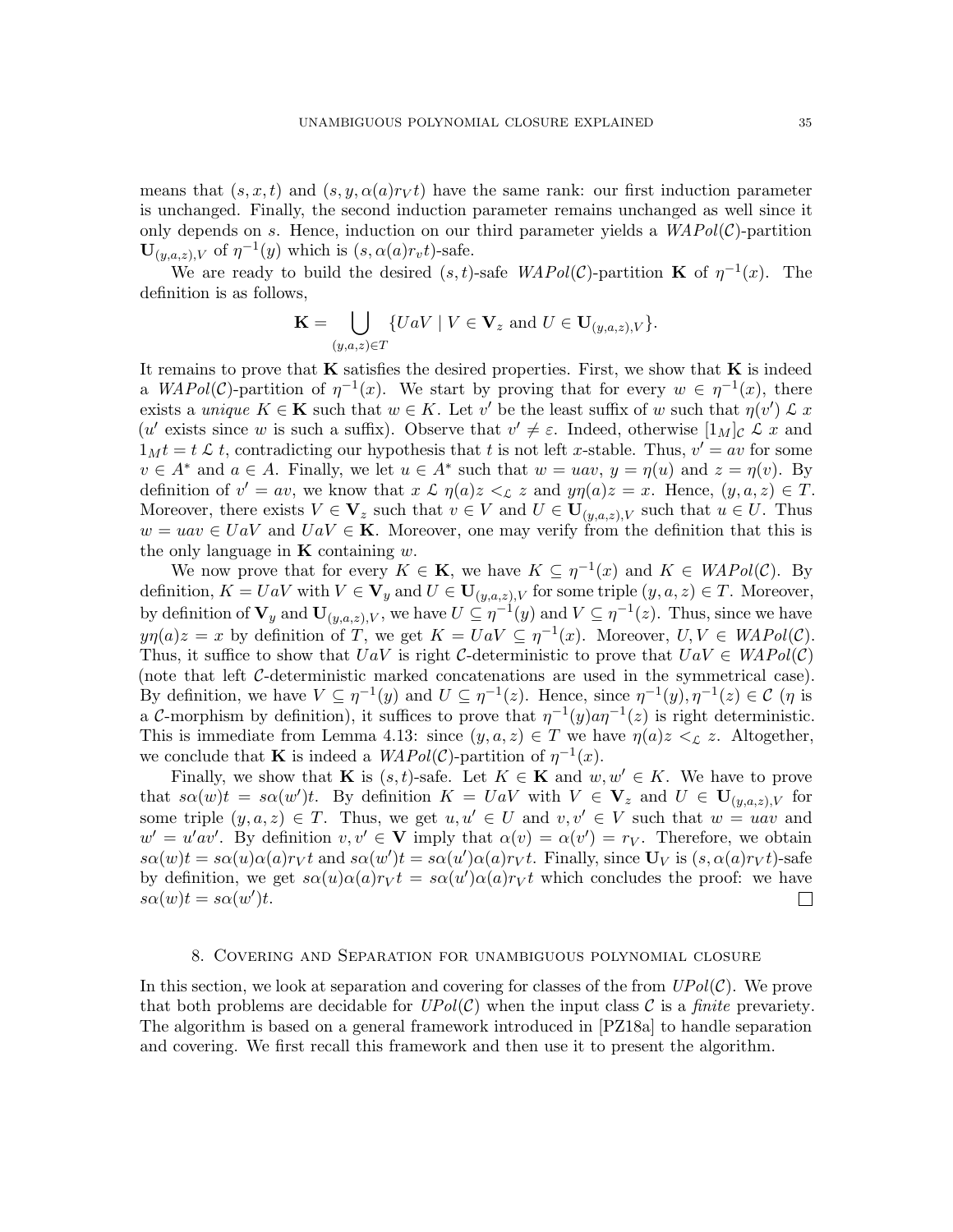means that  $(s, x, t)$  and  $(s, y, \alpha(a)r_V t)$  have the same rank: our first induction parameter is unchanged. Finally, the second induction parameter remains unchanged as well since it only depends on s. Hence, induction on our third parameter yields a  $WAPol(\mathcal{C})$ -partition  $\mathbf{U}_{(y,a,z),V}$  of  $\eta^{-1}(y)$  which is  $(s, \alpha(a)r_v t)$ -safe.

We are ready to build the desired  $(s, t)$ -safe  $WAPol(\mathcal{C})$ -partition **K** of  $\eta^{-1}(x)$ . The definition is as follows,

$$
\mathbf{K} = \bigcup_{(y,a,z)\in T} \{UaV \mid V \in \mathbf{V}_z \text{ and } U \in \mathbf{U}_{(y,a,z),V}\}.
$$

It remains to prove that  $\bf{K}$  satisfies the desired properties. First, we show that  $\bf{K}$  is indeed a  $WAPol(\mathcal{C})$ -partition of  $\eta^{-1}(x)$ . We start by proving that for every  $w \in \eta^{-1}(x)$ , there exists a unique  $K \in \mathbf{K}$  such that  $w \in K$ . Let v' be the least suffix of w such that  $\eta(v') \mathcal{L} x$ (u' exists since w is such a suffix). Observe that  $v' \neq \varepsilon$ . Indeed, otherwise  $[1_M]_C \mathcal{L} x$  and  $1_M t = t \mathcal{L} t$ , contradicting our hypothesis that t is not left x-stable. Thus,  $v' = av$  for some  $v \in A^*$  and  $a \in A$ . Finally, we let  $u \in A^*$  such that  $w = uav$ ,  $y = \eta(u)$  and  $z = \eta(v)$ . By definition of  $v' = av$ , we know that  $x \mathcal{L} \eta(a)z <_{\mathcal{L}} z$  and  $y\eta(a)z = x$ . Hence,  $(y, a, z) \in T$ . Moreover, there exists  $V \in V_z$  such that  $v \in V$  and  $U \in U_{(y,a,z),V}$  such that  $u \in U$ . Thus  $w = u \alpha v \in U \alpha V$  and  $U \alpha V \in \mathbf{K}$ . Moreover, one may verify from the definition that this is the only language in  $\bf{K}$  containing w.

We now prove that for every  $K \in \mathbf{K}$ , we have  $K \subseteq \eta^{-1}(x)$  and  $K \in WAPol(\mathcal{C})$ . By definition,  $K = U a V$  with  $V \in V_y$  and  $U \in U_{(y,a,z),V}$  for some triple  $(y,a,z) \in T$ . Moreover, by definition of  $\mathbf{V}_y$  and  $\mathbf{U}_{(y,a,z),V}$ , we have  $U \subseteq \eta^{-1}(y)$  and  $V \subseteq \eta^{-1}(z)$ . Thus, since we have  $y\eta(a)z = x$  by definition of T, we get  $K = UaV \subseteq \eta^{-1}(x)$ . Moreover,  $U, V \in WAPol(\mathcal{C})$ . Thus, it suffice to show that  $U a V$  is right C-deterministic to prove that  $U a V \in WAPol(\mathcal{C})$ (note that left C-deterministic marked concatenations are used in the symmetrical case). By definition, we have  $V \subseteq \eta^{-1}(y)$  and  $U \subseteq \eta^{-1}(z)$ . Hence, since  $\eta^{-1}(y), \eta^{-1}(z) \in \mathcal{C}$  ( $\eta$  is a C-morphism by definition), it suffices to prove that  $\eta^{-1}(y)a\eta^{-1}(z)$  is right deterministic. This is immediate from Lemma [4.13:](#page-16-2) since  $(y, a, z) \in T$  we have  $\eta(a)z \leq_{\mathcal{L}} z$ . Altogether, we conclude that **K** is indeed a  $WAPol(\mathcal{C})$ -partition of  $\eta^{-1}(x)$ .

Finally, we show that **K** is  $(s, t)$ -safe. Let  $K \in \mathbf{K}$  and  $w, w' \in K$ . We have to prove that  $s\alpha(w)t = s\alpha(w')t$ . By definition  $K = UaV$  with  $V \in V_z$  and  $U \in U_{(y,a,z),V}$  for some triple  $(y, a, z) \in T$ . Thus, we get  $u, u' \in U$  and  $v, v' \in V$  such that  $w = u a v$  and  $w' = u'av'$ . By definition  $v, v' \in V$  imply that  $\alpha(v) = \alpha(v') = r_V$ . Therefore, we obtain  $s\alpha(w)t = s\alpha(u)\alpha(a)r_Vt$  and  $s\alpha(w')t = s\alpha(u')\alpha(a)r_Vt$ . Finally, since  $\mathbf{U}_V$  is  $(s, \alpha(a)r_Vt)$ -safe by definition, we get  $s\alpha(u)\alpha(a)r_Vt = s\alpha(u')\alpha(a)r_Vt$  which concludes the proof: we have  $s\alpha(w)t = s\alpha(w')t.$  $\Box$ 

#### 8. Covering and Separation for unambiguous polynomial closure

<span id="page-34-0"></span>In this section, we look at separation and covering for classes of the from  $UPol(\mathcal{C})$ . We prove that both problems are decidable for  $UPol(\mathcal{C})$  when the input class  $\mathcal C$  is a *finite* prevariety. The algorithm is based on a general framework introduced in [\[PZ18a\]](#page-60-12) to handle separation and covering. We first recall this framework and then use it to present the algorithm.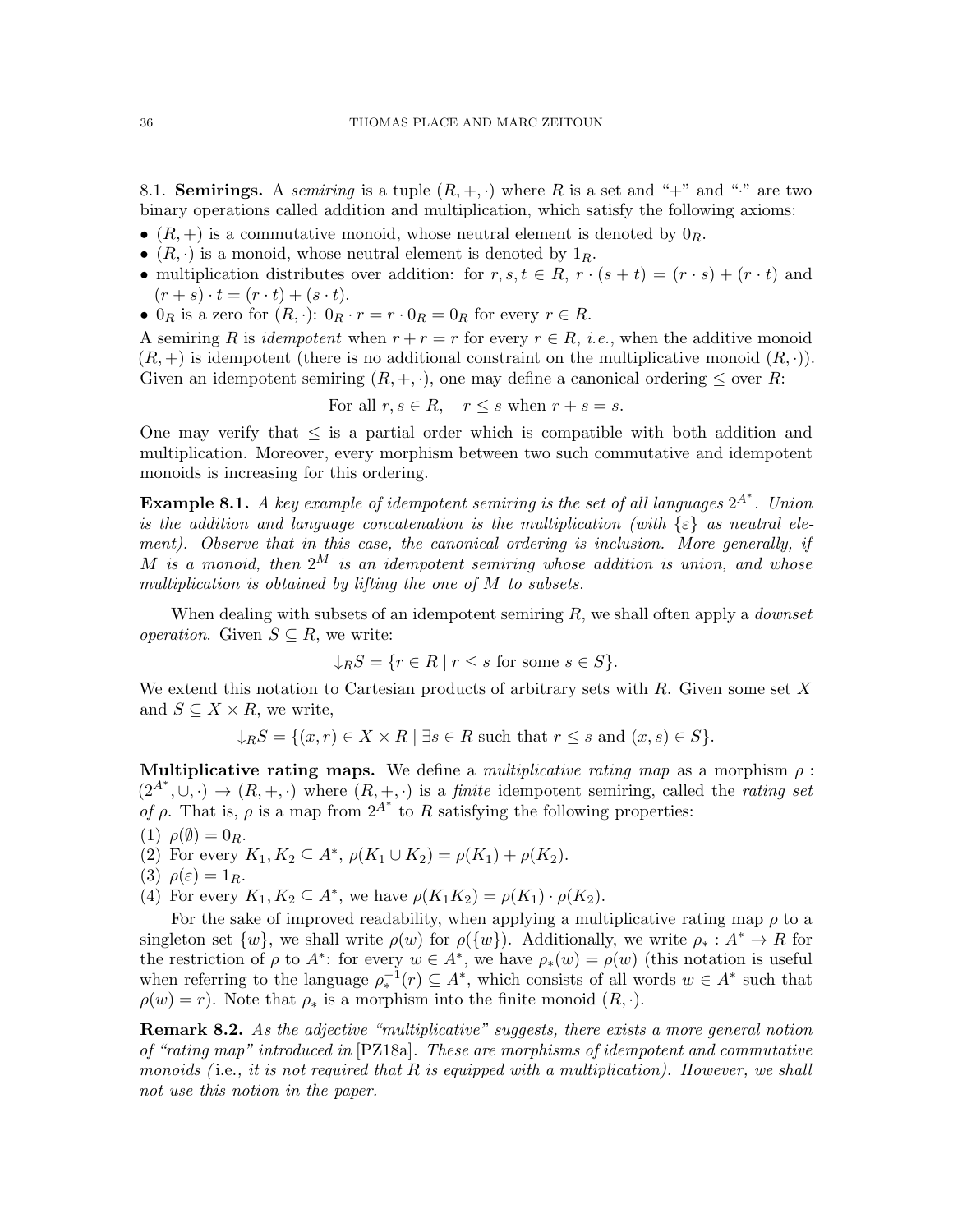8.1. **Semirings.** A *semiring* is a tuple  $(R, +, \cdot)$  where R is a set and "+" and "." are two binary operations called addition and multiplication, which satisfy the following axioms:

- $(R, +)$  is a commutative monoid, whose neutral element is denoted by  $0_R$ .
- $(R, \cdot)$  is a monoid, whose neutral element is denoted by  $1_R$ .
- multiplication distributes over addition: for  $r, s, t \in R$ ,  $r \cdot (s + t) = (r \cdot s) + (r \cdot t)$  and  $(r + s) \cdot t = (r \cdot t) + (s \cdot t).$
- $0_R$  is a zero for  $(R, \cdot)$ :  $0_R \cdot r = r \cdot 0_R = 0_R$  for every  $r \in R$ .

A semiring R is *idempotent* when  $r + r = r$  for every  $r \in R$ , *i.e.*, when the additive monoid  $(R, +)$  is idempotent (there is no additional constraint on the multiplicative monoid  $(R, \cdot)$ ). Given an idempotent semiring  $(R, +, \cdot)$ , one may define a canonical ordering  $\leq$  over R:

For all 
$$
r, s \in R
$$
,  $r \leq s$  when  $r + s = s$ .

One may verify that  $\leq$  is a partial order which is compatible with both addition and multiplication. Moreover, every morphism between two such commutative and idempotent monoids is increasing for this ordering.

**Example 8.1.** A key example of idempotent semiring is the set of all languages  $2^{A^*}$ . Union is the addition and language concatenation is the multiplication (with  $\{\varepsilon\}$  as neutral element). Observe that in this case, the canonical ordering is inclusion. More generally, if M is a monoid, then  $2^M$  is an idempotent semiring whose addition is union, and whose multiplication is obtained by lifting the one of M to subsets.

When dealing with subsets of an idempotent semiring  $R$ , we shall often apply a *downset operation.* Given  $S \subseteq R$ , we write:

$$
\downarrow_R S = \{ r \in R \mid r \le s \text{ for some } s \in S \}.
$$

We extend this notation to Cartesian products of arbitrary sets with  $R$ . Given some set  $X$ and  $S \subseteq X \times R$ , we write,

$$
\downarrow_R S = \{ (x, r) \in X \times R \mid \exists s \in R \text{ such that } r \le s \text{ and } (x, s) \in S \}.
$$

Multiplicative rating maps. We define a multiplicative rating map as a morphism  $\rho$ :  $(2^{A^*}, \cup, \cdot) \rightarrow (R, +, \cdot)$  where  $(R, +, \cdot)$  is a *finite* idempotent semiring, called the *rating set* of  $\rho$ . That is,  $\rho$  is a map from  $2^{A^*}$  to R satisfying the following properties:

- (1)  $\rho(\emptyset) = 0_R$ .
- (2) For every  $K_1, K_2 \subseteq A^*, \rho(K_1 \cup K_2) = \rho(K_1) + \rho(K_2)$ .
- (3)  $\rho(\varepsilon) = 1_R$ .
- (4) For every  $K_1, K_2 \subseteq A^*$ , we have  $\rho(K_1K_2) = \rho(K_1) \cdot \rho(K_2)$ .

For the sake of improved readability, when applying a multiplicative rating map  $\rho$  to a singleton set  $\{w\}$ , we shall write  $\rho(w)$  for  $\rho(\{w\})$ . Additionally, we write  $\rho_* : A^* \to R$  for the restriction of  $\rho$  to  $A^*$ : for every  $w \in A^*$ , we have  $\rho_*(w) = \rho(w)$  (this notation is useful when referring to the language  $\rho_*^{-1}(r) \subseteq A^*$ , which consists of all words  $w \in A^*$  such that  $\rho(w) = r$ ). Note that  $\rho_*$  is a morphism into the finite monoid  $(R, \cdot)$ .

**Remark 8.2.** As the adjective "multiplicative" suggests, there exists a more general notion of "rating map" introduced in [\[PZ18a\]](#page-60-12). These are morphisms of idempotent and commutative monoids (i.e., it is not required that  $R$  is equipped with a multiplication). However, we shall not use this notion in the paper.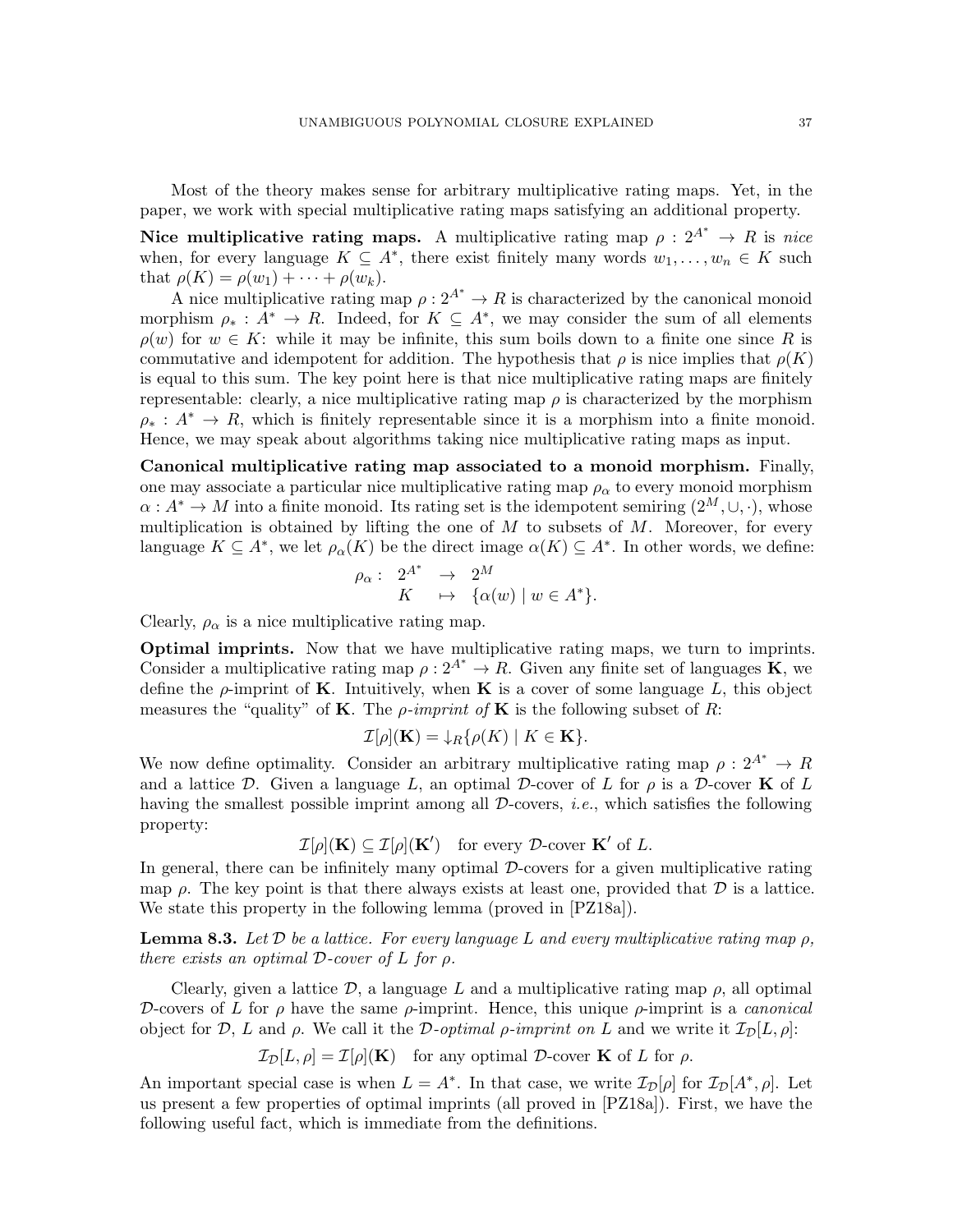Most of the theory makes sense for arbitrary multiplicative rating maps. Yet, in the paper, we work with special multiplicative rating maps satisfying an additional property.

Nice multiplicative rating maps. A multiplicative rating map  $\rho: 2^{A^*} \to R$  is nice when, for every language  $K \subseteq A^*$ , there exist finitely many words  $w_1, \ldots, w_n \in K$  such that  $\rho(K) = \rho(w_1) + \cdots + \rho(w_k)$ .

A nice multiplicative rating map  $\rho: 2^{A^*} \to R$  is characterized by the canonical monoid morphism  $\rho_* : A^* \to R$ . Indeed, for  $K \subseteq A^*$ , we may consider the sum of all elements  $\rho(w)$  for  $w \in K$ : while it may be infinite, this sum boils down to a finite one since R is commutative and idempotent for addition. The hypothesis that  $\rho$  is nice implies that  $\rho(K)$ is equal to this sum. The key point here is that nice multiplicative rating maps are finitely representable: clearly, a nice multiplicative rating map  $\rho$  is characterized by the morphism  $\rho_* : A^* \to R$ , which is finitely representable since it is a morphism into a finite monoid. Hence, we may speak about algorithms taking nice multiplicative rating maps as input.

Canonical multiplicative rating map associated to a monoid morphism. Finally, one may associate a particular nice multiplicative rating map  $\rho_{\alpha}$  to every monoid morphism  $\alpha: A^* \to M$  into a finite monoid. Its rating set is the idempotent semiring  $(2^M, \cup, \cdot)$ , whose multiplication is obtained by lifting the one of  $M$  to subsets of  $M$ . Moreover, for every language  $K \subseteq A^*$ , we let  $\rho_\alpha(K)$  be the direct image  $\alpha(K) \subseteq A^*$ . In other words, we define:

$$
\rho_{\alpha}: \begin{array}{rcl} 2^{A^*} & \to & 2^M \\ K & \mapsto & {\{\alpha(w) \mid w \in A^* \}.} \end{array}
$$

Clearly,  $\rho_{\alpha}$  is a nice multiplicative rating map.

Optimal imprints. Now that we have multiplicative rating maps, we turn to imprints. Consider a multiplicative rating map  $\rho: 2^{A^*} \to R$ . Given any finite set of languages **K**, we define the  $\rho$ -imprint of **K**. Intuitively, when **K** is a cover of some language L, this object measures the "quality" of **K**. The *ρ*-imprint of **K** is the following subset of R:

$$
\mathcal{I}[\rho](\mathbf{K}) = \downarrow_R \{ \rho(K) \mid K \in \mathbf{K} \}.
$$

We now define optimality. Consider an arbitrary multiplicative rating map  $\rho: 2^{A^*} \to R$ and a lattice D. Given a language L, an optimal D-cover of L for  $\rho$  is a D-cover K of L having the smallest possible imprint among all  $\mathcal D$ -covers, *i.e.*, which satisfies the following property:

$$
\mathcal{I}[\rho](\mathbf{K}) \subseteq \mathcal{I}[\rho](\mathbf{K}') \quad \text{for every } \mathcal{D}\text{-cover } \mathbf{K}' \text{ of } L.
$$

In general, there can be infinitely many optimal  $D$ -covers for a given multiplicative rating map  $\rho$ . The key point is that there always exists at least one, provided that  $\mathcal D$  is a lattice. We state this property in the following lemma (proved in [\[PZ18a\]](#page-60-12)).

**Lemma 8.3.** Let D be a lattice. For every language L and every multiplicative rating map  $\rho$ , there exists an optimal  $\mathcal{D}$ -cover of  $L$  for  $\rho$ .

Clearly, given a lattice  $\mathcal{D}$ , a language L and a multiplicative rating map  $\rho$ , all optimal D-covers of L for  $\rho$  have the same  $\rho$ -imprint. Hence, this unique  $\rho$ -imprint is a *canonical* object for D, L and  $\rho$ . We call it the D-optimal  $\rho$ -imprint on L and we write it  $\mathcal{I}_{\mathcal{D}}[L, \rho]$ :

$$
\mathcal{I}_{\mathcal{D}}[L,\rho] = \mathcal{I}[\rho](\mathbf{K}) \quad \text{for any optimal } \mathcal{D}\text{-cover } \mathbf{K} \text{ of } L \text{ for } \rho.
$$

An important special case is when  $L = A^*$ . In that case, we write  $\mathcal{I}_{\mathcal{D}}[\rho]$  for  $\mathcal{I}_{\mathcal{D}}[A^*, \rho]$ . Let us present a few properties of optimal imprints (all proved in [\[PZ18a\]](#page-60-12)). First, we have the following useful fact, which is immediate from the definitions.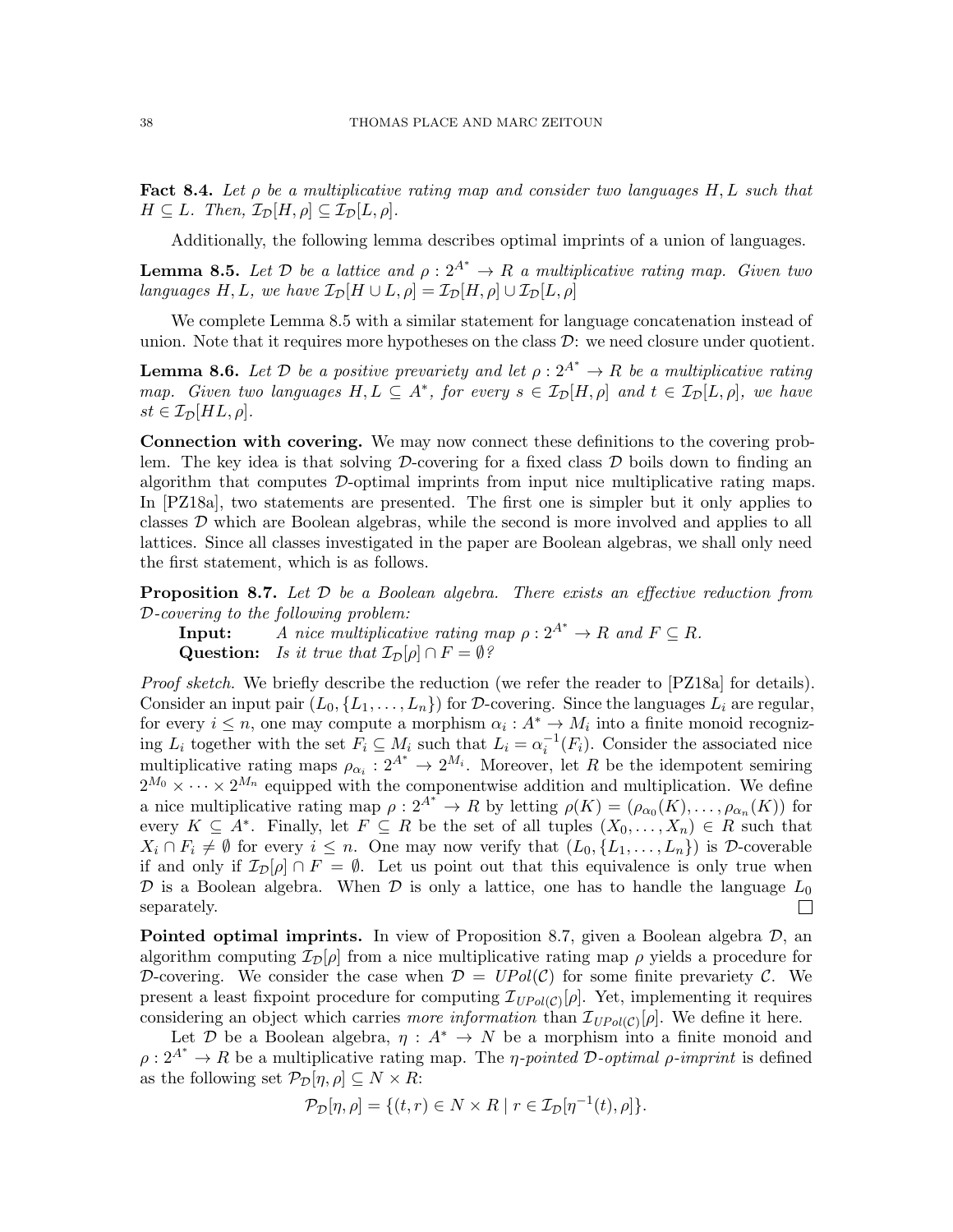<span id="page-37-3"></span>Fact 8.4. Let  $\rho$  be a multiplicative rating map and consider two languages H, L such that  $H \subseteq L$ . Then,  $\mathcal{I}_{\mathcal{D}}[H,\rho] \subseteq \mathcal{I}_{\mathcal{D}}[L,\rho]$ .

Additionally, the following lemma describes optimal imprints of a union of languages.

<span id="page-37-0"></span>**Lemma 8.5.** Let  $\mathcal{D}$  be a lattice and  $\rho : 2^{A^*} \to R$  a multiplicative rating map. Given two languages H, L, we have  $\mathcal{I}_{\mathcal{D}}[H \cup L, \rho] = \mathcal{I}_{\mathcal{D}}[H, \rho] \cup \mathcal{I}_{\mathcal{D}}[L, \rho]$ 

We complete Lemma [8.5](#page-37-0) with a similar statement for language concatenation instead of union. Note that it requires more hypotheses on the class  $\mathcal{D}$ : we need closure under quotient.

<span id="page-37-2"></span>**Lemma 8.6.** Let D be a positive prevariety and let  $\rho: 2^{A^*} \to R$  be a multiplicative rating map. Given two languages  $H, L \subseteq A^*$ , for every  $s \in \mathcal{I}_{\mathcal{D}}[H, \rho]$  and  $t \in \mathcal{I}_{\mathcal{D}}[L, \rho]$ , we have  $st \in \mathcal{I}_{\mathcal{D}}[HL, \rho].$ 

Connection with covering. We may now connect these definitions to the covering problem. The key idea is that solving  $\mathcal D$ -covering for a fixed class  $\mathcal D$  boils down to finding an algorithm that computes  $\mathcal{D}$ -optimal imprints from input nice multiplicative rating maps. In [\[PZ18a\]](#page-60-12), two statements are presented. The first one is simpler but it only applies to classes D which are Boolean algebras, while the second is more involved and applies to all lattices. Since all classes investigated in the paper are Boolean algebras, we shall only need the first statement, which is as follows.

<span id="page-37-1"></span>**Proposition 8.7.** Let  $D$  be a Boolean algebra. There exists an effective reduction from D-covering to the following problem:

**Input:** A nice multiplicative rating map  $\rho : 2^{A^*} \to R$  and  $F \subseteq R$ . Question: Is it true that  $\mathcal{I}_{\mathcal{D}}[\rho] \cap F = \emptyset$ ?

Proof sketch. We briefly describe the reduction (we refer the reader to [\[PZ18a\]](#page-60-12) for details). Consider an input pair  $(L_0, \{L_1, \ldots, L_n\})$  for D-covering. Since the languages  $L_i$  are regular, for every  $i \leq n$ , one may compute a morphism  $\alpha_i : A^* \to M_i$  into a finite monoid recognizing  $L_i$  together with the set  $F_i \subseteq M_i$  such that  $L_i = \alpha_i^{-1}(F_i)$ . Consider the associated nice multiplicative rating maps  $\rho_{\alpha_i}: 2^{A^*} \to 2^{M_i}$ . Moreover, let R be the idempotent semiring  $2^{M_0} \times \cdots \times 2^{M_n}$  equipped with the componentwise addition and multiplication. We define a nice multiplicative rating map  $\rho: 2^{A^*} \to R$  by letting  $\rho(K) = (\rho_{\alpha_0}(K), \ldots, \rho_{\alpha_n}(K))$  for every  $K \subseteq A^*$ . Finally, let  $F \subseteq R$  be the set of all tuples  $(X_0, \ldots, X_n) \in R$  such that  $X_i \cap F_i \neq \emptyset$  for every  $i \leq n$ . One may now verify that  $(L_0, \{L_1, \ldots, L_n\})$  is D-coverable if and only if  $\mathcal{I}_D[\rho] \cap F = \emptyset$ . Let us point out that this equivalence is only true when D is a Boolean algebra. When D is only a lattice, one has to handle the language  $L_0$  $\Box$ separately.

**Pointed optimal imprints.** In view of Proposition [8.7,](#page-37-1) given a Boolean algebra  $\mathcal{D}$ , an algorithm computing  $\mathcal{I}_D[\rho]$  from a nice multiplicative rating map  $\rho$  yields a procedure for D-covering. We consider the case when  $\mathcal{D} = UPol(\mathcal{C})$  for some finite prevariety  $\mathcal{C}$ . We present a least fixpoint procedure for computing  $\mathcal{I}_{UPol(\mathcal{C})}[\rho]$ . Yet, implementing it requires considering an object which carries *more information* than  $\mathcal{I}_{UPol(\mathcal{C})}[\rho]$ . We define it here.

Let D be a Boolean algebra,  $\eta: A^* \to N$  be a morphism into a finite monoid and  $\rho: 2^{A^*} \to R$  be a multiplicative rating map. The *η-pointed D-optimal*  $\rho$ *-imprint* is defined as the following set  $\mathcal{P}_{\mathcal{D}}[\eta,\rho] \subseteq N \times R$ :

$$
\mathcal{P}_{\mathcal{D}}[\eta,\rho] = \{(t,r) \in N \times R \mid r \in \mathcal{I}_{\mathcal{D}}[\eta^{-1}(t),\rho]\}.
$$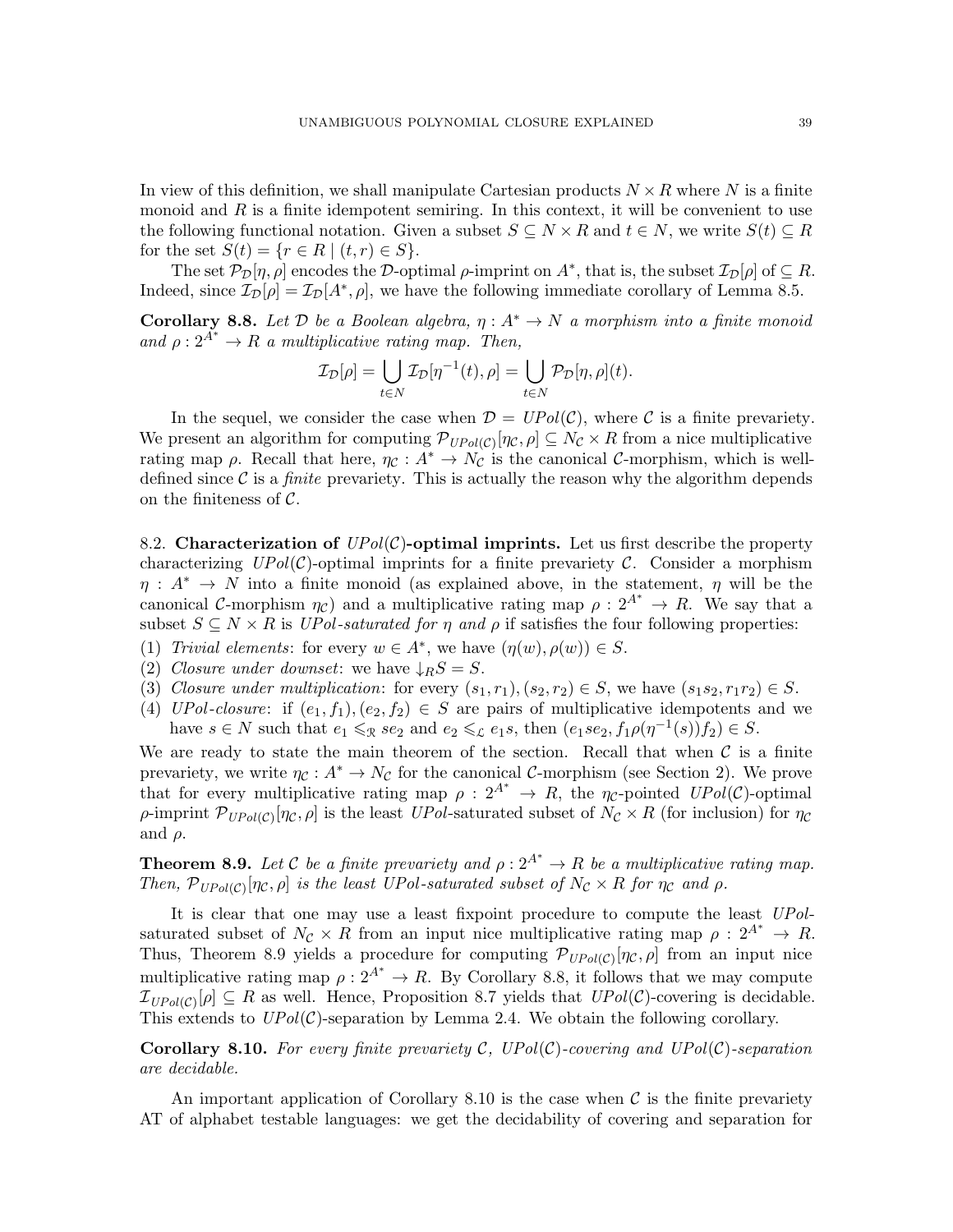In view of this definition, we shall manipulate Cartesian products  $N \times R$  where N is a finite monoid and  $R$  is a finite idempotent semiring. In this context, it will be convenient to use the following functional notation. Given a subset  $S \subseteq N \times R$  and  $t \in N$ , we write  $S(t) \subseteq R$ for the set  $S(t) = \{r \in R \mid (t, r) \in S\}.$ 

The set  $\mathcal{P}_{\mathcal{D}}[\eta,\rho]$  encodes the D-optimal  $\rho$ -imprint on  $A^*$ , that is, the subset  $\mathcal{I}_{\mathcal{D}}[\rho]$  of  $\subseteq R$ . Indeed, since  $\mathcal{I}_{\mathcal{D}}[\rho] = \mathcal{I}_{\mathcal{D}}[A^*, \rho]$ , we have the following immediate corollary of Lemma [8.5.](#page-37-0)

<span id="page-38-1"></span>Corollary 8.8. Let  $D$  be a Boolean algebra,  $\eta : A^* \to N$  a morphism into a finite monoid and  $\rho: 2^{A^*} \to R$  a multiplicative rating map. Then,

$$
\mathcal{I}_{\mathcal{D}}[\rho] = \bigcup_{t \in N} \mathcal{I}_{\mathcal{D}}[\eta^{-1}(t), \rho] = \bigcup_{t \in N} \mathcal{P}_{\mathcal{D}}[\eta, \rho](t).
$$

In the sequel, we consider the case when  $\mathcal{D} = UPol(\mathcal{C})$ , where C is a finite prevariety. We present an algorithm for computing  $\mathcal{P}_{UPol(\mathcal{C})}[\eta_{\mathcal{C}},\rho]\subseteq N_{\mathcal{C}}\times R$  from a nice multiplicative rating map  $\rho$ . Recall that here,  $\eta_c : A^* \to N_c$  is the canonical C-morphism, which is welldefined since  $\mathcal C$  is a *finite* prevariety. This is actually the reason why the algorithm depends on the finiteness of  $\mathcal{C}$ .

8.2. Characterization of  $UPol(\mathcal{C})$ -optimal imprints. Let us first describe the property characterizing  $UPol(\mathcal{C})$ -optimal imprints for a finite prevariety  $\mathcal{C}$ . Consider a morphism  $\eta: A^* \to N$  into a finite monoid (as explained above, in the statement,  $\eta$  will be the canonical C-morphism  $\eta_c$ ) and a multiplicative rating map  $\rho: 2^{A^*} \to R$ . We say that a subset  $S \subseteq N \times R$  is UPol-saturated for  $\eta$  and  $\rho$  if satisfies the four following properties:

- (1) Trivial elements: for every  $w \in A^*$ , we have  $(\eta(w), \rho(w)) \in S$ .
- (2) Closure under downset: we have  $\downarrow$ <sub>R</sub>S = S.
- (3) Closure under multiplication: for every  $(s_1, r_1), (s_2, r_2) \in S$ , we have  $(s_1s_2, r_1r_2) \in S$ .
- (4) UPol-closure: if  $(e_1, f_1), (e_2, f_2) \in S$  are pairs of multiplicative idempotents and we have  $s \in N$  such that  $e_1 \leqslant_{\mathcal{R}} s e_2$  and  $e_2 \leqslant_{\mathcal{L}} e_1 s$ , then  $(e_1 s e_2, f_1 \rho(\eta^{-1}(s)) f_2) \in S$ .

We are ready to state the main theorem of the section. Recall that when  $\mathcal C$  is a finite prevariety, we write  $\eta_{\mathcal{C}}: A^* \to N_{\mathcal{C}}$  for the canonical C-morphism (see Section [2\)](#page-3-0). We prove that for every multiplicative rating map  $\rho: 2^{A^*} \to R$ , the  $\eta_c$ -pointed  $UPol(\mathcal{C})$ -optimal  $\rho$ -imprint  $\mathcal{P}_{UPol(C)}[\eta_c, \rho]$  is the least UPol-saturated subset of  $N_c \times R$  (for inclusion) for  $\eta_c$ and  $\rho$ .

<span id="page-38-0"></span>**Theorem 8.9.** Let C be a finite prevariety and  $\rho: 2^{A^*} \to R$  be a multiplicative rating map. Then,  $\mathcal{P}_{UPol(C)}[\eta_c, \rho]$  is the least UPol-saturated subset of  $N_c \times R$  for  $\eta_c$  and  $\rho$ .

It is clear that one may use a least fixpoint procedure to compute the least UPolsaturated subset of  $N_c \times R$  from an input nice multiplicative rating map  $\rho : 2^{A^*} \to R$ . Thus, Theorem [8.9](#page-38-0) yields a procedure for computing  $\mathcal{P}_{UPol(C)}[\eta_c, \rho]$  from an input nice multiplicative rating map  $\rho: 2^{A^*} \to R$ . By Corollary [8.8,](#page-38-1) it follows that we may compute  $\mathcal{I}_{UPol(C)}[\rho] \subseteq R$  as well. Hence, Proposition [8.7](#page-37-1) yields that  $UPol(C)$ -covering is decidable. This extends to  $UPol(\mathcal{C})$ -separation by Lemma [2.4.](#page-6-0) We obtain the following corollary.

<span id="page-38-2"></span>**Corollary 8.10.** For every finite prevariety C,  $UPol(\mathcal{C})$ -covering and  $UPol(\mathcal{C})$ -separation are decidable.

An important application of Corollary [8.10](#page-38-2) is the case when  $\mathcal C$  is the finite prevariety AT of alphabet testable languages: we get the decidability of covering and separation for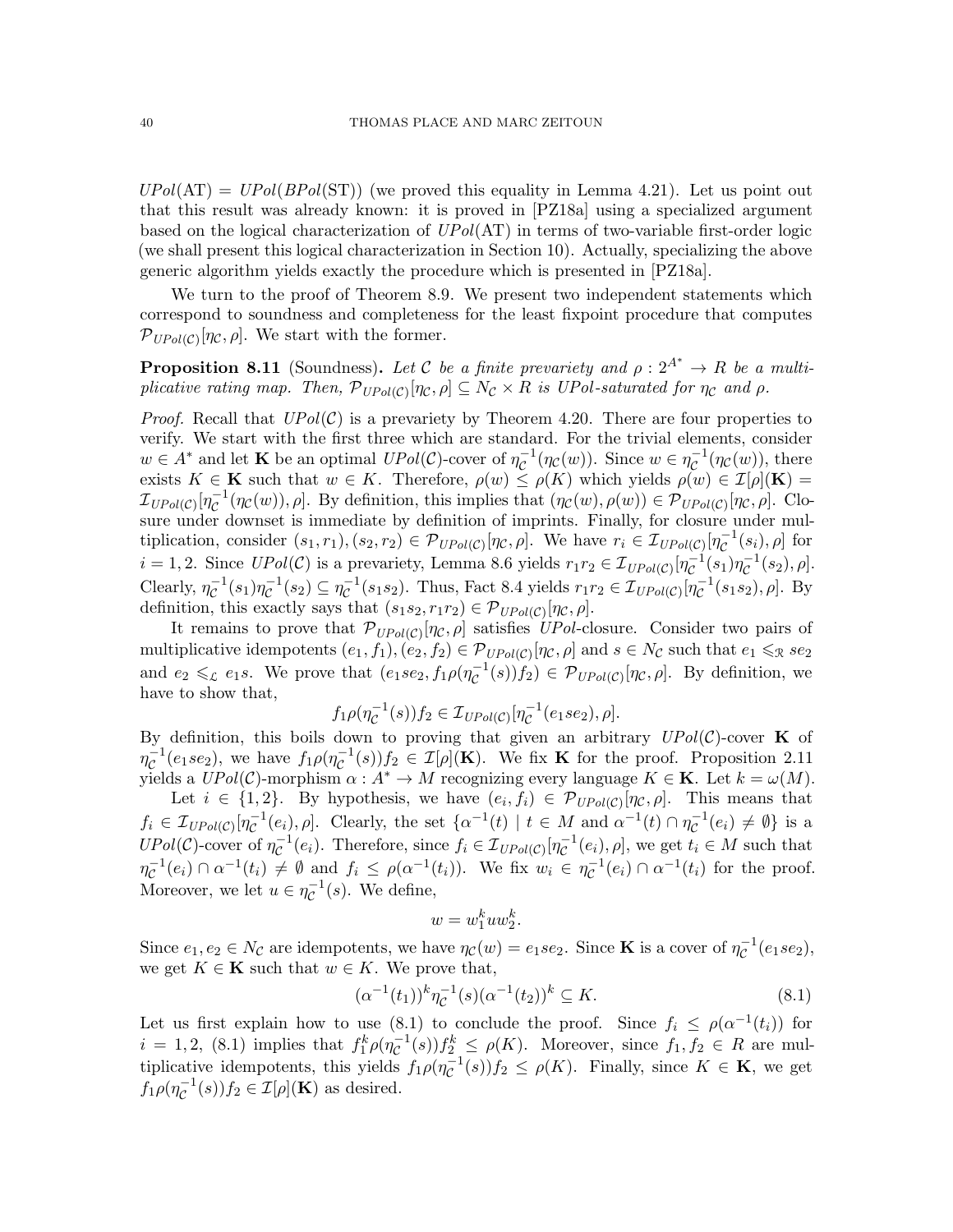$UPol(AT) = UPol(BPol(ST))$  (we proved this equality in Lemma [4.21\)](#page-17-5). Let us point out that this result was already known: it is proved in [\[PZ18a\]](#page-60-12) using a specialized argument based on the logical characterization of  $UPol(AT)$  in terms of two-variable first-order logic (we shall present this logical characterization in Section [10\)](#page-53-0). Actually, specializing the above generic algorithm yields exactly the procedure which is presented in [\[PZ18a\]](#page-60-12).

We turn to the proof of Theorem [8.9.](#page-38-0) We present two independent statements which correspond to soundness and completeness for the least fixpoint procedure that computes  $\mathcal{P}_{UPol(\mathcal{C})}[\eta_{\mathcal{C}}, \rho]$ . We start with the former.

<span id="page-39-1"></span>**Proposition 8.11** (Soundness). Let C be a finite prevariety and  $\rho: 2^{A^*} \to R$  be a multiplicative rating map. Then,  $\mathcal{P}_{UPol(C)}[\eta_{\mathcal{C}},\rho] \subseteq N_{\mathcal{C}} \times R$  is UPol-saturated for  $\eta_{\mathcal{C}}$  and  $\rho$ .

*Proof.* Recall that  $UPol(\mathcal{C})$  is a prevariety by Theorem [4.20.](#page-17-3) There are four properties to verify. We start with the first three which are standard. For the trivial elements, consider  $w \in A^*$  and let **K** be an optimal  $UPol(\mathcal{C})$ -cover of  $\eta_{\mathcal{C}}^{-1}$  $\overline{c}^{-1}(\eta_{\mathcal{C}}(w))$ . Since  $w \in \eta_{\mathcal{C}}^{-1}$  $\overline{\mathcal{C}}^{\perp}(\eta_{\mathcal{C}}(w)),$  there exists  $K \in \mathbf{K}$  such that  $w \in K$ . Therefore,  $\rho(w) \leq \rho(K)$  which yields  $\rho(w) \in \mathcal{I}[\rho](\mathbf{K}) =$  ${\cal I}_{UPol({\cal C})}$ [ $\eta_{{\cal C}}^{-1}$  $\mathcal{C}^{-1}(\eta_{\mathcal{C}}(w)), \rho]$ . By definition, this implies that  $(\eta_{\mathcal{C}}(w), \rho(w)) \in \mathcal{P}_{UPol(\mathcal{C})}[\eta_{\mathcal{C}}, \rho]$ . Closure under downset is immediate by definition of imprints. Finally, for closure under multiplication, consider  $(s_1, r_1), (s_2, r_2) \in \mathcal{P}_{UPol(\mathcal{C})}[\eta_{\mathcal{C}}, \rho]$ . We have  $r_i \in \mathcal{I}_{UPol(\mathcal{C})}[\eta_{\mathcal{C}}^{-1}]$  $c^{-1}(s_i), \rho]$  for  $i = 1, 2$ . Since  $UPol(\mathcal{C})$  is a prevariety, Lemma [8.6](#page-37-2) yields  $r_1r_2 \in \mathcal{I}_{UPol(\mathcal{C})}[\eta_{\mathcal{C}}^{-1}]$  $c^{-1}(s_1)\eta_c^{-1}$  $C^{-1}(s_2), \rho].$ Clearly,  $\eta_c^{-1}$  $\overline{\mathcal{C}}^1(s_1)\overline{\eta}_{\mathcal{C}}^{-1}$  $\overline{\mathcal{C}}^{-1}(s_2) \subseteq \eta_{\mathcal{C}}^{-1}$  $\mathcal{L}^{-1}(s_1 s_2)$ . Thus, Fact [8.4](#page-37-3) yields  $r_1 r_2 \in \mathcal{I}_{UPol(\mathcal{C})}[\eta_{\mathcal{C}}^{-1}]$  $\bar{c}^{-1}(s_1s_2), \rho$ . By definition, this exactly says that  $(s_1s_2, r_1r_2) \in \mathcal{P}_{UPol(\mathcal{C})}[\eta_{\mathcal{C}}, \rho].$ 

It remains to prove that  $\mathcal{P}_{UPol(C)}[\eta_c,\rho]$  satisfies UPol-closure. Consider two pairs of multiplicative idempotents  $(e_1, f_1), (e_2, f_2) \in \mathcal{P}_{UPol(\mathcal{C})}[\eta_{\mathcal{C}}, \rho]$  and  $s \in N_{\mathcal{C}}$  such that  $e_1 \leqslant_{\mathcal{R}} s e_2$ and  $e_2 \leqslant_c e_1 s$ . We prove that  $(e_1 s e_2, f_1 \rho (\eta_c^{-1}))$  $\overline{C}^{-1}(s)$  $(f_2) \in \mathcal{P}_{UPol(C)}[\eta_{\mathcal{C}}, \rho]$ . By definition, we have to show that,

> $f_1\rho(\eta_{\mathcal{C}}^{-1}% (\theta))=f_2(\theta)-f_3(\theta).$  $\overline{C}^{-1}(s))f_2 \in \mathcal{I}_{UPol(\mathcal{C})}[\eta_{\mathcal{C}}^{-1}]$  $c^{-1}(e_1se_2), \rho].$

By definition, this boils down to proving that given an arbitrary  $UPol(\mathcal{C})$ -cover **K** of  $\eta_{\mathcal{C}}^{-1}$  $\overline{c}^{-1}(e_1 s e_2)$ , we have  $f_1 \rho(\eta_C^{-1})$  $\overline{C}^{-1}(s)$ ) $f_2 \in \mathcal{I}[\rho](\mathbf{K})$ . We fix **K** for the proof. Proposition [2.11](#page-9-0) yields a  $UPol(\mathcal{C})$ -morphism  $\alpha: A^* \to M$  recognizing every language  $K \in \mathbf{K}$ . Let  $k = \omega(M)$ .

Let  $i \in \{1,2\}$ . By hypothesis, we have  $(e_i, f_i) \in \mathcal{P}_{UPol(\mathcal{C})}[\eta_{\mathcal{C}}, \rho]$ . This means that  $f_i \in \mathcal{I}_{UPol(\mathcal{C})}[\eta_{\mathcal{C}}^{-1}]$  $\mathcal{C}^{-1}(e_i)$ ,  $\rho$ . Clearly, the set  $\{\alpha^{-1}(t) \mid t \in M \text{ and } \alpha^{-1}(t) \cap \eta_{\mathcal{C}}^{-1}\}$  $\bar{c}^{-1}(e_i) \neq \emptyset$  is a  $UPol(\mathcal{C})$ -cover of  $\eta_{\mathcal{C}}^{-1}$  $\mathcal{C}^{-1}(e_i)$ . Therefore, since  $f_i \in \mathcal{I}_{UPol(\mathcal{C})}[\eta_{\mathcal{C}}^{-1}]$  $\overline{\mathcal{C}}^{-1}(e_i), \rho],$  we get  $t_i \in M$  such that  $\eta_{\mathcal{C}}^{-1}(e_i) \cap \alpha^{-1}(t_i) \neq \emptyset$  and  $f_i \leq \rho(\alpha^{-1}(t_i))$ . We fix  $w_i \in \eta_{\mathcal{C}}^{-1}(e_i) \cap \alpha^{-1}(t_i)$  for the proof. Moreover, we let  $u \in \eta_{\mathcal{C}}^{-1}$  $\overline{\mathcal{C}}^{\perp}(s)$ . We define,

$$
w = w_1^k uw_2^k.
$$

Since  $e_1, e_2 \in N_{\mathcal{C}}$  are idempotents, we have  $\eta_{\mathcal{C}}(w) = e_1 s e_2$ . Since **K** is a cover of  $\eta_{\mathcal{C}}^{-1}$  $c^{-1}(e_1se_2),$ we get  $K \in \mathbf{K}$  such that  $w \in K$ . We prove that,

<span id="page-39-0"></span>
$$
(\alpha^{-1}(t_1))^k \eta_C^{-1}(s) (\alpha^{-1}(t_2))^k \subseteq K.
$$
\n(8.1)

Let us first explain how to use [\(8.1\)](#page-39-0) to conclude the proof. Since  $f_i \n\t\leq \rho(\alpha^{-1}(t_i))$  for  $i = 1, 2, (8.1)$  $i = 1, 2, (8.1)$  implies that  $f_1^k \rho(\eta_{\mathcal{C}}^{-1})$  $\mathcal{L}^{-1}(s)$ ) $f_2^k \leq \rho(K)$ . Moreover, since  $f_1, f_2 \in R$  are multiplicative idempotents, this yields  $f_1 \rho(\eta_C^{-1})$  $\overline{C}^{-1}(s)$ ) $f_2 \le \rho(K)$ . Finally, since  $K \in \mathbf{K}$ , we get  $f_1\rho(\eta_{\mathcal{C}}^{-1})$  $\overline{\mathcal{C}}^{-1}(s)$ ) $f_2 \in \mathcal{I}[\rho](\mathbf{K})$  as desired.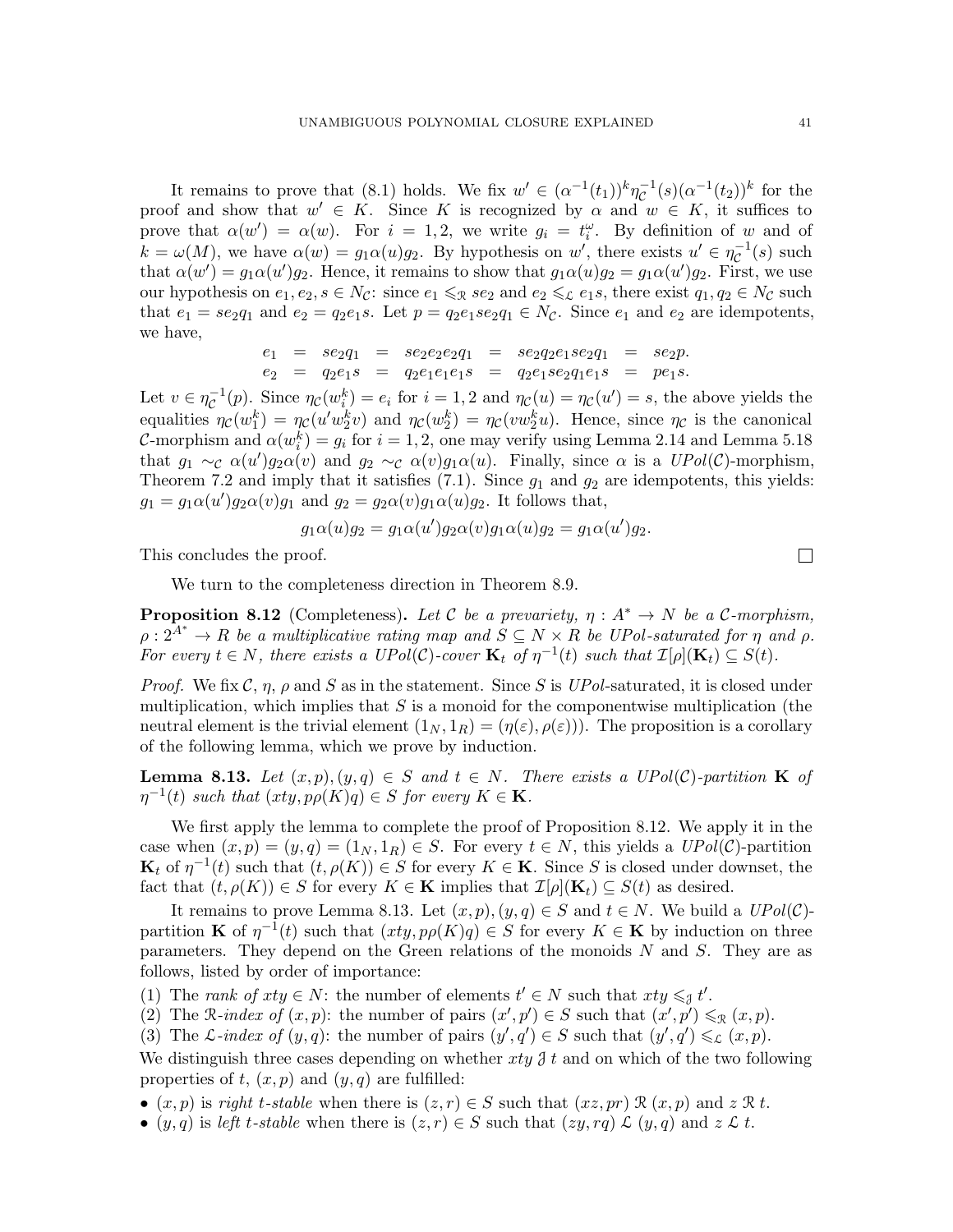It remains to prove that [\(8.1\)](#page-39-0) holds. We fix  $w' \in (\alpha^{-1}(t_1))^k \eta_{\mathcal{C}}^{-1}$  $c^{-1}(s)(\alpha^{-1}(t_2))^k$  for the proof and show that  $w' \in K$ . Since K is recognized by  $\alpha$  and  $w \in K$ , it suffices to prove that  $\alpha(w') = \alpha(w)$ . For  $i = 1, 2$ , we write  $g_i = t_i^{\omega}$ . By definition of w and of  $k = \omega(M)$ , we have  $\alpha(w) = g_1 \alpha(u) g_2$ . By hypothesis on w', there exists  $u' \in \eta_{\mathcal{C}}^{-1}$  $\overline{c}^{-1}(s)$  such that  $\alpha(w') = g_1 \alpha(u') g_2$ . Hence, it remains to show that  $g_1 \alpha(u) g_2 = g_1 \alpha(u') g_2$ . First, we use our hypothesis on  $e_1, e_2, s \in N_c$ : since  $e_1 \leq x \leq e_2$  and  $e_2 \leq x \leq e_1 s$ , there exist  $q_1, q_2 \in N_c$  such that  $e_1 = s e_2 q_1$  and  $e_2 = q_2 e_1 s$ . Let  $p = q_2 e_1 s e_2 q_1 \in N_c$ . Since  $e_1$  and  $e_2$  are idempotents, we have,

$$
e_1 = s e_2 q_1 = s e_2 e_2 e_2 q_1 = s e_2 q_2 e_1 s e_2 q_1 = s e_2 p.
$$
  
\n
$$
e_2 = q_2 e_1 s = q_2 e_1 e_1 e_1 s = q_2 e_1 s e_2 q_1 e_1 s = p e_1 s.
$$

Let  $v \in \eta_{\mathcal{C}}^{-1}$  $\mathcal{L}^{-1}(p)$ . Since  $\eta_{\mathcal{C}}(w_i^k) = e_i$  for  $i = 1, 2$  and  $\eta_{\mathcal{C}}(u) = \eta_{\mathcal{C}}(u') = s$ , the above yields the equalities  $\eta_C(w_1^k) = \eta_C(u'w_2^kv)$  and  $\eta_C(w_2^k) = \eta_C(vw_2^ku)$ . Hence, since  $\eta_C$  is the canonical C-morphism and  $\alpha(w_i^k) = g_i$  for  $i = 1, 2$ , one may verify using Lemma [2.14](#page-10-1) and Lemma [5.18](#page-25-1) that  $g_1 \sim_c \alpha(u')g_2\alpha(v)$  and  $g_2 \sim_c \alpha(v)g_1\alpha(u)$ . Finally, since  $\alpha$  is a  $UPol(\mathcal{C})$ -morphism, Theorem [7.2](#page-30-1) and imply that it satisfies  $(7.1)$ . Since  $g_1$  and  $g_2$  are idempotents, this yields:  $g_1 = g_1 \alpha(u') g_2 \alpha(v) g_1$  and  $g_2 = g_2 \alpha(v) g_1 \alpha(u) g_2$ . It follows that,

$$
g_1\alpha(u)g_2 = g_1\alpha(u')g_2\alpha(v)g_1\alpha(u)g_2 = g_1\alpha(u')g_2.
$$

This concludes the proof.

We turn to the completeness direction in Theorem [8.9.](#page-38-0)

<span id="page-40-0"></span>**Proposition 8.12** (Completeness). Let C be a prevariety,  $\eta : A^* \to N$  be a C-morphism,  $\rho: 2^{A^*} \to R$  be a multiplicative rating map and  $S \subseteq N \times R$  be UPol-saturated for  $\eta$  and  $\rho$ . For every  $t \in N$ , there exists a UPol(C)-cover  $\mathbf{K}_t$  of  $\eta^{-1}(t)$  such that  $\mathcal{I}[\rho](\mathbf{K}_t) \subseteq S(t)$ .

Proof. We fix  $\mathcal{C}, \eta, \rho$  and S as in the statement. Since S is UPol-saturated, it is closed under multiplication, which implies that  $S$  is a monoid for the componentwise multiplication (the neutral element is the trivial element  $(1_N, 1_R) = (\eta(\varepsilon), \rho(\varepsilon))$ . The proposition is a corollary of the following lemma, which we prove by induction.

<span id="page-40-1"></span>**Lemma 8.13.** Let  $(x, p), (y, q) \in S$  and  $t \in N$ . There exists a UPol(C)-partition **K** of  $\eta^{-1}(t)$  such that  $(xty, p\rho(K)q) \in S$  for every  $K \in \mathbf{K}$ .

We first apply the lemma to complete the proof of Proposition [8.12.](#page-40-0) We apply it in the case when  $(x, p) = (y, q) = (1_N, 1_R) \in S$ . For every  $t \in N$ , this yields a  $UPol(\mathcal{C})$ -partition  $\mathbf{K}_t$  of  $\eta^{-1}(t)$  such that  $(t, \rho(K)) \in S$  for every  $K \in \mathbf{K}$ . Since S is closed under downset, the fact that  $(t, \rho(K)) \in S$  for every  $K \in \mathbf{K}$  implies that  $\mathcal{I}[\rho](\mathbf{K}_t) \subseteq S(t)$  as desired.

It remains to prove Lemma [8.13.](#page-40-1) Let  $(x, p), (y, q) \in S$  and  $t \in N$ . We build a  $UPol(\mathcal{C})$ partition **K** of  $\eta^{-1}(t)$  such that  $(xty, p\rho(K)q) \in S$  for every  $K \in \mathbf{K}$  by induction on three parameters. They depend on the Green relations of the monoids  $N$  and  $S$ . They are as follows, listed by order of importance:

(1) The rank of  $xty \in N$ : the number of elements  $t' \in N$  such that  $xty \leq \pi t'$ .

(2) The R-index of  $(x, p)$ : the number of pairs  $(x', p') \in S$  such that  $(x', p') \leq_{\mathcal{R}} (x, p)$ .

(3) The L-index of  $(y, q)$ : the number of pairs  $(y', q') \in S$  such that  $(y', q') \leqslant_{\mathcal{L}} (x, p)$ .

We distinguish three cases depending on whether  $xy \hat{j} t$  and on which of the two following properties of t,  $(x, p)$  and  $(y, q)$  are fulfilled:

•  $(x, p)$  is right t-stable when there is  $(z, r) \in S$  such that  $(xz, pr) \mathcal{R}(x, p)$  and  $z \mathcal{R} t$ .

•  $(y, q)$  is left t-stable when there is  $(z, r) \in S$  such that  $(zy, rq) \mathcal{L} (y, q)$  and  $z \mathcal{L} t$ .

 $\Box$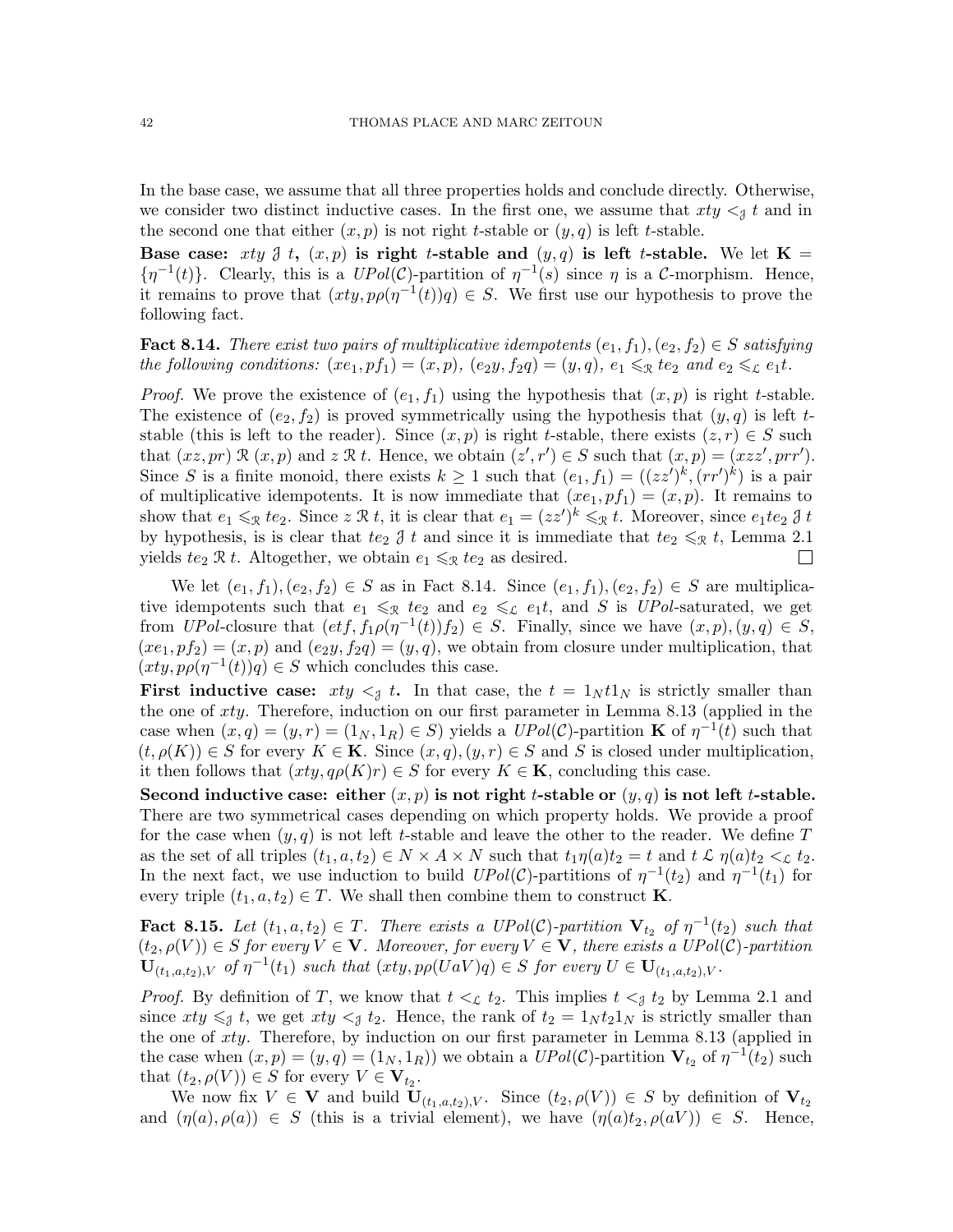In the base case, we assume that all three properties holds and conclude directly. Otherwise, we consider two distinct inductive cases. In the first one, we assume that  $xty <_{\mathcal{A}} t$  and in the second one that either  $(x, p)$  is not right t-stable or  $(y, q)$  is left t-stable.

Base case: xty  $\beta$  t,  $(x, p)$  is right t-stable and  $(y, q)$  is left t-stable. We let  $\mathbf{K} =$  $\{\eta^{-1}(t)\}\$ . Clearly, this is a  $UPol(\mathcal{C})$ -partition of  $\eta^{-1}(s)$  since  $\eta$  is a  $\mathcal{C}$ -morphism. Hence, it remains to prove that  $(xty, p\rho(\eta^{-1}(t))q) \in S$ . We first use our hypothesis to prove the following fact.

<span id="page-41-0"></span>**Fact 8.14.** There exist two pairs of multiplicative idempotents  $(e_1, f_1), (e_2, f_2) \in S$  satisfying the following conditions:  $(xe_1, pf_1) = (x, p)$ ,  $(e_2y, f_2q) = (y, q)$ ,  $e_1 \leq x e_2$  and  $e_2 \leq x e_1t$ .

*Proof.* We prove the existence of  $(e_1, f_1)$  using the hypothesis that  $(x, p)$  is right t-stable. The existence of  $(e_2, f_2)$  is proved symmetrically using the hypothesis that  $(y, q)$  is left tstable (this is left to the reader). Since  $(x, p)$  is right t-stable, there exists  $(z, r) \in S$  such that  $(xz, pr) \mathcal{R}(x, p)$  and  $z \mathcal{R} t$ . Hence, we obtain  $(z', r') \in S$  such that  $(x, p) = (xzz', prr')$ . Since S is a finite monoid, there exists  $k \geq 1$  such that  $(e_1, f_1) = ((zz')^k, (rr')^k)$  is a pair of multiplicative idempotents. It is now immediate that  $(xe_1, pf_1) = (x, p)$ . It remains to show that  $e_1 \leqslant_{\mathcal{R}} t e_2$ . Since  $z \mathcal{R} t$ , it is clear that  $e_1 = (zz')^k \leqslant_{\mathcal{R}} t$ . Moreover, since  $e_1 t e_2 \mathcal{J} t$ by hypothesis, is is clear that te<sub>2</sub>  $\delta t$  and since it is immediate that te<sub>2</sub>  $\leq_{\mathcal{R}} t$ , Lemma [2.1](#page-5-0) yields  $te_2 \mathcal{R} t$ . Altogether, we obtain  $e_1 \leq \mathcal{R} t e_2$  as desired.  $\Box$ 

We let  $(e_1, f_1), (e_2, f_2) \in S$  as in Fact [8.14.](#page-41-0) Since  $(e_1, f_1), (e_2, f_2) \in S$  are multiplicative idempotents such that  $e_1 \leq x$  te<sub>2</sub> and  $e_2 \leq x$  e<sub>1</sub>t, and S is UPol-saturated, we get from UPol-closure that  $(et f, f_1 \rho(\eta^{-1}(t)) f_2) \in S$ . Finally, since we have  $(x, p), (y, q) \in S$ ,  $(xe_1, pf_2) = (x, p)$  and  $(e_2y, f_2q) = (y, q)$ , we obtain from closure under multiplication, that  $(xty, p\rho(\eta^{-1}(t))q) \in S$  which concludes this case.

First inductive case:  $xty \leq t$ . In that case, the  $t = 1_N t1_N$  is strictly smaller than the one of xty. Therefore, induction on our first parameter in Lemma [8.13](#page-40-1) (applied in the case when  $(x, q) = (y, r) = (1_N, 1_R) \in S$  yields a  $UPol(\mathcal{C})$ -partition **K** of  $\eta^{-1}(t)$  such that  $(t, \rho(K)) \in S$  for every  $K \in \mathbf{K}$ . Since  $(x, q), (y, r) \in S$  and S is closed under multiplication, it then follows that  $(xty, q\rho(K)r) \in S$  for every  $K \in \mathbf{K}$ , concluding this case.

Second inductive case: either  $(x, p)$  is not right t-stable or  $(y, q)$  is not left t-stable. There are two symmetrical cases depending on which property holds. We provide a proof for the case when  $(y, q)$  is not left t-stable and leave the other to the reader. We define T as the set of all triples  $(t_1, a, t_2) \in N \times A \times N$  such that  $t_1 \eta(a) t_2 = t$  and  $t \mathcal{L} \eta(a) t_2 <_{\mathcal{L}} t_2$ . In the next fact, we use induction to build  $UPol(\mathcal{C})$ -partitions of  $\eta^{-1}(t_2)$  and  $\eta^{-1}(t_1)$  for every triple  $(t_1, a, t_2) \in T$ . We shall then combine them to construct **K**.

<span id="page-41-1"></span>**Fact 8.15.** Let  $(t_1, a, t_2) \in T$ . There exists a UPol(C)-partition  $V_{t_2}$  of  $\eta^{-1}(t_2)$  such that  $(t_2, \rho(V)) \in S$  for every  $V \in V$ . Moreover, for every  $V \in V$ , there exists a UPol(C)-partition  $\mathbf{U}_{(t_1,a,t_2),V}$  of  $\eta^{-1}(t_1)$  such that  $(xty, p\rho(UaV)q) \in S$  for every  $U \in \mathbf{U}_{(t_1,a,t_2),V}$ .

*Proof.* By definition of T, we know that  $t <_{\mathcal{L}} t_2$ . This implies  $t <_{\mathcal{J}} t_2$  by Lemma [2.1](#page-5-0) and since  $xty \leq \mathcal{J} t$ , we get  $xty \leq \mathcal{J} t_2$ . Hence, the rank of  $t_2 = 1_N t_2 1_N$  is strictly smaller than the one of xty. Therefore, by induction on our first parameter in Lemma [8.13](#page-40-1) (applied in the case when  $(x, p) = (y, q) = (1_N, 1_R)$  we obtain a  $UPol(\mathcal{C})$ -partition  $V_{t_2}$  of  $\eta^{-1}(t_2)$  such that  $(t_2, \rho(V)) \in S$  for every  $V \in V_{t_2}$ .

We now fix  $V \in V$  and build  $\mathbf{U}_{(t_1,a,t_2),V}$ . Since  $(t_2,\rho(V)) \in S$  by definition of  $\mathbf{V}_{t_2}$ and  $(\eta(a), \rho(a)) \in S$  (this is a trivial element), we have  $(\eta(a)t_2, \rho(aV)) \in S$ . Hence,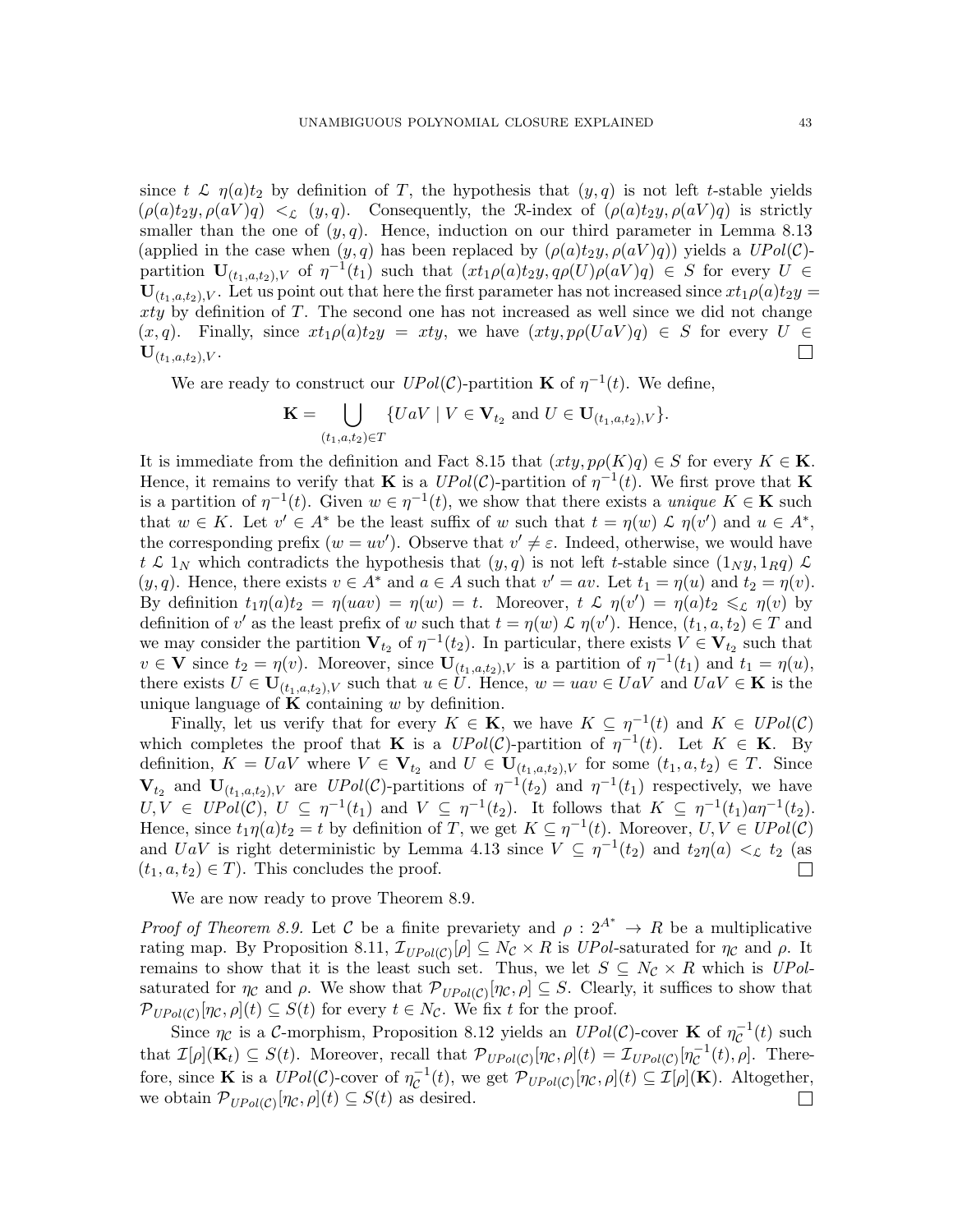since t  $\mathcal{L}$   $\eta(a)t_2$  by definition of T, the hypothesis that  $(y, q)$  is not left t-stable yields  $(\rho(a)t_2y, \rho(aV)q) \leq_{\mathcal{L}} (y, q)$ . Consequently, the R-index of  $(\rho(a)t_2y, \rho(aV)q)$  is strictly smaller than the one of  $(y, q)$ . Hence, induction on our third parameter in Lemma [8.13](#page-40-1) (applied in the case when  $(y, q)$  has been replaced by  $(\rho(a)t_2y, \rho(aV)q)$ ) yields a  $UPol(\mathcal{C})$ partition  $\mathbf{U}_{(t_1,a,t_2),V}$  of  $\eta^{-1}(t_1)$  such that  $(x t_1 \rho(a)t_2 y, q \rho(U) \rho(aV)q) \in S$  for every  $U \in$  $U_{(t_1,a,t_2),V}$ . Let us point out that here the first parameter has not increased since  $xt_1\rho(a)t_2y =$ xty by definition of T. The second one has not increased as well since we did not change  $(x, q)$ . Finally, since  $xt_1\rho(a)t_2y = xty$ , we have  $(xty, p\rho(UaV)q) \in S$  for every  $U \in$  ${\bf U}_{(t_1,a,t_2),V}.$  $\Box$ 

We are ready to construct our  $UPol(\mathcal{C})$ -partition **K** of  $\eta^{-1}(t)$ . We define,

$$
\mathbf{K} = \bigcup_{(t_1, a, t_2) \in T} \{UaV \mid V \in \mathbf{V}_{t_2} \text{ and } U \in \mathbf{U}_{(t_1, a, t_2), V}\}.
$$

It is immediate from the definition and Fact [8.15](#page-41-1) that  $(xty, p\rho(K)q) \in S$  for every  $K \in \mathbf{K}$ . Hence, it remains to verify that **K** is a  $UPol(\mathcal{C})$ -partition of  $\eta^{-1}(t)$ . We first prove that **K** is a partition of  $\eta^{-1}(t)$ . Given  $w \in \eta^{-1}(t)$ , we show that there exists a *unique*  $K \in \mathbf{K}$  such that  $w \in K$ . Let  $v' \in A^*$  be the least suffix of w such that  $t = \eta(w) \mathcal{L} \eta(v')$  and  $u \in A^*$ , the corresponding prefix  $(w = uv')$ . Observe that  $v' \neq \varepsilon$ . Indeed, otherwise, we would have t  $\mathcal{L}$  1<sub>N</sub> which contradicts the hypothesis that  $(y, q)$  is not left t-stable since  $(1_N y, 1_R q) \mathcal{L}$  $(y, q)$ . Hence, there exists  $v \in A^*$  and  $a \in A$  such that  $v' = av$ . Let  $t_1 = \eta(u)$  and  $t_2 = \eta(v)$ . By definition  $t_1\eta(a)t_2 = \eta( uav ) = \eta(w) = t$ . Moreover,  $t \mathcal{L} \eta(v') = \eta(a)t_2 \leq \mathcal{L} \eta(v)$  by definition of v' as the least prefix of w such that  $t = \eta(w) \mathcal{L} \eta(v')$ . Hence,  $(t_1, a, t_2) \in T$  and we may consider the partition  $V_{t_2}$  of  $\eta^{-1}(t_2)$ . In particular, there exists  $V \in V_{t_2}$  such that  $v \in \mathbf{V}$  since  $t_2 = \eta(v)$ . Moreover, since  $\mathbf{U}_{(t_1, a, t_2), V}$  is a partition of  $\eta^{-1}(t_1)$  and  $t_1 = \eta(u)$ , there exists  $U \in U_{(t_1,a,t_2),V}$  such that  $u \in U$ . Hence,  $w = uav \in UaV$  and  $UaV \in \mathbf{K}$  is the unique language of  $\bf{K}$  containing w by definition.

Finally, let us verify that for every  $K \in \mathbf{K}$ , we have  $K \subseteq \eta^{-1}(t)$  and  $K \in UPol(\mathcal{C})$ which completes the proof that **K** is a  $UPol(\mathcal{C})$ -partition of  $\eta^{-1}(t)$ . Let  $K \in \mathbf{K}$ . By definition,  $K = UaV$  where  $V \in V_{t_2}$  and  $U \in U_{(t_1, a, t_2), V}$  for some  $(t_1, a, t_2) \in T$ . Since  $\mathbf{V}_{t_2}$  and  $\mathbf{U}_{(t_1,a,t_2),V}$  are  $UPol(\mathcal{C})$ -partitions of  $\eta^{-1}(t_1)$  and  $\eta^{-1}(t_1)$  respectively, we have  $U, V \in UPol(\mathcal{C}), U \subseteq \eta^{-1}(t_1) \text{ and } V \subseteq \eta^{-1}(t_2)$ . It follows that  $K \subseteq \eta^{-1}(t_1) a \eta^{-1}(t_2)$ . Hence, since  $t_1\eta(a)t_2 = t$  by definition of T, we get  $K \subseteq \eta^{-1}(t)$ . Moreover,  $U, V \in UPol(\mathcal{C})$ and UaV is right deterministic by Lemma [4.13](#page-16-2) since  $V \subseteq \eta^{-1}(t_2)$  and  $t_2\eta(a) <_{\mathcal{L}} t_2$  (as  $(t_1, a, t_2) \in T$ . This concludes the proof.  $\Box$ 

We are now ready to prove Theorem [8.9.](#page-38-0)

*Proof of Theorem [8.9.](#page-38-0)* Let C be a finite prevariety and  $\rho : 2^{A^*} \to R$  be a multiplicative rating map. By Proposition [8.11,](#page-39-1)  $\mathcal{I}_{UPol(C)}[\rho] \subseteq N_{\mathcal{C}} \times R$  is UPol-saturated for  $\eta_{\mathcal{C}}$  and  $\rho$ . It remains to show that it is the least such set. Thus, we let  $S \subseteq N_c \times R$  which is UPolsaturated for  $\eta_c$  and  $\rho$ . We show that  $\mathcal{P}_{UPol(\mathcal{C})}[\eta_c, \rho] \subseteq S$ . Clearly, it suffices to show that  $\mathcal{P}_{UPol(\mathcal{C})}[\eta_{\mathcal{C}},\rho](t) \subseteq S(t)$  for every  $t \in N_{\mathcal{C}}$ . We fix t for the proof.

Since  $\eta_c$  is a C-morphism, Proposition [8.12](#page-40-0) yields an  $UPol(\mathcal{C})$ -cover **K** of  $\eta_c^{-1}$  $\bar{c}^{-1}(t)$  such that  $\mathcal{I}[\rho](\mathbf{K}_t) \subseteq S(t)$ . Moreover, recall that  $\mathcal{P}_{UPol(C)}[\eta_{\mathcal{C}}, \rho](t) = \mathcal{I}_{UPol(C)}[\eta_{\mathcal{C}}^{-1}]$  $\overline{\mathcal{C}}^{-1}(t), \rho$ . Therefore, since **K** is a  $UPol(\mathcal{C})$ -cover of  $\eta_{\mathcal{C}}^{-1}$  $\overline{C}^{-1}(t)$ , we get  $\mathcal{P}_{UPol(C)}[\eta_{\mathcal{C}},\rho](t) \subseteq \mathcal{I}[\rho](\mathbf{K})$ . Altogether, we obtain  $\mathcal{P}_{UPol(C)}[\eta_{\mathcal{C}}, \rho](t) \subseteq S(t)$  as desired.  $\Box$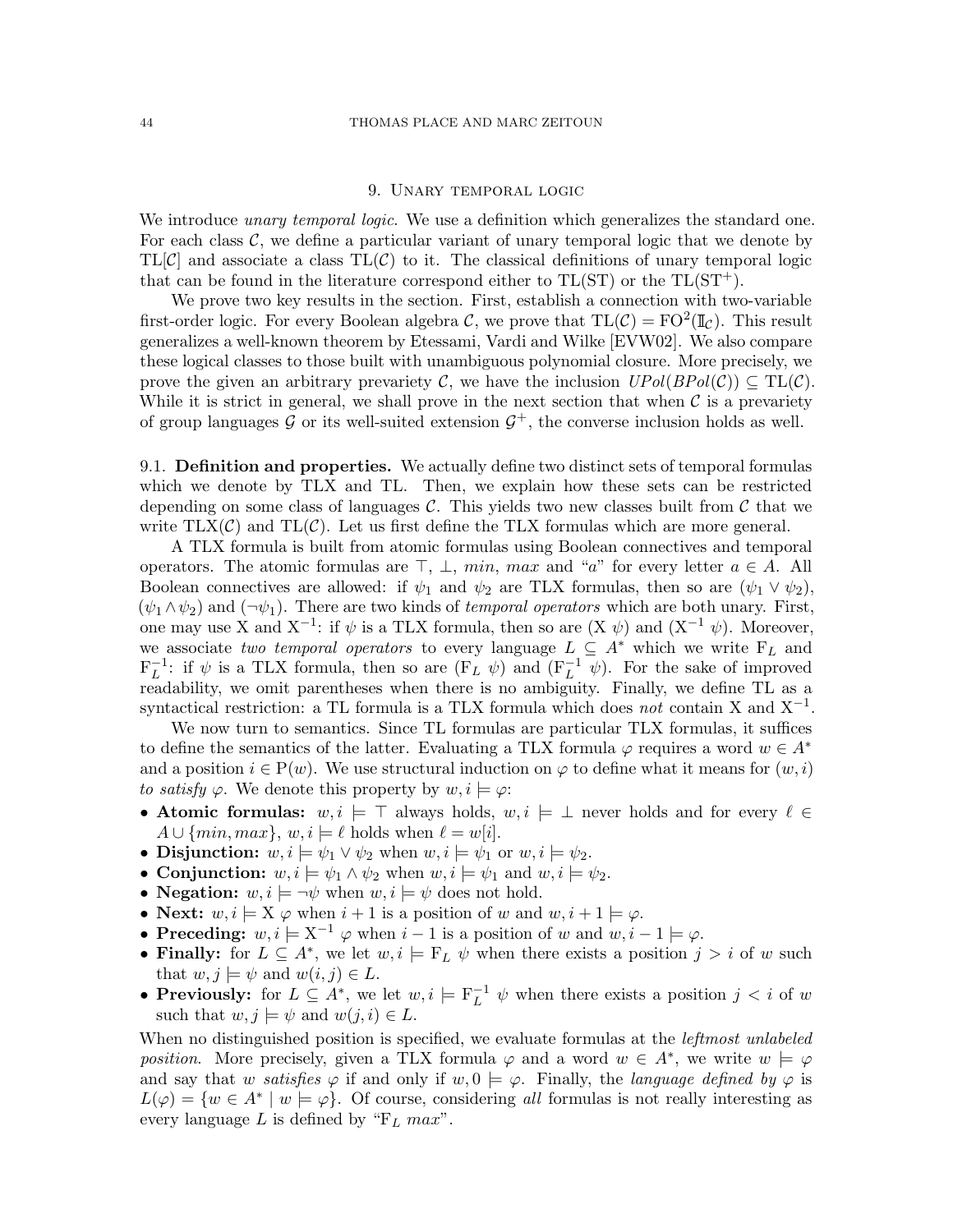# 9. Unary temporal logic

<span id="page-43-0"></span>We introduce *unary temporal logic*. We use a definition which generalizes the standard one. For each class  $\mathcal{C}$ , we define a particular variant of unary temporal logic that we denote by  $TL[\mathcal{C}]$  and associate a class  $TL(\mathcal{C})$  to it. The classical definitions of unary temporal logic that can be found in the literature correspond either to  $TL(ST)$  or the  $TL(ST^{+})$ .

We prove two key results in the section. First, establish a connection with two-variable first-order logic. For every Boolean algebra C, we prove that  $TL(\mathcal{C}) = FO^2(\mathbb{I}_{\mathcal{C}})$ . This result generalizes a well-known theorem by Etessami, Vardi and Wilke [\[EVW02\]](#page-59-8). We also compare these logical classes to those built with unambiguous polynomial closure. More precisely, we prove the given an arbitrary prevariety C, we have the inclusion  $UPol(BPol(\mathcal{C})) \subseteq TL(\mathcal{C})$ . While it is strict in general, we shall prove in the next section that when  $\mathcal C$  is a prevariety of group languages G or its well-suited extension  $G^+$ , the converse inclusion holds as well.

9.1. Definition and properties. We actually define two distinct sets of temporal formulas which we denote by TLX and TL. Then, we explain how these sets can be restricted depending on some class of languages  $\mathcal C$ . This yields two new classes built from  $\mathcal C$  that we write  $TLX(\mathcal{C})$  and  $TL(\mathcal{C})$ . Let us first define the TLX formulas which are more general.

A TLX formula is built from atomic formulas using Boolean connectives and temporal operators. The atomic formulas are  $\top$ ,  $\bot$ , min, max and "a" for every letter  $a \in A$ . All Boolean connectives are allowed: if  $\psi_1$  and  $\psi_2$  are TLX formulas, then so are  $(\psi_1 \vee \psi_2)$ ,  $(\psi_1 \wedge \psi_2)$  and  $(\neg \psi_1)$ . There are two kinds of *temporal operators* which are both unary. First, one may use X and  $X^{-1}$ : if  $\psi$  is a TLX formula, then so are  $(X \psi)$  and  $(X^{-1} \psi)$ . Moreover, we associate two temporal operators to every language  $L \subseteq A^*$  which we write  $F_L$  and  $F_L^{-1}$ : if  $\psi$  is a TLX formula, then so are  $(F_L \psi)$  and  $(F_L^{-1} \psi)$ . For the sake of improved readability, we omit parentheses when there is no ambiguity. Finally, we define TL as a syntactical restriction: a TL formula is a TLX formula which does *not* contain X and  $X^{-1}$ .

We now turn to semantics. Since TL formulas are particular TLX formulas, it suffices to define the semantics of the latter. Evaluating a TLX formula  $\varphi$  requires a word  $w \in A^*$ and a position  $i \in P(w)$ . We use structural induction on  $\varphi$  to define what it means for  $(w, i)$ to satisfy  $\varphi$ . We denote this property by  $w, i \models \varphi$ :

- Atomic formulas:  $w, i \models \top$  always holds,  $w, i \models \bot$  never holds and for every  $\ell \in \top$  $A \cup \{min, max\}, w, i \models \ell$  holds when  $\ell = w[i].$
- Disjunction:  $w, i \models \psi_1 \lor \psi_2$  when  $w, i \models \psi_1$  or  $w, i \models \psi_2$ .
- Conjunction:  $w, i \models \psi_1 \land \psi_2$  when  $w, i \models \psi_1$  and  $w, i \models \psi_2$ .
- Negation:  $w, i \models \neg \psi$  when  $w, i \models \psi$  does not hold.
- Next:  $w, i \models X \varphi$  when  $i + 1$  is a position of w and  $w, i + 1 \models \varphi$ .
- Preceding:  $w, i \models X^{-1} \varphi$  when  $i-1$  is a position of w and  $w, i-1 \models \varphi$ .
- Finally: for  $L \subseteq A^*$ , we let  $w, i \models F_L \psi$  when there exists a position  $j > i$  of w such that  $w, j \models \psi$  and  $w(i, j) \in L$ .
- **Previously:** for  $L \subseteq A^*$ , we let  $w, i \models F_L^{-1} \psi$  when there exists a position  $j < i$  of  $w$ such that  $w, j \models \psi$  and  $w(j, i) \in L$ .

When no distinguished position is specified, we evaluate formulas at the *leftmost unlabeled* position. More precisely, given a TLX formula  $\varphi$  and a word  $w \in A^*$ , we write  $w \models \varphi$ and say that w satisfies  $\varphi$  if and only if  $w, 0 \models \varphi$ . Finally, the language defined by  $\varphi$  is  $L(\varphi) = \{w \in A^* \mid w \models \varphi\}.$  Of course, considering all formulas is not really interesting as every language L is defined by " $F_L$  max".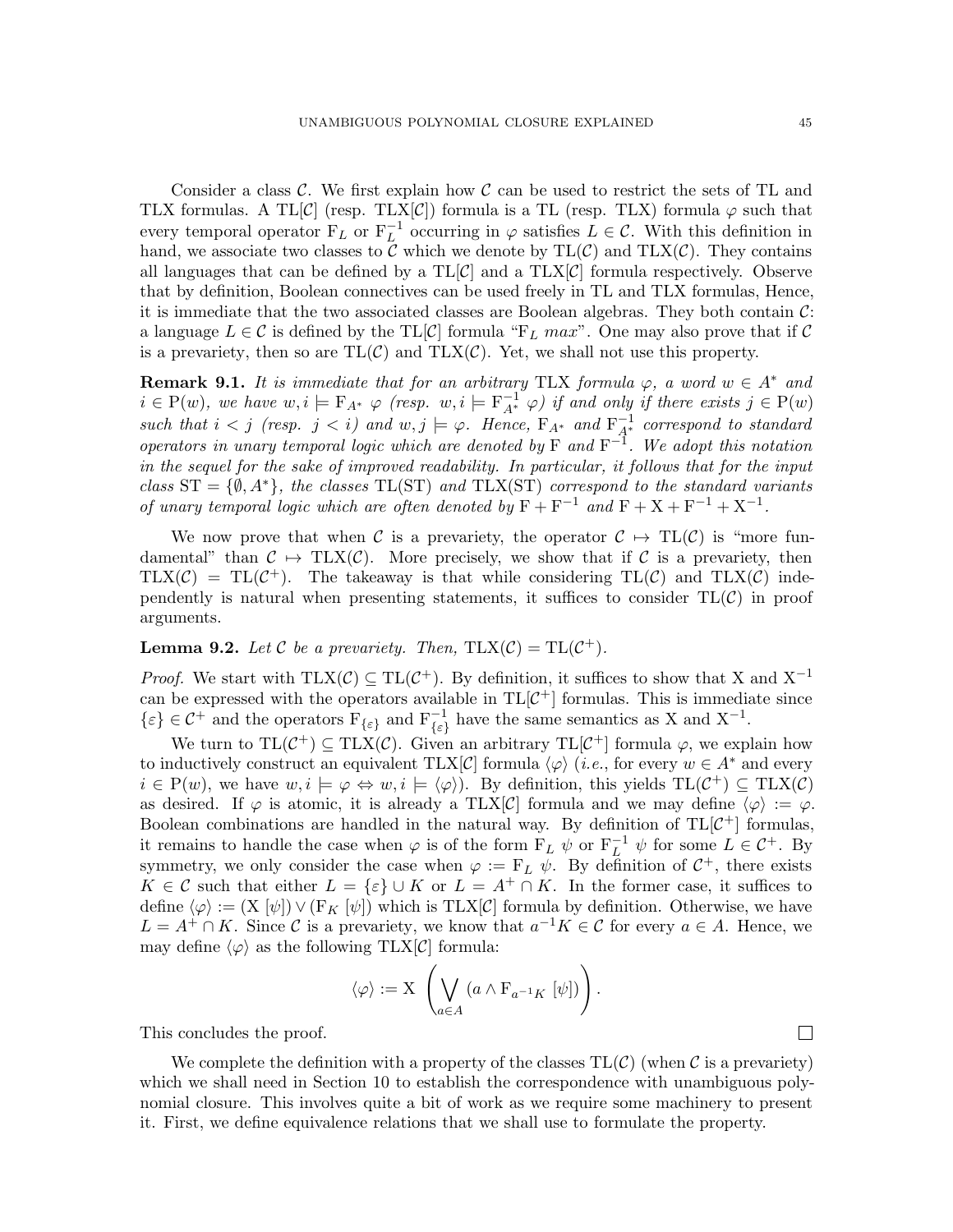Consider a class  $\mathcal{C}$ . We first explain how  $\mathcal{C}$  can be used to restrict the sets of TL and TLX formulas. A TL $[\mathcal{C}]$  (resp. TLX $[\mathcal{C}]$ ) formula is a TL (resp. TLX) formula  $\varphi$  such that every temporal operator  $F_L$  or  $F_L^{-1}$  occurring in  $\varphi$  satisfies  $L \in \mathcal{C}$ . With this definition in hand, we associate two classes to  $\bar{C}$  which we denote by  $TL(\mathcal{C})$  and  $TLX(\mathcal{C})$ . They contains all languages that can be defined by a  $TL[\mathcal{C}]$  and a  $TL[X]\mathcal{C}]$  formula respectively. Observe that by definition, Boolean connectives can be used freely in TL and TLX formulas, Hence, it is immediate that the two associated classes are Boolean algebras. They both contain  $\mathcal{C}$ : a language  $L \in \mathcal{C}$  is defined by the TL[C] formula "F<sub>L</sub> max". One may also prove that if C is a prevariety, then so are  $TL(\mathcal{C})$  and  $TLX(\mathcal{C})$ . Yet, we shall not use this property.

**Remark 9.1.** It is immediate that for an arbitrary TLX formula  $\varphi$ , a word  $w \in A^*$  and  $i \in P(w)$ , we have  $w, i \models F_{A^*} \varphi$  (resp.  $w, i \models F_{A^*}^{-1} \varphi)$  if and only if there exists  $j \in P(w)$ such that  $i < j$  (resp.  $j < i$ ) and  $w, j \models \varphi$ . Hence,  $F_{A^*}$  and  $F_{A^*}^{-1}$  correspond to standard operators in unary temporal logic which are denoted by  $F$  and  $F^{-1}$ . We adopt this notation in the sequel for the sake of improved readability. In particular, it follows that for the input class  $ST = \{\emptyset, A^*\}$ , the classes TL(ST) and TLX(ST) correspond to the standard variants of unary temporal logic which are often denoted by  $F + F^{-1}$  and  $F + X + F^{-1} + X^{-1}$ .

We now prove that when C is a prevariety, the operator  $C \rightarrow TL(C)$  is "more fundamental" than  $C \mapsto \text{TLX}(\mathcal{C})$ . More precisely, we show that if C is a prevariety, then  $TLX(\mathcal{C}) = TL(\mathcal{C}^+).$  The takeaway is that while considering  $TL(\mathcal{C})$  and  $TLX(\mathcal{C})$  independently is natural when presenting statements, it suffices to consider  $TL(\mathcal{C})$  in proof arguments.

<span id="page-44-0"></span>**Lemma 9.2.** Let C be a prevariety. Then,  $TLX(\mathcal{C}) = TL(\mathcal{C}^+)$ .

*Proof.* We start with TLX( $C$ )  $\subseteq$  TL( $C$ <sup>+</sup>). By definition, it suffices to show that X and X<sup>-1</sup> can be expressed with the operators available in  $TL[\mathcal{C}^+]$  formulas. This is immediate since  $\{\varepsilon\} \in C^+$  and the operators  $F_{\{\varepsilon\}}$  and  $F_{\{\varepsilon\}}^{-1}$  have the same semantics as X and  $X^{-1}$ .

We turn to  $TL(\mathcal{C}^+) \subseteq TLX(\mathcal{C})$ . Given an arbitrary  $TL[\mathcal{C}^+]$  formula  $\varphi$ , we explain how to inductively construct an equivalent  $TLX[\mathcal{C}]$  formula  $\langle \varphi \rangle$  (*i.e.*, for every  $w \in A^*$  and every  $i \in P(w)$ , we have  $w, i \models \varphi \Leftrightarrow w, i \models \langle \varphi \rangle$ . By definition, this yields  $TL(\mathcal{C}^+) \subseteq TLX(\mathcal{C})$ as desired. If  $\varphi$  is atomic, it is already a TLX[C] formula and we may define  $\langle \varphi \rangle := \varphi$ . Boolean combinations are handled in the natural way. By definition of  $TL[\mathcal{C}^+]$  formulas, it remains to handle the case when  $\varphi$  is of the form  $F_L \psi$  or  $F_L^{-1} \psi$  for some  $L \in C^+$ . By symmetry, we only consider the case when  $\varphi := \mathbf{F}_L \psi$ . By definition of  $\mathcal{C}^+$ , there exists  $K \in \mathcal{C}$  such that either  $L = \{\varepsilon\} \cup K$  or  $L = A^+ \cap K$ . In the former case, it suffices to define  $\langle \varphi \rangle := (X [\psi]) \vee (F_K [\psi])$  which is TLX[C] formula by definition. Otherwise, we have  $L = A^+ \cap K$ . Since C is a prevariety, we know that  $a^{-1}K \in \mathcal{C}$  for every  $a \in A$ . Hence, we may define  $\langle \varphi \rangle$  as the following TLX[C] formula:

$$
\langle \varphi \rangle := \mathcal{X} \left( \bigvee_{a \in A} \left( a \wedge F_{a^{-1}K} \left[ \psi \right] \right) \right).
$$

This concludes the proof.

We complete the definition with a property of the classes  $TL(\mathcal{C})$  (when  $\mathcal{C}$  is a prevariety) which we shall need in Section [10](#page-53-0) to establish the correspondence with unambiguous polynomial closure. This involves quite a bit of work as we require some machinery to present it. First, we define equivalence relations that we shall use to formulate the property.

 $\Box$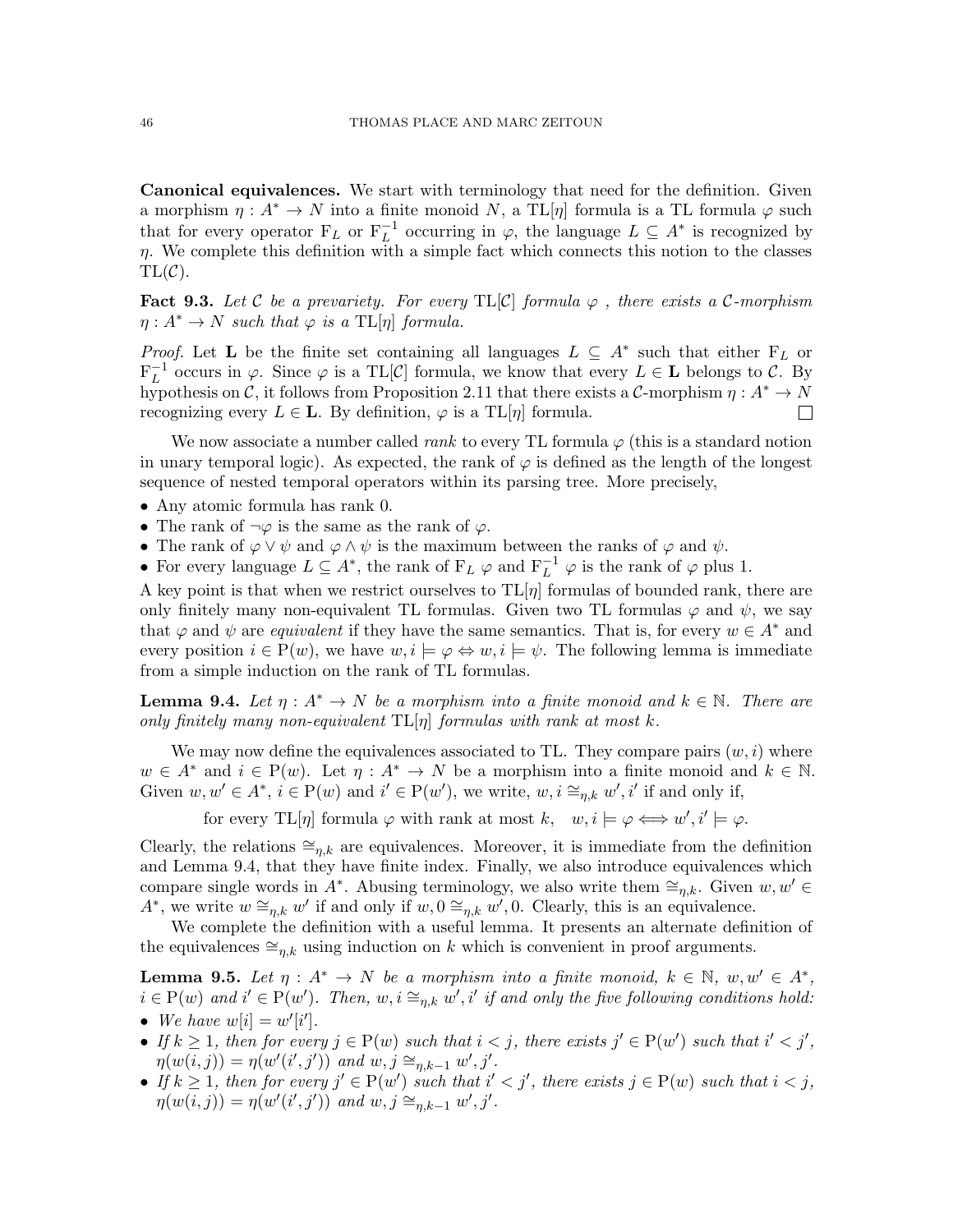Canonical equivalences. We start with terminology that need for the definition. Given a morphism  $\eta: A^* \to N$  into a finite monoid N, a TL[ $\eta$ ] formula is a TL formula  $\varphi$  such that for every operator  $F_L$  or  $F_L^{-1}$  occurring in  $\varphi$ , the language  $L \subseteq A^*$  is recognized by  $η.$  We complete this definition with a simple fact which connects this notion to the classes  $TL(\mathcal{C}).$ 

<span id="page-45-2"></span>**Fact 9.3.** Let C be a prevariety. For every TL[C] formula  $\varphi$ , there exists a C-morphism  $\eta: A^* \to N$  such that  $\varphi$  is a TL[ $\eta$ ] formula.

*Proof.* Let **L** be the finite set containing all languages  $L \subseteq A^*$  such that either  $F_L$  or  $F_L^{-1}$  occurs in  $\varphi$ . Since  $\varphi$  is a TL[C] formula, we know that every  $L \in \mathbf{L}$  belongs to C. By hypothesis on C, it follows from Proposition [2.11](#page-9-0) that there exists a C-morphism  $\eta: A^* \to N$ recognizing every  $L \in \mathbf{L}$ . By definition,  $\varphi$  is a TL[ $\eta$ ] formula.  $\Box$ 

We now associate a number called *rank* to every TL formula  $\varphi$  (this is a standard notion in unary temporal logic). As expected, the rank of  $\varphi$  is defined as the length of the longest sequence of nested temporal operators within its parsing tree. More precisely,

- Any atomic formula has rank 0.
- The rank of  $\neg \varphi$  is the same as the rank of  $\varphi$ .
- The rank of  $\varphi \vee \psi$  and  $\varphi \wedge \psi$  is the maximum between the ranks of  $\varphi$  and  $\psi$ .
- For every language  $L \subseteq A^*$ , the rank of  $F_L \varphi$  and  $F_L^{-1} \varphi$  is the rank of  $\varphi$  plus 1.

A key point is that when we restrict ourselves to  $TL[\eta]$  formulas of bounded rank, there are only finitely many non-equivalent TL formulas. Given two TL formulas  $\varphi$  and  $\psi$ , we say that  $\varphi$  and  $\psi$  are *equivalent* if they have the same semantics. That is, for every  $w \in A^*$  and every position  $i \in P(w)$ , we have  $w, i \models \varphi \Leftrightarrow w, i \models \psi$ . The following lemma is immediate from a simple induction on the rank of TL formulas.

<span id="page-45-0"></span>**Lemma 9.4.** Let  $\eta: A^* \to N$  be a morphism into a finite monoid and  $k \in \mathbb{N}$ . There are only finitely many non-equivalent  $TL[\eta]$  formulas with rank at most k.

We may now define the equivalences associated to TL. They compare pairs  $(w, i)$  where  $w \in A^*$  and  $i \in P(w)$ . Let  $\eta: A^* \to N$  be a morphism into a finite monoid and  $k \in \mathbb{N}$ . Given  $w, w' \in A^*, i \in P(w)$  and  $i' \in P(w')$ , we write,  $w, i \cong_{\eta,k} w', i'$  if and only if,

for every TL[ $\eta$ ] formula  $\varphi$  with rank at most  $k, \quad w, i \models \varphi \Longleftrightarrow w', i' \models \varphi$ .

Clearly, the relations  $\cong_{n,k}$  are equivalences. Moreover, it is immediate from the definition and Lemma [9.4,](#page-45-0) that they have finite index. Finally, we also introduce equivalences which compare single words in  $A^*$ . Abusing terminology, we also write them  $\cong_{\eta,k}$ . Given  $w, w' \in$  $A^*$ , we write  $w \cong_{\eta,k} w'$  if and only if  $w, 0 \cong_{\eta,k} w', 0$ . Clearly, this is an equivalence.

We complete the definition with a useful lemma. It presents an alternate definition of the equivalences  $\cong_{n,k}$  using induction on k which is convenient in proof arguments.

<span id="page-45-1"></span>**Lemma 9.5.** Let  $\eta: A^* \to N$  be a morphism into a finite monoid,  $k \in \mathbb{N}$ ,  $w, w' \in A^*$ ,  $i \in P(w)$  and  $i' \in P(w')$ . Then,  $w, i \cong_{\eta,k} w', i'$  if and only the five following conditions hold: • We have  $w[i] = w'[i']$ .

- If  $k \geq 1$ , then for every  $j \in P(w)$  such that  $i < j$ , there exists  $j' \in P(w')$  such that  $i' < j'$ ,  $\eta(w(i,j)) = \eta(w'(i',j'))$  and  $w, j \cong_{\eta,k-1} w', j'.$
- If  $k \geq 1$ , then for every  $j' \in P(w')$  such that  $i' < j'$ , there exists  $j \in P(w)$  such that  $i < j$ ,  $\eta(w(i,j)) = \eta(w'(i',j'))$  and  $w, j \cong_{\eta,k-1} w', j'.$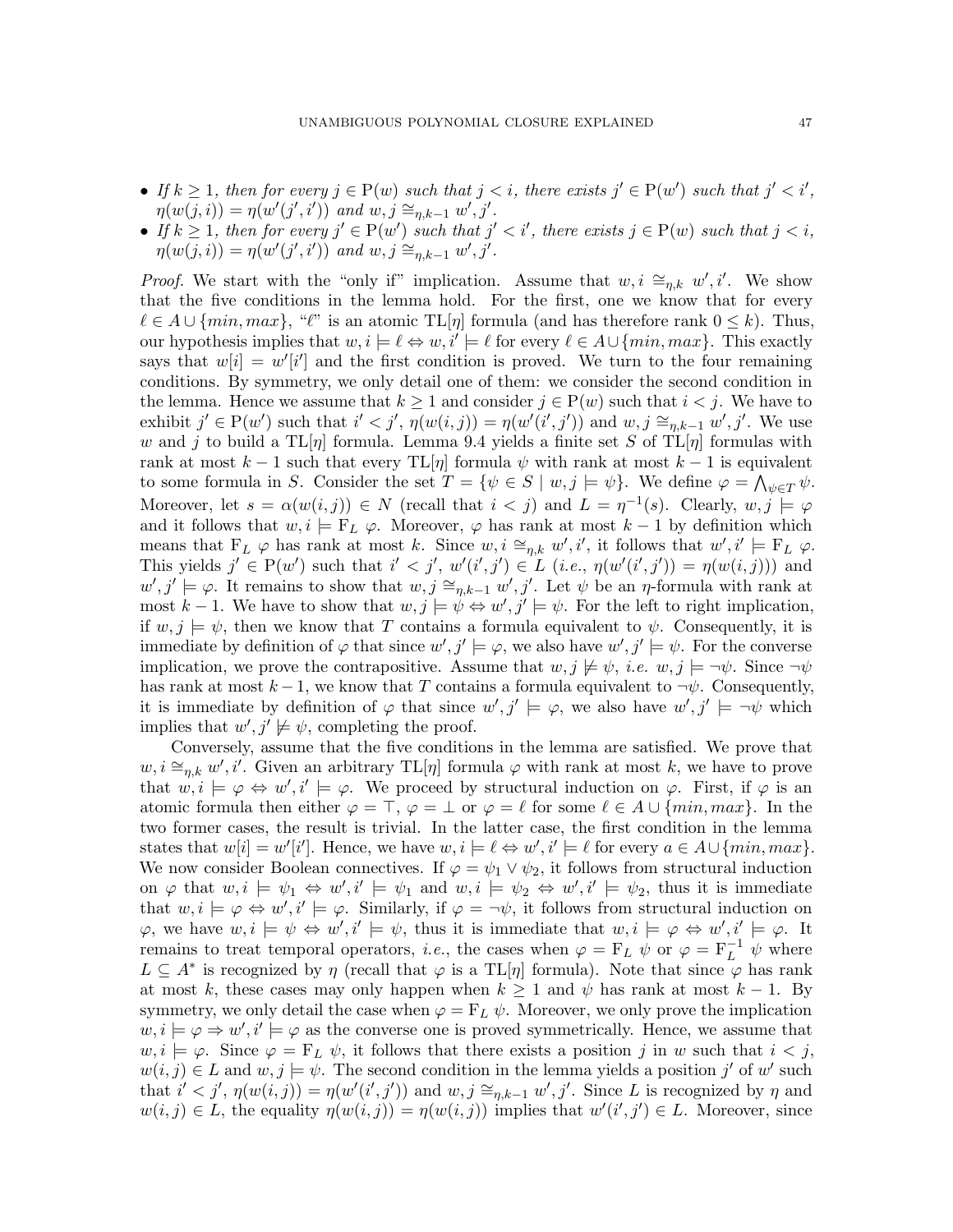- If  $k \geq 1$ , then for every  $j \in P(w)$  such that  $j < i$ , there exists  $j' \in P(w')$  such that  $j' < i'$ ,  $\eta(w(j,i)) = \eta(w'(j',i'))$  and  $w, j \cong_{\eta,k-1} w', j'.$
- If  $k \geq 1$ , then for every  $j' \in P(w')$  such that  $j' < i'$ , there exists  $j \in P(w)$  such that  $j < i$ ,  $\eta(w(j,i)) = \eta(w'(j',i'))$  and  $w, j \cong_{\eta,k-1} w', j'.$

*Proof.* We start with the "only if" implication. Assume that  $w, i \cong_{\eta,k} w', i'$ . We show that the five conditions in the lemma hold. For the first, one we know that for every  $\ell \in A \cup \{min, max\}, \ll$ " is an atomic TL[ $\eta$ ] formula (and has therefore rank  $0 \leq k$ ). Thus, our hypothesis implies that  $w, i \models \ell \Leftrightarrow w, i' \models \ell$  for every  $\ell \in A \cup \{min, max\}$ . This exactly says that  $w[i] = w'[i']$  and the first condition is proved. We turn to the four remaining conditions. By symmetry, we only detail one of them: we consider the second condition in the lemma. Hence we assume that  $k \geq 1$  and consider  $j \in P(w)$  such that  $i < j$ . We have to exhibit  $j' \in P(w')$  such that  $i' < j'$ ,  $\eta(w(i,j)) = \eta(w'(i',j'))$  and  $w, j \cong_{\eta,k-1} w', j'$ . We use w and j to build a TL[ $\eta$ ] formula. Lemma [9.4](#page-45-0) yields a finite set S of TL[ $\eta$ ] formulas with rank at most  $k-1$  such that every TL[ $\eta$ ] formula  $\psi$  with rank at most  $k-1$  is equivalent to some formula in S. Consider the set  $T = \{ \psi \in S \mid w, j \models \psi \}$ . We define  $\varphi = \bigwedge_{\psi \in T} \psi$ . Moreover, let  $s = \alpha(w(i,j)) \in N$  (recall that  $i < j$ ) and  $L = \eta^{-1}(s)$ . Clearly,  $w, j \models \varphi$ and it follows that  $w, i \models F_L \varphi$ . Moreover,  $\varphi$  has rank at most  $k-1$  by definition which means that  $F_L \varphi$  has rank at most k. Since  $w, i \cong_{\eta,k} w', i'$ , it follows that  $w', i' \models F_L \varphi$ . This yields  $j' \in P(w')$  such that  $i' < j'$ ,  $w'(i', j') \in L$   $(i.e., \eta(w'(i', j')) = \eta(w(i, j)))$  and  $w', j' \models \varphi$ . It remains to show that  $w, j \cong_{\eta,k-1} w', j'$ . Let  $\psi$  be an  $\eta$ -formula with rank at most k – 1. We have to show that  $w, j \models \psi \Leftrightarrow w', j' \models \psi$ . For the left to right implication, if  $w, j \models \psi$ , then we know that T contains a formula equivalent to  $\psi$ . Consequently, it is immediate by definition of  $\varphi$  that since  $w', j' \models \varphi$ , we also have  $w', j' \models \psi$ . For the converse implication, we prove the contrapositive. Assume that  $w, j \not\models \psi$ , *i.e.*  $w, j \models \neg \psi$ . Since  $\neg \psi$ has rank at most  $k-1$ , we know that T contains a formula equivalent to  $\neg \psi$ . Consequently, it is immediate by definition of  $\varphi$  that since  $w', j' \models \varphi$ , we also have  $w', j' \models \neg \psi$  which implies that  $w', j' \not\models \psi$ , completing the proof.

Conversely, assume that the five conditions in the lemma are satisfied. We prove that  $w, i \cong_{\eta,k} w', i'.$  Given an arbitrary TL[ $\eta$ ] formula  $\varphi$  with rank at most k, we have to prove that  $w, i \models \varphi \Leftrightarrow w', i' \models \varphi$ . We proceed by structural induction on  $\varphi$ . First, if  $\varphi$  is an atomic formula then either  $\varphi = \top$ ,  $\varphi = \bot$  or  $\varphi = \ell$  for some  $\ell \in A \cup \{min, max\}$ . In the two former cases, the result is trivial. In the latter case, the first condition in the lemma states that  $w[i] = w'[i']$ . Hence, we have  $w, i \models \ell \Leftrightarrow w', i' \models \ell$  for every  $a \in A \cup \{min, max\}$ . We now consider Boolean connectives. If  $\varphi = \psi_1 \vee \psi_2$ , it follows from structural induction on  $\varphi$  that  $w, i \models \psi_1 \Leftrightarrow w', i' \models \psi_1$  and  $w, i \models \psi_2 \Leftrightarrow w', i' \models \psi_2$ , thus it is immediate that  $w, i \models \varphi \Leftrightarrow w', i' \models \varphi$ . Similarly, if  $\varphi = \neg \psi$ , it follows from structural induction on  $\varphi$ , we have  $w, i \models \psi \Leftrightarrow w', i' \models \psi$ , thus it is immediate that  $w, i \models \varphi \Leftrightarrow w', i' \models \varphi$ . It remains to treat temporal operators, *i.e.*, the cases when  $\varphi = F_L \psi$  or  $\varphi = F_L^{-1} \psi$  where  $L \subseteq A^*$  is recognized by  $\eta$  (recall that  $\varphi$  is a TL[ $\eta$ ] formula). Note that since  $\varphi$  has rank at most k, these cases may only happen when  $k \geq 1$  and  $\psi$  has rank at most  $k-1$ . By symmetry, we only detail the case when  $\varphi = F_L \psi$ . Moreover, we only prove the implication  $w, i \models \varphi \Rightarrow w', i' \models \varphi$  as the converse one is proved symmetrically. Hence, we assume that  $w, i \models \varphi$ . Since  $\varphi = F_L \psi$ , it follows that there exists a position j in w such that  $i < j$ ,  $w(i, j) \in L$  and  $w, j \models \psi$ . The second condition in the lemma yields a position j' of w' such that  $i' < j'$ ,  $\eta(w(i,j)) = \eta(w'(i',j'))$  and  $w, j \cong_{\eta,k-1} w', j'$ . Since L is recognized by  $\eta$  and  $w(i, j) \in L$ , the equality  $\eta(w(i, j)) = \eta(w(i, j))$  implies that  $w'(i', j') \in L$ . Moreover, since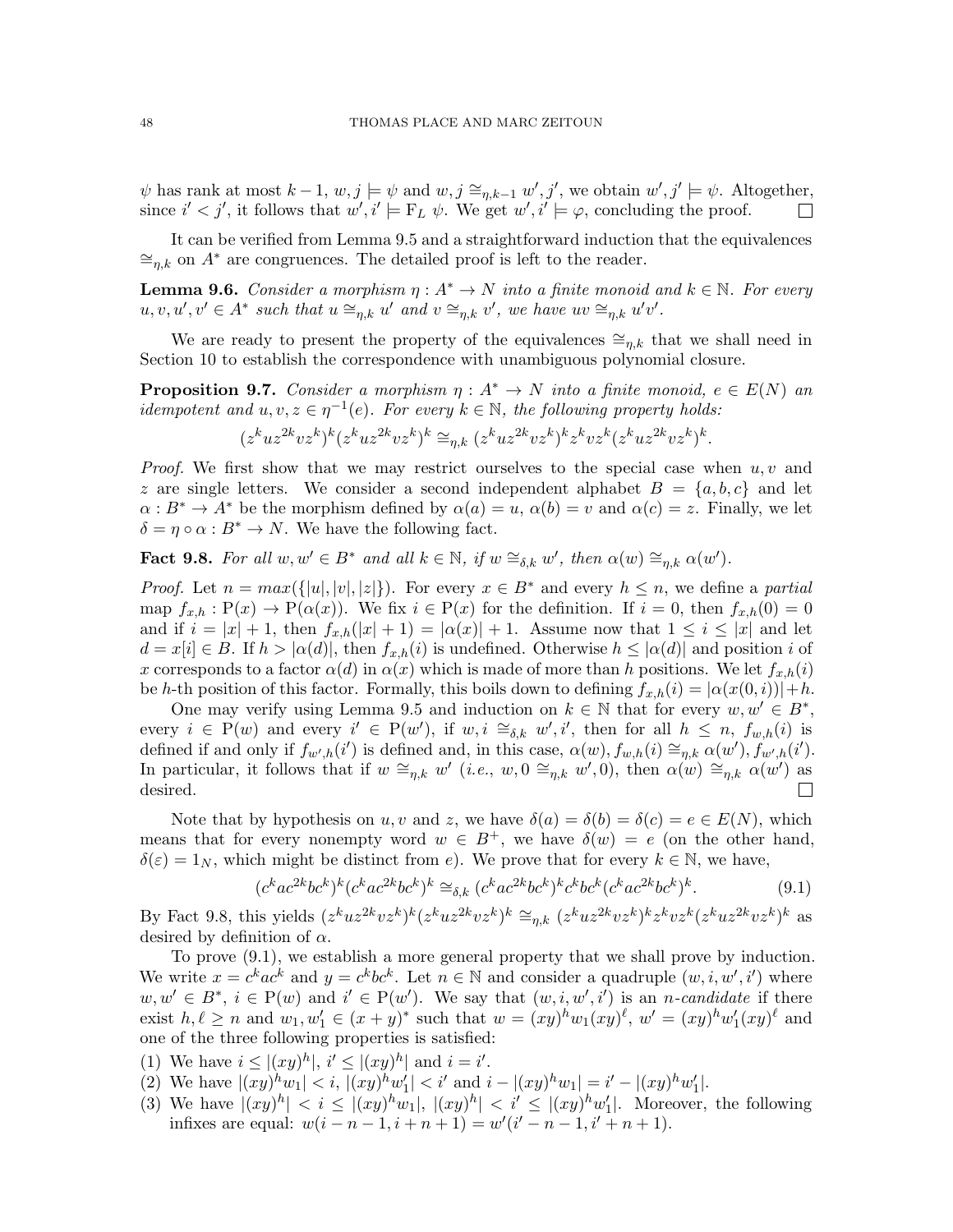$\psi$  has rank at most  $k-1, w, j \models \psi$  and  $w, j \cong_{\eta,k-1} w', j'$ , we obtain  $w', j' \models \psi$ . Altogether, since  $i' < j'$ , it follows that  $w', i' \models F_L \psi$ . We get  $w', i' \models \varphi$ , concluding the proof.  $\Box$ 

It can be verified from Lemma [9.5](#page-45-1) and a straightforward induction that the equivalences  $\cong_{n,k}$  on  $A^*$  are congruences. The detailed proof is left to the reader.

<span id="page-47-6"></span>**Lemma 9.6.** Consider a morphism  $\eta: A^* \to N$  into a finite monoid and  $k \in \mathbb{N}$ . For every  $u, v, u', v' \in A^*$  such that  $u \cong_{\eta,k} u'$  and  $v \cong_{\eta,k} v'$ , we have  $uv \cong_{\eta,k} u'v'$ .

We are ready to present the property of the equivalences  $\cong_{n,k}$  that we shall need in Section [10](#page-53-0) to establish the correspondence with unambiguous polynomial closure.

<span id="page-47-5"></span>**Proposition 9.7.** Consider a morphism  $\eta : A^* \to N$  into a finite monoid,  $e \in E(N)$  and idempotent and  $u, v, z \in \eta^{-1}(e)$ . For every  $k \in \mathbb{N}$ , the following property holds:

$$
(z^kuz^{2k}vz^k)^k(z^kuz^{2k}vz^k)^k \cong_{\eta,k} (z^kuz^{2k}vz^k)^kz^kvz^k(z^kuz^{2k}vz^k)^k.
$$

*Proof.* We first show that we may restrict ourselves to the special case when  $u, v$  and z are single letters. We consider a second independent alphabet  $B = \{a, b, c\}$  and let  $\alpha : B^* \to A^*$  be the morphism defined by  $\alpha(a) = u$ ,  $\alpha(b) = v$  and  $\alpha(c) = z$ . Finally, we let  $\delta = \eta \circ \alpha : B^* \to N$ . We have the following fact.

<span id="page-47-0"></span>**Fact 9.8.** For all  $w, w' \in B^*$  and all  $k \in \mathbb{N}$ , if  $w \cong_{\delta,k} w'$ , then  $\alpha(w) \cong_{\eta,k} \alpha(w')$ .

*Proof.* Let  $n = max({\{|u|, |v|, |z|\}})$ . For every  $x \in B^*$  and every  $h \leq n$ , we define a partial map  $f_{x,h}: \mathcal{P}(x) \to \mathcal{P}(\alpha(x))$ . We fix  $i \in \mathcal{P}(x)$  for the definition. If  $i = 0$ , then  $f_{x,h}(0) = 0$ and if  $i = |x| + 1$ , then  $f_{x,h}(|x| + 1) = |\alpha(x)| + 1$ . Assume now that  $1 \leq i \leq |x|$  and let  $d = x[i] \in B$ . If  $h > |\alpha(d)|$ , then  $f_{x,h}(i)$  is undefined. Otherwise  $h \leq |\alpha(d)|$  and position i of x corresponds to a factor  $\alpha(d)$  in  $\alpha(x)$  which is made of more than h positions. We let  $f_{x,h}(i)$ be h-th position of this factor. Formally, this boils down to defining  $f_{x,h}(i) = |\alpha(x(0,i))| + h$ .

One may verify using Lemma [9.5](#page-45-1) and induction on  $k \in \mathbb{N}$  that for every  $w, w' \in B^*$ , every  $i \in P(w)$  and every  $i' \in P(w')$ , if  $w, i \cong_{\delta,k} w', i'$ , then for all  $h \leq n$ ,  $f_{w,h}(i)$  is defined if and only if  $f_{w',h}(i')$  is defined and, in this case,  $\alpha(w)$ ,  $f_{w,h}(i) \cong_{\eta,k} \alpha(w')$ ,  $f_{w',h}(i')$ . In particular, it follows that if  $w \cong_{\eta,k} w'$  (*i.e.*,  $w, 0 \cong_{\eta,k} w', 0$ ), then  $\alpha(w) \cong_{\eta,k} \alpha(w')$  as desired.  $\Box$ 

Note that by hypothesis on u, v and z, we have  $\delta(a) = \delta(b) = \delta(c) = e \in E(N)$ , which means that for every nonempty word  $w \in B^+$ , we have  $\delta(w) = e$  (on the other hand,  $\delta(\varepsilon) = 1_N$ , which might be distinct from e). We prove that for every  $k \in \mathbb{N}$ , we have,

<span id="page-47-1"></span>
$$
(c^k ac^{2k}bc^k)^k (c^k ac^{2k}bc^k)^k \cong_{\delta,k} (c^k ac^{2k}bc^k)^k c^k bc^k (c^k ac^{2k}bc^k)^k. \tag{9.1}
$$

By Fact [9.8,](#page-47-0) this yields  $(z^kuz^{2k}vz^k)^k(z^kuz^{2k}vz^k)^k \cong_{\eta,k} (z^kuz^{2k}vz^k)^k z^k vz^k (z^kuz^{2k}vz^k)^k$  as desired by definition of  $\alpha$ .

To prove [\(9.1\)](#page-47-1), we establish a more general property that we shall prove by induction. We write  $x = c^k a c^k$  and  $y = c^k b c^k$ . Let  $n \in \mathbb{N}$  and consider a quadruple  $(w, i, w', i')$  where  $w, w' \in B^*, i \in P(w)$  and  $i' \in P(w')$ . We say that  $(w, i, w', i')$  is an *n*-candidate if there exist  $h, \ell \ge n$  and  $w_1, w'_1 \in (x + y)^*$  such that  $w = (xy)^h w_1(xy)^{\ell}$ ,  $w' = (xy)^h w'_1(xy)^{\ell}$  and one of the three following properties is satisfied:

- <span id="page-47-4"></span><span id="page-47-2"></span>(1) We have  $i \leq |(xy)^h|, i' \leq |(xy)^h|$  and  $i = i'$ .
- <span id="page-47-3"></span>(2) We have  $|(xy)^h w_1| < i$ ,  $|(xy)^h w_1'| < i'$  and  $i - |(xy)^h w_1| = i' - |(xy)^h w_1'|$ .
- (3) We have  $|(xy)^h| < i \leq |(xy)^h w_1|, |(xy)^h| < i' \leq |(xy)^h w_1'|$ . Moreover, the following infixes are equal:  $w(i - n - 1, i + n + 1) = w'(i' - n - 1, i' + n + 1)$ .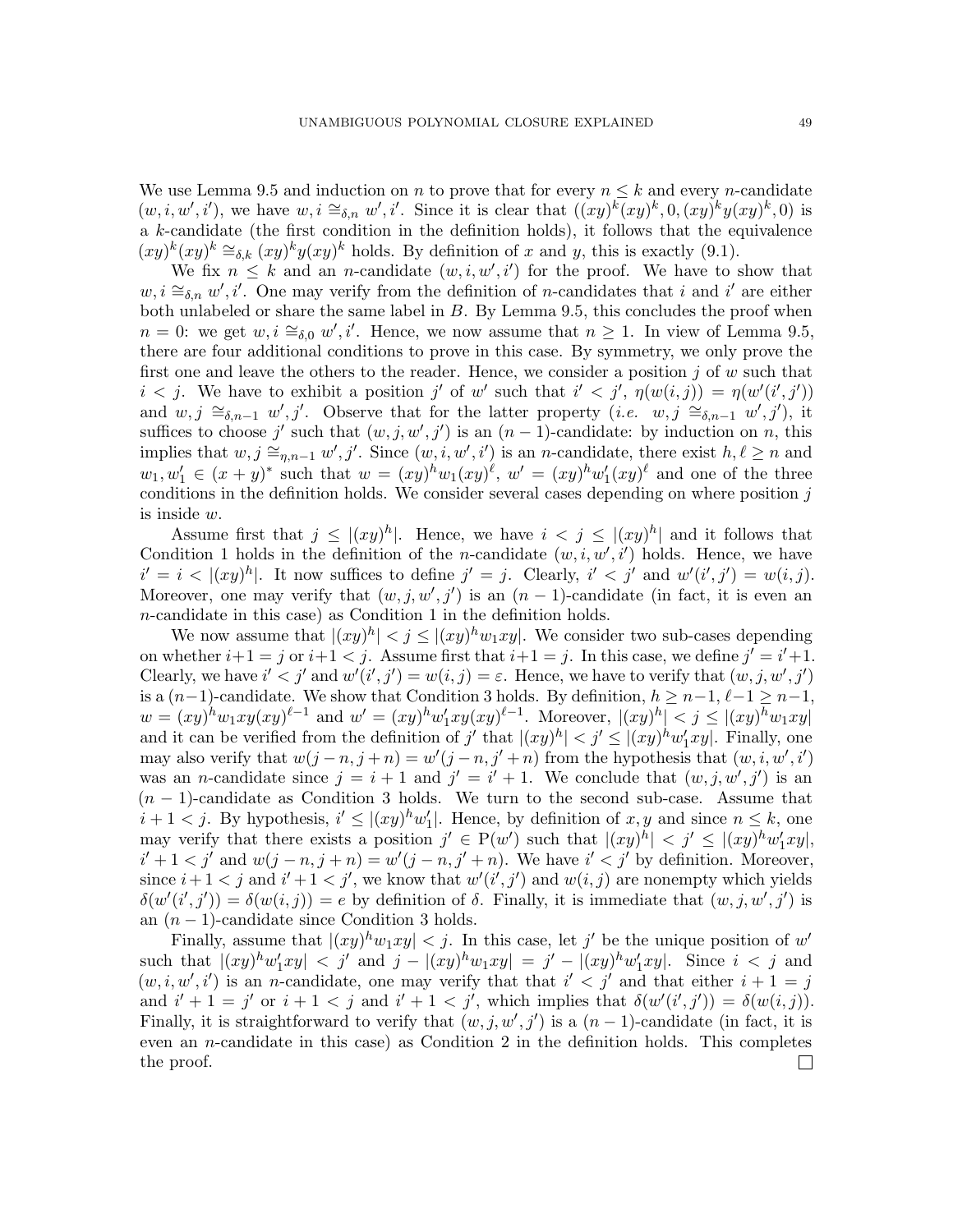We use Lemma [9.5](#page-45-1) and induction on n to prove that for every  $n \leq k$  and every n-candidate  $(w, i, w', i')$ , we have  $w, i \cong_{\delta,n} w', i'$ . Since it is clear that  $((xy)^k(xy)^k, 0, (xy)^k y(xy)^k, 0)$  is a k-candidate (the first condition in the definition holds), it follows that the equivalence  $(xy)^k(xy)^k \cong_{\delta,k} (xy)^k y(xy)^k$  holds. By definition of x and y, this is exactly [\(9.1\)](#page-47-1).

We fix  $n \leq k$  and an *n*-candidate  $(w, i, w', i')$  for the proof. We have to show that  $w, i \cong_{\delta,n} w', i'$ . One may verify from the definition of *n*-candidates that i and i' are either both unlabeled or share the same label in  $B$ . By Lemma [9.5,](#page-45-1) this concludes the proof when  $n = 0$ : we get  $w, i \cong_{\delta,0} w', i'$ . Hence, we now assume that  $n ≥ 1$ . In view of Lemma [9.5,](#page-45-1) there are four additional conditions to prove in this case. By symmetry, we only prove the first one and leave the others to the reader. Hence, we consider a position  $j$  of  $w$  such that  $i < j$ . We have to exhibit a position j' of w' such that  $i' < j'$ ,  $\eta(w(i,j)) = \eta(w'(i',j'))$ and  $w, j \cong_{\delta,n-1} w', j'$ . Observe that for the latter property (*i.e.*  $w, j \cong_{\delta,n-1} w', j'$ ), it suffices to choose j' such that  $(w, j, w', j')$  is an  $(n - 1)$ -candidate: by induction on n, this implies that  $w, j \cong_{\eta,n-1} w', j'$ . Since  $(w, i, w', i')$  is an *n*-candidate, there exist  $h, \ell \geq n$  and  $w_1, w'_1 \in (x+y)^*$  such that  $w = (xy)^h w_1(xy)^\ell$ ,  $w' = (xy)^h w'_1(xy)^\ell$  and one of the three conditions in the definition holds. We consider several cases depending on where position  $j$ is inside w.

Assume first that  $j \leq |(xy)^h|$ . Hence, we have  $i < j \leq |(xy)^h|$  and it follows that Condition [1](#page-47-2) holds in the definition of the *n*-candidate  $(w, i, w', i')$  holds. Hence, we have  $i' = i < |(xy)^h|$ . It now suffices to define  $j' = j$ . Clearly,  $i' < j'$  and  $w'(i', j') = w(i, j)$ . Moreover, one may verify that  $(w, j, w', j')$  is an  $(n - 1)$ -candidate (in fact, it is even an n-candidate in this case) as Condition [1](#page-47-2) in the definition holds.

We now assume that  $|(xy)^h| < j \le |(xy)^h w_1 xy|$ . We consider two sub-cases depending on whether  $i+1 = j$  or  $i+1 < j$ . Assume first that  $i+1 = j$ . In this case, we define  $j' = i'+1$ . Clearly, we have  $i' < j'$  and  $w'(i', j') = w(i, j) = \varepsilon$ . Hence, we have to verify that  $(w, j, w', j')$ is a  $(n-1)$ -candidate. We show that Condition [3](#page-47-3) holds. By definition,  $h \geq n-1, \ell-1 \geq n-1$ ,  $w = (xy)^h w_1 xy(xy)^{\ell-1}$  and  $w' = (xy)^h w'_1 xy(xy)^{\ell-1}$ . Moreover,  $|(xy)^h| < j \le |(xy)^h w_1 xy|$ and it can be verified from the definition of  $j'$  that  $|(xy)^h| < j' \leq |(xy)^h w'_1 xy|$ . Finally, one may also verify that  $w(j - n, j + n) = w'(j - n, j' + n)$  from the hypothesis that  $(w, i, w', i')$ was an *n*-candidate since  $j = i + 1$  and  $j' = i' + 1$ . We conclude that  $(w, j, w', j')$  is an  $(n-1)$ -candidate as Condition [3](#page-47-3) holds. We turn to the second sub-case. Assume that  $i+1 < j$ . By hypothesis,  $i' \leq |(xy)^h w'_1|$ . Hence, by definition of  $x, y$  and since  $n \leq k$ , one may verify that there exists a position  $j' \in P(w')$  such that  $|(xy)^h| < j' \leq |(xy)^h w_1' xy|$ ,  $i' + 1 < j'$  and  $w(j - n, j + n) = w'(j - n, j' + n)$ . We have  $i' < j'$  by definition. Moreover, since  $i+1 < j$  and  $i'+1 < j'$ , we know that  $w'(i',j')$  and  $w(i,j)$  are nonempty which yields  $\delta(w'(i',j')) = \delta(w(i,j)) = e$  by definition of  $\delta$ . Finally, it is immediate that  $(w, j, w', j')$  is an  $(n-1)$ -candidate since Condition [3](#page-47-3) holds.

Finally, assume that  $|(xy)^h w_1 xy| < j$ . In this case, let j' be the unique position of w' such that  $|(xy)^h w'_1 xy| < j'$  and  $j - |(xy)^h w_1 xy| = j' - |(xy)^h w'_1 xy|$ . Since  $i < j$  and  $(w, i, w', i')$  is an *n*-candidate, one may verify that that  $i' < j'$  and that either  $i + 1 = j$ and  $i' + 1 = j'$  or  $i + 1 < j$  and  $i' + 1 < j'$ , which implies that  $\delta(w'(i', j')) = \delta(w(i, j))$ . Finally, it is straightforward to verify that  $(w, j, w', j')$  is a  $(n - 1)$ -candidate (in fact, it is even an *n*-candidate in this case) as Condition [2](#page-47-4) in the definition holds. This completes the proof. $\Box$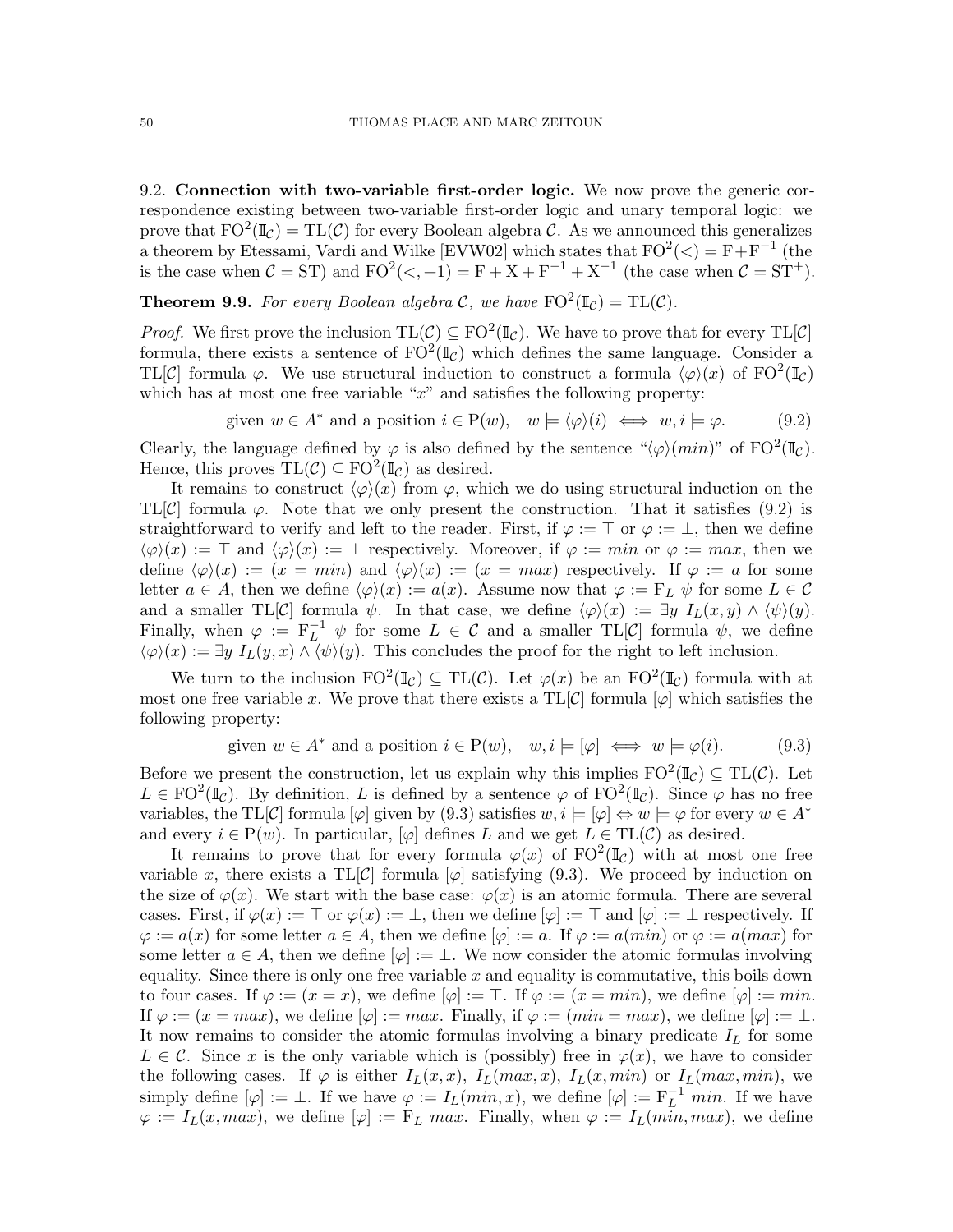9.2. Connection with two-variable first-order logic. We now prove the generic correspondence existing between two-variable first-order logic and unary temporal logic: we prove that  $FO^2(\mathbb{I}_{\mathcal{C}}) = TL(\mathcal{C})$  for every Boolean algebra  $\mathcal{C}$ . As we announced this generalizes a theorem by Etessami, Vardi and Wilke [\[EVW02\]](#page-59-8) which states that  $FO^2(\langle) = F + F^{-1}$  (the is the case when  $C = ST$ ) and  $FO^2(<, +1) = F + X + F^{-1} + X^{-1}$  (the case when  $C = ST^+$ ).

<span id="page-49-2"></span>**Theorem 9.9.** For every Boolean algebra C, we have  $FO^2(\mathbb{I}_\mathcal{C}) = TL(\mathcal{C})$ .

*Proof.* We first prove the inclusion  $TL(C) \subseteq FO^2(\mathbb{I}_C)$ . We have to prove that for every  $TL[C]$ formula, there exists a sentence of  $FO^2(\mathbb{I}_{\mathcal{C}})$  which defines the same language. Consider a TL[C] formula  $\varphi$ . We use structural induction to construct a formula  $\langle \varphi \rangle(x)$  of FO<sup>2</sup>( $\mathbb{I}_{\mathcal{C}}$ ) which has at most one free variable " $x$ " and satisfies the following property:

<span id="page-49-0"></span>given 
$$
w \in A^*
$$
 and a position  $i \in P(w)$ ,  $w \models \langle \varphi \rangle(i) \iff w, i \models \varphi.$  (9.2)

Clearly, the language defined by  $\varphi$  is also defined by the sentence " $\langle \varphi \rangle (min)$ " of FO<sup>2</sup>( $\mathbb{I}_{\mathcal{C}}$ ). Hence, this proves  $TL(\mathcal{C}) \subseteq FO^2(\mathbb{I}_{\mathcal{C}})$  as desired.

It remains to construct  $\langle \varphi \rangle(x)$  from  $\varphi$ , which we do using structural induction on the TL[C] formula  $\varphi$ . Note that we only present the construction. That it satisfies [\(9.2\)](#page-49-0) is straightforward to verify and left to the reader. First, if  $\varphi := \top$  or  $\varphi := \bot$ , then we define  $\langle \varphi \rangle(x) := \top$  and  $\langle \varphi \rangle(x) := \bot$  respectively. Moreover, if  $\varphi := min$  or  $\varphi := max$ , then we define  $\langle \varphi \rangle(x) := (x = min)$  and  $\langle \varphi \rangle(x) := (x = max)$  respectively. If  $\varphi := a$  for some letter  $a \in A$ , then we define  $\langle \varphi \rangle(x) := a(x)$ . Assume now that  $\varphi := F_L \psi$  for some  $L \in \mathcal{C}$ and a smaller TL[C] formula  $\psi$ . In that case, we define  $\langle \varphi \rangle(x) := \exists y \; I_L(x, y) \wedge \langle \psi \rangle(y)$ . Finally, when  $\varphi := F_L^{-1} \psi$  for some  $L \in \mathcal{C}$  and a smaller TL[C] formula  $\psi$ , we define  $\langle \varphi \rangle(x) := \exists y \; I_L(y,x) \wedge \langle \psi \rangle(y)$ . This concludes the proof for the right to left inclusion.

We turn to the inclusion  $FO^2(\mathbb{I}_{\mathcal{C}}) \subseteq TL(\mathcal{C})$ . Let  $\varphi(x)$  be an  $FO^2(\mathbb{I}_{\mathcal{C}})$  formula with at most one free variable x. We prove that there exists a  $TL[\mathcal{C}]$  formula  $[\varphi]$  which satisfies the following property:

<span id="page-49-1"></span>given 
$$
w \in A^*
$$
 and a position  $i \in P(w)$ ,  $w, i \models [\varphi] \iff w \models \varphi(i)$ . (9.3)

Before we present the construction, let us explain why this implies  $FO^2(\mathbb{I}_{\mathcal{C}}) \subseteq TL(\mathcal{C})$ . Let  $L \in \text{FO}^2(\mathbb{I}_{\mathcal{C}})$ . By definition, L is defined by a sentence  $\varphi$  of  $\text{FO}^2(\mathbb{I}_{\mathcal{C}})$ . Since  $\varphi$  has no free variables, the TL[C] formula  $[\varphi]$  given by [\(9.3\)](#page-49-1) satisfies  $w, i \models [\varphi] \Leftrightarrow w \models \varphi$  for every  $w \in A^*$ and every  $i \in P(w)$ . In particular,  $[\varphi]$  defines L and we get  $L \in TL(\mathcal{C})$  as desired.

It remains to prove that for every formula  $\varphi(x)$  of  $\mathrm{FO}^2(\mathbb{I}_{\mathcal{C}})$  with at most one free variable x, there exists a TL[C] formula  $[\varphi]$  satisfying [\(9.3\)](#page-49-1). We proceed by induction on the size of  $\varphi(x)$ . We start with the base case:  $\varphi(x)$  is an atomic formula. There are several cases. First, if  $\varphi(x) := \top$  or  $\varphi(x) := \bot$ , then we define  $[\varphi] := \top$  and  $[\varphi] := \bot$  respectively. If  $\varphi := a(x)$  for some letter  $a \in A$ , then we define  $[\varphi] := a$ . If  $\varphi := a(min)$  or  $\varphi := a(max)$  for some letter  $a \in A$ , then we define  $[\varphi] := \bot$ . We now consider the atomic formulas involving equality. Since there is only one free variable  $x$  and equality is commutative, this boils down to four cases. If  $\varphi := (x = x)$ , we define  $[\varphi] := \top$ . If  $\varphi := (x = min)$ , we define  $[\varphi] := min$ . If  $\varphi := (x = max)$ , we define  $[\varphi] := max$ . Finally, if  $\varphi := (min = max)$ , we define  $[\varphi] := \bot$ . It now remains to consider the atomic formulas involving a binary predicate  $I_L$  for some  $L \in \mathcal{C}$ . Since x is the only variable which is (possibly) free in  $\varphi(x)$ , we have to consider the following cases. If  $\varphi$  is either  $I_L(x, x)$ ,  $I_L(max, x)$ ,  $I_L(x, min)$  or  $I_L(max, min)$ , we simply define  $[\varphi] := \bot$ . If we have  $\varphi := I_L(min, x)$ , we define  $[\varphi] := F_L^{-1}$  min. If we have  $\varphi := I_L(x, max)$ , we define  $[\varphi] := F_L max$ . Finally, when  $\varphi := I_L(min, max)$ , we define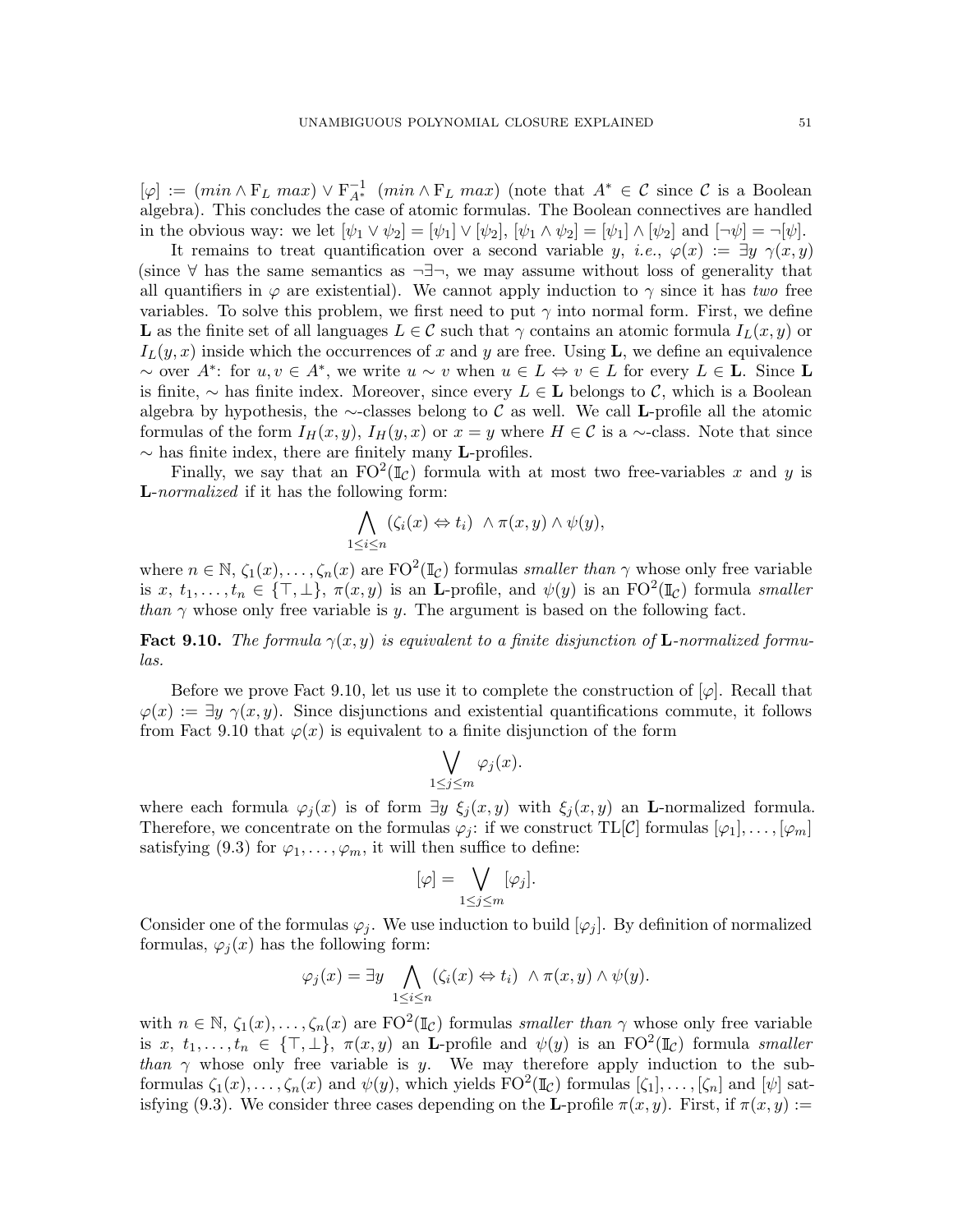$[\varphi] := (min \wedge F_L max) \vee F_{A^*}^{-1}$   $(min \wedge F_L max)$  (note that  $A^* \in \mathcal{C}$  since  $\mathcal{C}$  is a Boolean algebra). This concludes the case of atomic formulas. The Boolean connectives are handled in the obvious way: we let  $[\psi_1 \vee \psi_2] = [\psi_1] \vee [\psi_2]$ ,  $[\psi_1 \wedge \psi_2] = [\psi_1] \wedge [\psi_2]$  and  $[\neg \psi] = \neg [\psi]$ .

It remains to treat quantification over a second variable y, i.e.,  $\varphi(x) := \exists y \gamma(x, y)$ (since  $\forall$  has the same semantics as  $\neg \exists \neg$ , we may assume without loss of generality that all quantifiers in  $\varphi$  are existential). We cannot apply induction to  $\gamma$  since it has two free variables. To solve this problem, we first need to put  $\gamma$  into normal form. First, we define L as the finite set of all languages  $L \in \mathcal{C}$  such that  $\gamma$  contains an atomic formula  $I_L(x, y)$  or  $I_L(y, x)$  inside which the occurrences of x and y are free. Using **L**, we define an equivalence  $\sim$  over  $A^*$ : for  $u, v \in A^*$ , we write  $u \sim v$  when  $u \in L \Leftrightarrow v \in L$  for every  $L \in L$ . Since L is finite,  $\sim$  has finite index. Moreover, since every  $L \in L$  belongs to C, which is a Boolean algebra by hypothesis, the ∼-classes belong to  $\mathcal C$  as well. We call L-profile all the atomic formulas of the form  $I_H(x, y)$ ,  $I_H(y, x)$  or  $x = y$  where  $H \in \mathcal{C}$  is a ∼-class. Note that since  $\sim$  has finite index, there are finitely many L-profiles.

Finally, we say that an  $FO^2(\mathbb{I}_\mathcal{C})$  formula with at most two free-variables x and y is **L**-normalized if it has the following form:

$$
\bigwedge_{1 \leq i \leq n} (\zeta_i(x) \Leftrightarrow t_i) \ \wedge \pi(x, y) \wedge \psi(y),
$$

where  $n \in \mathbb{N}$ ,  $\zeta_1(x), \ldots, \zeta_n(x)$  are  $\mathrm{FO}^2(\mathbb{I}_{\mathcal{C}})$  formulas *smaller than*  $\gamma$  whose only free variable is  $x, t_1, \ldots, t_n \in \{\top, \bot\}, \pi(x, y)$  is an **L**-profile, and  $\psi(y)$  is an FO<sup>2</sup>( $\mathbb{I}_{\mathcal{C}}$ ) formula *smaller* than  $\gamma$  whose only free variable is y. The argument is based on the following fact.

<span id="page-50-0"></span>**Fact 9.10.** The formula  $\gamma(x, y)$  is equivalent to a finite disjunction of **L**-normalized formulas.

Before we prove Fact [9.10,](#page-50-0) let us use it to complete the construction of  $[\varphi]$ . Recall that  $\varphi(x) := \exists y \; \gamma(x, y)$ . Since disjunctions and existential quantifications commute, it follows from Fact [9.10](#page-50-0) that  $\varphi(x)$  is equivalent to a finite disjunction of the form

$$
\bigvee_{1\leq j\leq m}\varphi_j(x).
$$

where each formula  $\varphi_i(x)$  is of form  $\exists y \xi_i(x, y)$  with  $\xi_i(x, y)$  an **L**-normalized formula. Therefore, we concentrate on the formulas  $\varphi_j$ : if we construct TL[C] formulas  $[\varphi_1], \ldots, [\varphi_m]$ satisfying [\(9.3\)](#page-49-1) for  $\varphi_1, \ldots, \varphi_m$ , it will then suffice to define:

$$
[\varphi] = \bigvee_{1 \leq j \leq m} [\varphi_j].
$$

Consider one of the formulas  $\varphi_i$ . We use induction to build  $[\varphi_i]$ . By definition of normalized formulas,  $\varphi_i(x)$  has the following form:

$$
\varphi_j(x) = \exists y \bigwedge_{1 \leq i \leq n} (\zeta_i(x) \Leftrightarrow t_i) \wedge \pi(x, y) \wedge \psi(y).
$$

with  $n \in \mathbb{N}$ ,  $\zeta_1(x), \ldots, \zeta_n(x)$  are  $\mathrm{FO}^2(\mathbb{I}_{\mathcal{C}})$  formulas smaller than  $\gamma$  whose only free variable is x,  $t_1, \ldots, t_n \in \{\top, \bot\}, \pi(x, y)$  an **L**-profile and  $\psi(y)$  is an FO<sup>2</sup>( $\mathbb{I}_{\mathcal{C}}$ ) formula *smaller* than  $\gamma$  whose only free variable is y. We may therefore apply induction to the subformulas  $\zeta_1(x), \ldots, \zeta_n(x)$  and  $\psi(y)$ , which yields  $FO^2(\mathbb{I}_{\mathcal{C}})$  formulas  $[\zeta_1], \ldots, [\zeta_n]$  and  $[\psi]$  sat-isfying [\(9.3\)](#page-49-1). We consider three cases depending on the L-profile  $\pi(x, y)$ . First, if  $\pi(x, y) :=$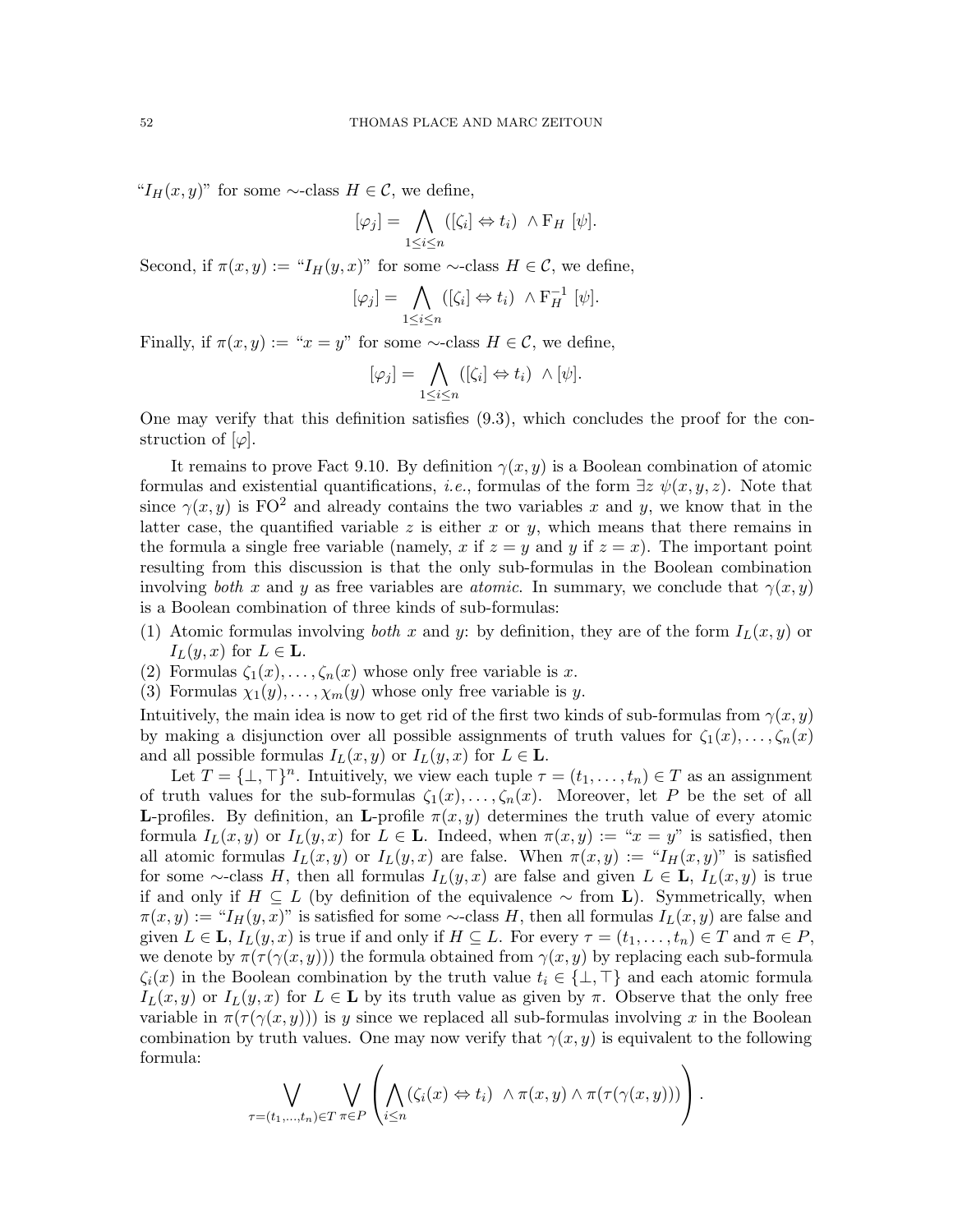" $I_H(x, y)$ " for some ∼-class  $H \in \mathcal{C}$ , we define,

$$
[\varphi_j] = \bigwedge_{1 \leq i \leq n} ([\zeta_i] \Leftrightarrow t_i) \wedge \mathrm{F}_H [\psi].
$$

Second, if  $\pi(x, y) := "I_H(y, x)"$  for some ∼-class  $H \in \mathcal{C}$ , we define,

$$
[\varphi_j] = \bigwedge_{1 \leq i \leq n} ([\zeta_i] \Leftrightarrow t_i) \wedge F_H^{-1} [\psi].
$$

Finally, if  $\pi(x, y) := "x = y"$  for some ∼-class  $H \in \mathcal{C}$ , we define,

$$
[\varphi_j] = \bigwedge_{1 \leq i \leq n} ([\zeta_i] \Leftrightarrow t_i) \ \wedge [\psi].
$$

One may verify that this definition satisfies [\(9.3\)](#page-49-1), which concludes the proof for the construction of  $[\varphi]$ .

It remains to prove Fact [9.10.](#page-50-0) By definition  $\gamma(x, y)$  is a Boolean combination of atomic formulas and existential quantifications, *i.e.*, formulas of the form  $\exists z \psi(x, y, z)$ . Note that since  $\gamma(x, y)$  is FO<sup>2</sup> and already contains the two variables x and y, we know that in the latter case, the quantified variable z is either x or y, which means that there remains in the formula a single free variable (namely, x if  $z = y$  and y if  $z = x$ ). The important point resulting from this discussion is that the only sub-formulas in the Boolean combination involving both x and y as free variables are *atomic*. In summary, we conclude that  $\gamma(x, y)$ is a Boolean combination of three kinds of sub-formulas:

- (1) Atomic formulas involving both x and y: by definition, they are of the form  $I_L(x, y)$  or  $I_L(y, x)$  for  $L \in \mathbf{L}$ .
- (2) Formulas  $\zeta_1(x), \ldots, \zeta_n(x)$  whose only free variable is x.
- (3) Formulas  $\chi_1(y), \ldots, \chi_m(y)$  whose only free variable is y.

Intuitively, the main idea is now to get rid of the first two kinds of sub-formulas from  $\gamma(x, y)$ by making a disjunction over all possible assignments of truth values for  $\zeta_1(x), \ldots, \zeta_n(x)$ and all possible formulas  $I_L(x, y)$  or  $I_L(y, x)$  for  $L \in \mathbf{L}$ .

Let  $T = {\{\perp, \top\}}^n$ . Intuitively, we view each tuple  $\tau = (t_1, \ldots, t_n) \in T$  as an assignment of truth values for the sub-formulas  $\zeta_1(x), \ldots, \zeta_n(x)$ . Moreover, let P be the set of all **L**-profiles. By definition, an **L**-profile  $\pi(x, y)$  determines the truth value of every atomic formula  $I_L(x, y)$  or  $I_L(y, x)$  for  $L \in \mathbf{L}$ . Indeed, when  $\pi(x, y) := x^2 = y^2$  is satisfied, then all atomic formulas  $I_L(x, y)$  or  $I_L(y, x)$  are false. When  $\pi(x, y) := \pi I_H(x, y)$  is satisfied for some ∼-class H, then all formulas  $I_L(y, x)$  are false and given  $L \in L$ ,  $I_L(x, y)$  is true if and only if  $H \subseteq L$  (by definition of the equivalence  $\sim$  from **L**). Symmetrically, when  $\pi(x, y) := "I_H(y, x)"$  is satisfied for some ∼-class H, then all formulas  $I_L(x, y)$  are false and given  $L \in \mathbf{L}$ ,  $I_L(y, x)$  is true if and only if  $H \subseteq L$ . For every  $\tau = (t_1, \ldots, t_n) \in T$  and  $\pi \in P$ , we denote by  $\pi(\tau(\gamma(x, y)))$  the formula obtained from  $\gamma(x, y)$  by replacing each sub-formula  $\zeta_i(x)$  in the Boolean combination by the truth value  $t_i \in \{\perp, \perp\}$  and each atomic formula  $I_L(x, y)$  or  $I_L(y, x)$  for  $L \in \mathbf{L}$  by its truth value as given by  $\pi$ . Observe that the only free variable in  $\pi(\tau(\gamma(x,y)))$  is y since we replaced all sub-formulas involving x in the Boolean combination by truth values. One may now verify that  $\gamma(x, y)$  is equivalent to the following formula:

$$
\bigvee_{\tau=(t_1,\ldots,t_n)\in T}\bigvee_{\pi\in P}\left(\bigwedge_{i\leq n}(\zeta_i(x)\Leftrightarrow t_i)\ \wedge\pi(x,y)\wedge\pi(\tau(\gamma(x,y)))\right).
$$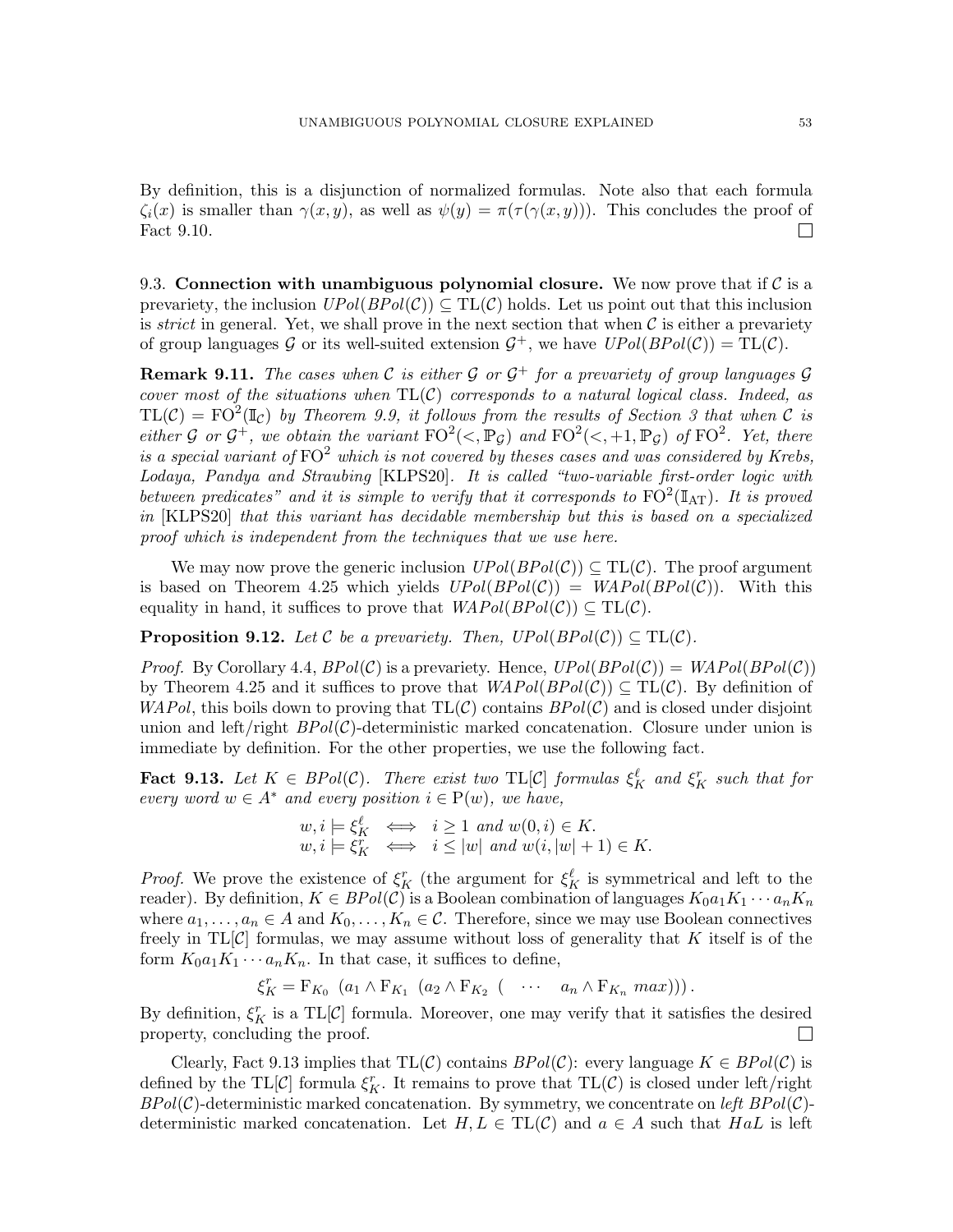By definition, this is a disjunction of normalized formulas. Note also that each formula  $\zeta_i(x)$  is smaller than  $\gamma(x, y)$ , as well as  $\psi(y) = \pi(\tau(\gamma(x, y)))$ . This concludes the proof of Fact [9.10.](#page-50-0)  $\Box$ 

9.3. Connection with unambiguous polynomial closure. We now prove that if  $\mathcal C$  is a prevariety, the inclusion  $UPol(BPol(\mathcal{C})) \subseteq TL(\mathcal{C})$  holds. Let us point out that this inclusion is *strict* in general. Yet, we shall prove in the next section that when  $\mathcal C$  is either a prevariety of group languages G or its well-suited extension  $G^+$ , we have  $UPol(BPol(\mathcal{C})) = TL(\mathcal{C})$ .

**Remark 9.11.** The cases when C is either G or  $\mathcal{G}^+$  for a prevariety of group languages G cover most of the situations when  $TL(C)$  corresponds to a natural logical class. Indeed, as  $TL(\mathcal{C}) = FO^2(\mathbb{I}_{\mathcal{C}})$  by Theorem [9.9,](#page-49-2) it follows from the results of Section [3](#page-10-0) that when  $\mathcal C$  is either G or  $\mathcal{G}^+$ , we obtain the variant  $\text{FO}^2(\lt, , \mathbb{P}_{\mathcal{G}})$  and  $\text{FO}^2(\lt, , +1, \mathbb{P}_{\mathcal{G}})$  of  $\text{FO}^2$ . Yet, there is a special variant of  $FO<sup>2</sup>$  which is not covered by theses cases and was considered by Krebs, Lodaya, Pandya and Straubing [\[KLPS20\]](#page-59-19). It is called "two-variable first-order logic with between predicates" and it is simple to verify that it corresponds to  $FO^2(\mathbb{I}_{AT})$ . It is proved in [\[KLPS20\]](#page-59-19) that this variant has decidable membership but this is based on a specialized proof which is independent from the techniques that we use here.

We may now prove the generic inclusion  $UPol(BPol(\mathcal{C})) \subseteq TL(\mathcal{C})$ . The proof argument is based on Theorem [4.25](#page-19-0) which yields  $UPol(BPol(\mathcal{C})) = WAPol(BPol(\mathcal{C}))$ . With this equality in hand, it suffices to prove that  $WAPol(BPol(\mathcal{C})) \subseteq TL(\mathcal{C})$ .

<span id="page-52-1"></span>**Proposition 9.12.** Let C be a prevariety. Then,  $UPol(BPol(\mathcal{C})) \subseteq TL(\mathcal{C})$ .

*Proof.* By Corollary [4.4,](#page-14-2)  $BPol(\mathcal{C})$  is a prevariety. Hence,  $UPol(BPol(\mathcal{C})) = WAPol(BPol(\mathcal{C}))$ by Theorem [4.25](#page-19-0) and it suffices to prove that  $WAPol(BPol(\mathcal{C})) \subseteq TL(\mathcal{C})$ . By definition of  $WAPol$ , this boils down to proving that  $TL(\mathcal{C})$  contains  $BPol(\mathcal{C})$  and is closed under disjoint union and left/right  $BPol(\mathcal{C})$ -deterministic marked concatenation. Closure under union is immediate by definition. For the other properties, we use the following fact.

<span id="page-52-0"></span>**Fact 9.13.** Let  $K \in BPol(\mathcal{C})$ . There exist two  $TL[\mathcal{C}]$  formulas  $\xi_K^{\ell}$  and  $\xi_K^r$  such that for every word  $w \in A^*$  and every position  $i \in P(w)$ , we have,

$$
w, i \models \xi_K^{\ell} \iff i \ge 1 \text{ and } w(0, i) \in K.
$$
  

$$
w, i \models \xi_K^{\tau} \iff i \le |w| \text{ and } w(i, |w| + 1) \in K.
$$

*Proof.* We prove the existence of  $\xi_K^r$  (the argument for  $\xi_K^{\ell}$  is symmetrical and left to the reader). By definition,  $K \in BPol(\mathcal{C})$  is a Boolean combination of languages  $K_0a_1K_1\cdots a_nK_n$ where  $a_1, \ldots, a_n \in A$  and  $K_0, \ldots, K_n \in \mathcal{C}$ . Therefore, since we may use Boolean connectives freely in  $TL[\mathcal{C}]$  formulas, we may assume without loss of generality that K itself is of the form  $K_0a_1K_1\cdots a_nK_n$ . In that case, it suffices to define,

$$
\xi_K^r = \mathcal{F}_{K_0} \left( a_1 \wedge \mathcal{F}_{K_1} \left( a_2 \wedge \mathcal{F}_{K_2} \left( \cdots \cdots a_n \wedge \mathcal{F}_{K_n} \max \right) \right) \right).
$$

By definition,  $\xi_K^r$  is a TL[C] formula. Moreover, one may verify that it satisfies the desired property, concluding the proof.

Clearly, Fact [9.13](#page-52-0) implies that  $TL(C)$  contains  $BPol(C)$ : every language  $K \in BPol(C)$  is defined by the TL $[\mathcal{C}]$  formula  $\xi_K^r$ . It remains to prove that TL $(\mathcal{C})$  is closed under left/right  $BPol(\mathcal{C})$ -deterministic marked concatenation. By symmetry, we concentrate on left  $BPol(\mathcal{C})$ deterministic marked concatenation. Let  $H, L \in TL(\mathcal{C})$  and  $a \in A$  such that  $HaL$  is left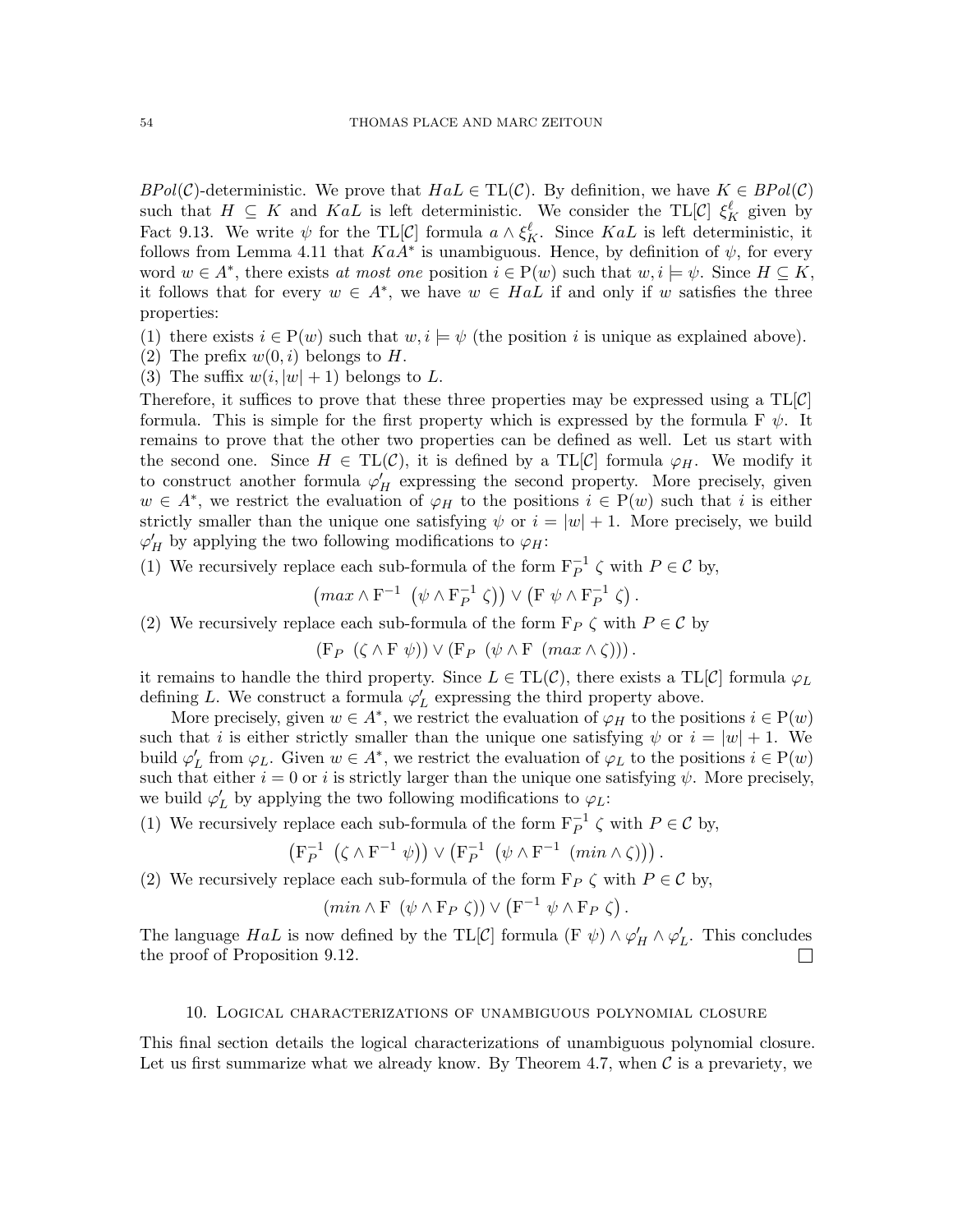$BPol(\mathcal{C})$ -deterministic. We prove that  $HaL \in TL(\mathcal{C})$ . By definition, we have  $K \in BPol(\mathcal{C})$ such that  $H \subseteq K$  and  $K aL$  is left deterministic. We consider the TL[C]  $\xi_K^{\ell}$  given by Fact [9.13.](#page-52-0) We write  $\psi$  for the TL[C] formula  $a \wedge \xi_K^{\ell}$ . Since KaL is left deterministic, it follows from Lemma [4.11](#page-15-1) that  $KaA^*$  is unambiguous. Hence, by definition of  $\psi$ , for every word  $w \in A^*$ , there exists at most one position  $i \in P(w)$  such that  $w, i \models \psi$ . Since  $H \subseteq K$ , it follows that for every  $w \in A^*$ , we have  $w \in HaL$  if and only if w satisfies the three properties:

(1) there exists  $i \in P(w)$  such that  $w, i \models \psi$  (the position i is unique as explained above).

- (2) The prefix  $w(0, i)$  belongs to H.
- (3) The suffix  $w(i, |w| + 1)$  belongs to L.

Therefore, it suffices to prove that these three properties may be expressed using a  $TL[\mathcal{C}]$ formula. This is simple for the first property which is expressed by the formula F  $\psi$ . It remains to prove that the other two properties can be defined as well. Let us start with the second one. Since  $H \in TL(\mathcal{C})$ , it is defined by a TL $[\mathcal{C}]$  formula  $\varphi_H$ . We modify it to construct another formula  $\varphi'_H$  expressing the second property. More precisely, given  $w \in A^*$ , we restrict the evaluation of  $\varphi_H$  to the positions  $i \in P(w)$  such that i is either strictly smaller than the unique one satisfying  $\psi$  or  $i = |w| + 1$ . More precisely, we build  $\varphi'_H$  by applying the two following modifications to  $\varphi_H$ :

(1) We recursively replace each sub-formula of the form  $F_P^{-1} \zeta$  with  $P \in \mathcal{C}$  by,

$$
\left(\max \wedge F^{-1}\left(\psi \wedge F_P^{-1}\zeta\right)\right) \vee \left(F\ \psi \wedge F_P^{-1}\zeta\right).
$$

(2) We recursively replace each sub-formula of the form  $F_P \zeta$  with  $P \in \mathcal{C}$  by

 $(F_P \left( \zeta \wedge F \psi \right)) \vee (F_P \left( \psi \wedge F \left( \max \wedge \zeta \right)) \right).$ 

it remains to handle the third property. Since  $L \in TL(\mathcal{C})$ , there exists a  $TL[\mathcal{C}]$  formula  $\varphi_L$ defining L. We construct a formula  $\varphi'_{L}$  expressing the third property above.

More precisely, given  $w \in A^*$ , we restrict the evaluation of  $\varphi_H$  to the positions  $i \in P(w)$ such that i is either strictly smaller than the unique one satisfying  $\psi$  or  $i = |w| + 1$ . We build  $\varphi_L'$  from  $\varphi_L$ . Given  $w \in A^*$ , we restrict the evaluation of  $\varphi_L$  to the positions  $i \in P(w)$ such that either  $i = 0$  or i is strictly larger than the unique one satisfying  $\psi$ . More precisely, we build  $\varphi'_{L}$  by applying the two following modifications to  $\varphi_{L}$ :

(1) We recursively replace each sub-formula of the form  $F_P^{-1} \zeta$  with  $P \in \mathcal{C}$  by,

$$
\left(\mathbf{F}_{P}^{-1} \left( \zeta \wedge \mathbf{F}^{-1} \psi \right) \right) \vee \left(\mathbf{F}_{P}^{-1} \left( \psi \wedge \mathbf{F}^{-1} \left( \min \wedge \zeta \right) \right) \right).
$$

(2) We recursively replace each sub-formula of the form  $F_P \zeta$  with  $P \in \mathcal{C}$  by,

$$
(min \wedge F \ (\psi \wedge F_P \ \zeta)) \vee (F^{-1} \ \psi \wedge F_P \ \zeta).
$$

The language  $HaL$  is now defined by the TL[C] formula (F  $\psi$ )  $\wedge \varphi'_H \wedge \varphi'_L$ . This concludes the proof of Proposition [9.12.](#page-52-1)  $\Box$ 

# 10. Logical characterizations of unambiguous polynomial closure

<span id="page-53-0"></span>This final section details the logical characterizations of unambiguous polynomial closure. Let us first summarize what we already know. By Theorem [4.7,](#page-15-0) when  $\mathcal C$  is a prevariety, we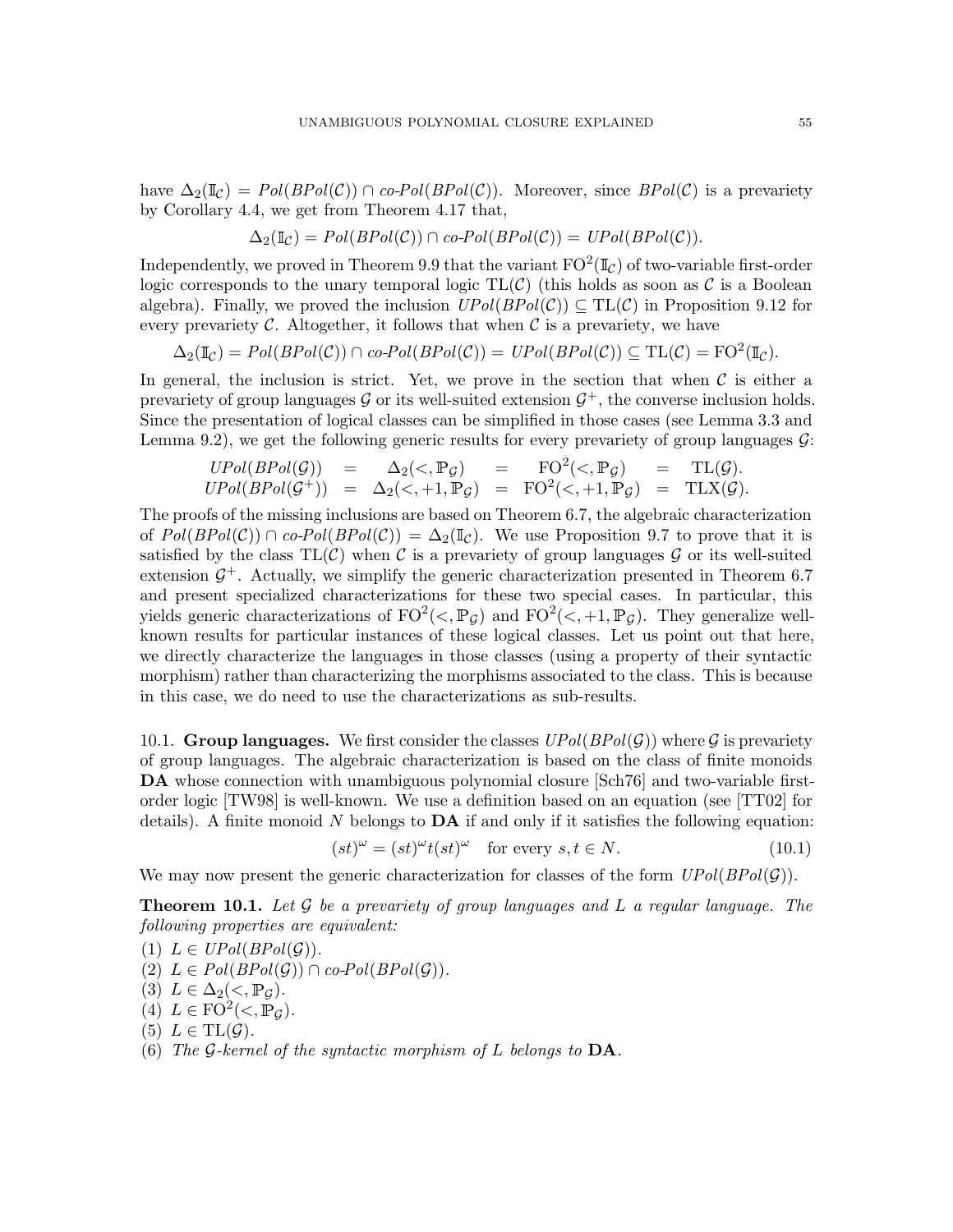have  $\Delta_2(\mathbb{I}_{\mathcal{C}}) = Pol(BPol(\mathcal{C})) \cap co-Pol(BPol(\mathcal{C}))$ . Moreover, since  $BPol(\mathcal{C})$  is a prevariety by Corollary [4.4,](#page-14-2) we get from Theorem [4.17](#page-17-1) that,

$$
\Delta_2(\mathbb{I}_{\mathcal{C}}) = Pol(BPol(\mathcal{C})) \cap co-Pol(BPol(\mathcal{C})) = UPol(BPol(\mathcal{C})).
$$

Independently, we proved in Theorem [9.9](#page-49-2) that the variant  $\mathrm{FO}^2(\mathbb{I}_\mathcal{C})$  of two-variable first-order logic corresponds to the unary temporal logic  $TL(C)$  (this holds as soon as C is a Boolean algebra). Finally, we proved the inclusion  $UPol(BPol(\mathcal{C})) \subseteq TL(\mathcal{C})$  in Proposition [9.12](#page-52-1) for every prevariety  $\mathcal C$ . Altogether, it follows that when  $\mathcal C$  is a prevariety, we have

$$
\Delta_2(\mathbb{I}_{\mathcal{C}}) = Pol(BPol(\mathcal{C})) \cap co-Pol(BPol(\mathcal{C})) = UPol(BPol(\mathcal{C})) \subseteq TL(\mathcal{C}) = FO^2(\mathbb{I}_{\mathcal{C}}).
$$

In general, the inclusion is strict. Yet, we prove in the section that when  $\mathcal C$  is either a prevariety of group languages  $G$  or its well-suited extension  $G^+$ , the converse inclusion holds. Since the presentation of logical classes can be simplified in those cases (see Lemma [3.3](#page-12-0) and Lemma [9.2\)](#page-44-0), we get the following generic results for every prevariety of group languages  $\mathcal{G}$ :

$$
UPol(BPol(\mathcal{G})) = \Delta_2(\langle , \mathbb{P}_{\mathcal{G}} \rangle = \text{FO}^2(\langle , \mathbb{P}_{\mathcal{G}} \rangle = \text{TL}(\mathcal{G}).
$$
  

$$
UPol(BPol(\mathcal{G}^+)) = \Delta_2(\langle , +1, \mathbb{P}_{\mathcal{G}} \rangle = \text{FO}^2(\langle , +1, \mathbb{P}_{\mathcal{G}} \rangle = \text{TLX}(\mathcal{G}).
$$

The proofs of the missing inclusions are based on Theorem [6.7,](#page-29-2) the algebraic characterization of  $Pol(BPol(\mathcal{C})) \cap co-Pol(BPol(\mathcal{C})) = \Delta_2(\mathbb{I}_{\mathcal{C}})$ . We use Proposition [9.7](#page-47-5) to prove that it is satisfied by the class  $TL(\mathcal{C})$  when  $\mathcal C$  is a prevariety of group languages  $\mathcal G$  or its well-suited extension  $\mathcal{G}^+$ . Actually, we simplify the generic characterization presented in Theorem [6.7](#page-29-2) and present specialized characterizations for these two special cases. In particular, this yields generic characterizations of  $FO^2(\langle, \mathbb{P}_{\mathcal{G}})$  and  $FO^2(\langle, +1, \mathbb{P}_{\mathcal{G}})$ . They generalize wellknown results for particular instances of these logical classes. Let us point out that here, we directly characterize the languages in those classes (using a property of their syntactic morphism) rather than characterizing the morphisms associated to the class. This is because in this case, we do need to use the characterizations as sub-results.

10.1. Group languages. We first consider the classes  $UPol(BPol(\mathcal{G}))$  where G is prevariety of group languages. The algebraic characterization is based on the class of finite monoids DA whose connection with unambiguous polynomial closure [\[Sch76\]](#page-60-7) and two-variable firstorder logic [\[TW98\]](#page-60-9) is well-known. We use a definition based on an equation (see [\[TT02\]](#page-60-8) for details). A finite monoid N belongs to  $\mathbf{DA}$  if and only if it satisfies the following equation:

<span id="page-54-0"></span>
$$
(st)^{\omega} = (st)^{\omega} t(st)^{\omega} \quad \text{for every } s, t \in N. \tag{10.1}
$$

We may now present the generic characterization for classes of the form  $UPol(BPol(\mathcal{G}))$ .

<span id="page-54-1"></span>**Theorem 10.1.** Let  $\mathcal G$  be a prevariety of group languages and  $L$  a regular language. The following properties are equivalent:

(1)  $L \in UPol(BPol(\mathcal{G}))$ . (2)  $L \in Pol(BPol(\mathcal{G})) \cap co-Pol(BPol(\mathcal{G})).$ (3)  $L \in \Delta_2(<, \mathbb{P}_G)$ . (4)  $L \in \text{FO}^2(\lt, \mathbb{P}_{\mathcal{G}}).$ (5)  $L \in TL(\mathcal{G})$ .

(6) The G-kernel of the syntactic morphism of L belongs to  $DA$ .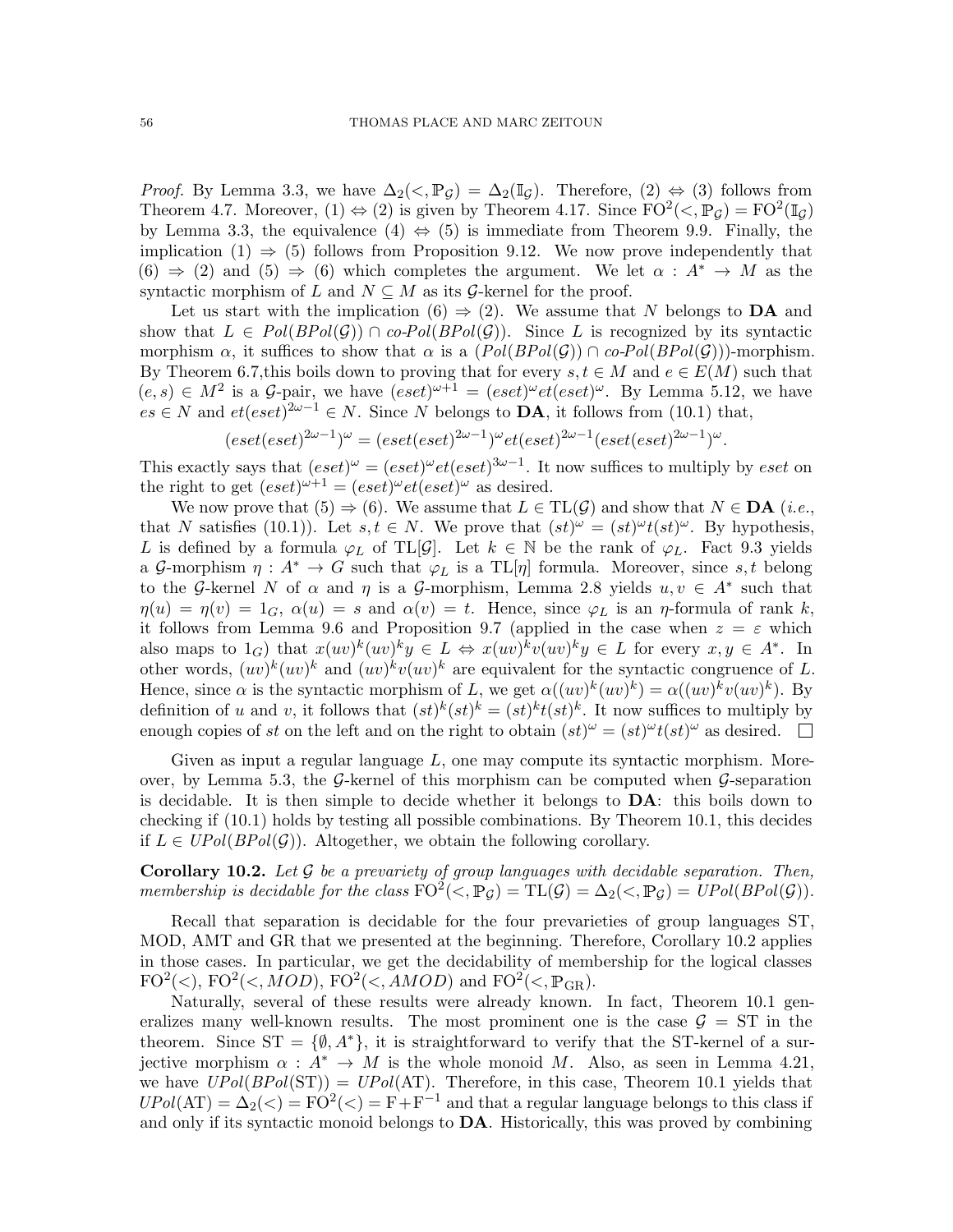*Proof.* By Lemma [3.3,](#page-12-0) we have  $\Delta_2(\langle, \mathbb{P}_q) = \Delta_2(\mathbb{I}_q)$ . Therefore,  $(2) \Leftrightarrow (3)$  follows from Theorem [4.7.](#page-15-0) Moreover,  $(1) \Leftrightarrow (2)$  is given by Theorem [4.17.](#page-17-1) Since  $FO^2(\langle , \mathbb{P}_{\mathcal{G}}) = FO^2(\mathbb{I}_{\mathcal{G}})$ by Lemma [3.3,](#page-12-0) the equivalence  $(4) \Leftrightarrow (5)$  is immediate from Theorem [9.9.](#page-49-2) Finally, the implication  $(1) \Rightarrow (5)$  follows from Proposition [9.12.](#page-52-1) We now prove independently that  $(6) \Rightarrow (2)$  and  $(5) \Rightarrow (6)$  which completes the argument. We let  $\alpha : A^* \to M$  as the syntactic morphism of L and  $N \subseteq M$  as its G-kernel for the proof.

Let us start with the implication (6)  $\Rightarrow$  (2). We assume that N belongs to DA and show that  $L \in Pol(BPol(\mathcal{G})) \cap co-Pol(BPol(\mathcal{G}))$ . Since L is recognized by its syntactic morphism  $\alpha$ , it suffices to show that  $\alpha$  is a  $(Pol(BPol(\mathcal{G})) \cap co-Pol(BPol(\mathcal{G}))$ -morphism. By Theorem [6.7,](#page-29-2)this boils down to proving that for every  $s, t \in M$  and  $e \in E(M)$  such that  $(e, s) \in M^2$  is a *G*-pair, we have  $(eset)^{\omega+1} = (eset)^{\omega}et (eset)^{\omega}$ . By Lemma [5.12,](#page-23-1) we have  $es \in N$  and  $et(eset)^{2\omega-1} \in N$ . Since N belongs to **DA**, it follows from [\(10.1\)](#page-54-0) that,

$$
(eset(eset)^{2\omega-1})^{\omega} = (eset(eset)^{2\omega-1})^{\omega}et(eset)^{2\omega-1}(eset(eset)^{2\omega-1})^{\omega}.
$$

This exactly says that  $(eset)^{\omega} = (eset)^{\omega}et (eset)^{3\omega-1}$ . It now suffices to multiply by eset on the right to get  $(eset)^{\omega+1} = (eset)^{\omega} et (eset)^{\omega}$  as desired.

We now prove that  $(5) \Rightarrow (6)$ . We assume that  $L \in TL(\mathcal{G})$  and show that  $N \in \mathbf{DA}$  (*i.e.*, that N satisfies [\(10.1\)](#page-54-0)). Let  $s, t \in N$ . We prove that  $(st)^{\omega} = (st)^{\omega} t(st)^{\omega}$ . By hypothesis, L is defined by a formula  $\varphi_L$  of TL[G]. Let  $k \in \mathbb{N}$  be the rank of  $\varphi_L$ . Fact [9.3](#page-45-2) yields a G-morphism  $\eta: A^* \to G$  such that  $\varphi_L$  is a TL[ $\eta$ ] formula. Moreover, since s, t belong to the G-kernel N of  $\alpha$  and  $\eta$  is a G-morphism, Lemma [2.8](#page-8-0) yields  $u, v \in A^*$  such that  $\eta(u) = \eta(v) = 1_G$ ,  $\alpha(u) = s$  and  $\alpha(v) = t$ . Hence, since  $\varphi_L$  is an  $\eta$ -formula of rank k, it follows from Lemma [9.6](#page-47-6) and Proposition [9.7](#page-47-5) (applied in the case when  $z = \varepsilon$  which also maps to  $1_G$ ) that  $x(uv)^k(uv)^ky \in L \Leftrightarrow x(uv)^kv(uv)^ky \in L$  for every  $x, y \in A^*$ . In other words,  $(uv)^k (uv)^k$  and  $(uv)^k v (uv)^k$  are equivalent for the syntactic congruence of L. Hence, since  $\alpha$  is the syntactic morphism of L, we get  $\alpha((uv)^k(uv)^k) = \alpha((uv)^k v(uv)^k)$ . By definition of u and v, it follows that  $(st)^k(st)^k = (st)^k t(st)^k$ . It now suffices to multiply by enough copies of st on the left and on the right to obtain  $(st)^{\omega} = (st)^{\omega} t(st)^{\omega}$  as desired.

Given as input a regular language  $L$ , one may compute its syntactic morphism. More-over, by Lemma [5.3,](#page-20-2) the  $\mathcal{G}$ -kernel of this morphism can be computed when  $\mathcal{G}$ -separation is decidable. It is then simple to decide whether it belongs to DA: this boils down to checking if [\(10.1\)](#page-54-0) holds by testing all possible combinations. By Theorem [10.1,](#page-54-1) this decides if  $L \in UPol(BPol(G))$ . Altogether, we obtain the following corollary.

<span id="page-55-0"></span>**Corollary 10.2.** Let  $\mathcal G$  be a prevariety of group languages with decidable separation. Then, membership is decidable for the class  $FO^2(\langle, \mathbb{P}_{\mathcal{G}}) = TL(\mathcal{G}) = \Delta_2(\langle, \mathbb{P}_{\mathcal{G}}) = UPol(BPol(\mathcal{G})).$ 

Recall that separation is decidable for the four prevarieties of group languages ST, MOD, AMT and GR that we presented at the beginning. Therefore, Corollary [10.2](#page-55-0) applies in those cases. In particular, we get the decidability of membership for the logical classes  $FO^2\langle\langle, HOD \rangle, FO^2\langle\langle, MOD \rangle, FO^2\langle\langle, AMOD \rangle)$  and  $FO^2\langle\langle, \mathbb{P}_{GR} \rangle$ .

Naturally, several of these results were already known. In fact, Theorem [10.1](#page-54-1) generalizes many well-known results. The most prominent one is the case  $\mathcal{G} = ST$  in the theorem. Since  $ST = \{\emptyset, A^*\},$  it is straightforward to verify that the ST-kernel of a surjective morphism  $\alpha : A^* \to M$  is the whole monoid M. Also, as seen in Lemma [4.21,](#page-17-5) we have  $UPol(BPol(ST)) = UPol(AT)$ . Therefore, in this case, Theorem [10.1](#page-54-1) yields that  $UPol(AT) = \Delta_2(\langle) = FO^2(\langle) = F + F^{-1}$  and that a regular language belongs to this class if and only if its syntactic monoid belongs to  $\mathbf{DA}$ . Historically, this was proved by combining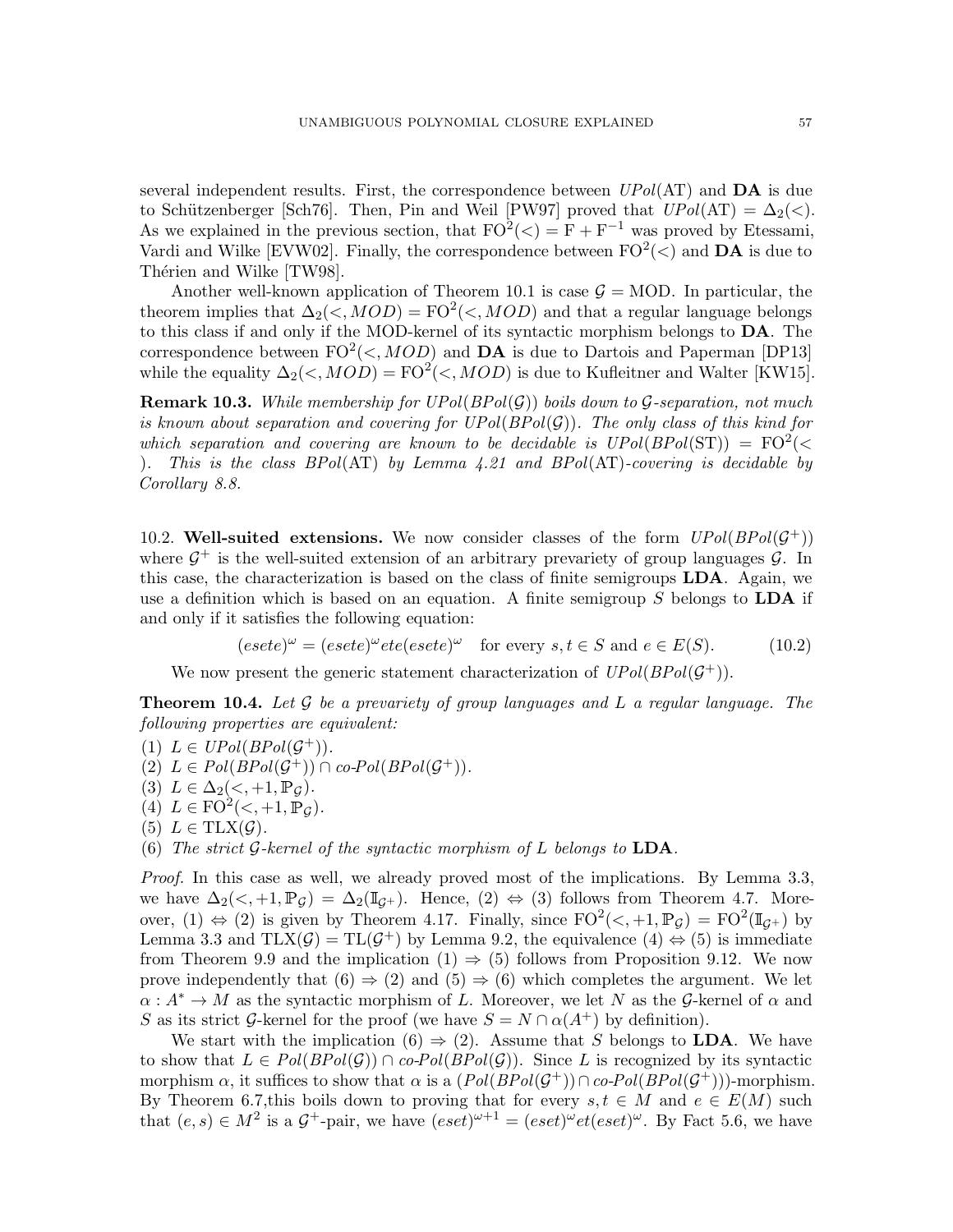several independent results. First, the correspondence between  $UPol(\text{AT})$  and  $\textbf{DA}$  is due to Schützenberger [\[Sch76\]](#page-60-7). Then, Pin and Weil [\[PW97\]](#page-59-5) proved that  $UPol(\mathrm{AT}) = \Delta_2(\lt)$ . As we explained in the previous section, that  $FO^2(\langle) = F + F^{-1}$  was proved by Etessami, Vardi and Wilke [\[EVW02\]](#page-59-8). Finally, the correspondence between  $FO^2(\lt)$  and  $\mathbf{DA}$  is due to Thérien and Wilke [\[TW98\]](#page-60-9).

Another well-known application of Theorem [10.1](#page-54-1) is case  $\mathcal{G} = \text{MOD}$ . In particular, the theorem implies that  $\Delta_2(\langle MOD \rangle = \text{FO}^2(\langle MOD \rangle)$  and that a regular language belongs to this class if and only if the MOD-kernel of its syntactic morphism belongs to DA. The correspondence between  $FO^2(\langle, MOD)$  and DA is due to Dartois and Paperman [\[DP13\]](#page-59-13) while the equality  $\Delta_2(<,MOD) = \text{FO}^2(<,MOD)$  is due to Kufleitner and Walter [\[KW15\]](#page-59-14).

**Remark 10.3.** While membership for  $UPol(BPol(\mathcal{G}))$  boils down to G-separation, not much is known about separation and covering for  $UPol(BPol(\mathcal{G}))$ . The only class of this kind for which separation and covering are known to be decidable is  $UPol(BPol(ST)) = FO<sup>2</sup>(<sup>2</sup>)$ ). This is the class  $BPol(AT)$  by Lemma [4.21](#page-17-5) and  $BPol(AT)$ -covering is decidable by Corollary [8.8.](#page-38-1)

10.2. Well-suited extensions. We now consider classes of the form  $UPol(BPol(\mathcal{G}^+))$ where  $G^+$  is the well-suited extension of an arbitrary prevariety of group languages  $G$ . In this case, the characterization is based on the class of finite semigroups  $LDA$ . Again, we use a definition which is based on an equation. A finite semigroup  $S$  belongs to  $LDA$  if and only if it satisfies the following equation:

<span id="page-56-0"></span> $(esete)^{\omega} = (esete)^{\omega} etc (esete)^{\omega}$  for every  $s, t \in S$  and  $e \in E(S)$ . (10.2)

We now present the generic statement characterization of  $UPol(BPol(\mathcal{G}^+))$ .

<span id="page-56-1"></span>**Theorem 10.4.** Let  $\mathcal G$  be a prevariety of group languages and  $L$  a regular language. The following properties are equivalent:

(1)  $L \in UPol(BPol(\mathcal{G}^+))$ . (2)  $L \in Pol(BPol(\mathcal{G}^+)) \cap co-Pol(BPol(\mathcal{G}^+)).$ 

(3)  $L \in \Delta_2(<, +1, \mathbb{P}_{\mathcal{G}})$ .

(4)  $L \in \mathrm{FO}^2\left\langle \prec, +1, \mathbb{P}_{\mathcal{G}} \right\rangle$ .

(5)  $L \in \text{TLX}(\mathcal{G})$ .

(6) The strict G-kernel of the syntactic morphism of L belongs to  $LDA$ .

Proof. In this case as well, we already proved most of the implications. By Lemma [3.3,](#page-12-0) we have  $\Delta_2(<, +1, \mathbb{P}_G) = \Delta_2(\mathbb{I}_{G+})$ . Hence,  $(2) \Leftrightarrow (3)$  follows from Theorem [4.7.](#page-15-0) Moreover, (1)  $\Leftrightarrow$  (2) is given by Theorem [4.17.](#page-17-1) Finally, since  $FO^2(\langle ,+1,\mathbb{P}_{\mathcal{G}}) = FO^2(\mathbb{I}_{\mathcal{G}^+})$  by Lemma [3.3](#page-12-0) and  $TLX(\mathcal{G}) = TL(\mathcal{G}^+)$  by Lemma [9.2,](#page-44-0) the equivalence  $(4) \Leftrightarrow (5)$  is immediate from Theorem [9.9](#page-49-2) and the implication  $(1) \Rightarrow (5)$  follows from Proposition [9.12.](#page-52-1) We now prove independently that  $(6) \Rightarrow (2)$  and  $(5) \Rightarrow (6)$  which completes the argument. We let  $\alpha: A^* \to M$  as the syntactic morphism of L. Moreover, we let N as the G-kernel of  $\alpha$  and S as its strict G-kernel for the proof (we have  $S = N \cap \alpha(A^+)$  by definition).

We start with the implication  $(6) \Rightarrow (2)$ . Assume that S belongs to **LDA**. We have to show that  $L \in Pol(BPol(\mathcal{G})) \cap co-Pol(BPol(\mathcal{G}))$ . Since L is recognized by its syntactic morphism  $\alpha$ , it suffices to show that  $\alpha$  is a  $(Pol(BPol(\mathcal{G}^+)) \cap co-Pol(BPol(\mathcal{G}^+)))$ -morphism. By Theorem [6.7,](#page-29-2)this boils down to proving that for every  $s, t \in M$  and  $e \in E(M)$  such that  $(e, s) \in M^2$  is a  $\mathcal{G}^+$ -pair, we have  $(eset)^{\omega+1} = (eset)^{\omega}et (eset)^{\omega}$ . By Fact [5.6,](#page-21-1) we have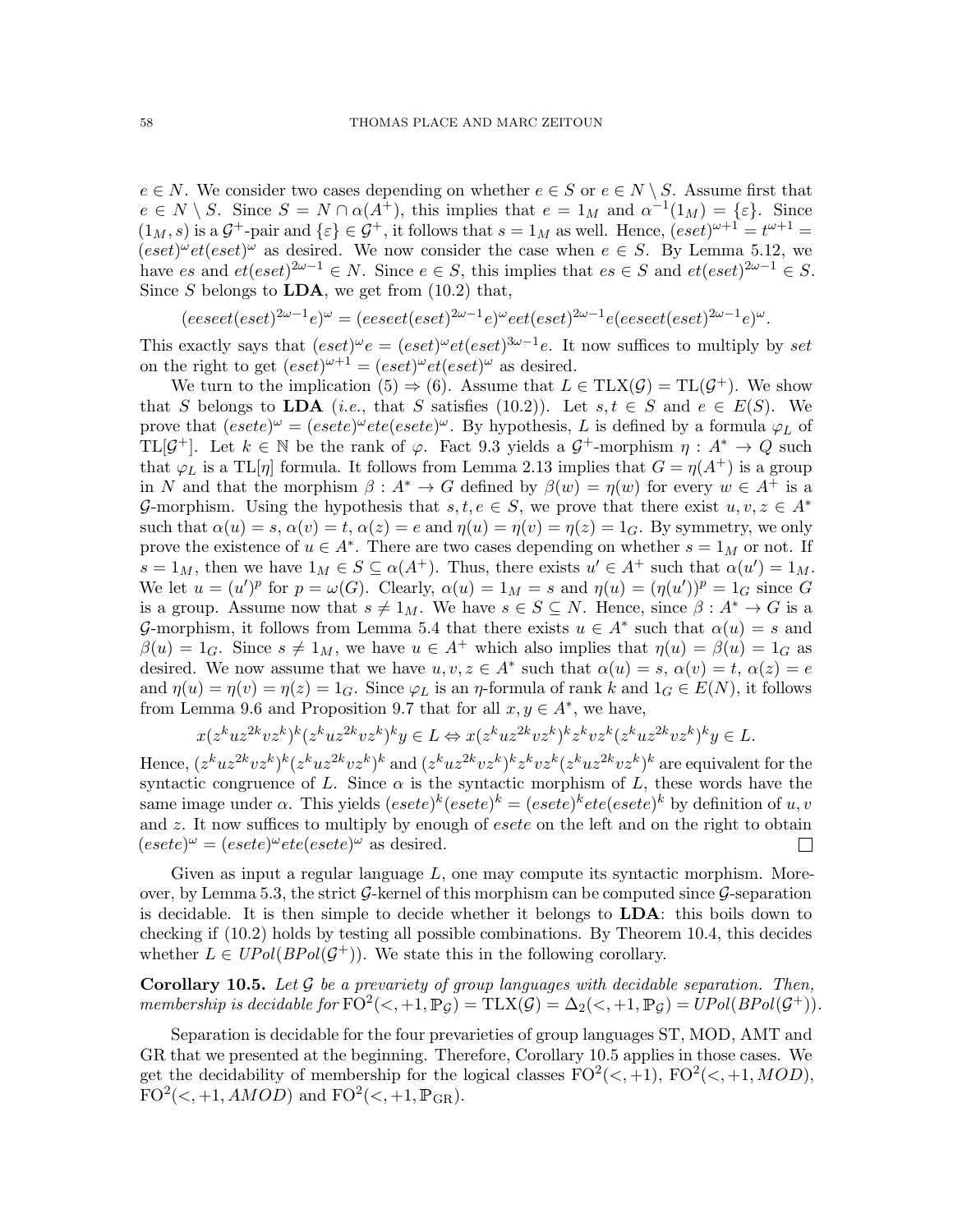$e \in N$ . We consider two cases depending on whether  $e \in S$  or  $e \in N \setminus S$ . Assume first that  $e \in N \setminus S$ . Since  $S = N \cap \alpha(A^+)$ , this implies that  $e = 1_M$  and  $\alpha^{-1}(1_M) = \{\varepsilon\}$ . Since  $(1_M, s)$  is a  $\mathcal{G}^+$ -pair and  $\{\varepsilon\} \in \mathcal{G}^+$ , it follows that  $s = 1_M$  as well. Hence,  $(eset)^{\omega+1} = t^{\omega+1} =$  $(eset)^{\omega}et(eset)^{\omega}$  as desired. We now consider the case when  $e \in S$ . By Lemma [5.12,](#page-23-1) we have es and  $et(eset)^{2\omega-1} \in N$ . Since  $e \in S$ , this implies that  $es \in S$  and  $et(eset)^{2\omega-1} \in S$ . Since S belongs to  $LDA$ , we get from  $(10.2)$  that,

$$
(eesect(eset)^{2\omega-1}e)^{\omega} = (eesect(eset)^{2\omega-1}e)^{\omega}ect(eset)^{2\omega-1}e(eesect(eset)^{2\omega-1}e)^{\omega}.
$$

This exactly says that  $(eset)^{\omega}e = (eset)^{\omega}et (eset)^{3\omega-1}e$ . It now suffices to multiply by set on the right to get  $(eset)^{\omega+1} = (eset)^{\omega}et (eset)^{\omega}$  as desired.

We turn to the implication (5)  $\Rightarrow$  (6). Assume that  $L \in \text{TLX}(\mathcal{G}) = \text{TL}(\mathcal{G}^+)$ . We show that S belongs to LDA (*i.e.*, that S satisfies [\(10.2\)](#page-56-0)). Let  $s, t \in S$  and  $e \in E(S)$ . We prove that  $(esete)^{\omega} = (esete)^{\omega}ete(esete)^{\omega}$ . By hypothesis, L is defined by a formula  $\varphi_L$  of TL[ $\mathcal{G}^+$ ]. Let  $k \in \mathbb{N}$  be the rank of  $\varphi$ . Fact [9.3](#page-45-2) yields a  $\mathcal{G}^+$ -morphism  $\eta: A^* \to Q$  such that  $\varphi_L$  is a TL[ $\eta$ ] formula. It follows from Lemma [2.13](#page-9-2) implies that  $G = \eta(A^+)$  is a group in N and that the morphism  $\beta: A^* \to G$  defined by  $\beta(w) = \eta(w)$  for every  $w \in A^+$  is a G-morphism. Using the hypothesis that  $s, t, e \in S$ , we prove that there exist  $u, v, z \in A^*$ such that  $\alpha(u) = s$ ,  $\alpha(v) = t$ ,  $\alpha(z) = e$  and  $\eta(u) = \eta(v) = \eta(z) = 1_G$ . By symmetry, we only prove the existence of  $u \in A^*$ . There are two cases depending on whether  $s = 1_M$  or not. If  $s = 1_M$ , then we have  $1_M \in S \subseteq \alpha(A^+)$ . Thus, there exists  $u' \in A^+$  such that  $\alpha(u') = 1_M$ . We let  $u = (u')^p$  for  $p = \omega(G)$ . Clearly,  $\alpha(u) = 1_M = s$  and  $\eta(u) = (\eta(u'))^p = 1_G$  since G is a group. Assume now that  $s \neq 1_M$ . We have  $s \in S \subseteq N$ . Hence, since  $\beta : A^* \to G$  is a G-morphism, it follows from Lemma [5.4](#page-20-1) that there exists  $u \in A^*$  such that  $\alpha(u) = s$  and  $\beta(u) = 1_G$ . Since  $s \neq 1_M$ , we have  $u \in A^+$  which also implies that  $\eta(u) = \beta(u) = 1_G$  as desired. We now assume that we have  $u, v, z \in A^*$  such that  $\alpha(u) = s, \alpha(v) = t, \alpha(z) = e$ and  $\eta(u) = \eta(v) = \eta(z) = 1_G$ . Since  $\varphi_L$  is an  $\eta$ -formula of rank k and  $1_G \in E(N)$ , it follows from Lemma [9.6](#page-47-6) and Proposition [9.7](#page-47-5) that for all  $x, y \in A^*$ , we have,

$$
x(z^kuz^{2k}vz^k)^k(z^kuz^{2k}vz^k)^ky\in L\Leftrightarrow x(z^kuz^{2k}vz^k)^kz^k vz^k(z^kuz^{2k}vz^k)^ky\in L.
$$

Hence,  $(z^kuz^{2k}vz^k)^k(z^kuz^{2k}vz^k)^k$  and  $(z^kuz^{2k}vz^k)^kz^kvz^k(z^kuz^{2k}vz^k)^k$  are equivalent for the syntactic congruence of L. Since  $\alpha$  is the syntactic morphism of L, these words have the same image under  $\alpha$ . This yields  $(esete)^k (esete)^k = (esete)^k \,ete(esete)^k$  by definition of  $u, v$ and  $z$ . It now suffices to multiply by enough of *esete* on the left and on the right to obtain  $(esete)^{\omega} = (esete)^{\omega}ete(esete)^{\omega}$  as desired.  $\Box$ 

Given as input a regular language  $L$ , one may compute its syntactic morphism. More-over, by Lemma [5.3,](#page-20-2) the strict  $\mathcal G$ -kernel of this morphism can be computed since  $\mathcal G$ -separation is decidable. It is then simple to decide whether it belongs to LDA: this boils down to checking if [\(10.2\)](#page-56-0) holds by testing all possible combinations. By Theorem [10.4,](#page-56-1) this decides whether  $L \in UPol(BPol(\mathcal{G}^+))$ . We state this in the following corollary.

<span id="page-57-0"></span>**Corollary 10.5.** Let  $\mathcal G$  be a prevariety of group languages with decidable separation. Then, membership is decidable for  $\text{FO}^2(\lt,, +1, \mathbb{P}_{\mathcal{G}}) = \text{TLX}(\mathcal{G}) = \Delta_2(\lt,, +1, \mathbb{P}_{\mathcal{G}}) = UPol(BPol(\mathcal{G}^+)).$ 

Separation is decidable for the four prevarieties of group languages ST, MOD, AMT and GR that we presented at the beginning. Therefore, Corollary [10.5](#page-57-0) applies in those cases. We get the decidability of membership for the logical classes  $FO^2(\langle ,+1, NOD \rangle)$ ,  $\text{FO}^2\left(<, +1, AMOD\right)$  and  $\text{FO}^2\left(<, +1, \mathbb{P}_{\text{GR}}\right)$ .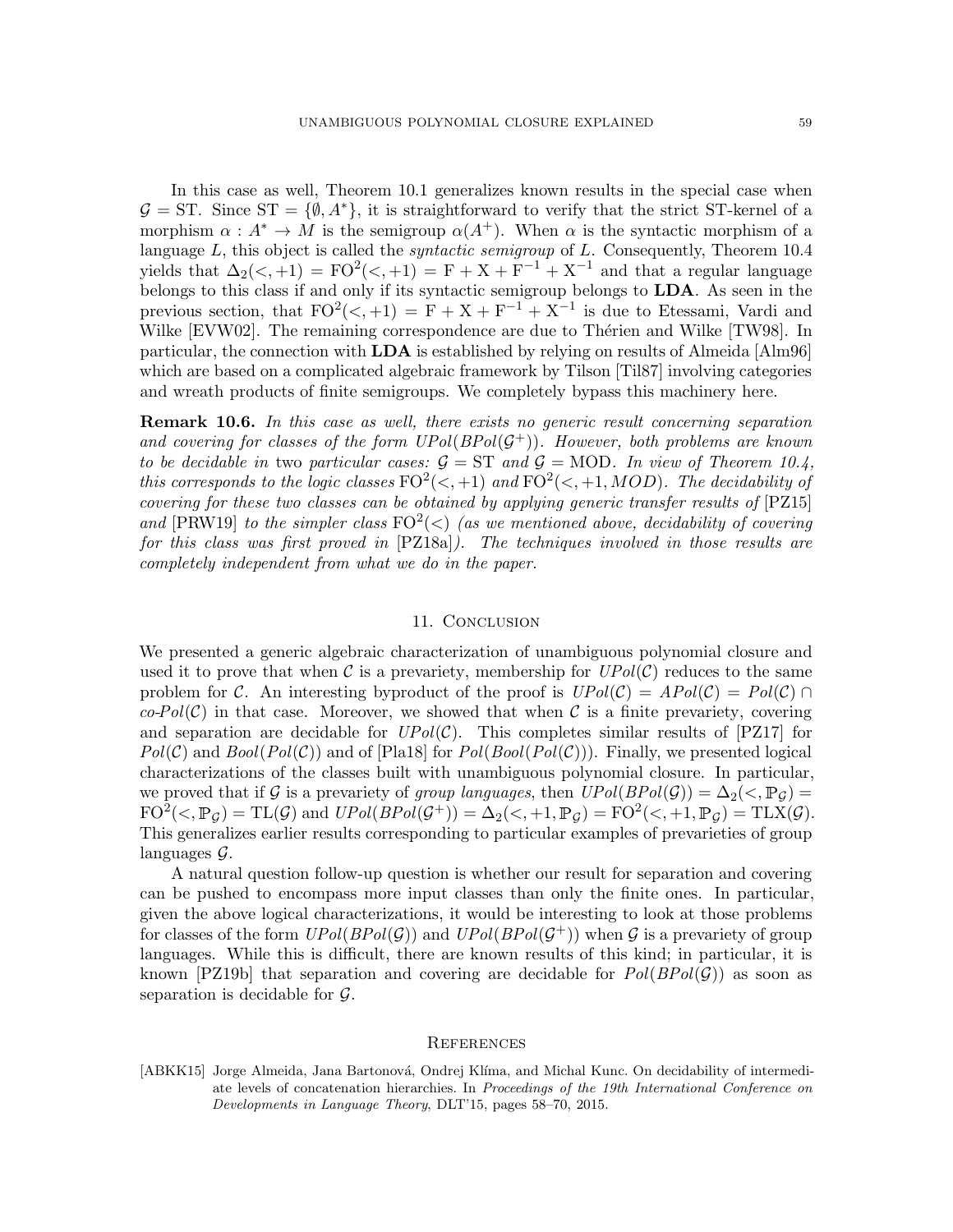In this case as well, Theorem [10.1](#page-54-1) generalizes known results in the special case when  $\mathcal{G} = ST$ . Since  $ST = \{\emptyset, A^*\}$ , it is straightforward to verify that the strict ST-kernel of a morphism  $\alpha : A^* \to M$  is the semigroup  $\alpha(A^+)$ . When  $\alpha$  is the syntactic morphism of a language L, this object is called the *syntactic semigroup* of L. Consequently, Theorem  $10.4$ yields that  $\Delta_2(\langle, +1 \rangle) = \text{FO}^2(\langle, +1 \rangle) = \text{F} + \text{X} + \text{F}^{-1} + \text{X}^{-1}$  and that a regular language belongs to this class if and only if its syntactic semigroup belongs to LDA. As seen in the previous section, that  $FO^2(\langle, +1) = F + X + F^{-1} + X^{-1}$  is due to Etessami, Vardi and Wilke  $[EVW02]$ . The remaining correspondence are due to Thérien and Wilke  $[TW98]$ . In particular, the connection with  $LDA$  is established by relying on results of Almeida [\[Alm96\]](#page-59-20) which are based on a complicated algebraic framework by Tilson [\[Til87\]](#page-60-15) involving categories and wreath products of finite semigroups. We completely bypass this machinery here.

**Remark 10.6.** In this case as well, there exists no generic result concerning separation and covering for classes of the form  $UPol(BPol(\mathcal{G}^+))$ . However, both problems are known to be decidable in two particular cases:  $G = ST$  and  $G = MOD$ . In view of Theorem [10.4,](#page-56-1) this corresponds to the logic classes  $FO^2(\lt, +1)$  and  $FO^2(\lt, +1, MOD)$ . The decidability of covering for these two classes can be obtained by applying generic transfer results of [\[PZ15\]](#page-59-21) and [\[PRW19\]](#page-59-22) to the simpler class  $FO^2(\leq)$  (as we mentioned above, decidability of covering for this class was first proved in [\[PZ18a\]](#page-60-12)). The techniques involved in those results are completely independent from what we do in the paper.

# 11. Conclusion

We presented a generic algebraic characterization of unambiguous polynomial closure and used it to prove that when C is a prevariety, membership for  $UPol(\mathcal{C})$  reduces to the same problem for C. An interesting byproduct of the proof is  $UPol(\mathcal{C}) = Apol(\mathcal{C}) \cap$  $co\text{-}Pol(\mathcal{C})$  in that case. Moreover, we showed that when C is a finite prevariety, covering and separation are decidable for  $UPol(\mathcal{C})$ . This completes similar results of [\[PZ17\]](#page-60-3) for  $Pol(\mathcal{C})$  and  $Bool(Pol(\mathcal{C}))$  and of [\[Pla18\]](#page-59-2) for  $Pol(Bool(Pol(\mathcal{C})))$ . Finally, we presented logical characterizations of the classes built with unambiguous polynomial closure. In particular, we proved that if G is a prevariety of group languages, then  $UPol(BPol(\mathcal{G})) = \Delta_2(\langle , \mathbb{P}_{\mathcal{G}} \rangle)$  $FO^2(\langle, \mathbb{P}_{\mathcal{G}}) = TL(\mathcal{G})$  and  $UPol(BPol(\mathcal{G}^+)) = \Delta_2(\langle, +1, \mathbb{P}_{\mathcal{G}}) = FO^2(\langle, +1, \mathbb{P}_{\mathcal{G}}) = TLX(\mathcal{G})$ . This generalizes earlier results corresponding to particular examples of prevarieties of group languages G.

A natural question follow-up question is whether our result for separation and covering can be pushed to encompass more input classes than only the finite ones. In particular, given the above logical characterizations, it would be interesting to look at those problems for classes of the form  $UPol(BPol(\mathcal{G}))$  and  $UPol(BPol(\mathcal{G}^+))$  when G is a prevariety of group languages. While this is difficult, there are known results of this kind; in particular, it is known [\[PZ19b\]](#page-60-5) that separation and covering are decidable for  $Pol(BPol(\mathcal{G}))$  as soon as separation is decidable for  $\mathcal{G}$ .

# **REFERENCES**

<span id="page-58-0"></span>[ABKK15] Jorge Almeida, Jana Bartonová, Ondrej Klíma, and Michal Kunc. On decidability of intermediate levels of concatenation hierarchies. In *Proceedings of the 19th International Conference on Developments in Language Theory*, DLT'15, pages 58–70, 2015.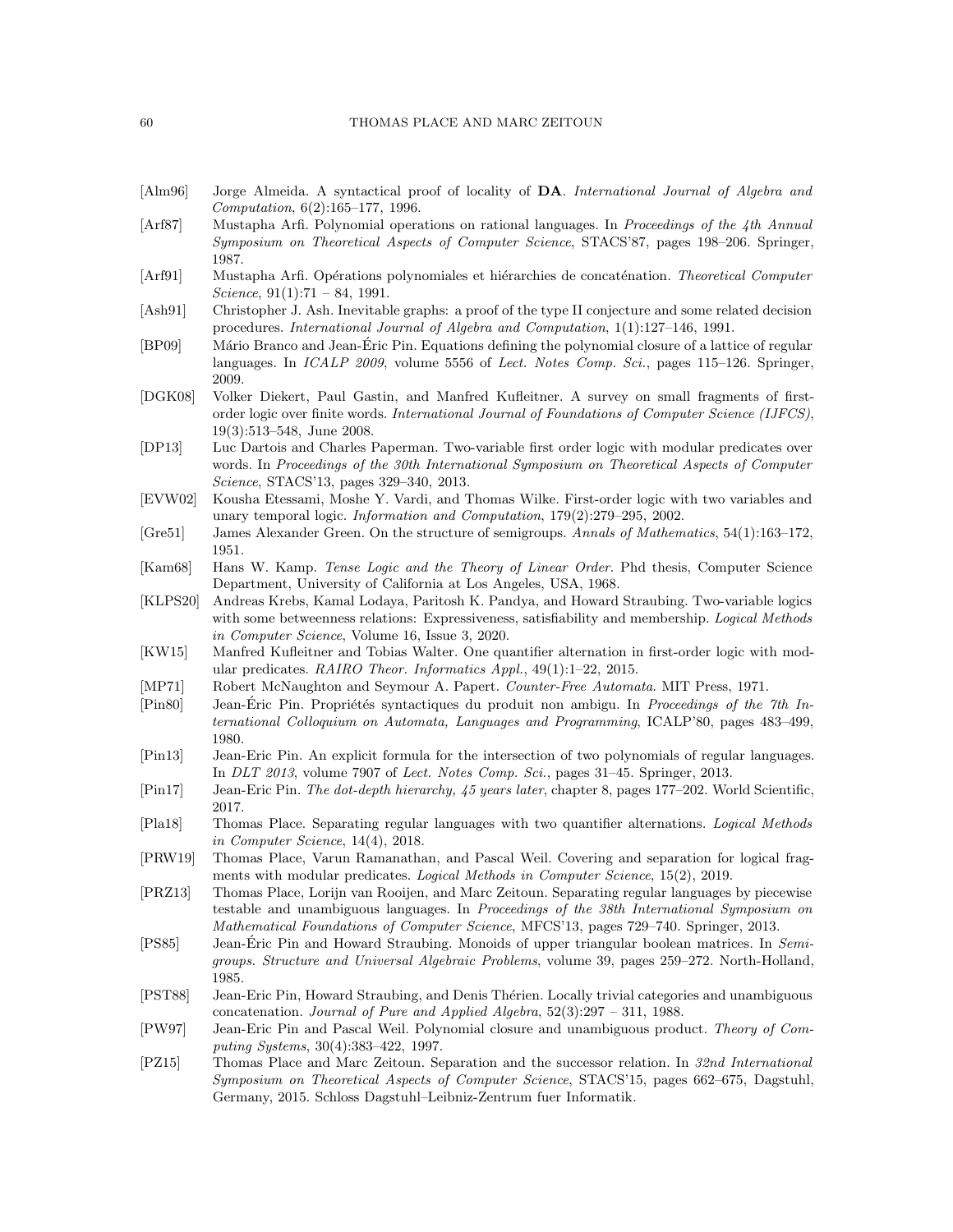#### 60 THOMAS PLACE AND MARC ZEITOUN

- <span id="page-59-20"></span>[Alm96] Jorge Almeida. A syntactical proof of locality of DA. *International Journal of Algebra and Computation*, 6(2):165–177, 1996.
- <span id="page-59-4"></span>[Arf87] Mustapha Arfi. Polynomial operations on rational languages. In *Proceedings of the 4th Annual Symposium on Theoretical Aspects of Computer Science*, STACS'87, pages 198–206. Springer, 1987.
- <span id="page-59-3"></span>[Arf91] Mustapha Arfi. Opérations polynomiales et hiérarchies de concaténation. *Theoretical Computer Science*, 91(1):71 – 84, 1991.
- <span id="page-59-16"></span>[Ash91] Christopher J. Ash. Inevitable graphs: a proof of the type II conjecture and some related decision procedures. *International Journal of Algebra and Computation*, 1(1):127–146, 1991.
- <span id="page-59-11"></span>[BP09] Mário Branco and Jean-Éric Pin. Equations defining the polynomial closure of a lattice of regular languages. In *ICALP 2009*, volume 5556 of *Lect. Notes Comp. Sci.*, pages 115–126. Springer, 2009.
- <span id="page-59-7"></span>[DGK08] Volker Diekert, Paul Gastin, and Manfred Kufleitner. A survey on small fragments of firstorder logic over finite words. *International Journal of Foundations of Computer Science (IJFCS)*, 19(3):513–548, June 2008.
- <span id="page-59-13"></span>[DP13] Luc Dartois and Charles Paperman. Two-variable first order logic with modular predicates over words. In *Proceedings of the 30th International Symposium on Theoretical Aspects of Computer Science*, STACS'13, pages 329–340, 2013.
- <span id="page-59-8"></span>[EVW02] Kousha Etessami, Moshe Y. Vardi, and Thomas Wilke. First-order logic with two variables and unary temporal logic. *Information and Computation*, 179(2):279–295, 2002.
- <span id="page-59-15"></span>[Gre51] James Alexander Green. On the structure of semigroups. *Annals of Mathematics*, 54(1):163–172, 1951.
- <span id="page-59-1"></span>[Kam68] Hans W. Kamp. *Tense Logic and the Theory of Linear Order*. Phd thesis, Computer Science Department, University of California at Los Angeles, USA, 1968.
- <span id="page-59-19"></span>[KLPS20] Andreas Krebs, Kamal Lodaya, Paritosh K. Pandya, and Howard Straubing. Two-variable logics with some betweenness relations: Expressiveness, satisfiability and membership. *Logical Methods in Computer Science*, Volume 16, Issue 3, 2020.
- <span id="page-59-14"></span>[KW15] Manfred Kufleitner and Tobias Walter. One quantifier alternation in first-order logic with modular predicates. *RAIRO Theor. Informatics Appl.*, 49(1):1–22, 2015.
- <span id="page-59-0"></span>[MP71] Robert McNaughton and Seymour A. Papert. *Counter-Free Automata*. MIT Press, 1971.
- <span id="page-59-9"></span>[Pin80] Jean-Éric Pin. Propriétés syntactiques du produit non ambigu. In *Proceedings of the 7th International Colloquium on Automata, Languages and Programming*, ICALP'80, pages 483–499, 1980.
- <span id="page-59-17"></span>[Pin13] Jean-Eric Pin. An explicit formula for the intersection of two polynomials of regular languages. In *DLT 2013*, volume 7907 of *Lect. Notes Comp. Sci.*, pages 31–45. Springer, 2013.
- <span id="page-59-6"></span>[Pin17] Jean-Eric Pin. *The dot-depth hierarchy, 45 years later*, chapter 8, pages 177–202. World Scientific, 2017.
- <span id="page-59-2"></span>[Pla18] Thomas Place. Separating regular languages with two quantifier alternations. *Logical Methods in Computer Science*, 14(4), 2018.
- <span id="page-59-22"></span>[PRW19] Thomas Place, Varun Ramanathan, and Pascal Weil. Covering and separation for logical fragments with modular predicates. *Logical Methods in Computer Science*, 15(2), 2019.
- <span id="page-59-12"></span>[PRZ13] Thomas Place, Lorijn van Rooijen, and Marc Zeitoun. Separating regular languages by piecewise testable and unambiguous languages. In *Proceedings of the 38th International Symposium on Mathematical Foundations of Computer Science*, MFCS'13, pages 729–740. Springer, 2013.
- <span id="page-59-18"></span>[PS85] Jean-Eric Pin and Howard Straubing. Monoids of upper triangular b ´ oolean matrices. In *Semigroups. Structure and Universal Algebraic Problems*, volume 39, pages 259–272. North-Holland, 1985.
- <span id="page-59-10"></span>[PST88] Jean-Eric Pin, Howard Straubing, and Denis Thérien. Locally trivial categories and unambiguous concatenation. *Journal of Pure and Applied Algebra*, 52(3):297 – 311, 1988.
- <span id="page-59-5"></span>[PW97] Jean-Eric Pin and Pascal Weil. Polynomial closure and unambiguous product. *Theory of Computing Systems*, 30(4):383–422, 1997.
- <span id="page-59-21"></span>[PZ15] Thomas Place and Marc Zeitoun. Separation and the successor relation. In *32nd International Symposium on Theoretical Aspects of Computer Science*, STACS'15, pages 662–675, Dagstuhl, Germany, 2015. Schloss Dagstuhl–Leibniz-Zentrum fuer Informatik.